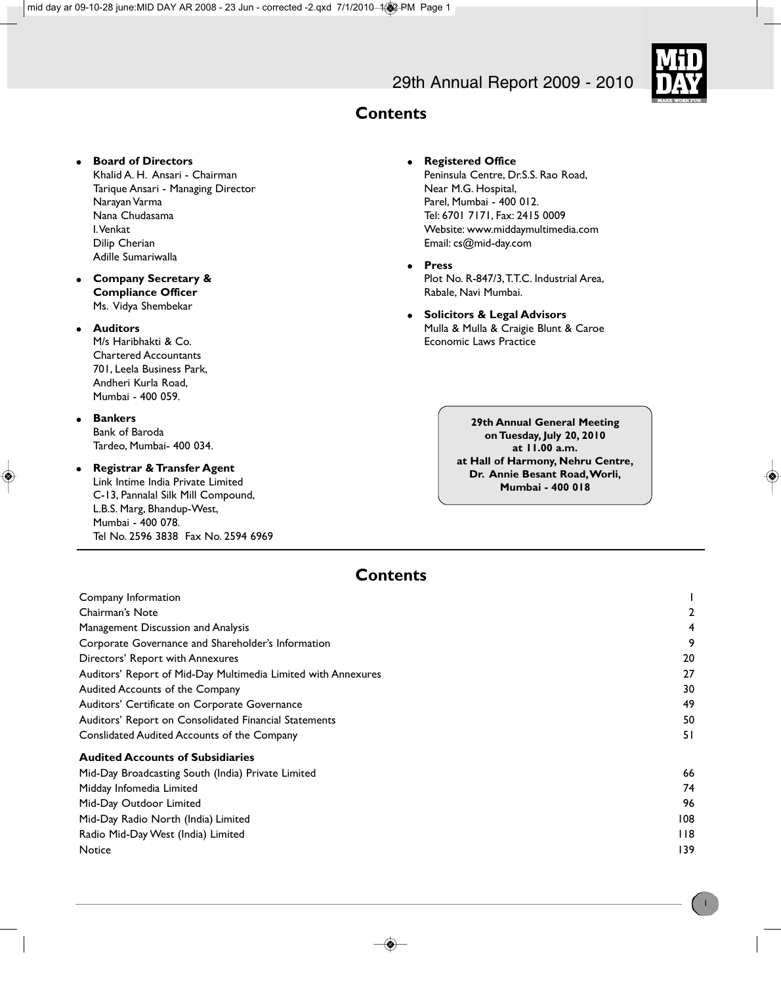# 29th Annual Report 2009 - 2010



# **Contents**

### **e** Board of Directors

Khalid A. H. Ansari - Chairman Tarique Ansari - Managing Director Narayan Varma Nana Chudasama I. Venkat Dilip Cherian Adille Sumariwalla

- **e** Company Secretary & **Compliance Officer** Ms. Vidya Shembekar
- **.** Auditors

M/s Haribhakti & Co. Chartered Accountants 701, Leela Business Park, Andheri Kurla Road, Mumbai - 400 059.

- **e** Bankers Bank of Baroda Tardeo, Mumbai- 400 034.
- **Registrar & Transfer Agent**

Link Intime India Private Limited C-13, Pannalal Silk Mill Compound, L.B.S. Marg, Bhandup-West, Mumbai - 400 078. Tel No. 2596 3838 Fax No. 2594 6969

- **•** Registered Office Peninsula Centre, Dr.S.S. Rao Road, Near M.G. Hospital, Parel, Mumbai - 400 012. Tel: 6701 7171, Fax: 2415 0009 Website: www.middaymultimedia.com Email: cs@mid-day.com
- <sup>l</sup> **Press** Plot No. R-847/3, T.T.C. Industrial Area, Rabale, Navi Mumbai.
- **Solicitors & Legal Advisors** Mulla & Mulla & Craigie Blunt & Caroe Economic Laws Practice

**29th Annual General Meeting on Tuesday, July 20, 2010 at 11.00 a.m. at Hall of Harmony, Nehru Centre, Dr. Annie Besant Road, Worli, Mumbai - 400 018**

## **Contents**

| Company Information                                           |     |
|---------------------------------------------------------------|-----|
| Chairman's Note                                               |     |
| Management Discussion and Analysis                            |     |
| Corporate Governance and Shareholder's Information            | 9   |
| Directors' Report with Annexures                              | 20  |
| Auditors' Report of Mid-Day Multimedia Limited with Annexures | 27  |
| Audited Accounts of the Company                               | 30  |
| Auditors' Certificate on Corporate Governance                 | 49  |
| Auditors' Report on Consolidated Financial Statements         | 50  |
| Conslidated Audited Accounts of the Company                   | 51  |
| <b>Audited Accounts of Subsidiaries</b>                       |     |
| Mid-Day Broadcasting South (India) Private Limited            | 66  |
| Midday Infomedia Limited                                      | 74  |
| Mid-Day Outdoor Limited                                       | 96  |
| Mid-Day Radio North (India) Limited                           | 108 |
| Radio Mid-Day West (India) Limited                            | 118 |
| Notice                                                        | 139 |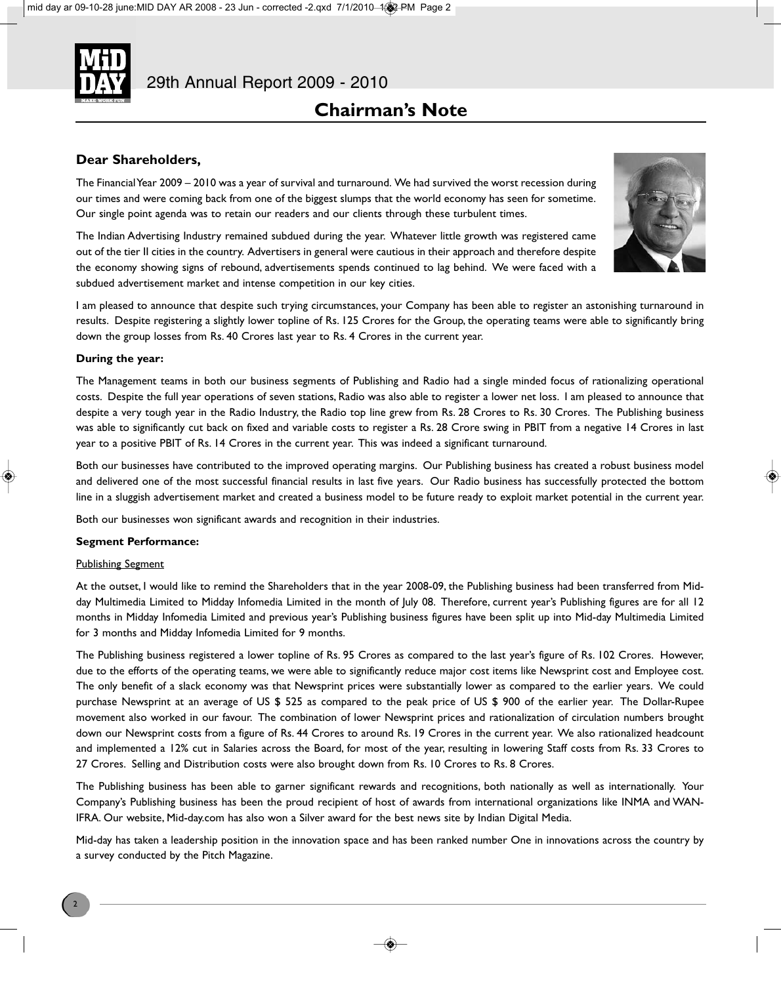

# **Chairman's Note**

### **Dear Shareholders,**

The Financial Year 2009 – 2010 was a year of survival and turnaround. We had survived the worst recession during our times and were coming back from one of the biggest slumps that the world economy has seen for sometime. Our single point agenda was to retain our readers and our clients through these turbulent times.

The Indian Advertising Industry remained subdued during the year. Whatever little growth was registered came out of the tier II cities in the country. Advertisers in general were cautious in their approach and therefore despite the economy showing signs of rebound, advertisements spends continued to lag behind. We were faced with a subdued advertisement market and intense competition in our key cities.



I am pleased to announce that despite such trying circumstances, your Company has been able to register an astonishing turnaround in results. Despite registering a slightly lower topline of Rs. 125 Crores for the Group, the operating teams were able to significantly bring down the group losses from Rs. 40 Crores last year to Rs. 4 Crores in the current year.

### **During the year:**

The Management teams in both our business segments of Publishing and Radio had a single minded focus of rationalizing operational costs. Despite the full year operations of seven stations, Radio was also able to register a lower net loss. I am pleased to announce that despite a very tough year in the Radio Industry, the Radio top line grew from Rs. 28 Crores to Rs. 30 Crores. The Publishing business was able to significantly cut back on fixed and variable costs to register a Rs. 28 Crore swing in PBIT from a negative 14 Crores in last year to a positive PBIT of Rs. 14 Crores in the current year. This was indeed a significant turnaround.

Both our businesses have contributed to the improved operating margins. Our Publishing business has created a robust business model and delivered one of the most successful financial results in last five years. Our Radio business has successfully protected the bottom line in a sluggish advertisement market and created a business model to be future ready to exploit market potential in the current year.

Both our businesses won significant awards and recognition in their industries.

### **Segment Performance:**

### Publishing Segment

At the outset, I would like to remind the Shareholders that in the year 2008-09, the Publishing business had been transferred from Midday Multimedia Limited to Midday Infomedia Limited in the month of July 08. Therefore, current year's Publishing figures are for all 12 months in Midday Infomedia Limited and previous year's Publishing business figures have been split up into Mid-day Multimedia Limited for 3 months and Midday Infomedia Limited for 9 months.

The Publishing business registered a lower topline of Rs. 95 Crores as compared to the last year's figure of Rs. 102 Crores. However, due to the efforts of the operating teams, we were able to significantly reduce major cost items like Newsprint cost and Employee cost. The only benefit of a slack economy was that Newsprint prices were substantially lower as compared to the earlier years. We could purchase Newsprint at an average of US \$ 525 as compared to the peak price of US \$ 900 of the earlier year. The Dollar-Rupee movement also worked in our favour. The combination of lower Newsprint prices and rationalization of circulation numbers brought down our Newsprint costs from a figure of Rs. 44 Crores to around Rs. 19 Crores in the current year. We also rationalized headcount and implemented a 12% cut in Salaries across the Board, for most of the year, resulting in lowering Staff costs from Rs. 33 Crores to 27 Crores. Selling and Distribution costs were also brought down from Rs. 10 Crores to Rs. 8 Crores.

The Publishing business has been able to garner significant rewards and recognitions, both nationally as well as internationally. Your Company's Publishing business has been the proud recipient of host of awards from international organizations like INMA and WAN-IFRA. Our website, Mid-day.com has also won a Silver award for the best news site by Indian Digital Media.

Mid-day has taken a leadership position in the innovation space and has been ranked number One in innovations across the country by a survey conducted by the Pitch Magazine.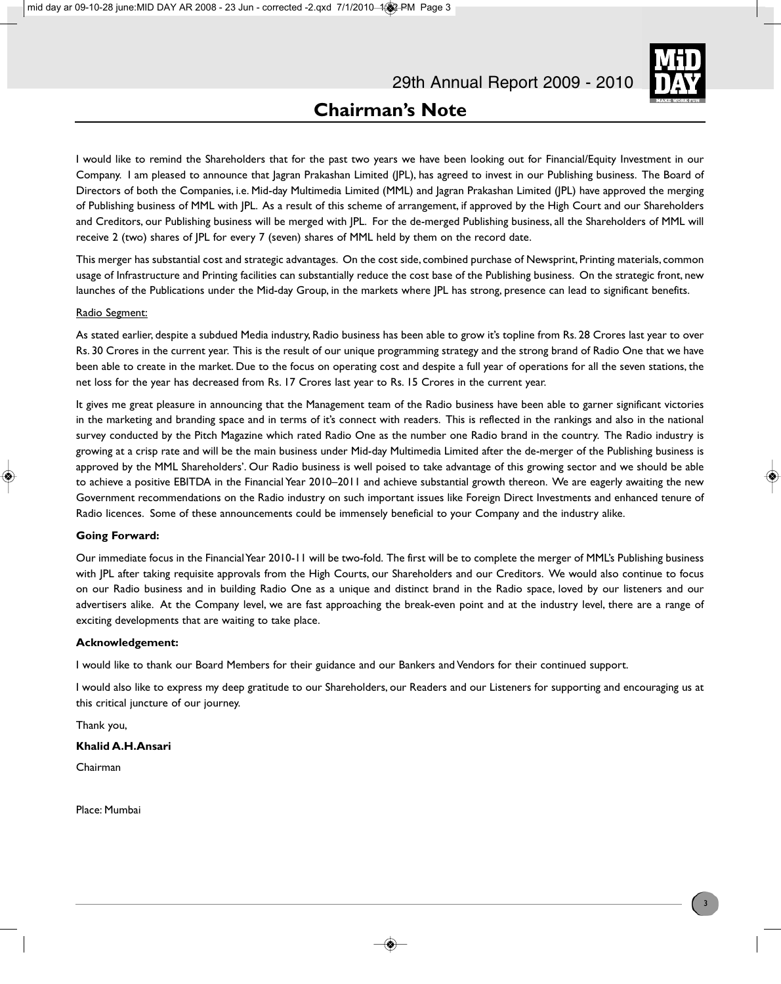

I would like to remind the Shareholders that for the past two years we have been looking out for Financial/Equity Investment in our Company. I am pleased to announce that Jagran Prakashan Limited (JPL), has agreed to invest in our Publishing business. The Board of Directors of both the Companies, i.e. Mid-day Multimedia Limited (MML) and Jagran Prakashan Limited (JPL) have approved the merging of Publishing business of MML with JPL. As a result of this scheme of arrangement, if approved by the High Court and our Shareholders and Creditors, our Publishing business will be merged with JPL. For the de-merged Publishing business, all the Shareholders of MML will receive 2 (two) shares of JPL for every 7 (seven) shares of MML held by them on the record date.

This merger has substantial cost and strategic advantages. On the cost side, combined purchase of Newsprint, Printing materials, common usage of Infrastructure and Printing facilities can substantially reduce the cost base of the Publishing business. On the strategic front, new launches of the Publications under the Mid-day Group, in the markets where JPL has strong, presence can lead to significant benefits.

### Radio Segment:

As stated earlier, despite a subdued Media industry, Radio business has been able to grow it's topline from Rs. 28 Crores last year to over Rs. 30 Crores in the current year. This is the result of our unique programming strategy and the strong brand of Radio One that we have been able to create in the market. Due to the focus on operating cost and despite a full year of operations for all the seven stations, the net loss for the year has decreased from Rs. 17 Crores last year to Rs. 15 Crores in the current year.

It gives me great pleasure in announcing that the Management team of the Radio business have been able to garner significant victories in the marketing and branding space and in terms of it's connect with readers. This is reflected in the rankings and also in the national survey conducted by the Pitch Magazine which rated Radio One as the number one Radio brand in the country. The Radio industry is growing at a crisp rate and will be the main business under Mid-day Multimedia Limited after the de-merger of the Publishing business is approved by the MML Shareholders'. Our Radio business is well poised to take advantage of this growing sector and we should be able to achieve a positive EBITDA in the Financial Year 2010–2011 and achieve substantial growth thereon. We are eagerly awaiting the new Government recommendations on the Radio industry on such important issues like Foreign Direct Investments and enhanced tenure of Radio licences. Some of these announcements could be immensely beneficial to your Company and the industry alike.

### **Going Forward:**

Our immediate focus in the Financial Year 2010-11 will be two-fold. The first will be to complete the merger of MML's Publishing business with JPL after taking requisite approvals from the High Courts, our Shareholders and our Creditors. We would also continue to focus on our Radio business and in building Radio One as a unique and distinct brand in the Radio space, loved by our listeners and our advertisers alike. At the Company level, we are fast approaching the break-even point and at the industry level, there are a range of exciting developments that are waiting to take place.

### **Acknowledgement:**

I would like to thank our Board Members for their guidance and our Bankers and Vendors for their continued support.

I would also like to express my deep gratitude to our Shareholders, our Readers and our Listeners for supporting and encouraging us at this critical juncture of our journey.

Thank you,

### **Khalid A.H.Ansari**

Chairman

Place: Mumbai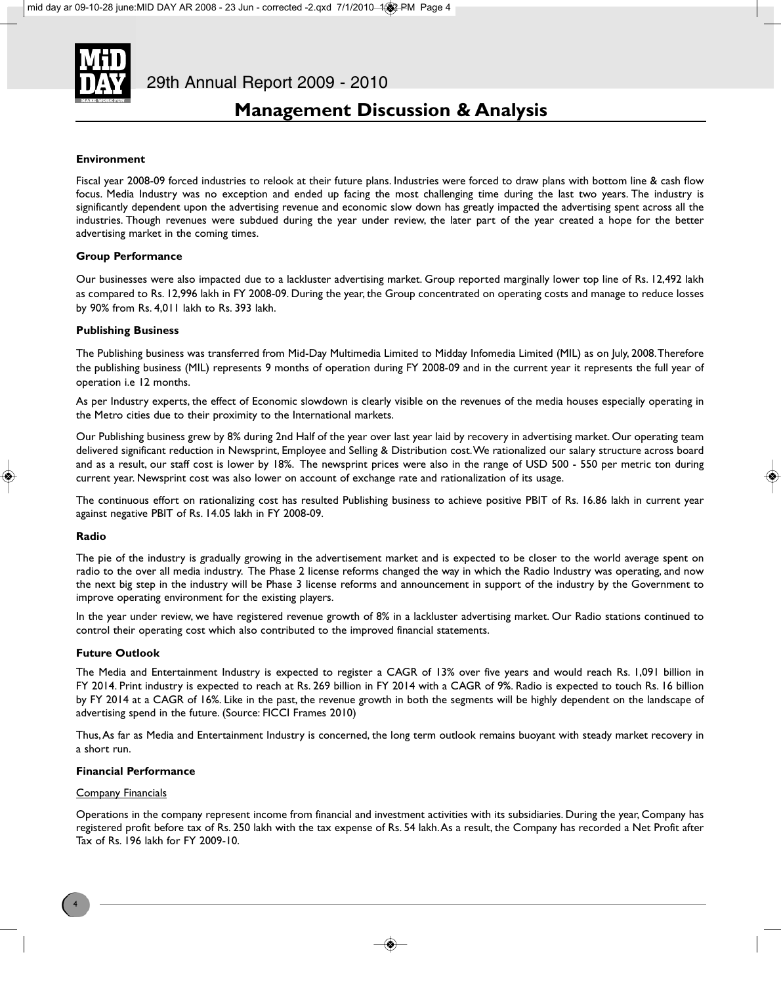

### **Environment**

Fiscal year 2008-09 forced industries to relook at their future plans. Industries were forced to draw plans with bottom line & cash flow focus. Media Industry was no exception and ended up facing the most challenging time during the last two years. The industry is significantly dependent upon the advertising revenue and economic slow down has greatly impacted the advertising spent across all the industries. Though revenues were subdued during the year under review, the later part of the year created a hope for the better advertising market in the coming times.

### **Group Performance**

Our businesses were also impacted due to a lackluster advertising market. Group reported marginally lower top line of Rs. 12,492 lakh as compared to Rs. 12,996 lakh in FY 2008-09. During the year, the Group concentrated on operating costs and manage to reduce losses by 90% from Rs. 4,011 lakh to Rs. 393 lakh.

### **Publishing Business**

The Publishing business was transferred from Mid-Day Multimedia Limited to Midday Infomedia Limited (MIL) as on July, 2008. Therefore the publishing business (MIL) represents 9 months of operation during FY 2008-09 and in the current year it represents the full year of operation i.e 12 months.

As per Industry experts, the effect of Economic slowdown is clearly visible on the revenues of the media houses especially operating in the Metro cities due to their proximity to the International markets.

Our Publishing business grew by 8% during 2nd Half of the year over last year laid by recovery in advertising market. Our operating team delivered significant reduction in Newsprint, Employee and Selling & Distribution cost. We rationalized our salary structure across board and as a result, our staff cost is lower by 18%. The newsprint prices were also in the range of USD 500 - 550 per metric ton during current year. Newsprint cost was also lower on account of exchange rate and rationalization of its usage.

The continuous effort on rationalizing cost has resulted Publishing business to achieve positive PBIT of Rs. 16.86 lakh in current year against negative PBIT of Rs. 14.05 lakh in FY 2008-09.

### **Radio**

The pie of the industry is gradually growing in the advertisement market and is expected to be closer to the world average spent on radio to the over all media industry. The Phase 2 license reforms changed the way in which the Radio Industry was operating, and now the next big step in the industry will be Phase 3 license reforms and announcement in support of the industry by the Government to improve operating environment for the existing players.

In the year under review, we have registered revenue growth of 8% in a lackluster advertising market. Our Radio stations continued to control their operating cost which also contributed to the improved financial statements.

### **Future Outlook**

The Media and Entertainment Industry is expected to register a CAGR of 13% over five years and would reach Rs. 1,091 billion in FY 2014. Print industry is expected to reach at Rs. 269 billion in FY 2014 with a CAGR of 9%. Radio is expected to touch Rs. 16 billion by FY 2014 at a CAGR of 16%. Like in the past, the revenue growth in both the segments will be highly dependent on the landscape of advertising spend in the future. (Source: FICCI Frames 2010)

Thus, As far as Media and Entertainment Industry is concerned, the long term outlook remains buoyant with steady market recovery in a short run.

### **Financial Performance**

### Company Financials

Operations in the company represent income from financial and investment activities with its subsidiaries. During the year, Company has registered profit before tax of Rs. 250 lakh with the tax expense of Rs. 54 lakh. As a result, the Company has recorded a Net Profit after Tax of Rs. 196 lakh for FY 2009-10.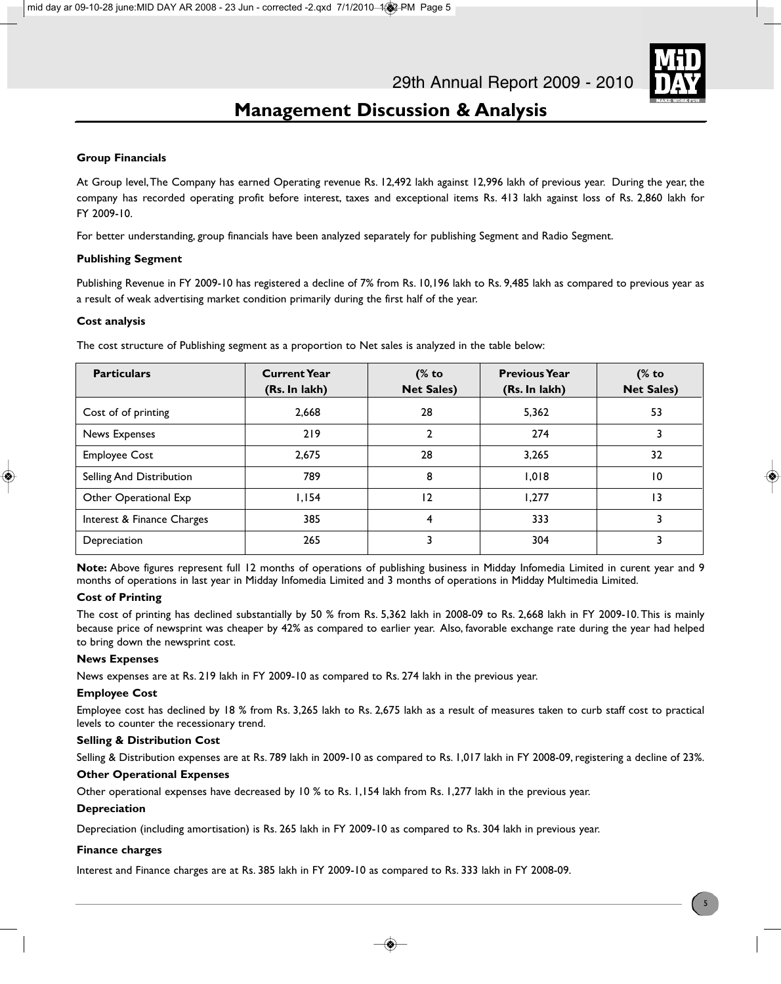

### **Group Financials**

At Group level, The Company has earned Operating revenue Rs. 12,492 lakh against 12,996 lakh of previous year. During the year, the company has recorded operating profit before interest, taxes and exceptional items Rs. 413 lakh against loss of Rs. 2,860 lakh for FY 2009-10.

For better understanding, group financials have been analyzed separately for publishing Segment and Radio Segment.

### **Publishing Segment**

Publishing Revenue in FY 2009-10 has registered a decline of 7% from Rs. 10,196 lakh to Rs. 9,485 lakh as compared to previous year as a result of weak advertising market condition primarily during the first half of the year.

### **Cost analysis**

| <b>Particulars</b>         | <b>Current Year</b><br>(Rs. In lakh) | (% to<br><b>Net Sales)</b> | <b>Previous Year</b><br>(Rs. In lakh) | $%$ to<br><b>Net Sales)</b> |
|----------------------------|--------------------------------------|----------------------------|---------------------------------------|-----------------------------|
| Cost of of printing        | 2,668                                | 28                         | 5,362                                 | 53                          |
| News Expenses              | 219                                  | $\mathbf{2}$               | 274                                   | 3                           |
| <b>Employee Cost</b>       | 2,675                                | 28                         | 3,265                                 | 32                          |
| Selling And Distribution   | 789                                  | 8                          | 1,018                                 | 10                          |
| Other Operational Exp      | 1,154                                | $\overline{2}$             | 1.277                                 | 13                          |
| Interest & Finance Charges | 385                                  | 4                          | 333                                   | 3                           |
| Depreciation               | 265                                  | 3                          | 304                                   | 3                           |

The cost structure of Publishing segment as a proportion to Net sales is analyzed in the table below:

**Note:** Above figures represent full 12 months of operations of publishing business in Midday Infomedia Limited in curent year and 9 months of operations in last year in Midday Infomedia Limited and 3 months of operations in Midday Multimedia Limited.

### **Cost of Printing**

The cost of printing has declined substantially by 50 % from Rs. 5,362 lakh in 2008-09 to Rs. 2,668 lakh in FY 2009-10. This is mainly because price of newsprint was cheaper by 42% as compared to earlier year. Also, favorable exchange rate during the year had helped to bring down the newsprint cost.

### **News Expenses**

News expenses are at Rs. 219 lakh in FY 2009-10 as compared to Rs. 274 lakh in the previous year.

### **Employee Cost**

Employee cost has declined by 18 % from Rs. 3,265 lakh to Rs. 2,675 lakh as a result of measures taken to curb staff cost to practical levels to counter the recessionary trend.

### **Selling & Distribution Cost**

Selling & Distribution expenses are at Rs. 789 lakh in 2009-10 as compared to Rs. 1,017 lakh in FY 2008-09, registering a decline of 23%.

### **Other Operational Expenses**

Other operational expenses have decreased by 10 % to Rs. 1,154 lakh from Rs. 1,277 lakh in the previous year.

### **Depreciation**

Depreciation (including amortisation) is Rs. 265 lakh in FY 2009-10 as compared to Rs. 304 lakh in previous year.

### **Finance charges**

Interest and Finance charges are at Rs. 385 lakh in FY 2009-10 as compared to Rs. 333 lakh in FY 2008-09.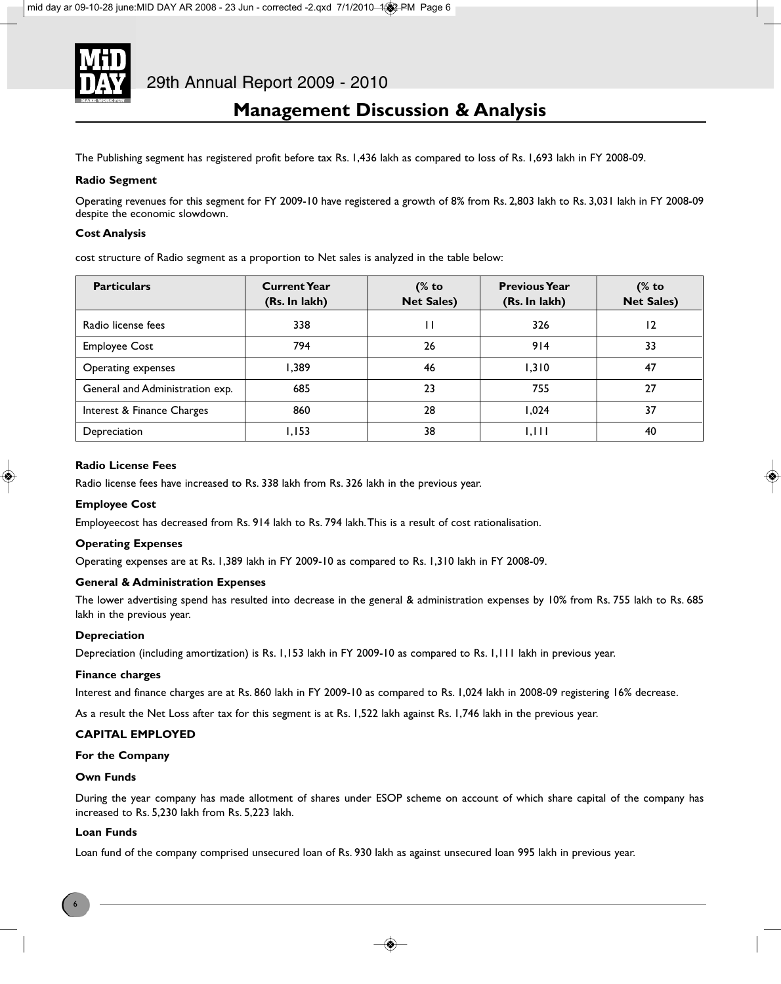

The Publishing segment has registered profit before tax Rs. 1,436 lakh as compared to loss of Rs. 1,693 lakh in FY 2008-09.

### **Radio Segment**

Operating revenues for this segment for FY 2009-10 have registered a growth of 8% from Rs. 2,803 lakh to Rs. 3,031 lakh in FY 2008-09 despite the economic slowdown.

### **Cost Analysis**

cost structure of Radio segment as a proportion to Net sales is analyzed in the table below:

| <b>Particulars</b>              | <b>Current Year</b><br>(Rs. In lakh) | (% to<br><b>Net Sales)</b> | <b>Previous Year</b><br>(Rs. In lakh) | (% to<br><b>Net Sales)</b> |
|---------------------------------|--------------------------------------|----------------------------|---------------------------------------|----------------------------|
| Radio license fees              | 338                                  | I۱                         | 326                                   | 12                         |
| <b>Employee Cost</b>            | 794                                  | 26                         | 914                                   | 33                         |
| Operating expenses              | 1.389                                | 46                         | 1.310                                 | 47                         |
| General and Administration exp. | 685                                  | 23                         | 755                                   | 27                         |
| Interest & Finance Charges      | 860                                  | 28                         | 1.024                                 | 37                         |
| Depreciation                    | 1,153                                | 38                         | 1,111                                 | 40                         |

### **Radio License Fees**

Radio license fees have increased to Rs. 338 lakh from Rs. 326 lakh in the previous year.

### **Employee Cost**

Employeecost has decreased from Rs. 914 lakh to Rs. 794 lakh. This is a result of cost rationalisation.

### **Operating Expenses**

Operating expenses are at Rs. 1,389 lakh in FY 2009-10 as compared to Rs. 1,310 lakh in FY 2008-09.

### **General & Administration Expenses**

The lower advertising spend has resulted into decrease in the general & administration expenses by 10% from Rs. 755 lakh to Rs. 685 lakh in the previous year.

### **Depreciation**

Depreciation (including amortization) is Rs. 1,153 lakh in FY 2009-10 as compared to Rs. 1,111 lakh in previous year.

### **Finance charges**

Interest and finance charges are at Rs. 860 lakh in FY 2009-10 as compared to Rs. 1,024 lakh in 2008-09 registering 16% decrease.

As a result the Net Loss after tax for this segment is at Rs. 1,522 lakh against Rs. 1,746 lakh in the previous year.

### **CAPITAL EMPLOYED**

### **For the Company**

### **Own Funds**

During the year company has made allotment of shares under ESOP scheme on account of which share capital of the company has increased to Rs. 5,230 lakh from Rs. 5,223 lakh.

### **Loan Funds**

Loan fund of the company comprised unsecured loan of Rs. 930 lakh as against unsecured loan 995 lakh in previous year.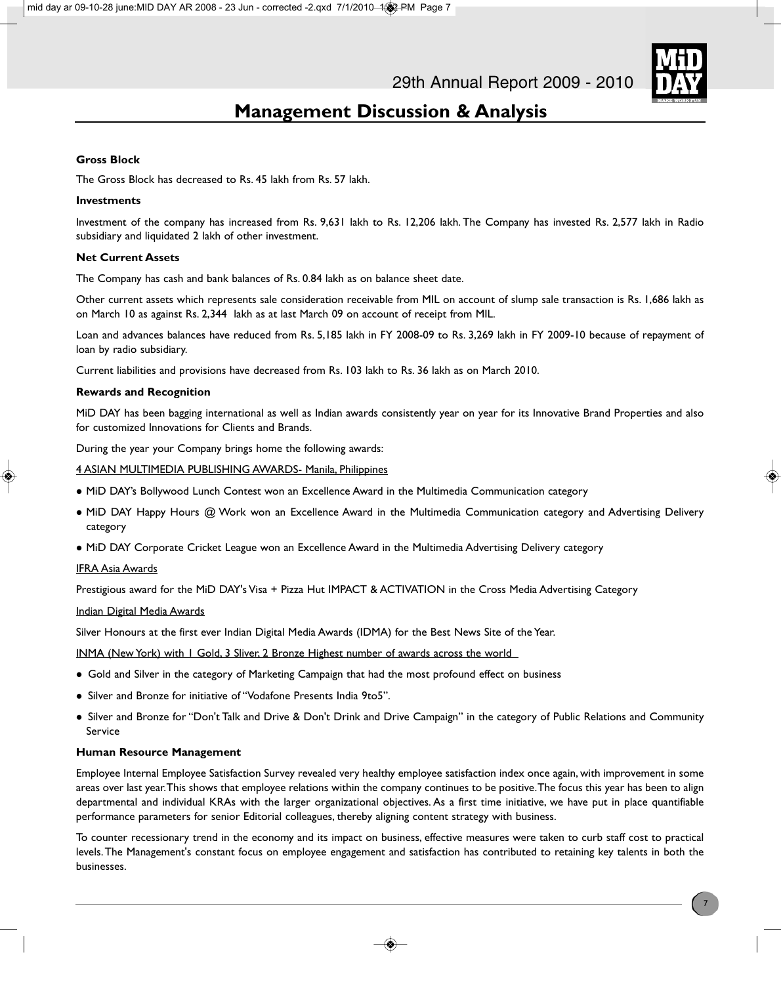

### **Gross Block**

The Gross Block has decreased to Rs. 45 lakh from Rs. 57 lakh.

### **Investments**

Investment of the company has increased from Rs. 9,631 lakh to Rs. 12,206 lakh. The Company has invested Rs. 2,577 lakh in Radio subsidiary and liquidated 2 lakh of other investment.

### **Net Current Assets**

The Company has cash and bank balances of Rs. 0.84 lakh as on balance sheet date.

Other current assets which represents sale consideration receivable from MIL on account of slump sale transaction is Rs. 1,686 lakh as on March 10 as against Rs. 2,344 lakh as at last March 09 on account of receipt from MIL.

Loan and advances balances have reduced from Rs. 5,185 lakh in FY 2008-09 to Rs. 3,269 lakh in FY 2009-10 because of repayment of loan by radio subsidiary.

Current liabilities and provisions have decreased from Rs. 103 lakh to Rs. 36 lakh as on March 2010.

### **Rewards and Recognition**

MiD DAY has been bagging international as well as Indian awards consistently year on year for its Innovative Brand Properties and also for customized Innovations for Clients and Brands.

During the year your Company brings home the following awards:

4 ASIAN MULTIMEDIA PUBLISHING AWARDS- Manila, Philippines

- MiD DAY's Bollywood Lunch Contest won an Excellence Award in the Multimedia Communication category
- MiD DAY Happy Hours @ Work won an Excellence Award in the Multimedia Communication category and Advertising Delivery category
- MiD DAY Corporate Cricket League won an Excellence Award in the Multimedia Advertising Delivery category

### IFRA Asia Awards

Prestigious award for the MiD DAY's Visa + Pizza Hut IMPACT & ACTIVATION in the Cross Media Advertising Category

### Indian Digital Media Awards

Silver Honours at the first ever Indian Digital Media Awards (IDMA) for the Best News Site of the Year.

INMA (New York) with 1 Gold, 3 Sliver, 2 Bronze Highest number of awards across the world

- Gold and Silver in the category of Marketing Campaign that had the most profound effect on business
- Silver and Bronze for initiative of "Vodafone Presents India 9to5".
- Silver and Bronze for "Don't Talk and Drive & Don't Drink and Drive Campaign" in the category of Public Relations and Community Service

### **Human Resource Management**

Employee Internal Employee Satisfaction Survey revealed very healthy employee satisfaction index once again, with improvement in some areas over last year. This shows that employee relations within the company continues to be positive. The focus this year has been to align departmental and individual KRAs with the larger organizational objectives. As a first time initiative, we have put in place quantifiable performance parameters for senior Editorial colleagues, thereby aligning content strategy with business.

To counter recessionary trend in the economy and its impact on business, effective measures were taken to curb staff cost to practical levels. The Management's constant focus on employee engagement and satisfaction has contributed to retaining key talents in both the businesses.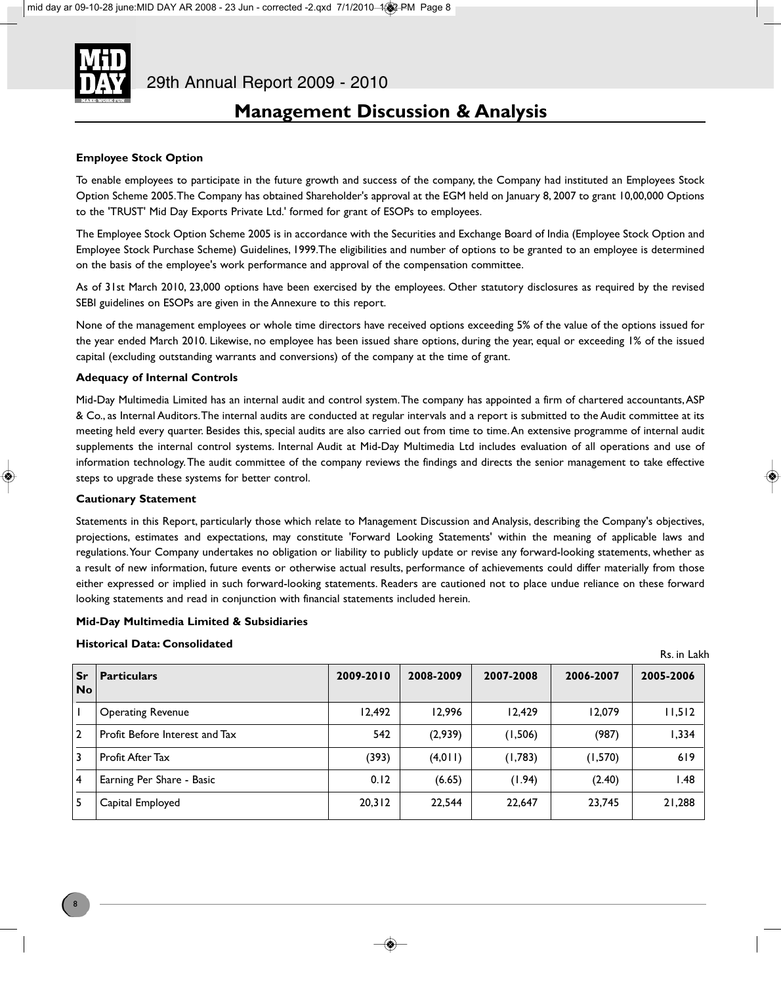

### **Employee Stock Option**

To enable employees to participate in the future growth and success of the company, the Company had instituted an Employees Stock Option Scheme 2005. The Company has obtained Shareholder's approval at the EGM held on January 8, 2007 to grant 10,00,000 Options to the 'TRUST' Mid Day Exports Private Ltd.' formed for grant of ESOPs to employees.

The Employee Stock Option Scheme 2005 is in accordance with the Securities and Exchange Board of India (Employee Stock Option and Employee Stock Purchase Scheme) Guidelines, 1999.The eligibilities and number of options to be granted to an employee is determined on the basis of the employee's work performance and approval of the compensation committee.

As of 31st March 2010, 23,000 options have been exercised by the employees. Other statutory disclosures as required by the revised SEBI guidelines on ESOPs are given in the Annexure to this report.

None of the management employees or whole time directors have received options exceeding 5% of the value of the options issued for the year ended March 2010. Likewise, no employee has been issued share options, during the year, equal or exceeding 1% of the issued capital (excluding outstanding warrants and conversions) of the company at the time of grant.

### **Adequacy of Internal Controls**

Mid-Day Multimedia Limited has an internal audit and control system. The company has appointed a firm of chartered accountants, ASP & Co., as Internal Auditors. The internal audits are conducted at regular intervals and a report is submitted to the Audit committee at its meeting held every quarter. Besides this, special audits are also carried out from time to time. An extensive programme of internal audit supplements the internal control systems. Internal Audit at Mid-Day Multimedia Ltd includes evaluation of all operations and use of information technology. The audit committee of the company reviews the findings and directs the senior management to take effective steps to upgrade these systems for better control.

### **Cautionary Statement**

Statements in this Report, particularly those which relate to Management Discussion and Analysis, describing the Company's objectives, projections, estimates and expectations, may constitute 'Forward Looking Statements' within the meaning of applicable laws and regulations. Your Company undertakes no obligation or liability to publicly update or revise any forward-looking statements, whether as a result of new information, future events or otherwise actual results, performance of achievements could differ materially from those either expressed or implied in such forward-looking statements. Readers are cautioned not to place undue reliance on these forward looking statements and read in conjunction with financial statements included herein.

### **Mid-Day Multimedia Limited & Subsidiaries**

### **Historical Data: Consolidated**

Rs. in Lakh

| l Sr<br><b>No</b> | <b>Particulars</b>             | 2009-2010 | 2008-2009 | 2007-2008 | 2006-2007 | 2005-2006 |
|-------------------|--------------------------------|-----------|-----------|-----------|-----------|-----------|
|                   | <b>Operating Revenue</b>       | 12,492    | 12.996    | 12.429    | 12.079    | 11,512    |
| $\overline{2}$    | Profit Before Interest and Tax | 542       | (2,939)   | (1,506)   | (987)     | 1,334     |
| 3                 | Profit After Tax               | (393)     | (4,011)   | (1,783)   | (1,570)   | 619       |
| l 4               | Earning Per Share - Basic      | 0.12      | (6.65)    | (1.94)    | (2.40)    | 1.48      |
| -5                | Capital Employed               | 20,312    | 22.544    | 22.647    | 23.745    | 21,288    |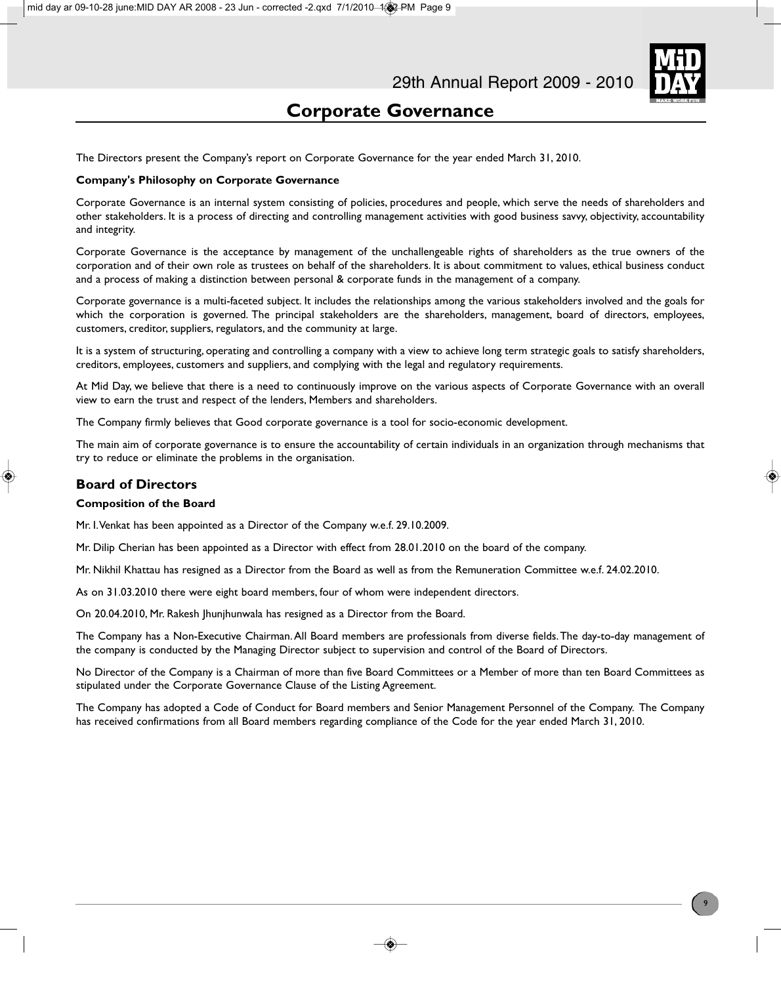The Directors present the Company's report on Corporate Governance for the year ended March 31, 2010.

### **Company's Philosophy on Corporate Governance**

Corporate Governance is an internal system consisting of policies, procedures and people, which serve the needs of shareholders and other stakeholders. It is a process of directing and controlling management activities with good business savvy, objectivity, accountability and integrity.

Corporate Governance is the acceptance by management of the unchallengeable rights of shareholders as the true owners of the corporation and of their own role as trustees on behalf of the shareholders. It is about commitment to values, ethical business conduct and a process of making a distinction between personal & corporate funds in the management of a company.

Corporate governance is a multi-faceted subject. It includes the relationships among the various stakeholders involved and the goals for which the corporation is governed. The principal stakeholders are the shareholders, management, board of directors, employees, customers, creditor, suppliers, regulators, and the community at large.

It is a system of structuring, operating and controlling a company with a view to achieve long term strategic goals to satisfy shareholders, creditors, employees, customers and suppliers, and complying with the legal and regulatory requirements.

At Mid Day, we believe that there is a need to continuously improve on the various aspects of Corporate Governance with an overall view to earn the trust and respect of the lenders, Members and shareholders.

The Company firmly believes that Good corporate governance is a tool for socio-economic development.

The main aim of corporate governance is to ensure the accountability of certain individuals in an organization through mechanisms that try to reduce or eliminate the problems in the organisation.

### **Board of Directors**

### **Composition of the Board**

Mr. I. Venkat has been appointed as a Director of the Company w.e.f. 29.10.2009.

Mr. Dilip Cherian has been appointed as a Director with effect from 28.01.2010 on the board of the company.

Mr. Nikhil Khattau has resigned as a Director from the Board as well as from the Remuneration Committee w.e.f. 24.02.2010.

As on 31.03.2010 there were eight board members, four of whom were independent directors.

On 20.04.2010, Mr. Rakesh Jhunjhunwala has resigned as a Director from the Board.

The Company has a Non-Executive Chairman. All Board members are professionals from diverse fields. The day-to-day management of the company is conducted by the Managing Director subject to supervision and control of the Board of Directors.

No Director of the Company is a Chairman of more than five Board Committees or a Member of more than ten Board Committees as stipulated under the Corporate Governance Clause of the Listing Agreement.

The Company has adopted a Code of Conduct for Board members and Senior Management Personnel of the Company. The Company has received confirmations from all Board members regarding compliance of the Code for the year ended March 31, 2010.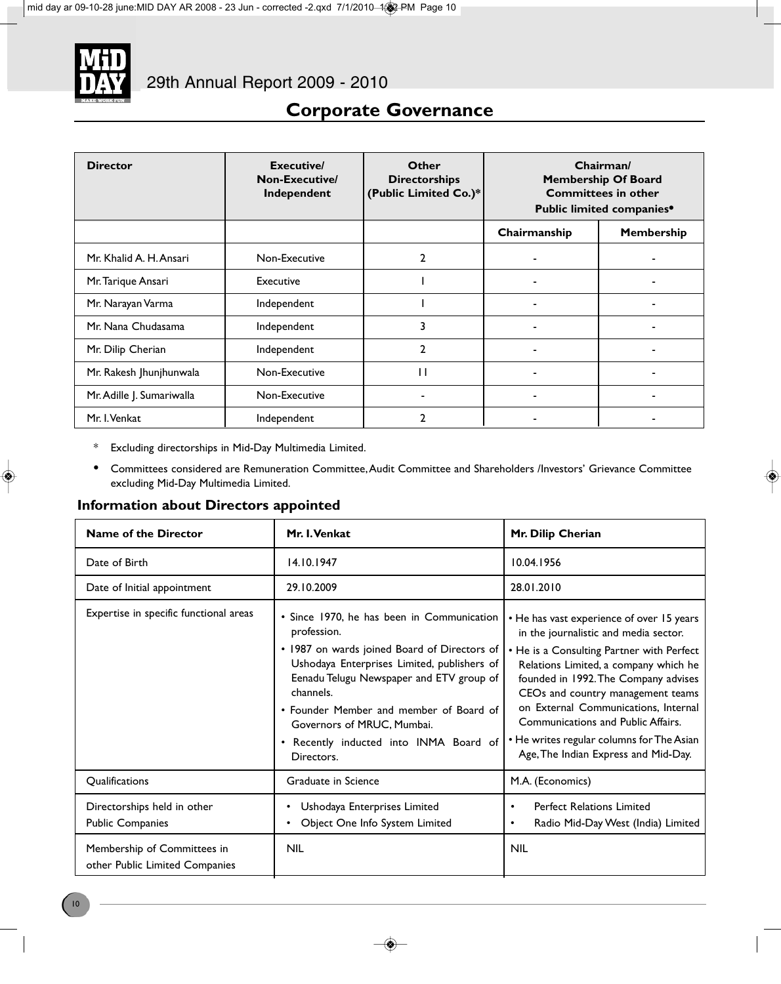

| <b>Director</b>           | Executive/<br>Non-Executive/<br>Independent | Other<br><b>Directorships</b><br>(Public Limited Co.)* | Chairman/<br><b>Membership Of Board</b><br><b>Committees in other</b><br>Public limited companies <sup>®</sup> |            |
|---------------------------|---------------------------------------------|--------------------------------------------------------|----------------------------------------------------------------------------------------------------------------|------------|
|                           |                                             |                                                        | Chairmanship                                                                                                   | Membership |
| Mr. Khalid A. H. Ansari   | Non-Executive                               | 2                                                      |                                                                                                                |            |
| Mr. Tarique Ansari        | Executive                                   |                                                        |                                                                                                                |            |
| Mr. Narayan Varma         | Independent                                 |                                                        |                                                                                                                |            |
| Mr. Nana Chudasama        | Independent                                 | 3                                                      |                                                                                                                |            |
| Mr. Dilip Cherian         | Independent                                 | $\mathbf{2}$                                           |                                                                                                                |            |
| Mr. Rakesh Jhunjhunwala   | Non-Executive                               | $\mathbf{H}$                                           |                                                                                                                |            |
| Mr. Adille J. Sumariwalla | Non-Executive                               |                                                        | ۰                                                                                                              |            |
| Mr. I. Venkat             | Independent                                 | 2                                                      |                                                                                                                |            |

- \* Excluding directorships in Mid-Day Multimedia Limited.
- **•** Committees considered are Remuneration Committee, Audit Committee and Shareholders /Investors' Grievance Committee excluding Mid-Day Multimedia Limited.

### **Information about Directors appointed**

| <b>Name of the Director</b>                                   | Mr. I. Venkat                                                                                                                                                                                                                                                                                                                                    | Mr. Dilip Cherian                                                                                                                                                                                                                                                                                                                                                                                                                    |
|---------------------------------------------------------------|--------------------------------------------------------------------------------------------------------------------------------------------------------------------------------------------------------------------------------------------------------------------------------------------------------------------------------------------------|--------------------------------------------------------------------------------------------------------------------------------------------------------------------------------------------------------------------------------------------------------------------------------------------------------------------------------------------------------------------------------------------------------------------------------------|
| Date of Birth                                                 | 14.10.1947                                                                                                                                                                                                                                                                                                                                       | 10.04.1956                                                                                                                                                                                                                                                                                                                                                                                                                           |
| Date of Initial appointment                                   | 29.10.2009                                                                                                                                                                                                                                                                                                                                       | 28.01.2010                                                                                                                                                                                                                                                                                                                                                                                                                           |
| Expertise in specific functional areas                        | • Since 1970, he has been in Communication<br>profession.<br>• 1987 on wards joined Board of Directors of<br>Ushodaya Enterprises Limited, publishers of<br>Eenadu Telugu Newspaper and ETV group of<br>channels.<br>• Founder Member and member of Board of<br>Governors of MRUC, Mumbai.<br>Recently inducted into INMA Board of<br>Directors. | • He has vast experience of over 15 years<br>in the journalistic and media sector.<br>• He is a Consulting Partner with Perfect<br>Relations Limited, a company which he<br>founded in 1992. The Company advises<br>CEO <sub>s</sub> and country management teams<br>on External Communications, Internal<br>Communications and Public Affairs.<br>• He writes regular columns for The Asian<br>Age, The Indian Express and Mid-Day. |
| Qualifications                                                | Graduate in Science                                                                                                                                                                                                                                                                                                                              | M.A. (Economics)                                                                                                                                                                                                                                                                                                                                                                                                                     |
| Directorships held in other<br><b>Public Companies</b>        | Ushodaya Enterprises Limited<br>Object One Info System Limited                                                                                                                                                                                                                                                                                   | <b>Perfect Relations Limited</b><br>$\bullet$<br>Radio Mid-Day West (India) Limited<br>$\bullet$                                                                                                                                                                                                                                                                                                                                     |
| Membership of Committees in<br>other Public Limited Companies | <b>NIL</b>                                                                                                                                                                                                                                                                                                                                       | <b>NIL</b>                                                                                                                                                                                                                                                                                                                                                                                                                           |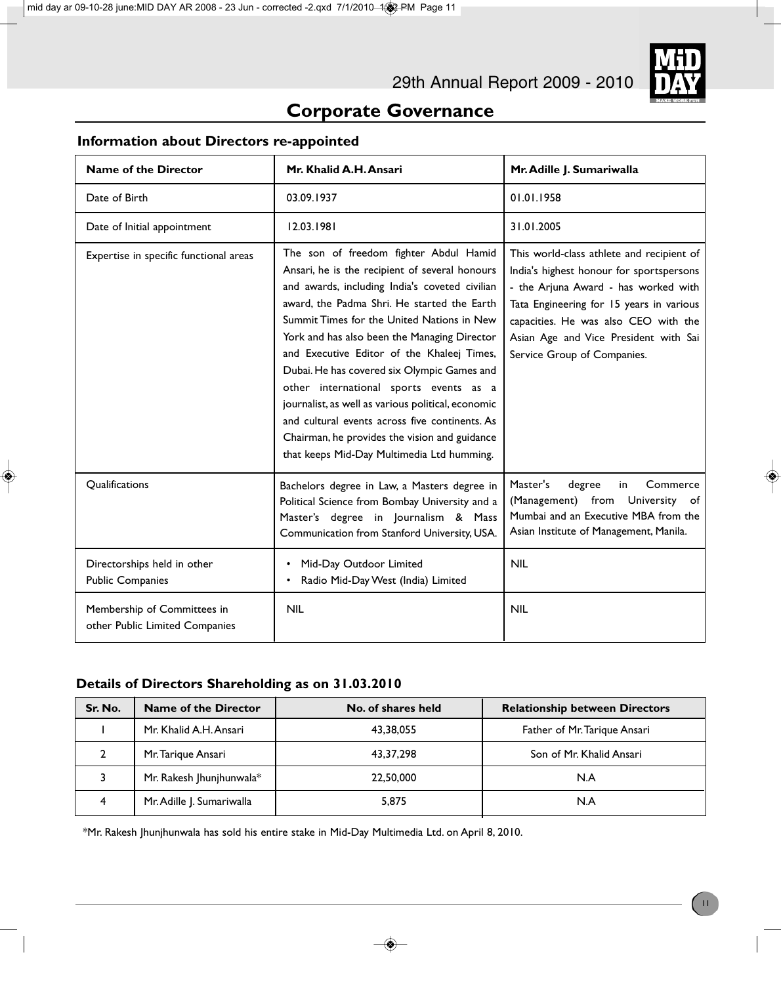

### **Information about Directors re-appointed**

| <b>Name of the Director</b>                                   | Mr. Khalid A.H. Ansari                                                                                                                                                                                                                                                                                                                                                                                                                                                                                                                                                                                                                | Mr. Adille J. Sumariwalla                                                                                                                                                                                                                                                                 |
|---------------------------------------------------------------|---------------------------------------------------------------------------------------------------------------------------------------------------------------------------------------------------------------------------------------------------------------------------------------------------------------------------------------------------------------------------------------------------------------------------------------------------------------------------------------------------------------------------------------------------------------------------------------------------------------------------------------|-------------------------------------------------------------------------------------------------------------------------------------------------------------------------------------------------------------------------------------------------------------------------------------------|
| Date of Birth                                                 | 03.09.1937                                                                                                                                                                                                                                                                                                                                                                                                                                                                                                                                                                                                                            | 01.01.1958                                                                                                                                                                                                                                                                                |
| Date of Initial appointment                                   | 12.03.1981                                                                                                                                                                                                                                                                                                                                                                                                                                                                                                                                                                                                                            | 31.01.2005                                                                                                                                                                                                                                                                                |
| Expertise in specific functional areas                        | The son of freedom fighter Abdul Hamid<br>Ansari, he is the recipient of several honours<br>and awards, including India's coveted civilian<br>award, the Padma Shri. He started the Earth<br>Summit Times for the United Nations in New<br>York and has also been the Managing Director<br>and Executive Editor of the Khaleej Times,<br>Dubai. He has covered six Olympic Games and<br>other international sports events as a<br>journalist, as well as various political, economic<br>and cultural events across five continents. As<br>Chairman, he provides the vision and guidance<br>that keeps Mid-Day Multimedia Ltd humming. | This world-class athlete and recipient of<br>India's highest honour for sportspersons<br>- the Arjuna Award - has worked with<br>Tata Engineering for 15 years in various<br>capacities. He was also CEO with the<br>Asian Age and Vice President with Sai<br>Service Group of Companies. |
| Qualifications                                                | Bachelors degree in Law, a Masters degree in<br>Political Science from Bombay University and a<br>Master's degree in Journalism & Mass<br>Communication from Stanford University, USA.                                                                                                                                                                                                                                                                                                                                                                                                                                                | Master's<br>degree<br>Commerce<br>in.<br>University of<br>(Management) from<br>Mumbai and an Executive MBA from the<br>Asian Institute of Management, Manila.                                                                                                                             |
| Directorships held in other<br><b>Public Companies</b>        | Mid-Day Outdoor Limited<br>Radio Mid-Day West (India) Limited<br>$\bullet$                                                                                                                                                                                                                                                                                                                                                                                                                                                                                                                                                            | <b>NIL</b>                                                                                                                                                                                                                                                                                |
| Membership of Committees in<br>other Public Limited Companies | <b>NIL</b>                                                                                                                                                                                                                                                                                                                                                                                                                                                                                                                                                                                                                            | <b>NIL</b>                                                                                                                                                                                                                                                                                |

### **Details of Directors Shareholding as on 31.03.2010**

| Sr. No. | Name of the Director        | No. of shares held | <b>Relationship between Directors</b> |
|---------|-----------------------------|--------------------|---------------------------------------|
|         | Mr. Khalid A.H. Ansari      | 43,38,055          | Father of Mr. Tarique Ansari          |
|         | Mr. Tarique Ansari          | 43,37,298          | Son of Mr. Khalid Ansari              |
|         | Mr. Rakesh Jhunjhunwala $*$ | 22,50,000          | N.A                                   |
|         | Mr. Adille J. Sumariwalla   | 5,875              | N.A                                   |

\*Mr. Rakesh Jhunjhunwala has sold his entire stake in Mid-Day Multimedia Ltd. on April 8, 2010.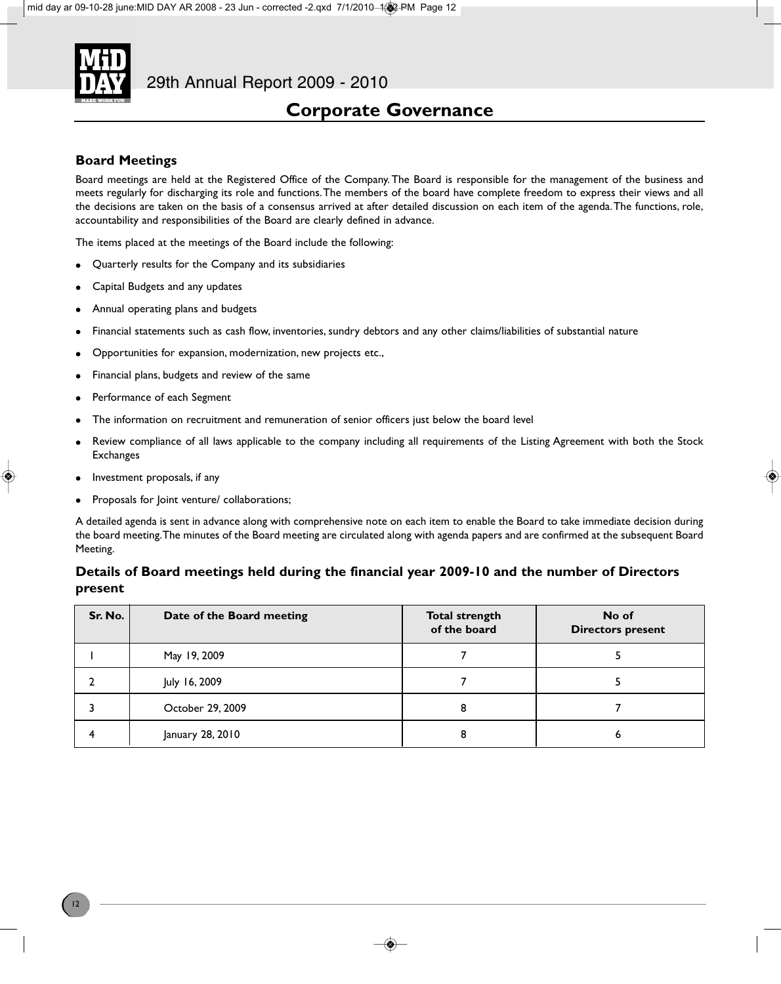

### **Board Meetings**

Board meetings are held at the Registered Office of the Company. The Board is responsible for the management of the business and meets regularly for discharging its role and functions. The members of the board have complete freedom to express their views and all the decisions are taken on the basis of a consensus arrived at after detailed discussion on each item of the agenda. The functions, role, accountability and responsibilities of the Board are clearly defined in advance.

The items placed at the meetings of the Board include the following:

- Quarterly results for the Company and its subsidiaries
- Capital Budgets and any updates
- Annual operating plans and budgets
- Financial statements such as cash flow, inventories, sundry debtors and any other claims/liabilities of substantial nature
- <sup>l</sup> Opportunities for expansion, modernization, new projects etc.,
- Financial plans, budgets and review of the same
- Performance of each Segment
- The information on recruitment and remuneration of senior officers just below the board level
- Review compliance of all laws applicable to the company including all requirements of the Listing Agreement with both the Stock **Exchanges**
- $\bullet$  Investment proposals, if any
- Proposals for Joint venture/ collaborations;

A detailed agenda is sent in advance along with comprehensive note on each item to enable the Board to take immediate decision during the board meeting. The minutes of the Board meeting are circulated along with agenda papers and are confirmed at the subsequent Board Meeting.

### **Details of Board meetings held during the financial year 2009-10 and the number of Directors present**

| Sr. No. | Date of the Board meeting | <b>Total strength</b><br>of the board | No of<br><b>Directors present</b> |
|---------|---------------------------|---------------------------------------|-----------------------------------|
|         | May 19, 2009              |                                       |                                   |
|         | July 16, 2009             |                                       |                                   |
|         | October 29, 2009          | 8                                     |                                   |
|         | January 28, 2010          | 8                                     |                                   |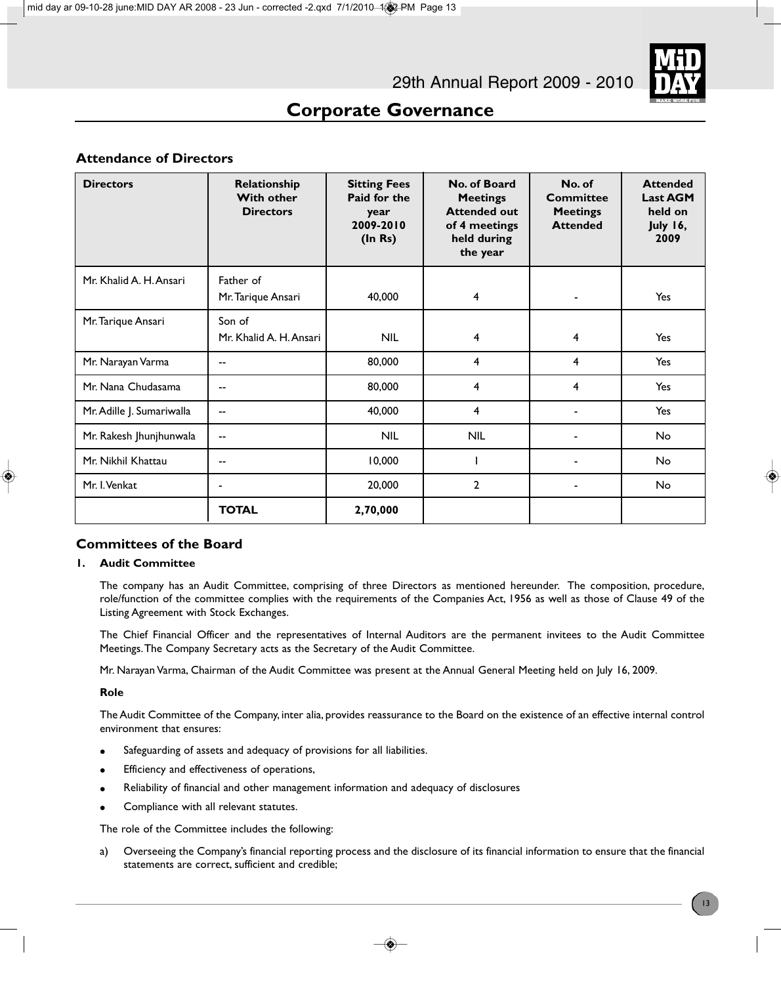### **Attendance of Directors**

| <b>Directors</b>          | Relationship<br><b>With other</b><br><b>Directors</b> | <b>Sitting Fees</b><br>Paid for the<br>year<br>2009-2010<br>(ln Rs) | No. of Board<br><b>Meetings</b><br><b>Attended out</b><br>of 4 meetings<br>held during<br>the year | No. of<br><b>Committee</b><br><b>Meetings</b><br><b>Attended</b> | <b>Attended</b><br><b>Last AGM</b><br>held on<br>July 16,<br>2009 |
|---------------------------|-------------------------------------------------------|---------------------------------------------------------------------|----------------------------------------------------------------------------------------------------|------------------------------------------------------------------|-------------------------------------------------------------------|
| Mr. Khalid A. H. Ansari   | Father of<br>Mr. Tarique Ansari                       | 40,000                                                              | $\overline{4}$                                                                                     |                                                                  | Yes                                                               |
| Mr. Tarique Ansari        | Son of<br>Mr. Khalid A. H. Ansari                     | <b>NIL</b>                                                          | 4                                                                                                  | 4                                                                | Yes                                                               |
| Mr. Narayan Varma         | $\overline{\phantom{a}}$                              | 80,000                                                              | 4                                                                                                  | 4                                                                | Yes                                                               |
| Mr. Nana Chudasama        | --                                                    | 80,000                                                              | $\overline{4}$                                                                                     | 4                                                                | Yes                                                               |
| Mr. Adille J. Sumariwalla | $-$                                                   | 40,000                                                              | 4                                                                                                  |                                                                  | Yes                                                               |
| Mr. Rakesh Jhunjhunwala   | --                                                    | <b>NIL</b>                                                          | <b>NIL</b>                                                                                         |                                                                  | No                                                                |
| Mr. Nikhil Khattau        | --                                                    | 10,000                                                              |                                                                                                    |                                                                  | No                                                                |
| Mr. I. Venkat             | ٠                                                     | 20,000                                                              | $\mathbf{2}$                                                                                       |                                                                  | No                                                                |
|                           | <b>TOTAL</b>                                          | 2,70,000                                                            |                                                                                                    |                                                                  |                                                                   |

### **Committees of the Board**

### **1. Audit Committee**

The company has an Audit Committee, comprising of three Directors as mentioned hereunder. The composition, procedure, role/function of the committee complies with the requirements of the Companies Act, 1956 as well as those of Clause 49 of the Listing Agreement with Stock Exchanges.

The Chief Financial Officer and the representatives of Internal Auditors are the permanent invitees to the Audit Committee Meetings. The Company Secretary acts as the Secretary of the Audit Committee.

Mr. Narayan Varma, Chairman of the Audit Committee was present at the Annual General Meeting held on July 16, 2009.

### **Role**

The Audit Committee of the Company, inter alia, provides reassurance to the Board on the existence of an effective internal control environment that ensures:

- Safeguarding of assets and adequacy of provisions for all liabilities.
- Efficiency and effectiveness of operations,
- <sup>l</sup> Reliability of financial and other management information and adequacy of disclosures
- Compliance with all relevant statutes.

The role of the Committee includes the following:

a) Overseeing the Company's financial reporting process and the disclosure of its financial information to ensure that the financial statements are correct, sufficient and credible;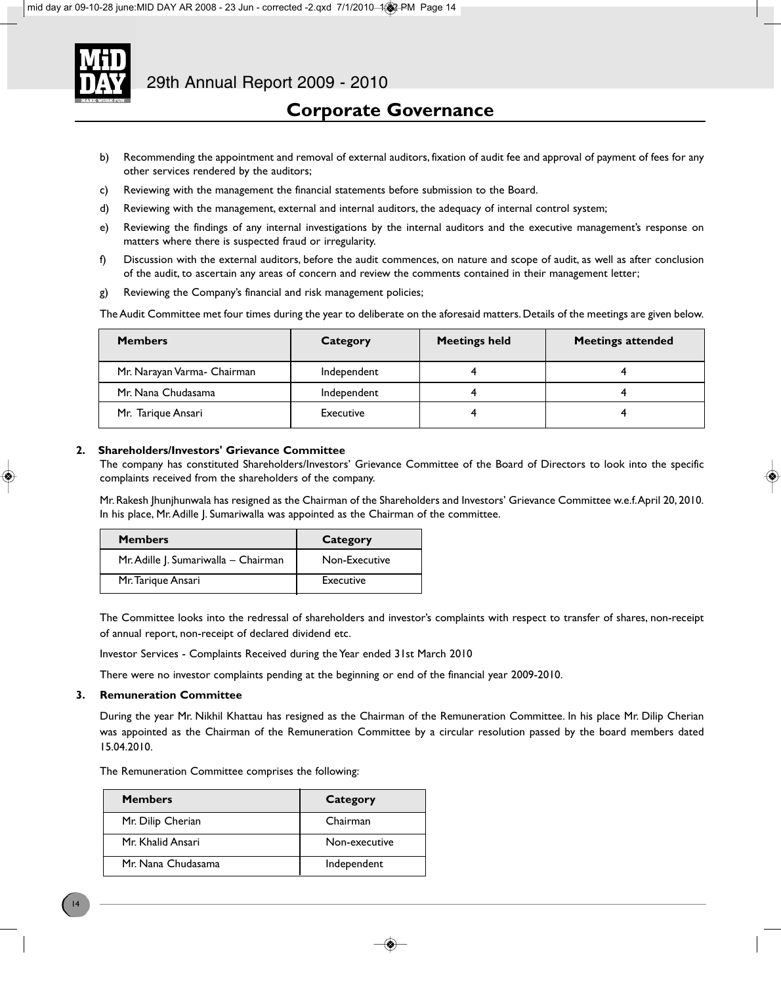

- b) Recommending the appointment and removal of external auditors, fixation of audit fee and approval of payment of fees for any other services rendered by the auditors;
- c) Reviewing with the management the financial statements before submission to the Board.
- d) Reviewing with the management, external and internal auditors, the adequacy of internal control system;
- e) Reviewing the findings of any internal investigations by the internal auditors and the executive management's response on matters where there is suspected fraud or irregularity.
- f) Discussion with the external auditors, before the audit commences, on nature and scope of audit, as well as after conclusion of the audit, to ascertain any areas of concern and review the comments contained in their management letter;
- g) Reviewing the Company's financial and risk management policies;

The Audit Committee met four times during the year to deliberate on the aforesaid matters. Details of the meetings are given below.

| <b>Members</b>              | Category    | <b>Meetings held</b> | <b>Meetings attended</b> |
|-----------------------------|-------------|----------------------|--------------------------|
| Mr. Narayan Varma- Chairman | Independent |                      |                          |
| Mr. Nana Chudasama          | Independent |                      |                          |
| Mr. Tarique Ansari          | Executive   |                      |                          |

### **2. Shareholders/Investors' Grievance Committee**

The company has constituted Shareholders/Investors' Grievance Committee of the Board of Directors to look into the specific complaints received from the shareholders of the company.

Mr. Rakesh Jhunjhunwala has resigned as the Chairman of the Shareholders and Investors' Grievance Committee w.e.f. April 20, 2010. In his place, Mr. Adille J. Sumariwalla was appointed as the Chairman of the committee.

| <b>Members</b>                       | Category      |
|--------------------------------------|---------------|
| Mr. Adille J. Sumariwalla - Chairman | Non-Executive |
| Mr. Tarique Ansari                   | Executive     |

The Committee looks into the redressal of shareholders and investor's complaints with respect to transfer of shares, non-receipt of annual report, non-receipt of declared dividend etc.

Investor Services - Complaints Received during the Year ended 31st March 2010

There were no investor complaints pending at the beginning or end of the financial year 2009-2010.

### **3. Remuneration Committee**

During the year Mr. Nikhil Khattau has resigned as the Chairman of the Remuneration Committee. In his place Mr. Dilip Cherian was appointed as the Chairman of the Remuneration Committee by a circular resolution passed by the board members dated 15.04.2010.

The Remuneration Committee comprises the following:

| <b>Members</b>     | Category      |
|--------------------|---------------|
| Mr. Dilip Cherian  | Chairman      |
| Mr. Khalid Ansari  | Non-executive |
| Mr. Nana Chudasama | Independent   |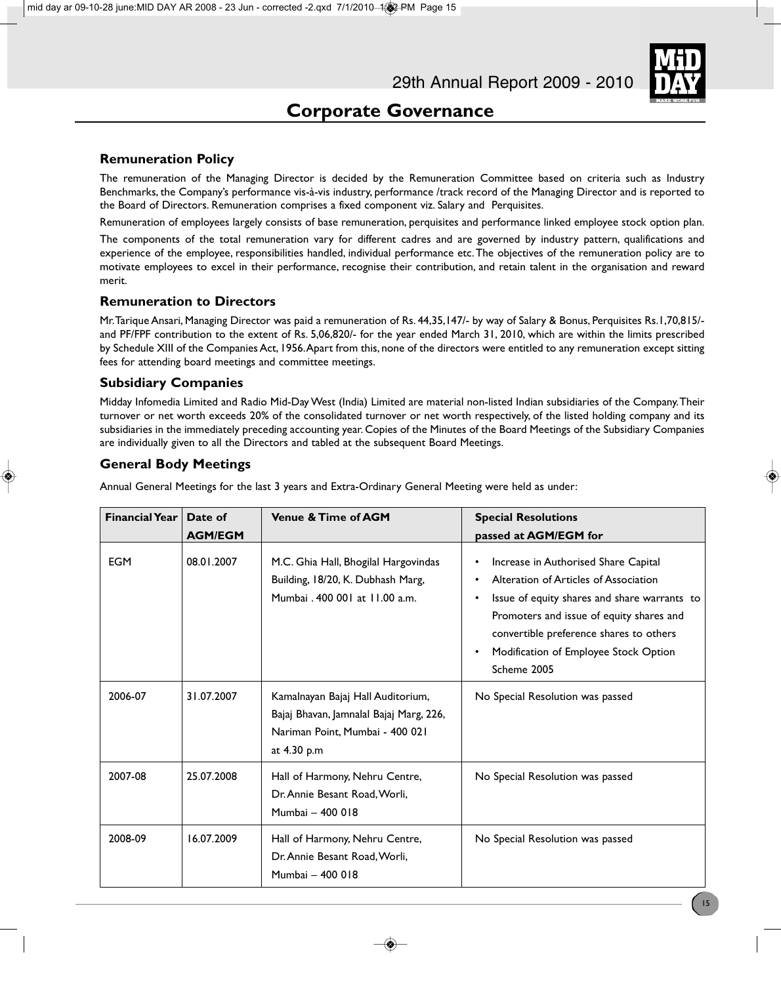### **Remuneration Policy**

The remuneration of the Managing Director is decided by the Remuneration Committee based on criteria such as Industry Benchmarks, the Company's performance vis-à-vis industry, performance /track record of the Managing Director and is reported to the Board of Directors. Remuneration comprises a fixed component viz. Salary and Perquisites.

Remuneration of employees largely consists of base remuneration, perquisites and performance linked employee stock option plan.

The components of the total remuneration vary for different cadres and are governed by industry pattern, qualifications and experience of the employee, responsibilities handled, individual performance etc. The objectives of the remuneration policy are to motivate employees to excel in their performance, recognise their contribution, and retain talent in the organisation and reward merit.

### **Remuneration to Directors**

Mr. Tarique Ansari, Managing Director was paid a remuneration of Rs. 44,35,147/- by way of Salary & Bonus, Perquisites Rs.1,70,815/ and PF/FPF contribution to the extent of Rs. 5,06,820/- for the year ended March 31, 2010, which are within the limits prescribed by Schedule XIII of the Companies Act, 1956. Apart from this, none of the directors were entitled to any remuneration except sitting fees for attending board meetings and committee meetings.

### **Subsidiary Companies**

Midday Infomedia Limited and Radio Mid-Day West (India) Limited are material non-listed Indian subsidiaries of the Company. Their turnover or net worth exceeds 20% of the consolidated turnover or net worth respectively, of the listed holding company and its subsidiaries in the immediately preceding accounting year. Copies of the Minutes of the Board Meetings of the Subsidiary Companies are individually given to all the Directors and tabled at the subsequent Board Meetings.

### **General Body Meetings**

| <b>Financial Year</b> | Date of        | <b>Venue &amp; Time of AGM</b>                                                                                                 | <b>Special Resolutions</b>                                                                                                                                                                                                                                                                                       |  |
|-----------------------|----------------|--------------------------------------------------------------------------------------------------------------------------------|------------------------------------------------------------------------------------------------------------------------------------------------------------------------------------------------------------------------------------------------------------------------------------------------------------------|--|
|                       | <b>AGM/EGM</b> |                                                                                                                                | passed at AGM/EGM for                                                                                                                                                                                                                                                                                            |  |
| <b>EGM</b>            | 08.01.2007     | M.C. Ghia Hall, Bhogilal Hargovindas<br>Building, 18/20, K. Dubhash Marg,<br>Mumbai, 400 001 at 11.00 a.m.                     | Increase in Authorised Share Capital<br>٠<br>Alteration of Articles of Association<br>٠<br>Issue of equity shares and share warrants to<br>$\bullet$<br>Promoters and issue of equity shares and<br>convertible preference shares to others<br>Modification of Employee Stock Option<br>$\bullet$<br>Scheme 2005 |  |
| 2006-07               | 31.07.2007     | Kamalnayan Bajaj Hall Auditorium,<br>Bajaj Bhavan, Jamnalal Bajaj Marg, 226,<br>Nariman Point, Mumbai - 400 021<br>at 4.30 p.m | No Special Resolution was passed                                                                                                                                                                                                                                                                                 |  |
| 2007-08               | 25.07.2008     | Hall of Harmony, Nehru Centre,<br>Dr. Annie Besant Road, Worli,<br>Mumbai - 400 018                                            | No Special Resolution was passed                                                                                                                                                                                                                                                                                 |  |
| 2008-09               | 16.07.2009     | Hall of Harmony, Nehru Centre,<br>Dr. Annie Besant Road, Worli,<br>Mumbai - 400 018                                            | No Special Resolution was passed                                                                                                                                                                                                                                                                                 |  |

Annual General Meetings for the last 3 years and Extra-Ordinary General Meeting were held as under: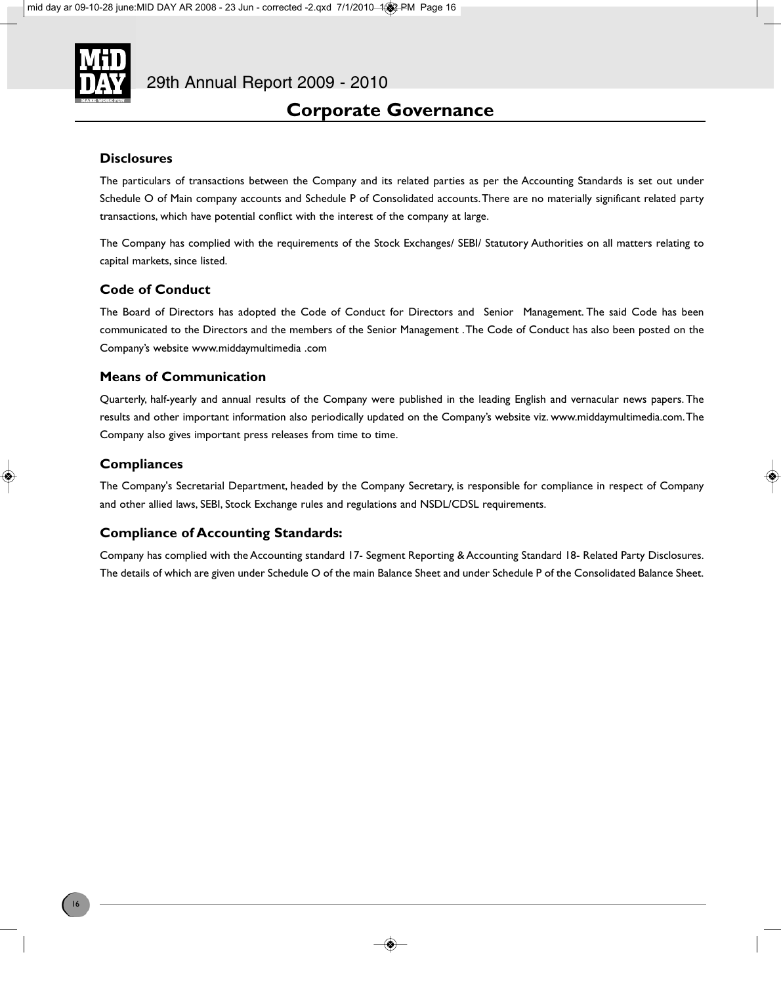

### **Disclosures**

The particulars of transactions between the Company and its related parties as per the Accounting Standards is set out under Schedule O of Main company accounts and Schedule P of Consolidated accounts. There are no materially significant related party transactions, which have potential conflict with the interest of the company at large.

The Company has complied with the requirements of the Stock Exchanges/ SEBI/ Statutory Authorities on all matters relating to capital markets, since listed.

### **Code of Conduct**

The Board of Directors has adopted the Code of Conduct for Directors and Senior Management. The said Code has been communicated to the Directors and the members of the Senior Management . The Code of Conduct has also been posted on the Company's website www.middaymultimedia .com

### **Means of Communication**

Quarterly, half-yearly and annual results of the Company were published in the leading English and vernacular news papers. The results and other important information also periodically updated on the Company's website viz. www.middaymultimedia.com. The Company also gives important press releases from time to time.

### **Compliances**

The Company's Secretarial Department, headed by the Company Secretary, is responsible for compliance in respect of Company and other allied laws, SEBI, Stock Exchange rules and regulations and NSDL/CDSL requirements.

### **Compliance of Accounting Standards:**

Company has complied with the Accounting standard 17- Segment Reporting & Accounting Standard 18- Related Party Disclosures. The details of which are given under Schedule O of the main Balance Sheet and under Schedule P of the Consolidated Balance Sheet.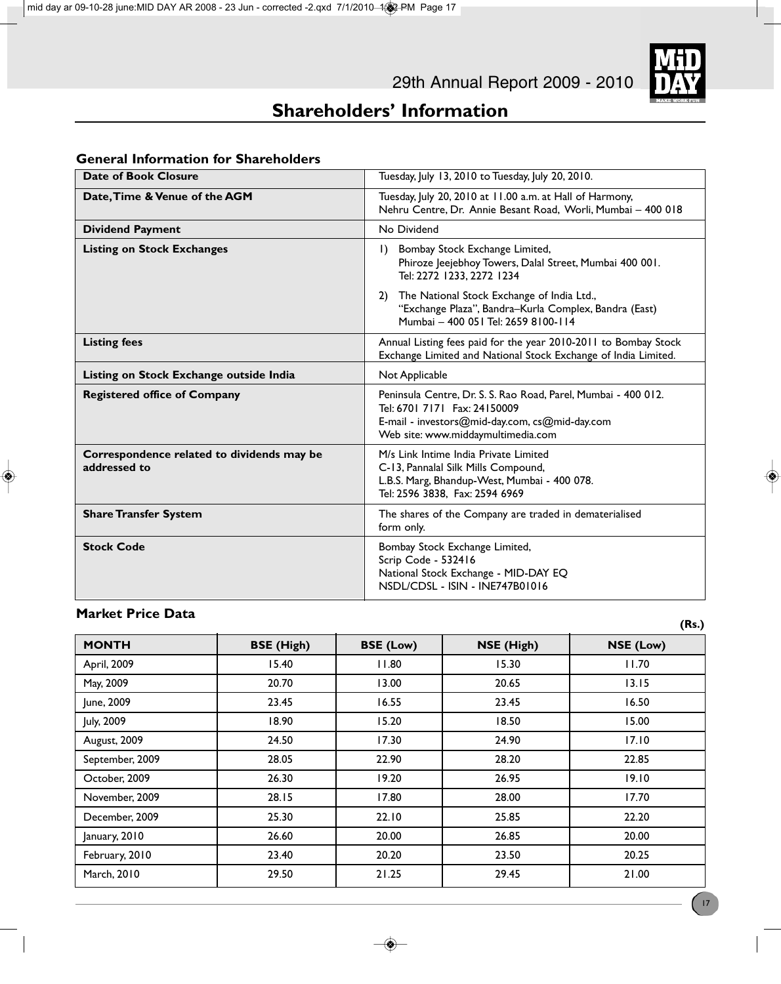# **Shareholders' Information**

| <b>Date of Book Closure</b>                                | Tuesday, July 13, 2010 to Tuesday, July 20, 2010.                                                                                                                                      |  |
|------------------------------------------------------------|----------------------------------------------------------------------------------------------------------------------------------------------------------------------------------------|--|
| Date, Time & Venue of the AGM                              | Tuesday, July 20, 2010 at 11.00 a.m. at Hall of Harmony,<br>Nehru Centre, Dr. Annie Besant Road, Worli, Mumbai - 400 018                                                               |  |
| <b>Dividend Payment</b>                                    | No Dividend                                                                                                                                                                            |  |
| <b>Listing on Stock Exchanges</b>                          | Bombay Stock Exchange Limited,<br>$\mathsf{I}$<br>Phiroze Jeejebhoy Towers, Dalal Street, Mumbai 400 001.<br>Tel: 2272 1233, 2272 1234                                                 |  |
|                                                            | The National Stock Exchange of India Ltd.,<br>2)<br>"Exchange Plaza", Bandra-Kurla Complex, Bandra (East)<br>Mumbai - 400 051 Tel: 2659 8100-114                                       |  |
| <b>Listing fees</b>                                        | Annual Listing fees paid for the year 2010-2011 to Bombay Stock<br>Exchange Limited and National Stock Exchange of India Limited.                                                      |  |
| Listing on Stock Exchange outside India                    | Not Applicable                                                                                                                                                                         |  |
| <b>Registered office of Company</b>                        | Peninsula Centre, Dr. S. S. Rao Road, Parel, Mumbai - 400 012.<br>Tel: 6701 7171 Fax: 24150009<br>E-mail - investors@mid-day.com, cs@mid-day.com<br>Web site: www.middaymultimedia.com |  |
| Correspondence related to dividends may be<br>addressed to | M/s Link Intime India Private Limited<br>C-13, Pannalal Silk Mills Compound,<br>L.B.S. Marg, Bhandup-West, Mumbai - 400 078.<br>Tel: 2596 3838, Fax: 2594 6969                         |  |
| <b>Share Transfer System</b>                               | The shares of the Company are traded in dematerialised<br>form only.                                                                                                                   |  |
| <b>Stock Code</b>                                          | Bombay Stock Exchange Limited,<br>Scrip Code - 532416<br>National Stock Exchange - MID-DAY EQ<br>NSDL/CDSL - ISIN - INE747B01016                                                       |  |

### **General Information for Shareholders**

### **Market Price Data**

**MONTH** BSE (High) BSE (Low) NSE (High) NSE (Low) April, 2009 | I 5.40 | I I.80 | I 5.30 | I I .70 May, 2009 20.70 13.00 20.65 13.15 June, 2009 | 23.45 | 16.55 | 23.45 | 16.50 July, 2009 18.90 15.20 18.50 15.00 August, 2009 17.10 September, 2009 28.05 28.05 22.90 28.20 28.20 22.85 October, 2009 26.30 19.20 26.95 19.10 November, 2009 28.15 17.80 17.70 December, 2009 25.30 22.10 25.85 22.20 January, 2010 26.60 20.00 26.85 20.00 February, 2010 23.40 23.40 20.20 23.50 20.25 March, 2010 29.50 21.25 29.45 21.00

**(Rs.)**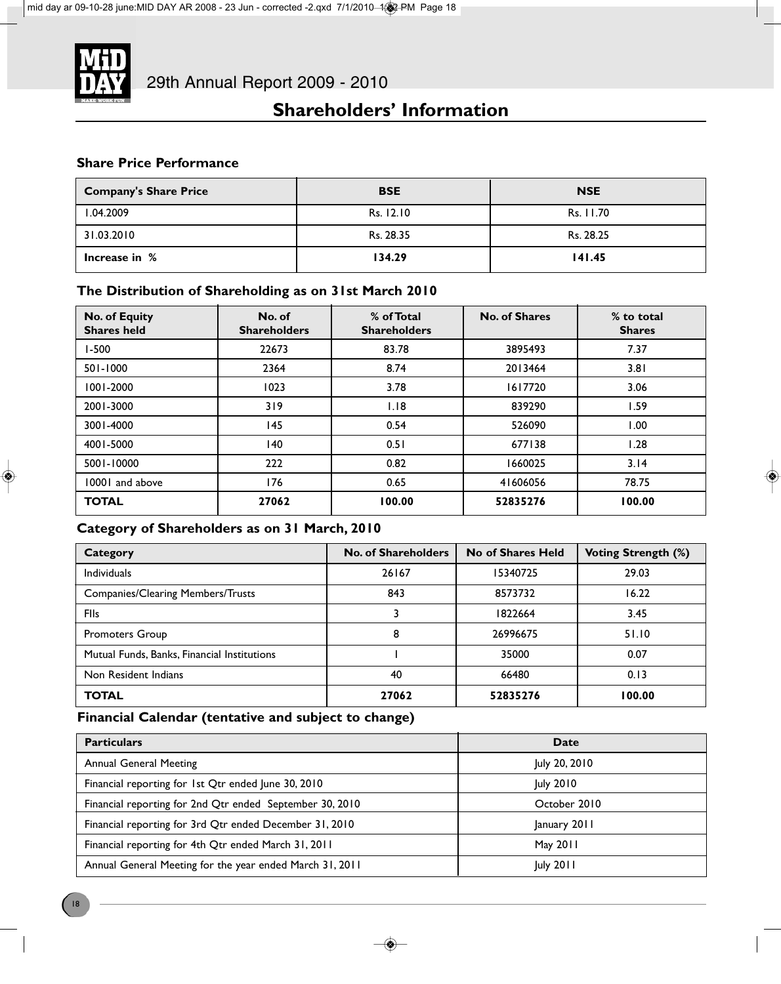

# **Shareholders' Information**

### **Share Price Performance**

| <b>Company's Share Price</b> | <b>BSE</b> | <b>NSE</b> |
|------------------------------|------------|------------|
| 1.04.2009                    | Rs. 12.10  | Rs. 11.70  |
| 31.03.2010                   | Rs. 28.35  | Rs. 28.25  |
| Increase in %                | 134.29     | 141.45     |

### **The Distribution of Shareholding as on 31st March 2010**

| <b>No. of Equity</b><br><b>Shares held</b> | No. of<br><b>Shareholders</b> | % of Total<br><b>Shareholders</b> | <b>No. of Shares</b> | % to total<br><b>Shares</b> |
|--------------------------------------------|-------------------------------|-----------------------------------|----------------------|-----------------------------|
| $1 - 500$                                  | 22673                         | 83.78                             | 3895493              | 7.37                        |
| 501-1000                                   | 2364                          | 8.74                              | 2013464              | 3.81                        |
| 1001-2000                                  | 1023                          | 3.78                              | 1617720              | 3.06                        |
| 2001-3000                                  | 319                           | 1.18                              | 839290               | 1.59                        |
| 3001-4000                                  | 145                           | 0.54                              | 526090               | 1.00                        |
| 4001-5000                                  | 140                           | 0.51                              | 677138               | 1.28                        |
| 5001-10000                                 | 222                           | 0.82                              | 1660025              | 3.14                        |
| 10001 and above                            | 176                           | 0.65                              | 41606056             | 78.75                       |
| <b>TOTAL</b>                               | 27062                         | 100.00                            | 52835276             | 100.00                      |

### **Category of Shareholders as on 31 March, 2010**

| Category                                    | No. of Shareholders | No of Shares Held | <b>Voting Strength (%)</b> |
|---------------------------------------------|---------------------|-------------------|----------------------------|
| <b>Individuals</b>                          | 26167               | 15340725          | 29.03                      |
| <b>Companies/Clearing Members/Trusts</b>    | 843                 | 8573732           | 16.22                      |
| <b>FIIs</b>                                 |                     | 1822664           | 3.45                       |
| Promoters Group                             | 8                   | 26996675          | 51.10                      |
| Mutual Funds, Banks, Financial Institutions |                     | 35000             | 0.07                       |
| Non Resident Indians                        | 40                  | 66480             | 0.13                       |
| <b>TOTAL</b>                                | 27062               | 52835276          | 100.00                     |

### **Financial Calendar (tentative and subject to change)**

| <b>Particulars</b>                                       | Date             |
|----------------------------------------------------------|------------------|
| <b>Annual General Meeting</b>                            | July 20, 2010    |
| Financial reporting for 1st Qtr ended June 30, 2010      | July 2010        |
| Financial reporting for 2nd Qtr ended September 30, 2010 | October 2010     |
| Financial reporting for 3rd Qtr ended December 31, 2010  | January 2011     |
| Financial reporting for 4th Qtr ended March 31, 2011     | May 2011         |
| Annual General Meeting for the year ended March 31, 2011 | <b>July 2011</b> |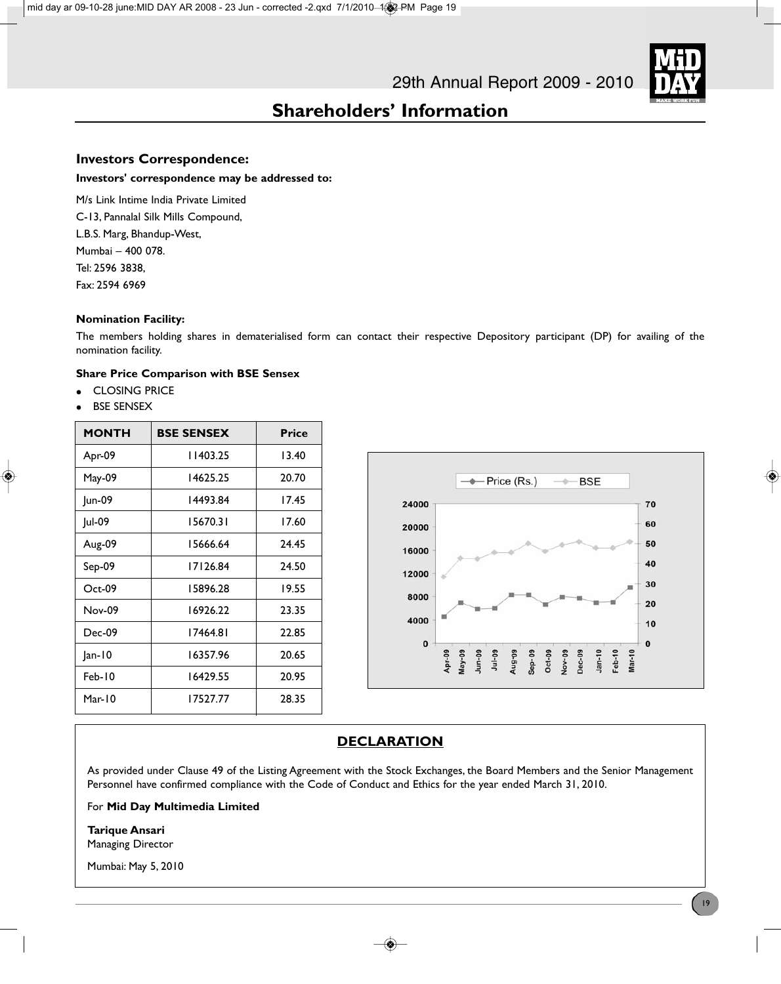

# **Shareholders' Information**

### **Investors Correspondence:**

### **Investors' correspondence may be addressed to:**

M/s Link Intime India Private Limited C-13, Pannalal Silk Mills Compound, L.B.S. Marg, Bhandup-West, Mumbai – 400 078. Tel: 2596 3838, Fax: 2594 6969

### **Nomination Facility:**

The members holding shares in dematerialised form can contact their respective Depository participant (DP) for availing of the nomination facility.

### **Share Price Comparison with BSE Sensex**

- **CLOSING PRICE**
- **BSE SENSEX**

| <b>MONTH</b>  | <b>BSE SENSEX</b> | <b>Price</b> |
|---------------|-------------------|--------------|
| Apr-09        | 11403.25          | 13.40        |
| May-09        | 14625.25          | 20.70        |
| Jun-09        | 14493.84          | 17.45        |
| Jul-09        | 15670.31          | 17.60        |
| Aug-09        | 15666.64          | 24.45        |
| Sep-09        | 17126.84          | 24.50        |
| $Oct-09$      | 15896.28          | 19.55        |
| <b>Nov-09</b> | 16926.22          | 23.35        |
| Dec-09        | 17464.81          | 22.85        |
| $ an-10$      | 16357.96          | 20.65        |
| $Feb-10$      | 16429.55          | 20.95        |
| Mar- $10$     | 17527.77          | 28.35        |



### **DECLARATION**

As provided under Clause 49 of the Listing Agreement with the Stock Exchanges, the Board Members and the Senior Management Personnel have confirmed compliance with the Code of Conduct and Ethics for the year ended March 31, 2010.

### For **Mid Day Multimedia Limited**

**Tarique Ansari** Managing Director

Mumbai: May 5, 2010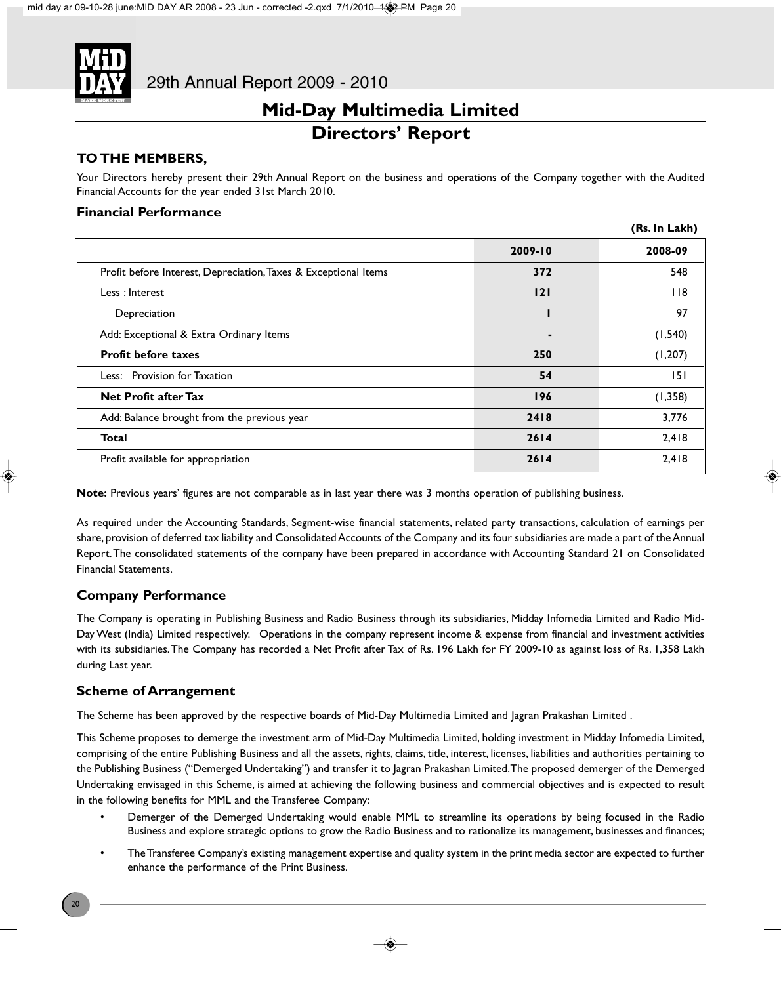

### **TO THE MEMBERS,**

Your Directors hereby present their 29th Annual Report on the business and operations of the Company together with the Audited Financial Accounts for the year ended 31st March 2010.

### **Financial Performance**

|                                                                 |             | (Rs. In Lakh) |
|-----------------------------------------------------------------|-------------|---------------|
|                                                                 | $2009 - 10$ | 2008-09       |
| Profit before Interest, Depreciation, Taxes & Exceptional Items | 372         | 548           |
| Less: Interest                                                  | 121         | 118           |
| Depreciation                                                    |             | 97            |
| Add: Exceptional & Extra Ordinary Items                         | ۰           | (1, 540)      |
| <b>Profit before taxes</b>                                      | 250         | (1, 207)      |
| Less: Provision for Taxation                                    | 54          | 151           |
| <b>Net Profit after Tax</b>                                     | 196         | (1, 358)      |
| Add: Balance brought from the previous year                     | 2418        | 3,776         |
| <b>Total</b>                                                    | 2614        | 2,418         |
| Profit available for appropriation                              | 2614        | 2,418         |

**Note:** Previous years' figures are not comparable as in last year there was 3 months operation of publishing business.

As required under the Accounting Standards, Segment-wise financial statements, related party transactions, calculation of earnings per share, provision of deferred tax liability and Consolidated Accounts of the Company and its four subsidiaries are made a part of the Annual Report. The consolidated statements of the company have been prepared in accordance with Accounting Standard 21 on Consolidated Financial Statements.

### **Company Performance**

The Company is operating in Publishing Business and Radio Business through its subsidiaries, Midday Infomedia Limited and Radio Mid-Day West (India) Limited respectively. Operations in the company represent income & expense from financial and investment activities with its subsidiaries. The Company has recorded a Net Profit after Tax of Rs. 196 Lakh for FY 2009-10 as against loss of Rs. 1,358 Lakh during Last year.

### **Scheme of Arrangement**

The Scheme has been approved by the respective boards of Mid-Day Multimedia Limited and Jagran Prakashan Limited .

This Scheme proposes to demerge the investment arm of Mid-Day Multimedia Limited, holding investment in Midday Infomedia Limited, comprising of the entire Publishing Business and all the assets, rights, claims, title, interest, licenses, liabilities and authorities pertaining to the Publishing Business ("Demerged Undertaking") and transfer it to Jagran Prakashan Limited. The proposed demerger of the Demerged Undertaking envisaged in this Scheme, is aimed at achieving the following business and commercial objectives and is expected to result in the following benefits for MML and the Transferee Company:

- Demerger of the Demerged Undertaking would enable MML to streamline its operations by being focused in the Radio Business and explore strategic options to grow the Radio Business and to rationalize its management, businesses and finances;
- The Transferee Company's existing management expertise and quality system in the print media sector are expected to further enhance the performance of the Print Business.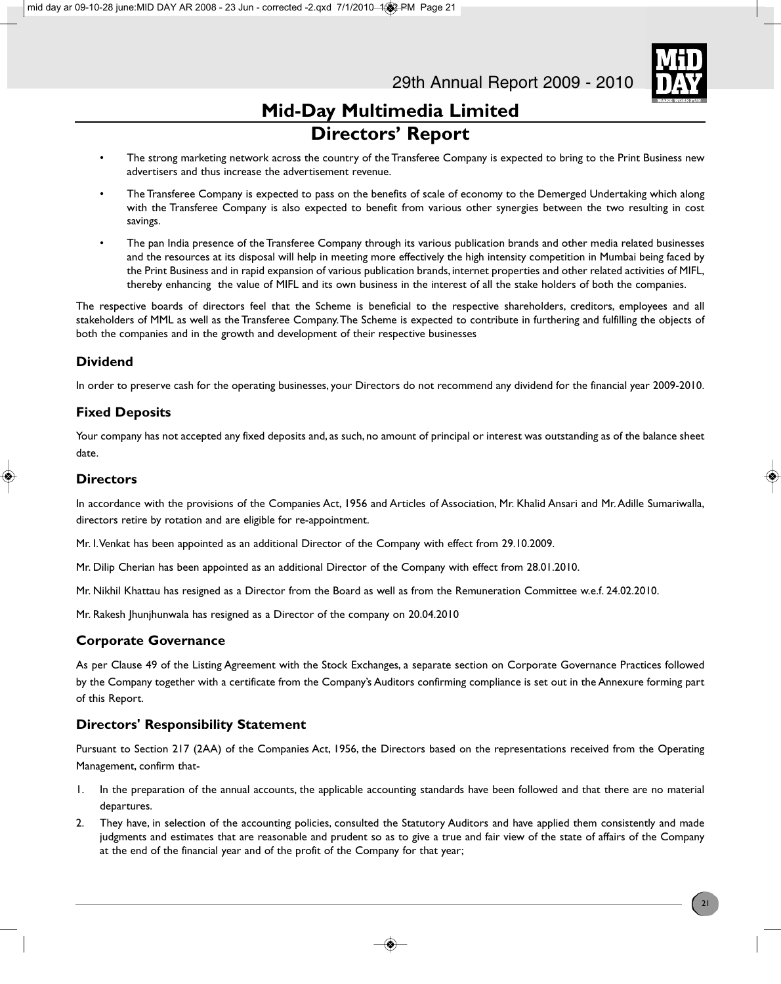

- The strong marketing network across the country of the Transferee Company is expected to bring to the Print Business new advertisers and thus increase the advertisement revenue.
- The Transferee Company is expected to pass on the benefits of scale of economy to the Demerged Undertaking which along with the Transferee Company is also expected to benefit from various other synergies between the two resulting in cost savings.
- The pan India presence of the Transferee Company through its various publication brands and other media related businesses and the resources at its disposal will help in meeting more effectively the high intensity competition in Mumbai being faced by the Print Business and in rapid expansion of various publication brands, internet properties and other related activities of MIFL, thereby enhancing the value of MIFL and its own business in the interest of all the stake holders of both the companies.

The respective boards of directors feel that the Scheme is beneficial to the respective shareholders, creditors, employees and all stakeholders of MML as well as the Transferee Company. The Scheme is expected to contribute in furthering and fulfilling the objects of both the companies and in the growth and development of their respective businesses

### **Dividend**

In order to preserve cash for the operating businesses, your Directors do not recommend any dividend for the financial year 2009-2010.

### **Fixed Deposits**

Your company has not accepted any fixed deposits and, as such, no amount of principal or interest was outstanding as of the balance sheet date.

### **Directors**

In accordance with the provisions of the Companies Act, 1956 and Articles of Association, Mr. Khalid Ansari and Mr. Adille Sumariwalla, directors retire by rotation and are eligible for re-appointment.

Mr. I. Venkat has been appointed as an additional Director of the Company with effect from 29.10.2009.

Mr. Dilip Cherian has been appointed as an additional Director of the Company with effect from 28.01.2010.

Mr. Nikhil Khattau has resigned as a Director from the Board as well as from the Remuneration Committee w.e.f. 24.02.2010.

Mr. Rakesh Jhunjhunwala has resigned as a Director of the company on 20.04.2010

### **Corporate Governance**

As per Clause 49 of the Listing Agreement with the Stock Exchanges, a separate section on Corporate Governance Practices followed by the Company together with a certificate from the Company's Auditors confirming compliance is set out in the Annexure forming part of this Report.

### **Directors' Responsibility Statement**

Pursuant to Section 217 (2AA) of the Companies Act, 1956, the Directors based on the representations received from the Operating Management, confirm that-

- 1. In the preparation of the annual accounts, the applicable accounting standards have been followed and that there are no material departures.
- 2. They have, in selection of the accounting policies, consulted the Statutory Auditors and have applied them consistently and made judgments and estimates that are reasonable and prudent so as to give a true and fair view of the state of affairs of the Company at the end of the financial year and of the profit of the Company for that year;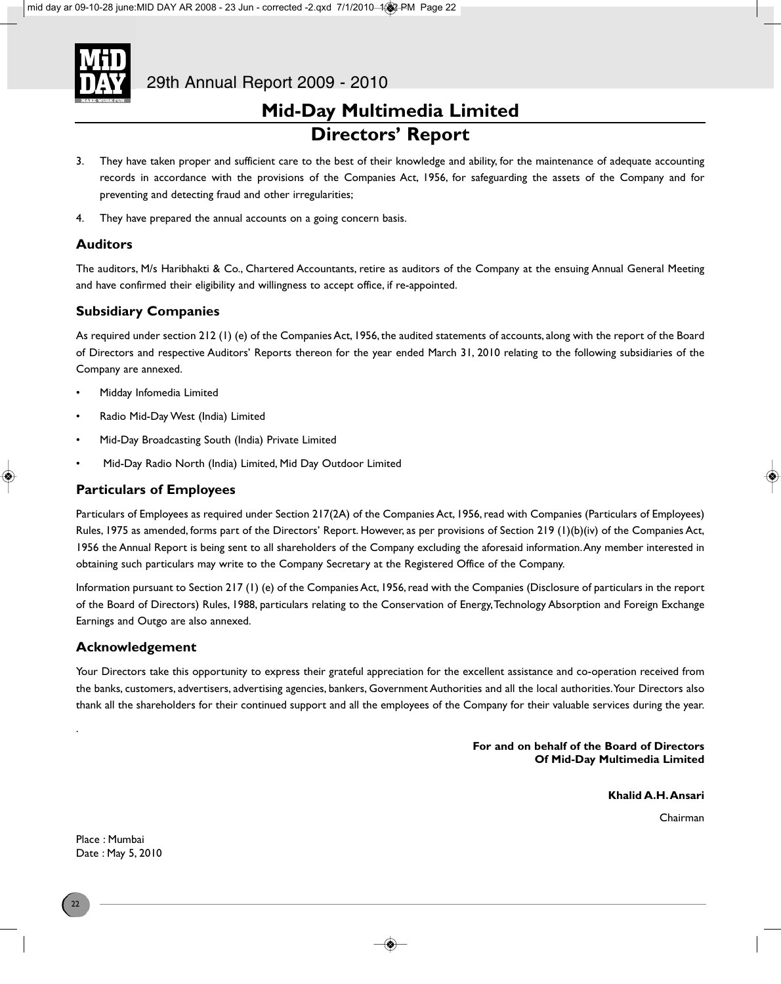

- 3. They have taken proper and sufficient care to the best of their knowledge and ability, for the maintenance of adequate accounting records in accordance with the provisions of the Companies Act, 1956, for safeguarding the assets of the Company and for preventing and detecting fraud and other irregularities;
- 4. They have prepared the annual accounts on a going concern basis.

### **Auditors**

The auditors, M/s Haribhakti & Co., Chartered Accountants, retire as auditors of the Company at the ensuing Annual General Meeting and have confirmed their eligibility and willingness to accept office, if re-appointed.

### **Subsidiary Companies**

As required under section 212 (1) (e) of the Companies Act, 1956, the audited statements of accounts, along with the report of the Board of Directors and respective Auditors' Reports thereon for the year ended March 31, 2010 relating to the following subsidiaries of the Company are annexed.

- Midday Infomedia Limited
- Radio Mid-Day West (India) Limited
- Mid-Day Broadcasting South (India) Private Limited
- Mid-Day Radio North (India) Limited, Mid Day Outdoor Limited

### **Particulars of Employees**

Particulars of Employees as required under Section 217(2A) of the Companies Act, 1956, read with Companies (Particulars of Employees) Rules, 1975 as amended, forms part of the Directors' Report. However, as per provisions of Section 219 (1)(b)(iv) of the Companies Act, 1956 the Annual Report is being sent to all shareholders of the Company excluding the aforesaid information. Any member interested in obtaining such particulars may write to the Company Secretary at the Registered Office of the Company.

Information pursuant to Section 217 (1) (e) of the Companies Act, 1956, read with the Companies (Disclosure of particulars in the report of the Board of Directors) Rules, 1988, particulars relating to the Conservation of Energy, Technology Absorption and Foreign Exchange Earnings and Outgo are also annexed.

### **Acknowledgement**

Your Directors take this opportunity to express their grateful appreciation for the excellent assistance and co-operation received from the banks, customers, advertisers, advertising agencies, bankers, Government Authorities and all the local authorities. Your Directors also thank all the shareholders for their continued support and all the employees of the Company for their valuable services during the year.

> **For and on behalf of the Board of Directors Of Mid-Day Multimedia Limited**

> > **Khalid A.H. Ansari**

Chairman

Place : Mumbai Date : May 5, 2010

.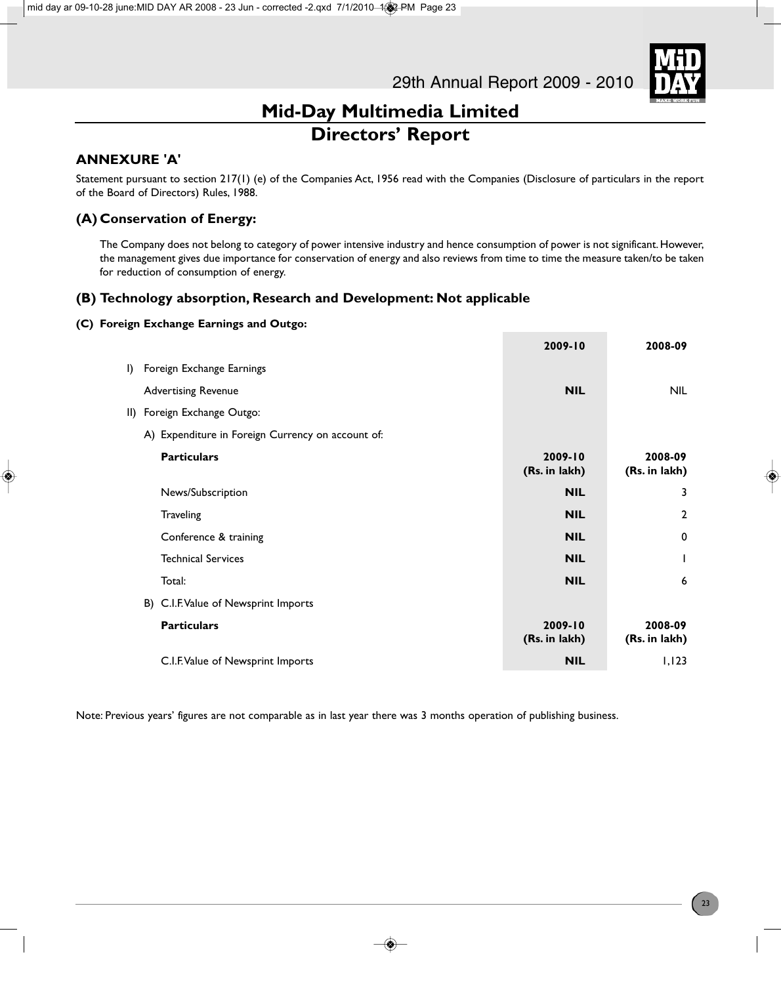

### **ANNEXURE 'A'**

Statement pursuant to section 217(1) (e) of the Companies Act, 1956 read with the Companies (Disclosure of particulars in the report of the Board of Directors) Rules, 1988.

### **(A) Conservation of Energy:**

The Company does not belong to category of power intensive industry and hence consumption of power is not significant. However, the management gives due importance for conservation of energy and also reviews from time to time the measure taken/to be taken for reduction of consumption of energy.

### **(B) Technology absorption, Research and Development: Not applicable**

### **(C) Foreign Exchange Earnings and Outgo:**

|                                                   | 2009-10                  | 2008-09                  |
|---------------------------------------------------|--------------------------|--------------------------|
| I) Foreign Exchange Earnings                      |                          |                          |
| <b>Advertising Revenue</b>                        | <b>NIL</b>               | NIL.                     |
| II) Foreign Exchange Outgo:                       |                          |                          |
| A) Expenditure in Foreign Currency on account of: |                          |                          |
| <b>Particulars</b>                                | 2009-10<br>(Rs. in lakh) | 2008-09<br>(Rs. in lakh) |
| News/Subscription                                 | <b>NIL</b>               | 3                        |
| Traveling                                         | <b>NIL</b>               | $\mathbf{2}$             |
| Conference & training                             | <b>NIL</b>               | $\mathbf 0$              |
| <b>Technical Services</b>                         | <b>NIL</b>               | L                        |
| Total:                                            | <b>NIL</b>               | 6                        |
| B) C.I.F. Value of Newsprint Imports              |                          |                          |
| <b>Particulars</b>                                | 2009-10<br>(Rs. in lakh) | 2008-09<br>(Rs. in lakh) |
| C.I.F. Value of Newsprint Imports                 | <b>NIL</b>               | 1,123                    |

Note: Previous years' figures are not comparable as in last year there was 3 months operation of publishing business.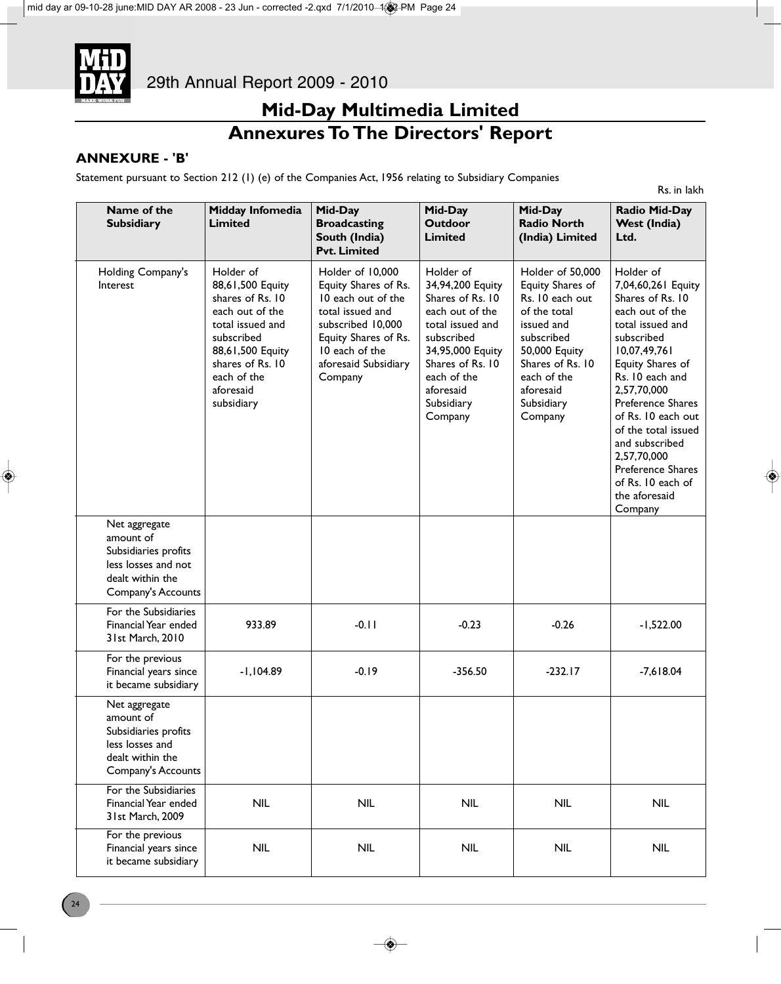

# **Mid-Day Multimedia Limited Annexures To The Directors' Report**

Rs. in lakh

### **ANNEXURE - 'B'**

Statement pursuant to Section 212 (1) (e) of the Companies Act, 1956 relating to Subsidiary Companies

| Name of the<br><b>Subsidiary</b>                                                                                    | Midday Infomedia<br><b>Limited</b>                                                                                                                                                       | Mid-Day<br><b>Broadcasting</b><br>South (India)<br><b>Pvt. Limited</b>                                                                                                               | Mid-Day<br><b>Outdoor</b><br><b>Limited</b>                                                                                                                                                         | Mid-Day<br><b>Radio North</b><br>(India) Limited                                                                                                                                              | <b>Radio Mid-Day</b><br><b>West (India)</b><br>Ltd.                                                                                                                                                                                                                                                                                                     |
|---------------------------------------------------------------------------------------------------------------------|------------------------------------------------------------------------------------------------------------------------------------------------------------------------------------------|--------------------------------------------------------------------------------------------------------------------------------------------------------------------------------------|-----------------------------------------------------------------------------------------------------------------------------------------------------------------------------------------------------|-----------------------------------------------------------------------------------------------------------------------------------------------------------------------------------------------|---------------------------------------------------------------------------------------------------------------------------------------------------------------------------------------------------------------------------------------------------------------------------------------------------------------------------------------------------------|
| Holding Company's<br>Interest                                                                                       | Holder of<br>88,61,500 Equity<br>shares of Rs. 10<br>each out of the<br>total issued and<br>subscribed<br>88,61,500 Equity<br>shares of Rs. 10<br>each of the<br>aforesaid<br>subsidiary | Holder of 10,000<br>Equity Shares of Rs.<br>10 each out of the<br>total issued and<br>subscribed 10,000<br>Equity Shares of Rs.<br>10 each of the<br>aforesaid Subsidiary<br>Company | Holder of<br>34,94,200 Equity<br>Shares of Rs. 10<br>each out of the<br>total issued and<br>subscribed<br>34,95,000 Equity<br>Shares of Rs. 10<br>each of the<br>aforesaid<br>Subsidiary<br>Company | Holder of 50,000<br>Equity Shares of<br>Rs. 10 each out<br>of the total<br>issued and<br>subscribed<br>50,000 Equity<br>Shares of Rs. 10<br>each of the<br>aforesaid<br>Subsidiary<br>Company | Holder of<br>7,04,60,261 Equity<br>Shares of Rs. 10<br>each out of the<br>total issued and<br>subscribed<br>10,07,49,761<br>Equity Shares of<br>Rs. 10 each and<br>2,57,70,000<br>Preference Shares<br>of Rs. 10 each out<br>of the total issued<br>and subscribed<br>2,57,70,000<br>Preference Shares<br>of Rs. 10 each of<br>the aforesaid<br>Company |
| Net aggregate<br>amount of<br>Subsidiaries profits<br>less losses and not<br>dealt within the<br>Company's Accounts |                                                                                                                                                                                          |                                                                                                                                                                                      |                                                                                                                                                                                                     |                                                                                                                                                                                               |                                                                                                                                                                                                                                                                                                                                                         |
| For the Subsidiaries<br>Financial Year ended<br>31st March, 2010                                                    | 933.89                                                                                                                                                                                   | $-0.11$                                                                                                                                                                              | $-0.23$                                                                                                                                                                                             | $-0.26$                                                                                                                                                                                       | $-1,522.00$                                                                                                                                                                                                                                                                                                                                             |
| For the previous<br>Financial years since<br>it became subsidiary                                                   | $-1,104.89$                                                                                                                                                                              | $-0.19$                                                                                                                                                                              | $-356.50$                                                                                                                                                                                           | $-232.17$                                                                                                                                                                                     | $-7,618.04$                                                                                                                                                                                                                                                                                                                                             |
| Net aggregate<br>amount of<br>Subsidiaries profits<br>less losses and<br>dealt within the<br>Company's Accounts     |                                                                                                                                                                                          |                                                                                                                                                                                      |                                                                                                                                                                                                     |                                                                                                                                                                                               |                                                                                                                                                                                                                                                                                                                                                         |
| For the Subsidiaries<br>Financial Year ended<br>31st March, 2009                                                    | <b>NIL</b>                                                                                                                                                                               | <b>NIL</b>                                                                                                                                                                           | <b>NIL</b>                                                                                                                                                                                          | <b>NIL</b>                                                                                                                                                                                    | <b>NIL</b>                                                                                                                                                                                                                                                                                                                                              |
| For the previous<br>Financial years since<br>it became subsidiary                                                   | <b>NIL</b>                                                                                                                                                                               | <b>NIL</b>                                                                                                                                                                           | <b>NIL</b>                                                                                                                                                                                          | <b>NIL</b>                                                                                                                                                                                    | <b>NIL</b>                                                                                                                                                                                                                                                                                                                                              |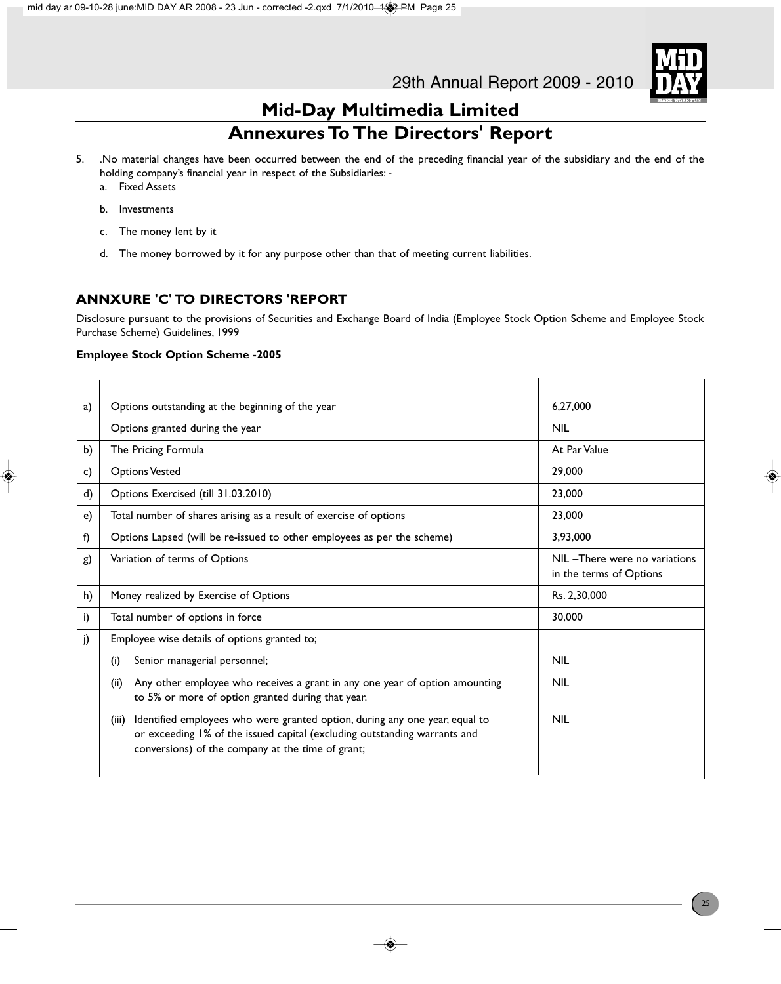

# **Mid-Day Multimedia Limited Annexures To The Directors' Report**

- 5. .No material changes have been occurred between the end of the preceding financial year of the subsidiary and the end of the holding company's financial year in respect of the Subsidiaries:
	- a. Fixed Assets
	- b. Investments
	- c. The money lent by it
	- d. The money borrowed by it for any purpose other than that of meeting current liabilities.

### **ANNXURE 'C' TO DIRECTORS 'REPORT**

Disclosure pursuant to the provisions of Securities and Exchange Board of India (Employee Stock Option Scheme and Employee Stock Purchase Scheme) Guidelines, 1999

### **Employee Stock Option Scheme -2005**

| a) | Options outstanding at the beginning of the year                                                                                                                                                                       | 6.27.000                                                 |
|----|------------------------------------------------------------------------------------------------------------------------------------------------------------------------------------------------------------------------|----------------------------------------------------------|
|    | Options granted during the year                                                                                                                                                                                        | <b>NIL</b>                                               |
| b) | The Pricing Formula                                                                                                                                                                                                    | At Par Value                                             |
| c) | <b>Options Vested</b>                                                                                                                                                                                                  | 29,000                                                   |
| d) | Options Exercised (till 31.03.2010)                                                                                                                                                                                    | 23,000                                                   |
| e) | Total number of shares arising as a result of exercise of options                                                                                                                                                      | 23,000                                                   |
| f) | Options Lapsed (will be re-issued to other employees as per the scheme)                                                                                                                                                | 3,93,000                                                 |
| g) | Variation of terms of Options                                                                                                                                                                                          | NIL -There were no variations<br>in the terms of Options |
| h) | Money realized by Exercise of Options                                                                                                                                                                                  | Rs. 2,30,000                                             |
| i) | Total number of options in force                                                                                                                                                                                       | 30,000                                                   |
| j) | Employee wise details of options granted to;                                                                                                                                                                           |                                                          |
|    | Senior managerial personnel;<br>(i)                                                                                                                                                                                    | <b>NIL</b>                                               |
|    | Any other employee who receives a grant in any one year of option amounting<br>(ii)<br>to 5% or more of option granted during that year.                                                                               | <b>NIL</b>                                               |
|    | Identified employees who were granted option, during any one year, equal to<br>(iii)<br>or exceeding 1% of the issued capital (excluding outstanding warrants and<br>conversions) of the company at the time of grant; | <b>NIL</b>                                               |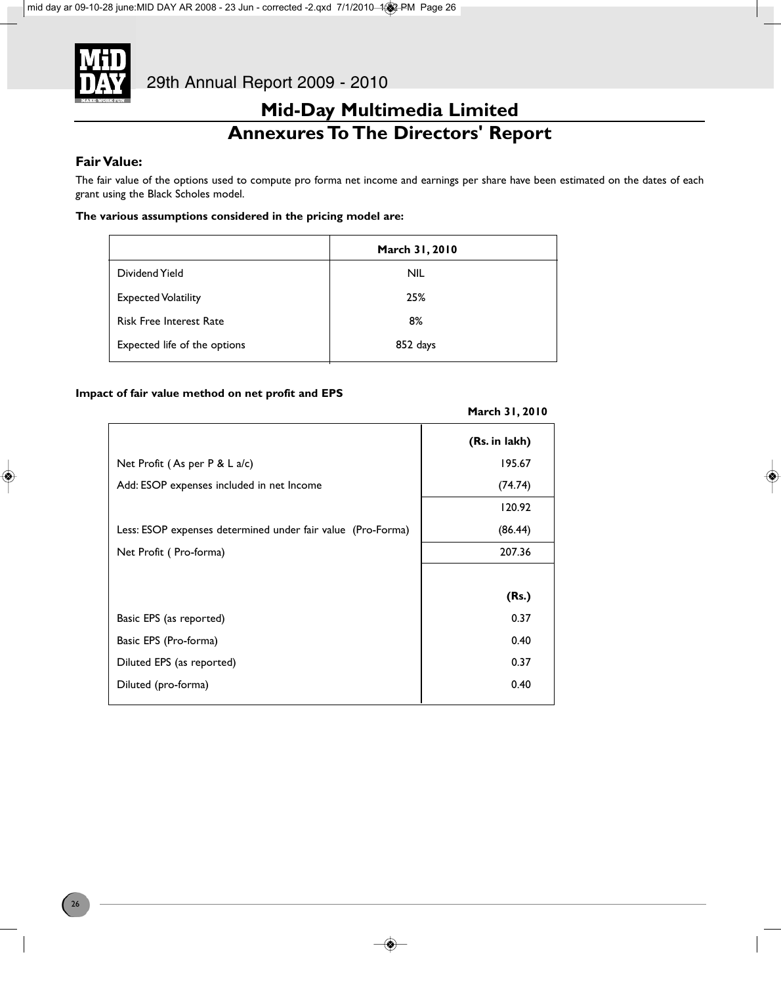

# **Mid-Day Multimedia Limited Annexures To The Directors' Report**

### **Fair Value:**

The fair value of the options used to compute pro forma net income and earnings per share have been estimated on the dates of each grant using the Black Scholes model.

### **The various assumptions considered in the pricing model are:**

|                                | March 31, 2010 |
|--------------------------------|----------------|
| Dividend Yield                 | <b>NIL</b>     |
| <b>Expected Volatility</b>     | 25%            |
| <b>Risk Free Interest Rate</b> | 8%             |
| Expected life of the options   | 852 days       |

### **Impact of fair value method on net profit and EPS**

|                                                             | (Rs. in lakh) |
|-------------------------------------------------------------|---------------|
| Net Profit (As per $P < L$ a/c)                             | 195.67        |
| Add: ESOP expenses included in net Income                   | (74.74)       |
|                                                             | 120.92        |
| Less: ESOP expenses determined under fair value (Pro-Forma) | (86.44)       |
| Net Profit (Pro-forma)                                      | 207.36        |
|                                                             |               |
|                                                             | (Rs.)         |
| Basic EPS (as reported)                                     | 0.37          |
| Basic EPS (Pro-forma)                                       | 0.40          |
| Diluted EPS (as reported)                                   | 0.37          |
| Diluted (pro-forma)                                         | 0.40          |
|                                                             |               |

### **March 31, 2010**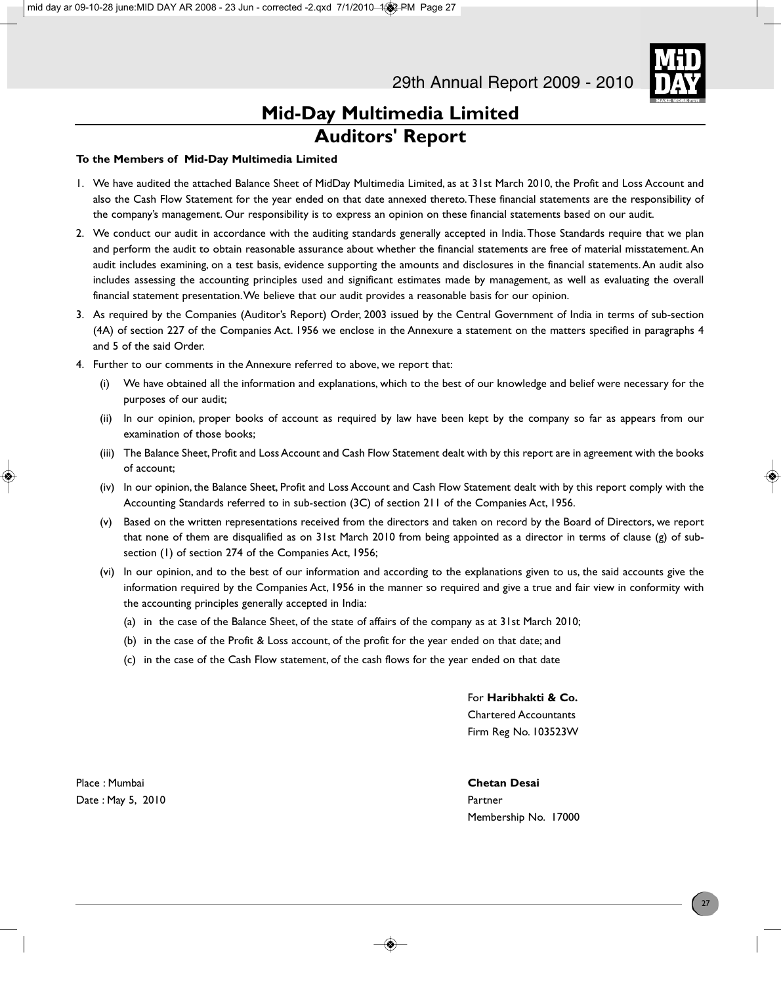

### **To the Members of Mid-Day Multimedia Limited**

- 1. We have audited the attached Balance Sheet of MidDay Multimedia Limited, as at 31st March 2010, the Profit and Loss Account and also the Cash Flow Statement for the year ended on that date annexed thereto. These financial statements are the responsibility of the company's management. Our responsibility is to express an opinion on these financial statements based on our audit.
- 2. We conduct our audit in accordance with the auditing standards generally accepted in India. Those Standards require that we plan and perform the audit to obtain reasonable assurance about whether the financial statements are free of material misstatement. An audit includes examining, on a test basis, evidence supporting the amounts and disclosures in the financial statements. An audit also includes assessing the accounting principles used and significant estimates made by management, as well as evaluating the overall financial statement presentation. We believe that our audit provides a reasonable basis for our opinion.
- 3. As required by the Companies (Auditor's Report) Order, 2003 issued by the Central Government of India in terms of sub-section (4A) of section 227 of the Companies Act. 1956 we enclose in the Annexure a statement on the matters specified in paragraphs 4 and 5 of the said Order.
- 4. Further to our comments in the Annexure referred to above, we report that:
	- (i) We have obtained all the information and explanations, which to the best of our knowledge and belief were necessary for the purposes of our audit;
	- (ii) In our opinion, proper books of account as required by law have been kept by the company so far as appears from our examination of those books;
	- (iii) The Balance Sheet, Profit and Loss Account and Cash Flow Statement dealt with by this report are in agreement with the books of account;
	- (iv) In our opinion, the Balance Sheet, Profit and Loss Account and Cash Flow Statement dealt with by this report comply with the Accounting Standards referred to in sub-section (3C) of section 211 of the Companies Act, 1956.
	- (v) Based on the written representations received from the directors and taken on record by the Board of Directors, we report that none of them are disqualified as on 31st March 2010 from being appointed as a director in terms of clause (g) of subsection (1) of section 274 of the Companies Act, 1956;
	- (vi) In our opinion, and to the best of our information and according to the explanations given to us, the said accounts give the information required by the Companies Act, 1956 in the manner so required and give a true and fair view in conformity with the accounting principles generally accepted in India:
		- (a) in the case of the Balance Sheet, of the state of affairs of the company as at 31st March 2010;
		- (b) in the case of the Profit & Loss account, of the profit for the year ended on that date; and
		- (c) in the case of the Cash Flow statement, of the cash flows for the year ended on that date

For **Haribhakti & Co.** Chartered Accountants Firm Reg No. 103523W

Place : Mumbai **Chetan Desai** Date : May 5, 2010 **Partner** 

Membership No. 17000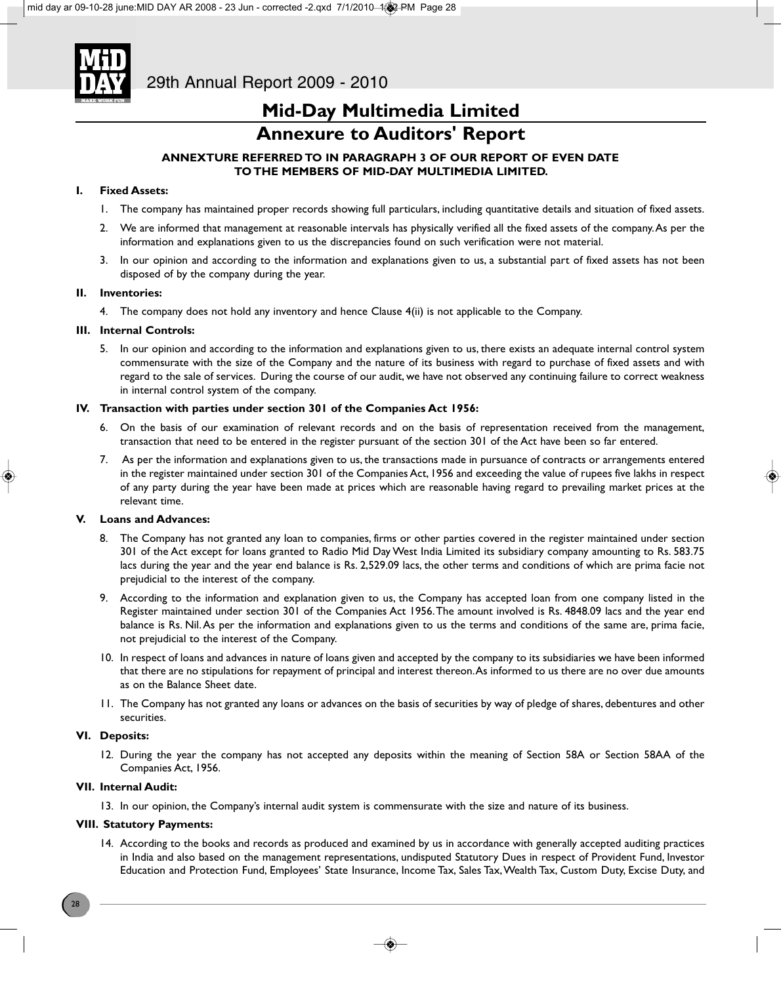

# **Mid-Day Multimedia Limited**

# **Annexure to Auditors' Report**

### **ANNEXTURE REFERRED TO IN PARAGRAPH 3 OF OUR REPORT OF EVEN DATE TO THE MEMBERS OF MID-DAY MULTIMEDIA LIMITED.**

### **I. Fixed Assets:**

- 1. The company has maintained proper records showing full particulars, including quantitative details and situation of fixed assets.
- 2. We are informed that management at reasonable intervals has physically verified all the fixed assets of the company. As per the information and explanations given to us the discrepancies found on such verification were not material.
- 3. In our opinion and according to the information and explanations given to us, a substantial part of fixed assets has not been disposed of by the company during the year.

### **II. Inventories:**

4. The company does not hold any inventory and hence Clause 4(ii) is not applicable to the Company.

### **III. Internal Controls:**

5. In our opinion and according to the information and explanations given to us, there exists an adequate internal control system commensurate with the size of the Company and the nature of its business with regard to purchase of fixed assets and with regard to the sale of services. During the course of our audit, we have not observed any continuing failure to correct weakness in internal control system of the company.

### **IV. Transaction with parties under section 301 of the Companies Act 1956:**

- 6. On the basis of our examination of relevant records and on the basis of representation received from the management, transaction that need to be entered in the register pursuant of the section 301 of the Act have been so far entered.
- 7. As per the information and explanations given to us, the transactions made in pursuance of contracts or arrangements entered in the register maintained under section 301 of the Companies Act, 1956 and exceeding the value of rupees five lakhs in respect of any party during the year have been made at prices which are reasonable having regard to prevailing market prices at the relevant time.

### **V. Loans and Advances:**

- 8. The Company has not granted any loan to companies, firms or other parties covered in the register maintained under section 301 of the Act except for loans granted to Radio Mid Day West India Limited its subsidiary company amounting to Rs. 583.75 lacs during the year and the year end balance is Rs. 2,529.09 lacs, the other terms and conditions of which are prima facie not prejudicial to the interest of the company.
- 9. According to the information and explanation given to us, the Company has accepted loan from one company listed in the Register maintained under section 301 of the Companies Act 1956. The amount involved is Rs. 4848.09 lacs and the year end balance is Rs. Nil. As per the information and explanations given to us the terms and conditions of the same are, prima facie, not prejudicial to the interest of the Company.
- 10. In respect of loans and advances in nature of loans given and accepted by the company to its subsidiaries we have been informed that there are no stipulations for repayment of principal and interest thereon. As informed to us there are no over due amounts as on the Balance Sheet date.
- 11. The Company has not granted any loans or advances on the basis of securities by way of pledge of shares, debentures and other securities.

### **VI. Deposits:**

12. During the year the company has not accepted any deposits within the meaning of Section 58A or Section 58AA of the Companies Act, 1956.

### **VII. Internal Audit:**

13. In our opinion, the Company's internal audit system is commensurate with the size and nature of its business.

### **VIII. Statutory Payments:**

14. According to the books and records as produced and examined by us in accordance with generally accepted auditing practices in India and also based on the management representations, undisputed Statutory Dues in respect of Provident Fund, Investor Education and Protection Fund, Employees' State Insurance, Income Tax, Sales Tax, Wealth Tax, Custom Duty, Excise Duty, and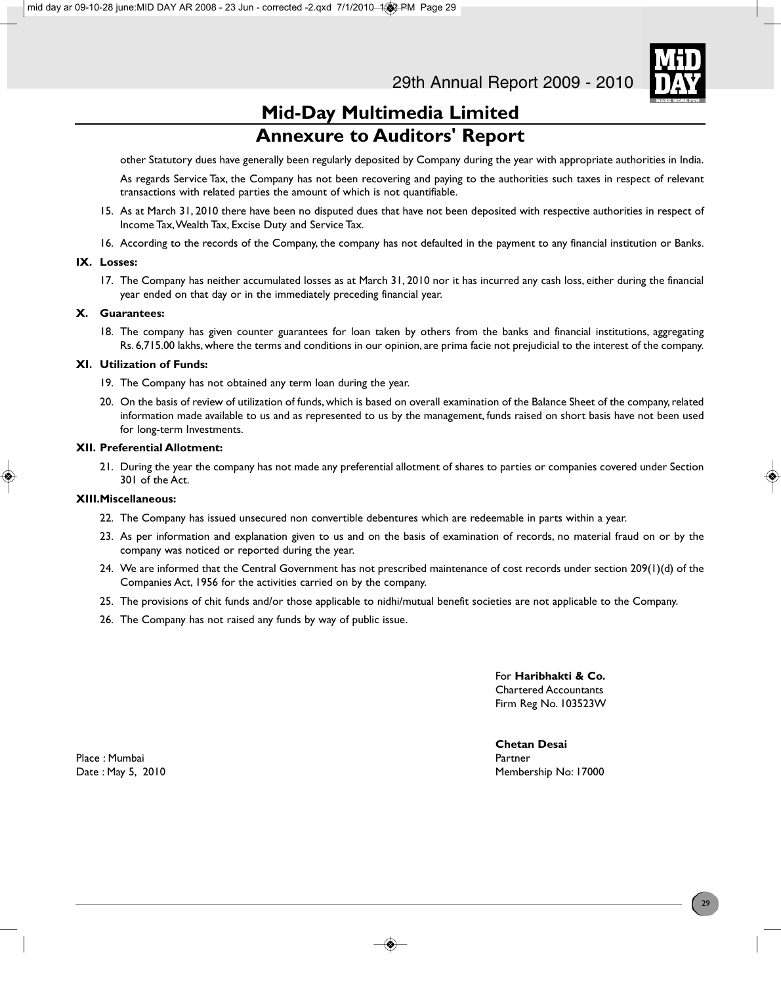

# **Mid-Day Multimedia Limited Annexure to Auditors' Report**

other Statutory dues have generally been regularly deposited by Company during the year with appropriate authorities in India.

As regards Service Tax, the Company has not been recovering and paying to the authorities such taxes in respect of relevant transactions with related parties the amount of which is not quantifiable.

- 15. As at March 31, 2010 there have been no disputed dues that have not been deposited with respective authorities in respect of Income Tax, Wealth Tax, Excise Duty and Service Tax.
- 16. According to the records of the Company, the company has not defaulted in the payment to any financial institution or Banks.

### **IX. Losses:**

17. The Company has neither accumulated losses as at March 31, 2010 nor it has incurred any cash loss, either during the financial year ended on that day or in the immediately preceding financial year.

### **X. Guarantees:**

18. The company has given counter guarantees for loan taken by others from the banks and financial institutions, aggregating Rs. 6,715.00 lakhs, where the terms and conditions in our opinion, are prima facie not prejudicial to the interest of the company.

### **XI. Utilization of Funds:**

- 19. The Company has not obtained any term loan during the year.
- 20. On the basis of review of utilization of funds, which is based on overall examination of the Balance Sheet of the company, related information made available to us and as represented to us by the management, funds raised on short basis have not been used for long-term Investments.

### **XII. Preferential Allotment:**

21. During the year the company has not made any preferential allotment of shares to parties or companies covered under Section 301 of the Act.

### **XIII.Miscellaneous:**

- 22. The Company has issued unsecured non convertible debentures which are redeemable in parts within a year.
- 23. As per information and explanation given to us and on the basis of examination of records, no material fraud on or by the company was noticed or reported during the year.
- 24. We are informed that the Central Government has not prescribed maintenance of cost records under section 209(1)(d) of the Companies Act, 1956 for the activities carried on by the company.
- 25. The provisions of chit funds and/or those applicable to nidhi/mutual benefit societies are not applicable to the Company.
- 26. The Company has not raised any funds by way of public issue.

For **Haribhakti & Co.** Chartered Accountants Firm Reg No. 103523W

**Chetan Desai** Date : May 5, 2010 **Date : May 5, 2010** Membership No: 17000

Place : Mumbai Partner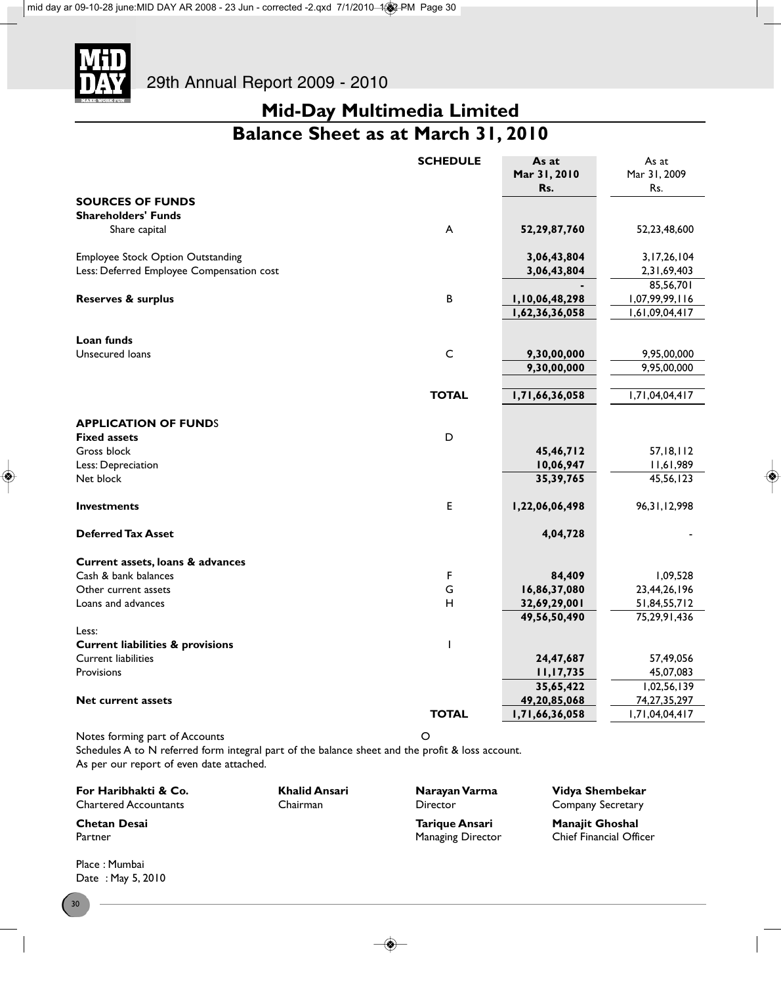

# **Mid-Day Multimedia Limited Balance Sheet as at March 31, 2010**

|                                             | <b>SCHEDULE</b>           | As at<br>Mar 31, 2010<br>Rs. | As at<br>Mar 31, 2009<br>Rs. |
|---------------------------------------------|---------------------------|------------------------------|------------------------------|
| <b>SOURCES OF FUNDS</b>                     |                           |                              |                              |
| <b>Shareholders' Funds</b>                  |                           |                              |                              |
| Share capital                               | $\boldsymbol{\mathsf{A}}$ | 52,29,87,760                 | 52,23,48,600                 |
| <b>Employee Stock Option Outstanding</b>    |                           | 3,06,43,804                  | 3, 17, 26, 104               |
| Less: Deferred Employee Compensation cost   |                           | 3,06,43,804                  | 2,31,69,403                  |
|                                             |                           |                              | 85,56,701                    |
| Reserves & surplus                          | B                         | 1,10,06,48,298               | 1,07,99,99,116               |
|                                             |                           | 1,62,36,36,058               | 1,61,09,04,417               |
| Loan funds                                  |                           |                              |                              |
| Unsecured loans                             | $\mathsf{C}$              | 9,30,00,000                  | 9,95,00,000                  |
|                                             |                           | 9,30,00,000                  | 9,95,00,000                  |
|                                             | <b>TOTAL</b>              | 1,71,66,36,058               | 1,71,04,04,417               |
| <b>APPLICATION OF FUNDS</b>                 |                           |                              |                              |
| <b>Fixed assets</b>                         | D                         |                              |                              |
| Gross block                                 |                           | 45,46,712                    | 57, 18, 112                  |
| Less: Depreciation                          |                           | 10,06,947                    | 11,61,989                    |
| Net block                                   |                           | 35, 39, 765                  | 45,56,123                    |
| <b>Investments</b>                          | E                         | 1,22,06,06,498               | 96, 31, 12, 998              |
| <b>Deferred Tax Asset</b>                   |                           | 4,04,728                     |                              |
| Current assets, loans & advances            |                           |                              |                              |
| Cash & bank balances                        | F                         | 84,409                       | 1,09,528                     |
| Other current assets                        | G                         | 16,86,37,080                 | 23,44,26,196                 |
| Loans and advances                          | н                         | 32,69,29,001                 | 51,84,55,712                 |
|                                             |                           | 49,56,50,490                 | 75,29,91,436                 |
| Less:                                       |                           |                              |                              |
| <b>Current liabilities &amp; provisions</b> | $\mathsf{I}$              |                              |                              |
| <b>Current liabilities</b>                  |                           | 24,47,687                    | 57,49,056                    |
| Provisions                                  |                           | 11, 17, 735                  | 45,07,083                    |
|                                             |                           | 35,65,422                    | 1,02,56,139                  |
| <b>Net current assets</b>                   |                           | 49,20,85,068                 | 74, 27, 35, 297              |
|                                             | <b>TOTAL</b>              | 1,71,66,36,058               | 1,71,04,04,417               |
| Notes forming part of Accounts              | O                         |                              |                              |

Schedules A to N referred form integral part of the balance sheet and the profit & loss account. As per our report of even date attached.

**For Haribhakti & Co. Khalid Ansari Narayan Varma Vidya Shembekar**<br>Chartered Accountants Chairman **Charis Company Secretary** 

Partner Managing Director Chief Financial Officers Analysis of Managing Director

Company Secretary

**Chetan Desai Tarique Ansari Manajit Ghoshal**

Place : Mumbai Date : May 5, 2010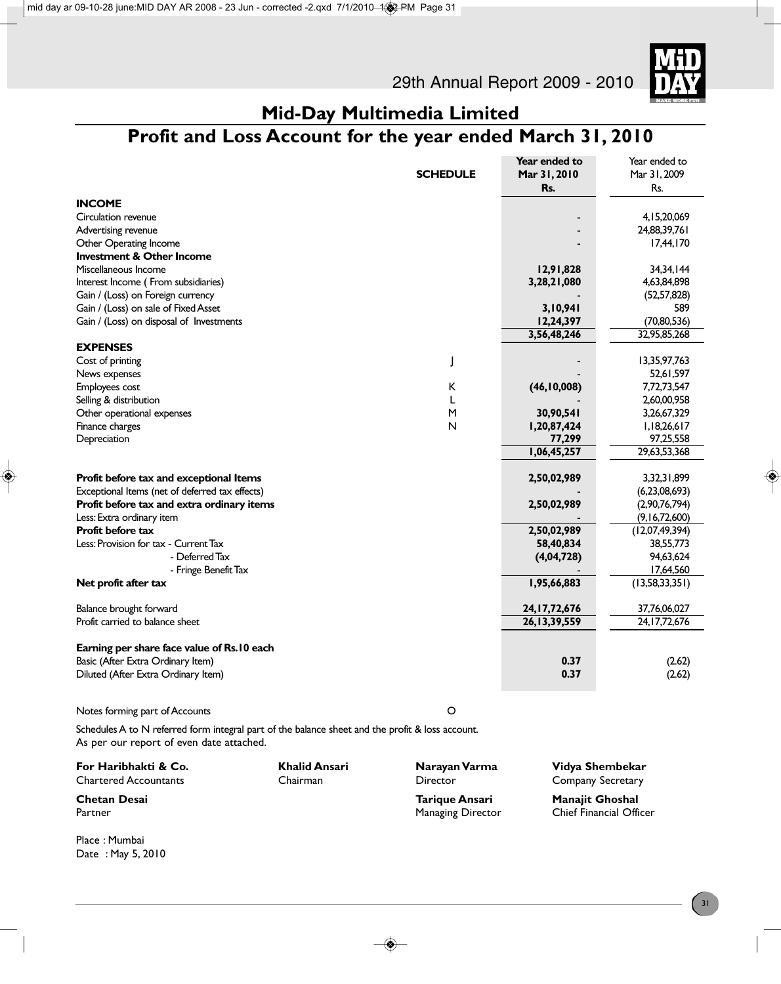

# **Mid-Day Multimedia Limited**

# **Profit and Loss Account for the year ended March 31, 2010**

|                                                                          |                 | Year ended to   | Year ended to             |
|--------------------------------------------------------------------------|-----------------|-----------------|---------------------------|
|                                                                          | <b>SCHEDULE</b> | Mar 31, 2010    | Mar 31, 2009              |
|                                                                          |                 | Rs.             | Rs.                       |
| <b>INCOME</b>                                                            |                 |                 |                           |
| Circulation revenue                                                      |                 |                 | 4,15,20,069               |
| Advertising revenue                                                      |                 |                 | 24,88,39,761              |
| Other Operating Income                                                   |                 |                 | 17,44,170                 |
| <b>Investment &amp; Other Income</b>                                     |                 |                 |                           |
| Miscellaneous Income                                                     |                 | 12,91,828       | 34, 34, 144               |
| Interest Income (From subsidiaries)                                      |                 | 3,28,21,080     | 4,63,84,898               |
| Gain / (Loss) on Foreign currency                                        |                 |                 | (52, 57, 828)             |
| Gain / (Loss) on sale of Fixed Asset                                     |                 | 3,10,941        | 589                       |
| Gain / (Loss) on disposal of Investments                                 |                 | 12,24,397       | (70, 80, 536)             |
|                                                                          |                 | 3,56,48,246     | 32,95,85,268              |
| <b>EXPENSES</b>                                                          |                 |                 |                           |
| Cost of printing                                                         |                 |                 | 13,35,97,763              |
| News expenses                                                            |                 |                 | 52,61,597                 |
| Employees cost                                                           | K               | (46, 10, 008)   | 7,72,73,547               |
| Selling & distribution                                                   | L               |                 | 2,60,00,958               |
| Other operational expenses                                               | M               | 30,90,541       | 3,26,67,329               |
| Finance charges                                                          | N               | 1,20,87,424     | 1,18,26,617               |
| Depreciation                                                             |                 | 77,299          | 97,25,558                 |
|                                                                          |                 | 1,06,45,257     | 29,63,53,368              |
|                                                                          |                 |                 |                           |
| Profit before tax and exceptional Items                                  |                 | 2,50,02,989     | 3,32,31,899               |
| Exceptional Items (net of deferred tax effects)                          |                 |                 | (6,23,08,693)             |
| Profit before tax and extra ordinary items                               |                 | 2,50,02,989     | (2,90,76,794)             |
| Less: Extra ordinary item                                                |                 |                 | (9,16,72,600)             |
| Profit before tax                                                        |                 | 2,50,02,989     | (12,07,49,394)            |
| Less: Provision for tax - Current Tax                                    |                 | 58,40,834       | 38,55,773                 |
| - Deferred Tax                                                           |                 | (4,04,728)      | 94,63,624                 |
| - Fringe Benefit Tax                                                     |                 |                 | 17,64,560                 |
| Net profit after tax                                                     |                 | 1,95,66,883     | (13,58,33,351)            |
| Balance brought forward                                                  |                 | 24, 17, 72, 676 | 37,76,06,027              |
| Profit carried to balance sheet                                          |                 |                 |                           |
|                                                                          |                 |                 |                           |
| Earning per share face value of Rs.10 each                               |                 |                 |                           |
|                                                                          |                 | 0.37            | (2.62)                    |
|                                                                          |                 | 0.37            |                           |
|                                                                          |                 |                 |                           |
| Basic (After Extra Ordinary Item)<br>Diluted (After Extra Ordinary Item) |                 | 26, 13, 39, 559 | 24, 17, 72, 676<br>(2.62) |

Notes forming part of Accounts O

Place : Mumbai Date : May 5, 2010

Schedules A to N referred form integral part of the balance sheet and the profit & loss account. As per our report of even date attached.

| For Haribhakti & Co.<br><b>Chartered Accountants</b> | Khalid Ansari<br>Chairman | Narayan Varma<br>Director | Vidya Shembekar<br><b>Company Secretary</b> |
|------------------------------------------------------|---------------------------|---------------------------|---------------------------------------------|
| <b>Chetan Desai</b>                                  |                           | Tarique Ansari            | <b>Manajit Ghoshal</b>                      |
| Partner                                              |                           | <b>Managing Director</b>  | <b>Chief Financial Officer</b>              |
|                                                      |                           |                           |                                             |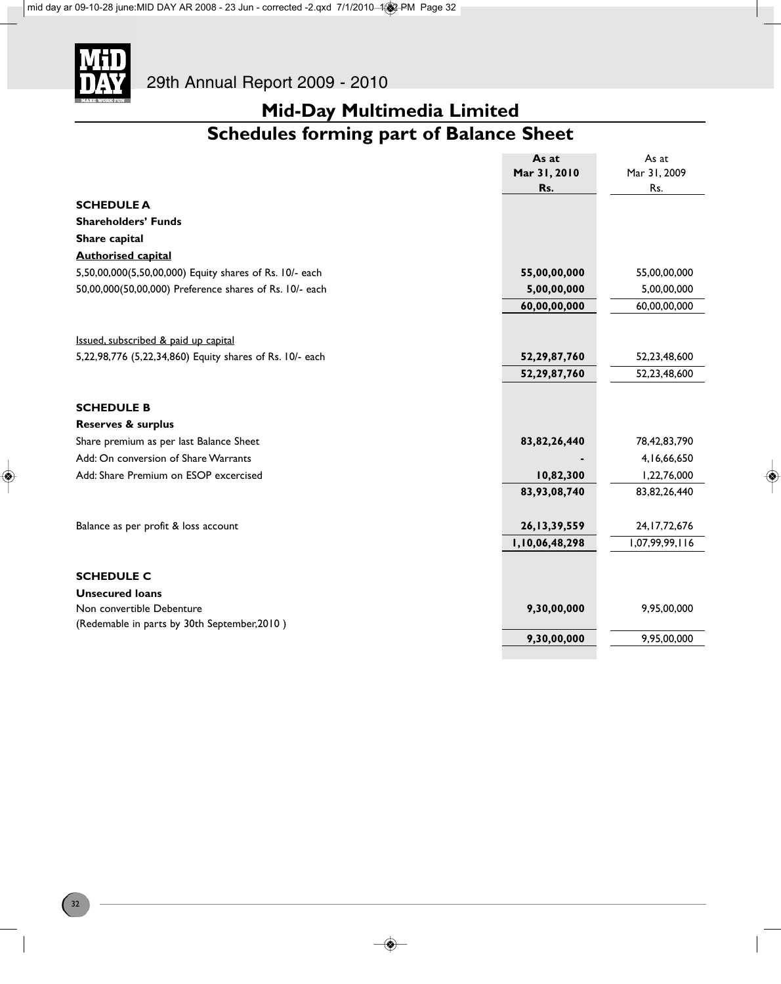

# **Mid-Day Multimedia Limited**

# **Schedules forming part of Balance Sheet**

|                                                          | As at           | As at           |
|----------------------------------------------------------|-----------------|-----------------|
|                                                          | Mar 31, 2010    | Mar 31, 2009    |
|                                                          | Rs.             | Rs.             |
| <b>SCHEDULE A</b>                                        |                 |                 |
| <b>Shareholders' Funds</b>                               |                 |                 |
| Share capital                                            |                 |                 |
| <b>Authorised capital</b>                                |                 |                 |
| 5,50,00,000(5,50,00,000) Equity shares of Rs. 10/- each  | 55,00,00,000    | 55,00,00,000    |
| 50,00,000(50,00,000) Preference shares of Rs. 10/- each  | 5,00,00,000     | 5,00,00,000     |
|                                                          | 60,00,00,000    | 60,00,00,000    |
|                                                          |                 |                 |
| Issued, subscribed & paid up capital                     |                 |                 |
| 5,22,98,776 (5,22,34,860) Equity shares of Rs. 10/- each | 52,29,87,760    | 52,23,48,600    |
|                                                          | 52,29,87,760    | 52,23,48,600    |
|                                                          |                 |                 |
| <b>SCHEDULE B</b>                                        |                 |                 |
| <b>Reserves &amp; surplus</b>                            |                 |                 |
| Share premium as per last Balance Sheet                  | 83, 82, 26, 440 | 78,42,83,790    |
| Add: On conversion of Share Warrants                     |                 | 4, 16, 66, 650  |
| Add: Share Premium on ESOP excercised                    | 10,82,300       | 1,22,76,000     |
|                                                          | 83,93,08,740    | 83, 82, 26, 440 |
|                                                          |                 |                 |
| Balance as per profit & loss account                     | 26, 13, 39, 559 | 24, 17, 72, 676 |
|                                                          | 1,10,06,48,298  | 1,07,99,99,116  |
|                                                          |                 |                 |
| <b>SCHEDULE C</b>                                        |                 |                 |
| <b>Unsecured loans</b>                                   |                 |                 |
| Non convertible Debenture                                | 9,30,00,000     | 9,95,00,000     |
| (Redemable in parts by 30th September, 2010)             |                 |                 |
|                                                          | 9,30,00,000     | 9,95,00,000     |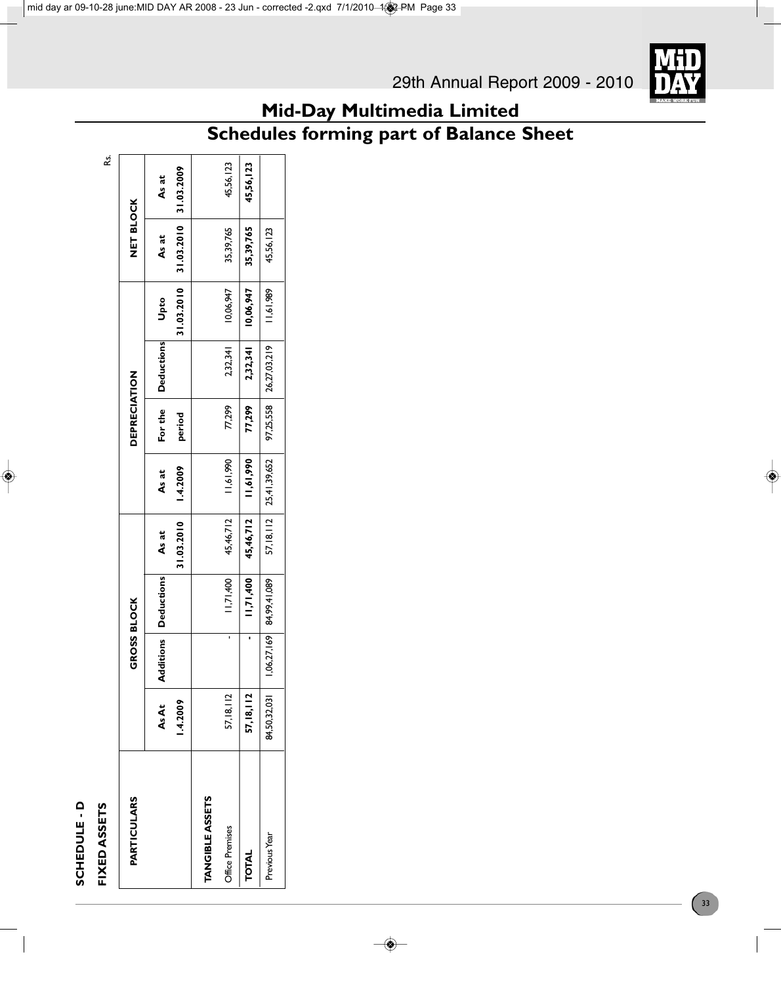# SCHEDULE - D **SCHEDULE - D**

# **FIXED ASSETS** Rs. FIXED ASSETS

ks.

| <b>PARTICULARS</b>     |                   | GROSS BLOCK |                               |                     |                               | DEPRECIATION      |                        |                    | NET BLOCK           |                     |
|------------------------|-------------------|-------------|-------------------------------|---------------------|-------------------------------|-------------------|------------------------|--------------------|---------------------|---------------------|
|                        | 1.4.2009<br>As At |             | <b>Additions   Deductions</b> | 31.03.2010<br>As at | 1.4.2009<br>As at             | For the<br>period | <b>Deductions</b>      | 31.03.2010<br>Upto | 31.03.2010<br>As at | 31.03.2009<br>As at |
| <b>TANGIBLE ASSETS</b> |                   |             |                               |                     |                               |                   |                        |                    |                     |                     |
| <b>Office Premises</b> | 57, 18, 112       |             | 11,71,400                     | 45,46,712           | 11,61,990                     | 77,299            | 2,32,341               | 10,06,947          | 35,39,765           | 45,56,123           |
| TOTAL                  | 57, 18, 112       |             | 11,71,400                     | 45,46,712           | 11,61,990                     | 77,299            | 2,32,341               | 10,06,947          | 35,39,765           | 45,56,123           |
| Previous Year          | 84,50,32,03       | 1,06,27,169 | 84,99,41,089                  |                     | 57, 18, 112   25, 41, 39, 652 |                   | 97,25,558 26,27,03,219 | 11,61,989          | 45,56,123           |                     |



# **Mid-Day Multimedia Limited**

# **Schedules forming part of Balance Sheet**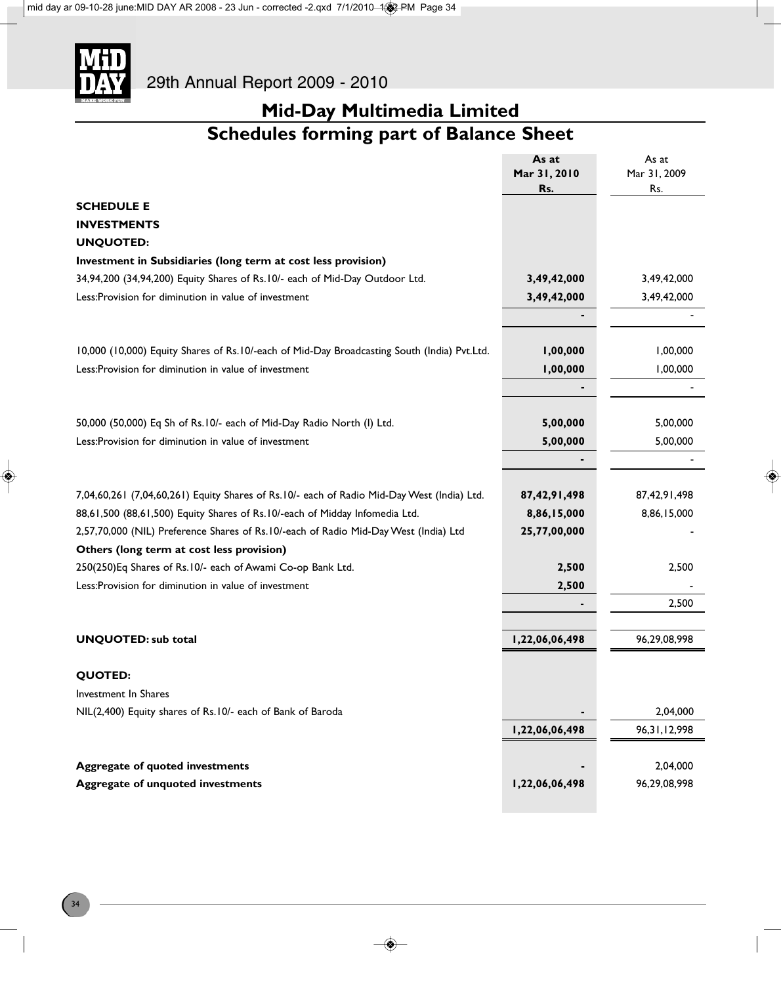

# **Mid-Day Multimedia Limited Schedules forming part of Balance Sheet**

|                                                                                             | As at          | As at           |
|---------------------------------------------------------------------------------------------|----------------|-----------------|
|                                                                                             | Mar 31, 2010   | Mar 31, 2009    |
|                                                                                             | Rs.            | Rs.             |
| <b>SCHEDULE E</b>                                                                           |                |                 |
| <b>INVESTMENTS</b>                                                                          |                |                 |
| <b>UNQUOTED:</b>                                                                            |                |                 |
| Investment in Subsidiaries (long term at cost less provision)                               |                |                 |
| 34,94,200 (34,94,200) Equity Shares of Rs.10/- each of Mid-Day Outdoor Ltd.                 | 3,49,42,000    | 3,49,42,000     |
| Less: Provision for diminution in value of investment                                       | 3,49,42,000    | 3,49,42,000     |
|                                                                                             |                |                 |
|                                                                                             |                |                 |
| 10,000 (10,000) Equity Shares of Rs.10/-each of Mid-Day Broadcasting South (India) Pvt.Ltd. | 1,00,000       | 1,00,000        |
| Less: Provision for diminution in value of investment                                       | 1,00,000       | 1,00,000        |
|                                                                                             |                |                 |
|                                                                                             |                |                 |
| 50,000 (50,000) Eq Sh of Rs.10/- each of Mid-Day Radio North (I) Ltd.                       | 5,00,000       | 5,00,000        |
| Less: Provision for diminution in value of investment                                       | 5,00,000       | 5,00,000        |
|                                                                                             |                |                 |
|                                                                                             |                |                 |
| 7,04,60,261 (7,04,60,261) Equity Shares of Rs.10/- each of Radio Mid-Day West (India) Ltd.  | 87,42,91,498   | 87,42,91,498    |
| 88,61,500 (88,61,500) Equity Shares of Rs.10/-each of Midday Infomedia Ltd.                 | 8,86,15,000    | 8,86,15,000     |
| 2,57,70,000 (NIL) Preference Shares of Rs.10/-each of Radio Mid-Day West (India) Ltd        | 25,77,00,000   |                 |
| Others (long term at cost less provision)                                                   |                |                 |
| 250(250)Eq Shares of Rs. 10/- each of Awami Co-op Bank Ltd.                                 | 2,500          | 2,500           |
| Less: Provision for diminution in value of investment                                       | 2,500          |                 |
|                                                                                             |                | 2,500           |
|                                                                                             |                |                 |
| <b>UNQUOTED: sub total</b>                                                                  | 1,22,06,06,498 | 96,29,08,998    |
|                                                                                             |                |                 |
| <b>QUOTED:</b>                                                                              |                |                 |
| Investment In Shares                                                                        |                |                 |
| NIL(2,400) Equity shares of Rs.10/- each of Bank of Baroda                                  |                | 2,04,000        |
|                                                                                             | 1,22,06,06,498 | 96, 31, 12, 998 |
|                                                                                             |                |                 |
| <b>Aggregate of quoted investments</b>                                                      |                | 2,04,000        |
| <b>Aggregate of unquoted investments</b>                                                    | 1,22,06,06,498 | 96,29,08,998    |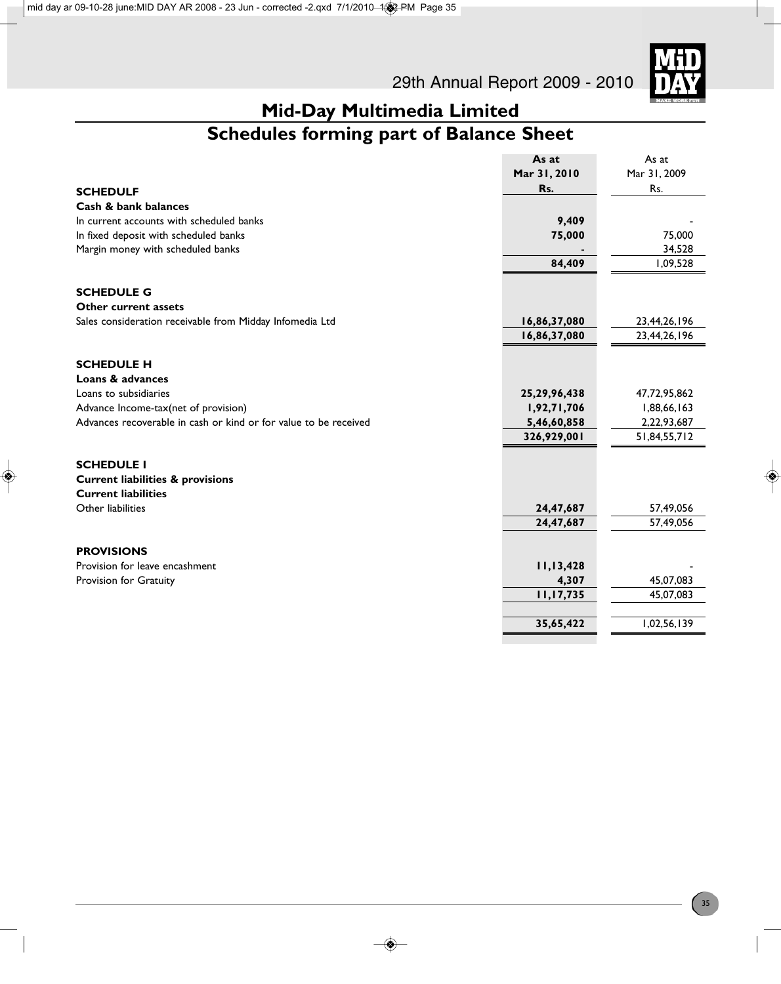

# **Mid-Day Multimedia Limited**

# **Schedules forming part of Balance Sheet**

|                                                                  | As at           | As at        |
|------------------------------------------------------------------|-----------------|--------------|
|                                                                  | Mar 31, 2010    | Mar 31, 2009 |
| <b>SCHEDULF</b>                                                  | Rs.             | Rs.          |
| Cash & bank balances                                             |                 |              |
| In current accounts with scheduled banks                         | 9,409           |              |
| In fixed deposit with scheduled banks                            | 75,000          | 75,000       |
| Margin money with scheduled banks                                |                 | 34,528       |
|                                                                  | 84,409          | 1,09,528     |
|                                                                  |                 |              |
| <b>SCHEDULE G</b>                                                |                 |              |
| Other current assets                                             |                 |              |
| Sales consideration receivable from Midday Infomedia Ltd         | 16,86,37,080    | 23,44,26,196 |
|                                                                  | 16,86,37,080    | 23,44,26,196 |
|                                                                  |                 |              |
| <b>SCHEDULE H</b>                                                |                 |              |
| Loans & advances                                                 |                 |              |
| Loans to subsidiaries                                            | 25, 29, 96, 438 | 47,72,95,862 |
| Advance Income-tax(net of provision)                             | 1,92,71,706     | 1,88,66,163  |
| Advances recoverable in cash or kind or for value to be received | 5,46,60,858     | 2,22,93,687  |
|                                                                  | 326,929,001     | 51,84,55,712 |
|                                                                  |                 |              |
| <b>SCHEDULE I</b>                                                |                 |              |
| <b>Current liabilities &amp; provisions</b>                      |                 |              |
| <b>Current liabilities</b>                                       |                 |              |
| Other liabilities                                                | 24,47,687       | 57,49,056    |
|                                                                  | 24,47,687       | 57,49,056    |
|                                                                  |                 |              |
| <b>PROVISIONS</b>                                                |                 |              |
| Provision for leave encashment                                   | 11,13,428       |              |
| Provision for Gratuity                                           | 4,307           | 45,07,083    |
|                                                                  | 11,17,735       | 45,07,083    |
|                                                                  |                 |              |
|                                                                  | 35,65,422       | 1,02,56,139  |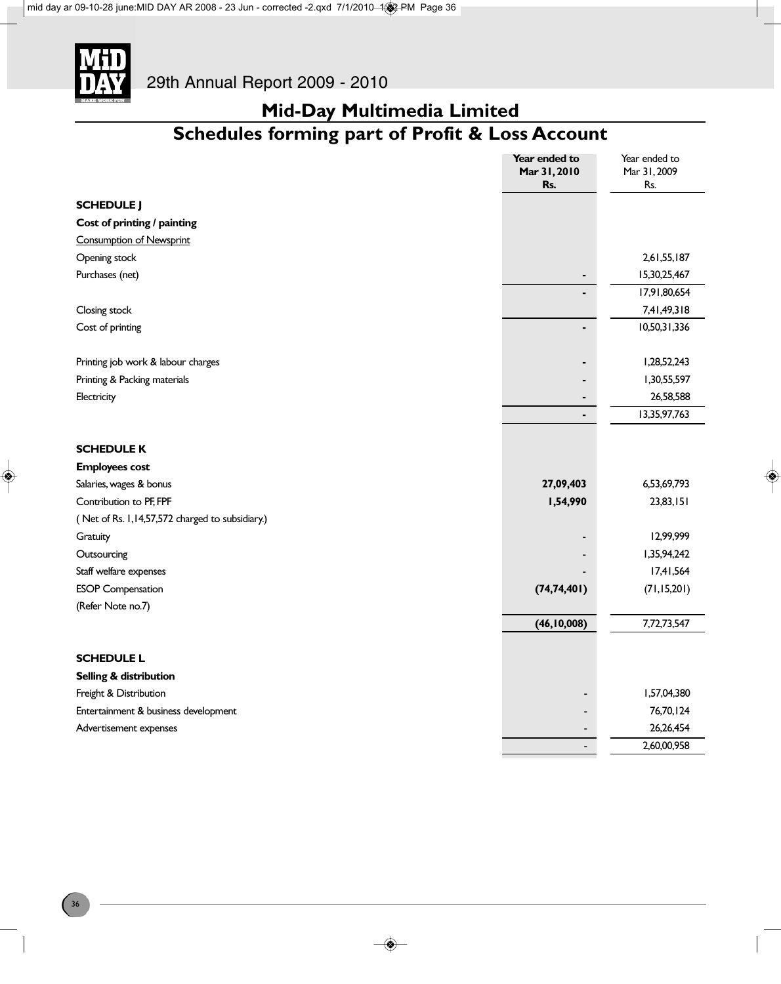

# **Mid-Day Multimedia Limited**

# **Schedules forming part of Profit & Loss Account**

|                                                 | Year ended to  | Year ended to |
|-------------------------------------------------|----------------|---------------|
|                                                 | Mar 31, 2010   | Mar 31, 2009  |
|                                                 | Rs.            | Rs.           |
| <b>SCHEDULE J</b>                               |                |               |
| Cost of printing / painting                     |                |               |
| <b>Consumption of Newsprint</b>                 |                |               |
| Opening stock                                   |                | 2,61,55,187   |
| Purchases (net)                                 |                | 15,30,25,467  |
|                                                 |                | 17,91,80,654  |
| Closing stock                                   |                | 7,41,49,318   |
| Cost of printing                                |                | 10,50,31,336  |
| Printing job work & labour charges              |                | 1,28,52,243   |
| Printing & Packing materials                    |                | 1,30,55,597   |
| Electricity                                     | $\blacksquare$ | 26,58,588     |
|                                                 | $\blacksquare$ | 13,35,97,763  |
| <b>SCHEDULE K</b>                               |                |               |
| <b>Employees cost</b>                           |                |               |
| Salaries, wages & bonus                         | 27,09,403      | 6,53,69,793   |
| Contribution to PF, FPF                         | 1,54,990       | 23,83,151     |
| (Net of Rs. 1,14,57,572 charged to subsidiary.) |                |               |
| Gratuity                                        |                | 12,99,999     |
| Outsourcing                                     |                | 1,35,94,242   |
| Staff welfare expenses                          |                | 17,41,564     |
| <b>ESOP</b> Compensation                        | (74, 74, 401)  | (71, 15, 201) |
| (Refer Note no.7)                               |                |               |
|                                                 | (46, 10, 008)  | 7,72,73,547   |
| <b>SCHEDULE L</b>                               |                |               |
| Selling & distribution                          |                |               |
| Freight & Distribution                          |                | 1,57,04,380   |
| Entertainment & business development            |                | 76,70,124     |
| Advertisement expenses                          |                | 26,26,454     |
|                                                 |                | 2,60,00,958   |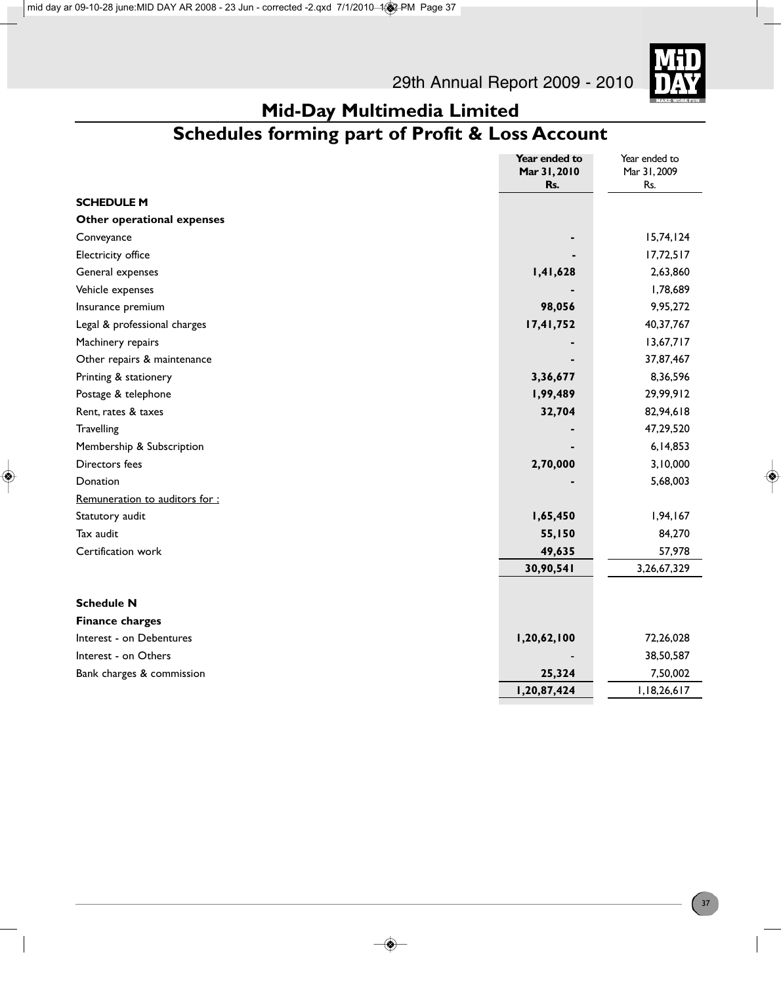

# **Schedules forming part of Profit & Loss Account**

|                               | Year ended to       | Year ended to       |
|-------------------------------|---------------------|---------------------|
|                               | Mar 31, 2010<br>Rs. | Mar 31, 2009<br>Rs. |
| <b>SCHEDULE M</b>             |                     |                     |
| Other operational expenses    |                     |                     |
| Conveyance                    |                     | 15,74,124           |
| Electricity office            |                     | 17,72,517           |
|                               |                     | 2,63,860            |
| General expenses              | 1,41,628            |                     |
| Vehicle expenses              |                     | 1,78,689            |
| Insurance premium             | 98,056              | 9,95,272            |
| Legal & professional charges  | 17,41,752           | 40,37,767           |
| Machinery repairs             |                     | 13,67,717           |
| Other repairs & maintenance   |                     | 37,87,467           |
| Printing & stationery         | 3,36,677            | 8,36,596            |
| Postage & telephone           | 1,99,489            | 29,99,912           |
| Rent, rates & taxes           | 32,704              | 82,94,618           |
| Travelling                    |                     | 47,29,520           |
| Membership & Subscription     |                     | 6,14,853            |
| Directors fees                | 2,70,000            | 3,10,000            |
| Donation                      |                     | 5,68,003            |
| Remuneration to auditors for: |                     |                     |
| Statutory audit               | 1,65,450            | 1,94,167            |
| Tax audit                     | 55,150              | 84,270              |
| Certification work            | 49,635              | 57,978              |
|                               | 30,90,541           | 3,26,67,329         |
|                               |                     |                     |
| <b>Schedule N</b>             |                     |                     |
| <b>Finance charges</b>        |                     |                     |
| Interest - on Debentures      | 1,20,62,100         | 72,26,028           |
| Interest - on Others          |                     | 38,50,587           |
| Bank charges & commission     | 25,324              | 7,50,002            |
|                               | 1,20,87,424         | 1,18,26,617         |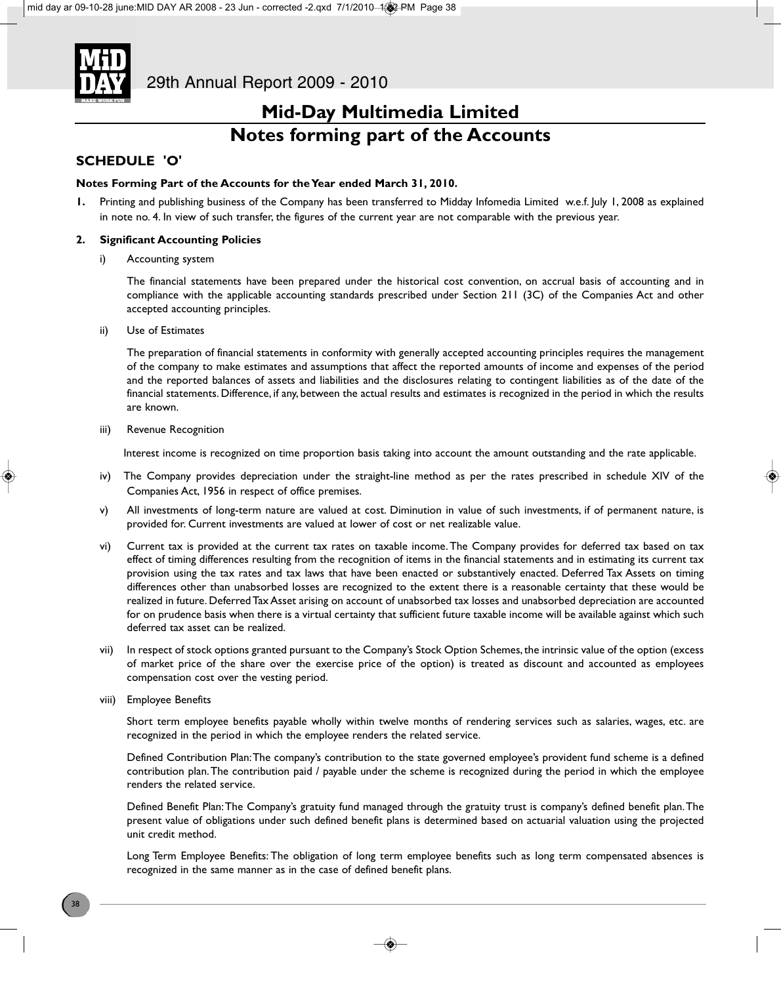

### **SCHEDULE 'O'**

#### **Notes Forming Part of the Accounts for the Year ended March 31, 2010.**

**1.** Printing and publishing business of the Company has been transferred to Midday Infomedia Limited w.e.f. July 1, 2008 as explained in note no. 4. In view of such transfer, the figures of the current year are not comparable with the previous year.

### **2. Significant Accounting Policies**

i) Accounting system

The financial statements have been prepared under the historical cost convention, on accrual basis of accounting and in compliance with the applicable accounting standards prescribed under Section 211 (3C) of the Companies Act and other accepted accounting principles.

ii) Use of Estimates

The preparation of financial statements in conformity with generally accepted accounting principles requires the management of the company to make estimates and assumptions that affect the reported amounts of income and expenses of the period and the reported balances of assets and liabilities and the disclosures relating to contingent liabilities as of the date of the financial statements. Difference, if any, between the actual results and estimates is recognized in the period in which the results are known.

iii) Revenue Recognition

Interest income is recognized on time proportion basis taking into account the amount outstanding and the rate applicable.

- iv) The Company provides depreciation under the straight-line method as per the rates prescribed in schedule XIV of the Companies Act, 1956 in respect of office premises.
- v) All investments of long-term nature are valued at cost. Diminution in value of such investments, if of permanent nature, is provided for. Current investments are valued at lower of cost or net realizable value.
- vi) Current tax is provided at the current tax rates on taxable income. The Company provides for deferred tax based on tax effect of timing differences resulting from the recognition of items in the financial statements and in estimating its current tax provision using the tax rates and tax laws that have been enacted or substantively enacted. Deferred Tax Assets on timing differences other than unabsorbed losses are recognized to the extent there is a reasonable certainty that these would be realized in future. Deferred Tax Asset arising on account of unabsorbed tax losses and unabsorbed depreciation are accounted for on prudence basis when there is a virtual certainty that sufficient future taxable income will be available against which such deferred tax asset can be realized.
- vii) In respect of stock options granted pursuant to the Company's Stock Option Schemes, the intrinsic value of the option (excess of market price of the share over the exercise price of the option) is treated as discount and accounted as employees compensation cost over the vesting period.
- viii) Employee Benefits

Short term employee benefits payable wholly within twelve months of rendering services such as salaries, wages, etc. are recognized in the period in which the employee renders the related service.

Defined Contribution Plan: The company's contribution to the state governed employee's provident fund scheme is a defined contribution plan. The contribution paid / payable under the scheme is recognized during the period in which the employee renders the related service.

Defined Benefit Plan: The Company's gratuity fund managed through the gratuity trust is company's defined benefit plan. The present value of obligations under such defined benefit plans is determined based on actuarial valuation using the projected unit credit method.

Long Term Employee Benefits: The obligation of long term employee benefits such as long term compensated absences is recognized in the same manner as in the case of defined benefit plans.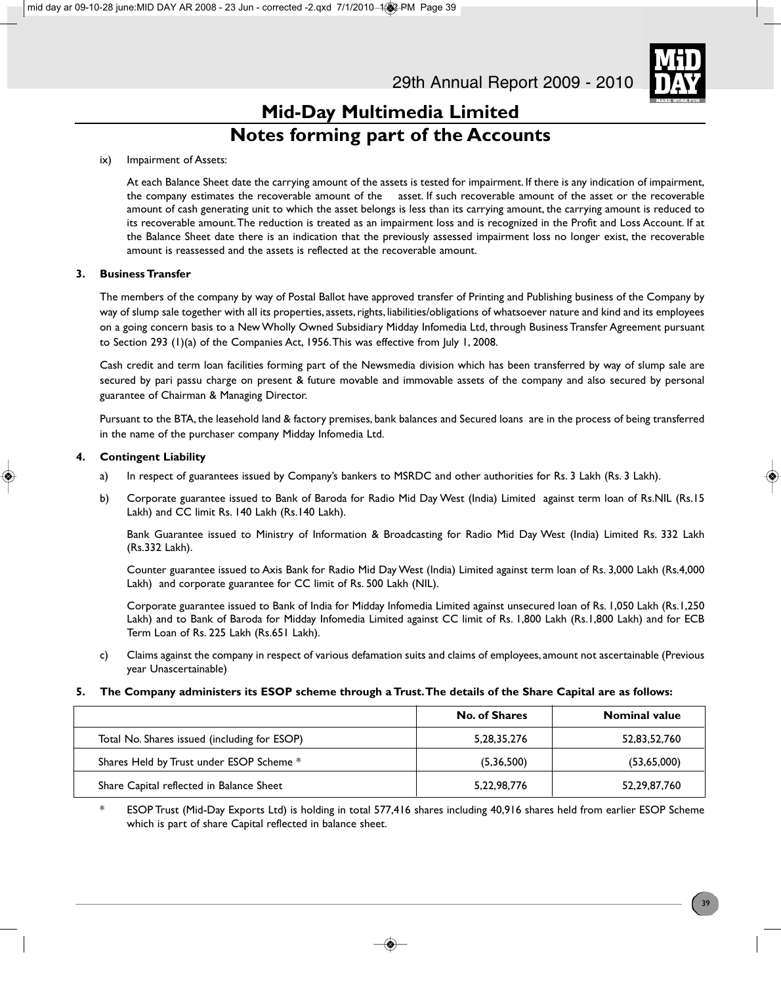

### ix) Impairment of Assets:

At each Balance Sheet date the carrying amount of the assets is tested for impairment. If there is any indication of impairment, the company estimates the recoverable amount of the asset. If such recoverable amount of the asset or the recoverable amount of cash generating unit to which the asset belongs is less than its carrying amount, the carrying amount is reduced to its recoverable amount. The reduction is treated as an impairment loss and is recognized in the Profit and Loss Account. If at the Balance Sheet date there is an indication that the previously assessed impairment loss no longer exist, the recoverable amount is reassessed and the assets is reflected at the recoverable amount.

### **3. Business Transfer**

The members of the company by way of Postal Ballot have approved transfer of Printing and Publishing business of the Company by way of slump sale together with all its properties, assets, rights, liabilities/obligations of whatsoever nature and kind and its employees on a going concern basis to a New Wholly Owned Subsidiary Midday Infomedia Ltd, through Business Transfer Agreement pursuant to Section 293 (1)(a) of the Companies Act, 1956. This was effective from July 1, 2008.

Cash credit and term loan facilities forming part of the Newsmedia division which has been transferred by way of slump sale are secured by pari passu charge on present & future movable and immovable assets of the company and also secured by personal guarantee of Chairman & Managing Director.

Pursuant to the BTA, the leasehold land & factory premises, bank balances and Secured loans are in the process of being transferred in the name of the purchaser company Midday Infomedia Ltd.

### **4. Contingent Liability**

- a) In respect of guarantees issued by Company's bankers to MSRDC and other authorities for Rs. 3 Lakh (Rs. 3 Lakh).
- b) Corporate guarantee issued to Bank of Baroda for Radio Mid Day West (India) Limited against term loan of Rs.NIL (Rs.15 Lakh) and CC limit Rs. 140 Lakh (Rs.140 Lakh).

Bank Guarantee issued to Ministry of Information & Broadcasting for Radio Mid Day West (India) Limited Rs. 332 Lakh (Rs.332 Lakh).

Counter guarantee issued to Axis Bank for Radio Mid Day West (India) Limited against term loan of Rs. 3,000 Lakh (Rs.4,000 Lakh) and corporate guarantee for CC limit of Rs. 500 Lakh (NIL).

Corporate guarantee issued to Bank of India for Midday Infomedia Limited against unsecured loan of Rs. 1,050 Lakh (Rs.1,250 Lakh) and to Bank of Baroda for Midday Infomedia Limited against CC limit of Rs. 1,800 Lakh (Rs.1,800 Lakh) and for ECB Term Loan of Rs. 225 Lakh (Rs.651 Lakh).

c) Claims against the company in respect of various defamation suits and claims of employees, amount not ascertainable (Previous year Unascertainable)

#### **5. The Company administers its ESOP scheme through a Trust. The details of the Share Capital are as follows:**

|                                              | <b>No. of Shares</b> | <b>Nominal value</b> |
|----------------------------------------------|----------------------|----------------------|
| Total No. Shares issued (including for ESOP) | 5, 28, 35, 276       | 52,83,52,760         |
| Shares Held by Trust under ESOP Scheme *     | (5,36,500)           | (53,65,000)          |
| Share Capital reflected in Balance Sheet     | 5,22,98,776          | 52,29,87,760         |

\* ESOP Trust (Mid-Day Exports Ltd) is holding in total 577,416 shares including 40,916 shares held from earlier ESOP Scheme which is part of share Capital reflected in balance sheet.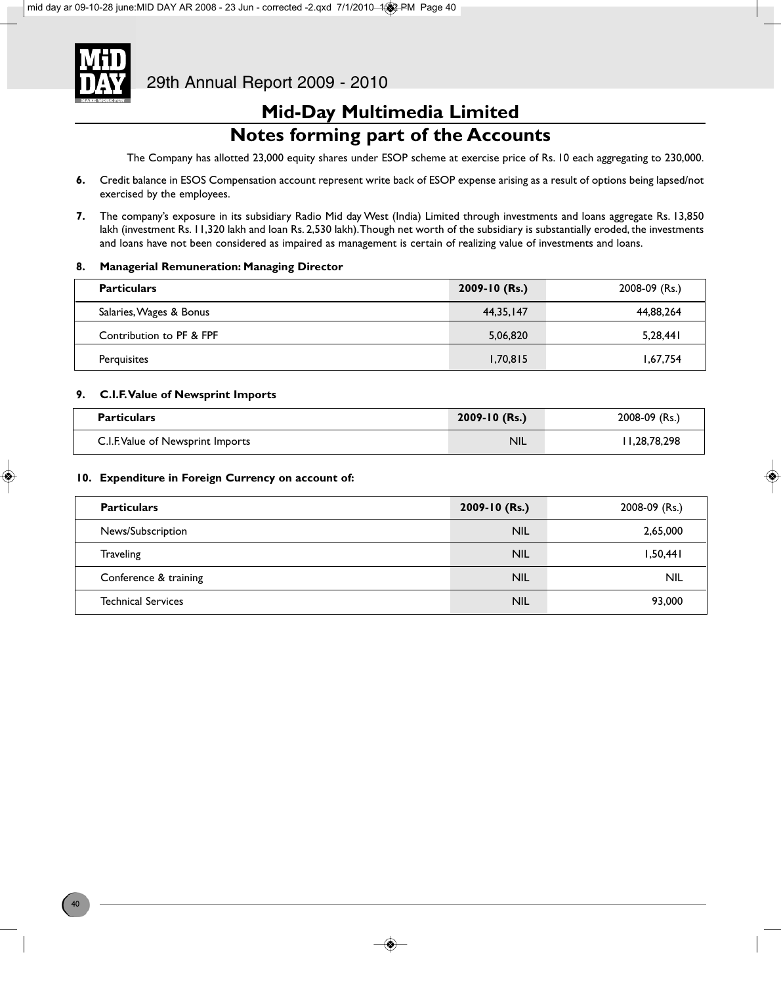

The Company has allotted 23,000 equity shares under ESOP scheme at exercise price of Rs. 10 each aggregating to 230,000.

- **6.** Credit balance in ESOS Compensation account represent write back of ESOP expense arising as a result of options being lapsed/not exercised by the employees.
- **7.** The company's exposure in its subsidiary Radio Mid day West (India) Limited through investments and loans aggregate Rs. 13,850 lakh (investment Rs. II,320 lakh and loan Rs. 2,530 lakh). Though net worth of the subsidiary is substantially eroded, the investments and loans have not been considered as impaired as management is certain of realizing value of investments and loans.

#### **8. Managerial Remuneration: Managing Director**

| <b>Particulars</b>       | $2009 - 10$ (Rs.) | 2008-09 (Rs.) |
|--------------------------|-------------------|---------------|
| Salaries, Wages & Bonus  | 44.35.147         | 44,88,264     |
| Contribution to PF & FPF | 5,06,820          | 5,28,441      |
| Perquisites              | 1,70,815          | 1,67,754      |

#### **9. C.I.F. Value of Newsprint Imports**

| <b>Particulars</b>                | $2009 - 10$ (Rs.) | 2008-09 (Rs.) |
|-----------------------------------|-------------------|---------------|
| C.I.F. Value of Newsprint Imports | <b>NIL</b>        | 11,28,78,298  |

#### **10. Expenditure in Foreign Currency on account of:**

| <b>Particulars</b>        | 2009-10 (Rs.) | 2008-09 (Rs.) |
|---------------------------|---------------|---------------|
| News/Subscription         | <b>NIL</b>    | 2,65,000      |
| <b>Traveling</b>          | <b>NIL</b>    | 1,50,441      |
| Conference & training     | <b>NIL</b>    | <b>NIL</b>    |
| <b>Technical Services</b> | <b>NIL</b>    | 93,000        |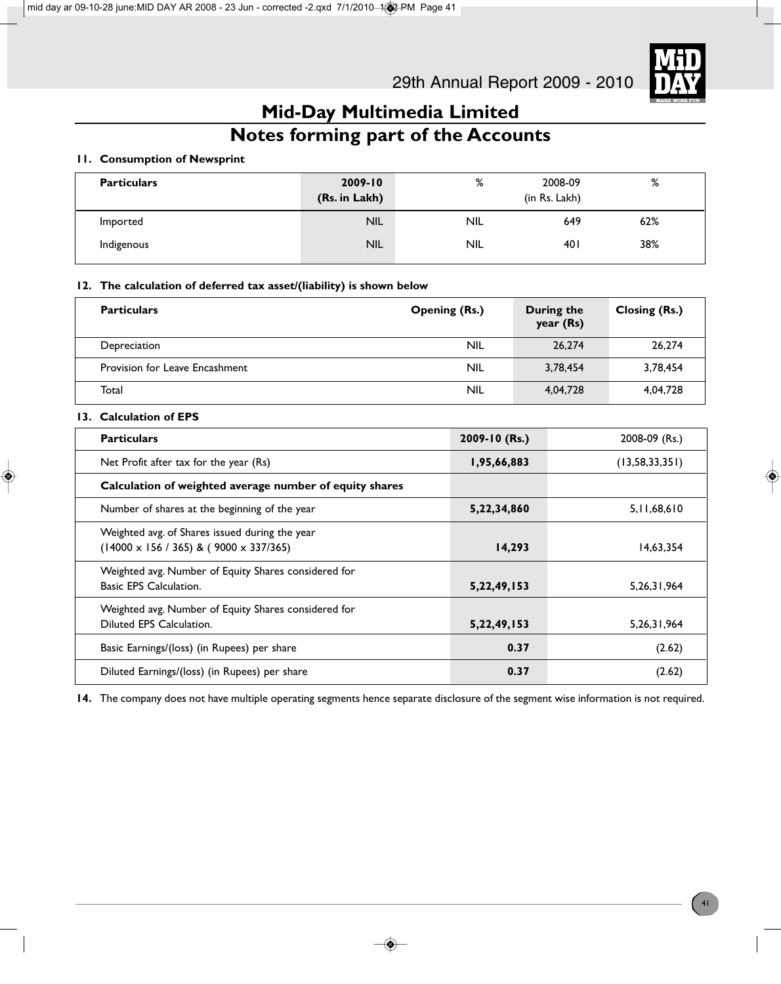

# **Notes forming part of the Accounts**

### **11. Consumption of Newsprint**

| <b>Particulars</b> | $2009 - 10$<br>(Rs. in Lakh) | %          | 2008-09<br>(in Rs. Lakh) | ℅   |
|--------------------|------------------------------|------------|--------------------------|-----|
| Imported           | <b>NIL</b>                   | <b>NIL</b> | 649                      | 62% |
| Indigenous         | <b>NIL</b>                   | <b>NIL</b> | 40 I                     | 38% |

### **12. The calculation of deferred tax asset/(liability) is shown below**

| <b>Particulars</b>             | <b>Opening (Rs.)</b> | During the<br>year (Rs) | Closing (Rs.) |
|--------------------------------|----------------------|-------------------------|---------------|
| Depreciation                   | <b>NIL</b>           | 26,274                  | 26,274        |
| Provision for Leave Encashment | NIL                  | 3,78,454                | 3,78,454      |
| Total                          | <b>NIL</b>           | 4,04,728                | 4,04,728      |

### **13. Calculation of EPS**

| <b>Particulars</b>                                                                                       | 2009-10 (Rs.) | 2008-09 (Rs.)     |
|----------------------------------------------------------------------------------------------------------|---------------|-------------------|
| Net Profit after tax for the year (Rs)                                                                   | 1,95,66,883   | (13, 58, 33, 351) |
| Calculation of weighted average number of equity shares                                                  |               |                   |
| Number of shares at the beginning of the year                                                            | 5,22,34,860   | 5,11,68,610       |
| Weighted avg. of Shares issued during the year<br>$(14000 \times 156 / 365)$ & $(9000 \times 337 / 365)$ | 14,293        | 14,63,354         |
| Weighted avg. Number of Equity Shares considered for<br><b>Basic EPS Calculation.</b>                    | 5,22,49,153   | 5, 26, 31, 964    |
| Weighted avg. Number of Equity Shares considered for<br>Diluted EPS Calculation.                         | 5,22,49,153   | 5, 26, 31, 964    |
| Basic Earnings/(loss) (in Rupees) per share                                                              | 0.37          | (2.62)            |
| Diluted Earnings/(loss) (in Rupees) per share                                                            | 0.37          | (2.62)            |

**14.** The company does not have multiple operating segments hence separate disclosure of the segment wise information is not required.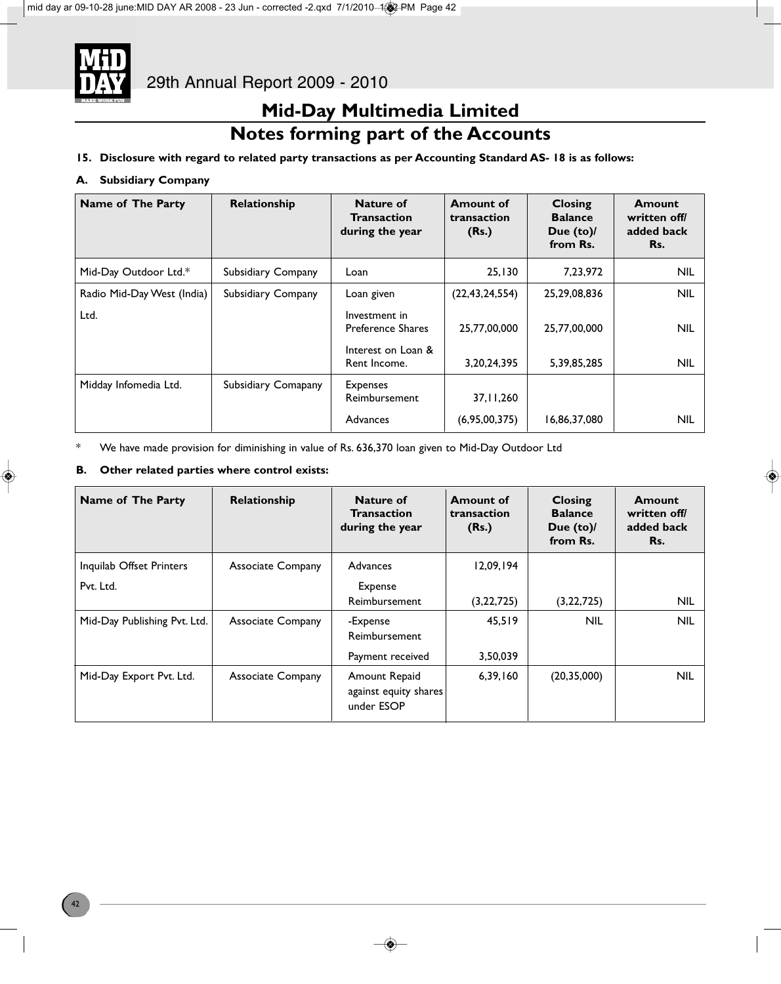

### **Notes forming part of the Accounts**

### **15. Disclosure with regard to related party transactions as per Accounting Standard AS- 18 is as follows:**

### **A. Subsidiary Company**

| Name of The Party          | Relationship        | Nature of<br><b>Transaction</b><br>during the year | <b>Amount of</b><br>transaction<br>(Rs.) | <b>Closing</b><br><b>Balance</b><br>Due (to)/<br>from Rs. | Amount<br>written off/<br>added back<br>Rs. |
|----------------------------|---------------------|----------------------------------------------------|------------------------------------------|-----------------------------------------------------------|---------------------------------------------|
| Mid-Day Outdoor Ltd.*      | Subsidiary Company  | Loan                                               | 25.130                                   | 7,23,972                                                  | <b>NIL</b>                                  |
| Radio Mid-Day West (India) | Subsidiary Company  | Loan given                                         | (22, 43, 24, 554)                        | 25,29,08,836                                              | <b>NIL</b>                                  |
| Ltd.                       |                     | Investment in<br><b>Preference Shares</b>          | 25,77,00,000                             | 25,77,00,000                                              | <b>NIL</b>                                  |
|                            |                     | Interest on Loan &<br>Rent Income.                 | 3, 20, 24, 395                           | 5,39,85,285                                               | <b>NIL</b>                                  |
| Midday Infomedia Ltd.      | Subsidiary Comapany | <b>Expenses</b><br>Reimbursement                   | 37, 11, 260                              |                                                           |                                             |
|                            |                     | Advances                                           | (6,95,00,375)                            | 16,86,37,080                                              | NIL                                         |

\* We have made provision for diminishing in value of Rs. 636,370 loan given to Mid-Day Outdoor Ltd

### **B. Other related parties where control exists:**

| Name of The Party            | Relationship             | Nature of<br><b>Transaction</b><br>during the year   | <b>Amount of</b><br>transaction<br>(Rs.) | <b>Closing</b><br><b>Balance</b><br>Due $(to)$<br>from Rs. | Amount<br>written off/<br>added back<br>Rs. |
|------------------------------|--------------------------|------------------------------------------------------|------------------------------------------|------------------------------------------------------------|---------------------------------------------|
| Inquilab Offset Printers     | <b>Associate Company</b> | Advances                                             | 12,09,194                                |                                                            |                                             |
| Pvt. Ltd.                    |                          | Expense                                              |                                          |                                                            |                                             |
|                              |                          | Reimbursement                                        | (3, 22, 725)                             | (3, 22, 725)                                               | <b>NIL</b>                                  |
| Mid-Day Publishing Pvt. Ltd. | <b>Associate Company</b> | -Expense                                             | 45.519                                   | <b>NIL</b>                                                 | <b>NIL</b>                                  |
|                              |                          | Reimbursement                                        |                                          |                                                            |                                             |
|                              |                          | Payment received                                     | 3,50,039                                 |                                                            |                                             |
| Mid-Day Export Pvt. Ltd.     | <b>Associate Company</b> | Amount Repaid<br>against equity shares<br>under ESOP | 6,39,160                                 | (20, 35, 000)                                              | <b>NIL</b>                                  |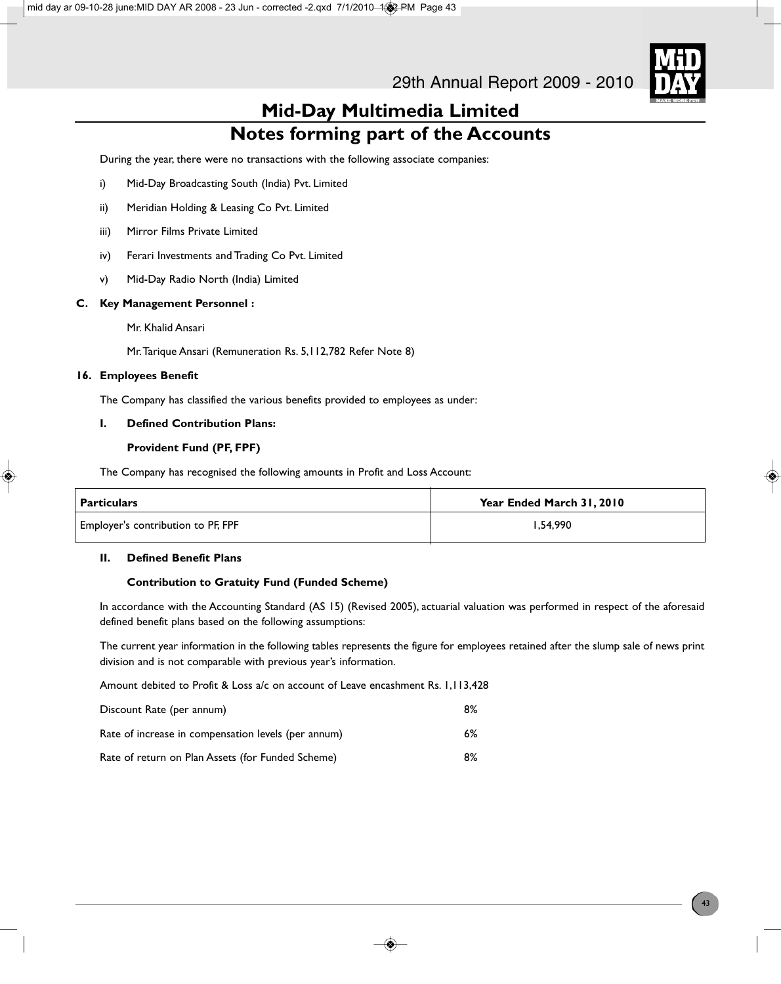

During the year, there were no transactions with the following associate companies:

- i) Mid-Day Broadcasting South (India) Pvt. Limited
- ii) Meridian Holding & Leasing Co Pvt. Limited
- iii) Mirror Films Private Limited
- iv) Ferari Investments and Trading Co Pvt. Limited
- v) Mid-Day Radio North (India) Limited

#### **C. Key Management Personnel :**

Mr. Khalid Ansari

Mr. Tarique Ansari (Remuneration Rs. 5,112,782 Refer Note 8)

### **16. Employees Benefit**

The Company has classified the various benefits provided to employees as under:

### **I. Defined Contribution Plans:**

### **Provident Fund (PF, FPF)**

The Company has recognised the following amounts in Profit and Loss Account:

| $\mathsf I$ Particulars            | Year Ended March 31, 2010 |
|------------------------------------|---------------------------|
| Employer's contribution to PF, FPF | .54.990                   |

### **II. Defined Benefit Plans**

#### **Contribution to Gratuity Fund (Funded Scheme)**

In accordance with the Accounting Standard (AS 15) (Revised 2005), actuarial valuation was performed in respect of the aforesaid defined benefit plans based on the following assumptions:

The current year information in the following tables represents the figure for employees retained after the slump sale of news print division and is not comparable with previous year's information.

Amount debited to Profit & Loss a/c on account of Leave encashment Rs. 1,113,428

| Discount Rate (per annum)                           | 8% |
|-----------------------------------------------------|----|
| Rate of increase in compensation levels (per annum) | 6% |
| Rate of return on Plan Assets (for Funded Scheme)   | 8% |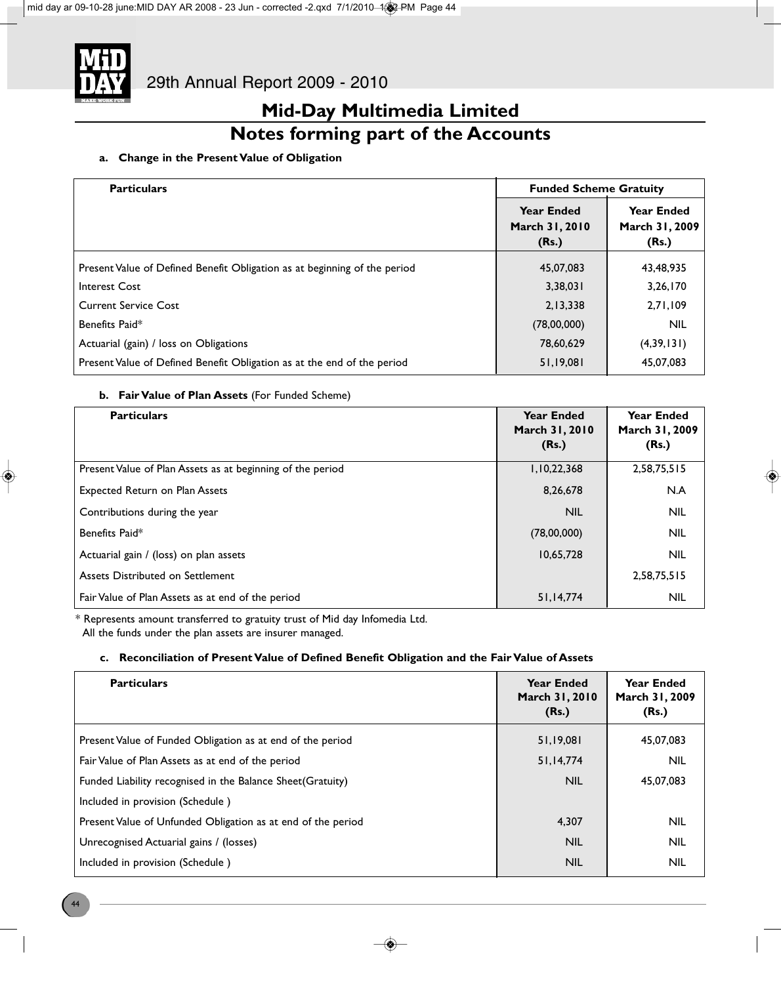

### **Notes forming part of the Accounts**

### **a. Change in the Present Value of Obligation**

| <b>Particulars</b>                                                        | <b>Funded Scheme Gratuity</b>                |                                              |
|---------------------------------------------------------------------------|----------------------------------------------|----------------------------------------------|
|                                                                           | <b>Year Ended</b><br>March 31, 2010<br>(Rs.) | <b>Year Ended</b><br>March 31, 2009<br>(Rs.) |
| Present Value of Defined Benefit Obligation as at beginning of the period | 45.07.083                                    | 43,48,935                                    |
| <b>Interest Cost</b>                                                      | 3,38,031                                     | 3,26,170                                     |
| <b>Current Service Cost</b>                                               | 2,13,338                                     | 2,71,109                                     |
| Benefits Paid*                                                            | (78,00,000)                                  | <b>NIL</b>                                   |
| Actuarial (gain) / loss on Obligations                                    | 78,60,629                                    | (4,39,131)                                   |
| Present Value of Defined Benefit Obligation as at the end of the period   | 51,19,081                                    | 45,07,083                                    |

### **b. Fair Value of Plan Assets** (For Funded Scheme)

| <b>Particulars</b>                                         | <b>Year Ended</b><br>March 31, 2010<br>(Rs.) | <b>Year Ended</b><br>March 31, 2009<br>(Rs.) |
|------------------------------------------------------------|----------------------------------------------|----------------------------------------------|
| Present Value of Plan Assets as at beginning of the period | 1,10,22,368                                  | 2,58,75,515                                  |
| <b>Expected Return on Plan Assets</b>                      | 8,26,678                                     | N.A                                          |
| Contributions during the year                              | <b>NIL</b>                                   | <b>NIL</b>                                   |
| Benefits Paid*                                             | (78,00,000)                                  | <b>NIL</b>                                   |
| Actuarial gain / (loss) on plan assets                     | 10,65,728                                    | <b>NIL</b>                                   |
| Assets Distributed on Settlement                           |                                              | 2,58,75,515                                  |
| Fair Value of Plan Assets as at end of the period          | 51,14,774                                    | <b>NIL</b>                                   |

\* Represents amount transferred to gratuity trust of Mid day Infomedia Ltd.

All the funds under the plan assets are insurer managed.

### **c. Reconciliation of Present Value of Defined Benefit Obligation and the Fair Value of Assets**

| <b>Particulars</b>                                           | <b>Year Ended</b><br>March 31, 2010<br>(Rs.) | <b>Year Ended</b><br>March 31, 2009<br>(Rs.) |
|--------------------------------------------------------------|----------------------------------------------|----------------------------------------------|
| Present Value of Funded Obligation as at end of the period   | 51,19,081                                    | 45,07,083                                    |
| Fair Value of Plan Assets as at end of the period            | 51,14,774                                    | <b>NIL</b>                                   |
| Funded Liability recognised in the Balance Sheet (Gratuity)  | <b>NIL</b>                                   | 45.07.083                                    |
| Included in provision (Schedule)                             |                                              |                                              |
| Present Value of Unfunded Obligation as at end of the period | 4,307                                        | <b>NIL</b>                                   |
| Unrecognised Actuarial gains / (losses)                      | <b>NIL</b>                                   | <b>NIL</b>                                   |
| Included in provision (Schedule)                             | <b>NIL</b>                                   | <b>NIL</b>                                   |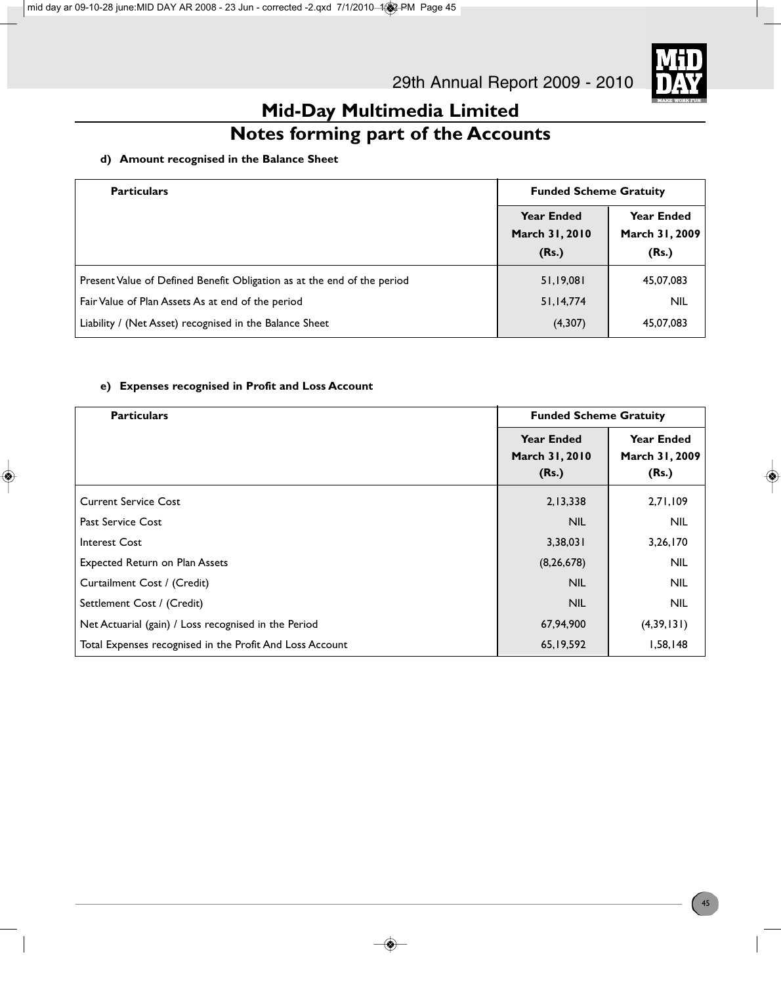

### **Notes forming part of the Accounts**

### **d) Amount recognised in the Balance Sheet**

| <b>Particulars</b>                                                      | <b>Funded Scheme Gratuity</b>                |                                              |
|-------------------------------------------------------------------------|----------------------------------------------|----------------------------------------------|
|                                                                         | <b>Year Ended</b><br>March 31, 2010<br>(Rs.) | <b>Year Ended</b><br>March 31, 2009<br>(Rs.) |
| Present Value of Defined Benefit Obligation as at the end of the period | 51,19,081                                    | 45,07,083                                    |
| Fair Value of Plan Assets As at end of the period                       | 51,14,774                                    | <b>NIL</b>                                   |
| Liability / (Net Asset) recognised in the Balance Sheet                 | (4,307)                                      | 45,07,083                                    |

### **e) Expenses recognised in Profit and Loss Account**

| <b>Particulars</b>                                       | <b>Funded Scheme Gratuity</b>                |                                              |
|----------------------------------------------------------|----------------------------------------------|----------------------------------------------|
|                                                          | <b>Year Ended</b><br>March 31, 2010<br>(Rs.) | <b>Year Ended</b><br>March 31, 2009<br>(Rs.) |
| <b>Current Service Cost</b>                              | 2,13,338                                     | 2,71,109                                     |
| <b>Past Service Cost</b>                                 | <b>NIL</b>                                   | <b>NIL</b>                                   |
| Interest Cost                                            | 3,38,031                                     | 3,26,170                                     |
| Expected Return on Plan Assets                           | (8, 26, 678)                                 | <b>NIL</b>                                   |
| Curtailment Cost / (Credit)                              | <b>NIL</b>                                   | <b>NIL</b>                                   |
| Settlement Cost / (Credit)                               | <b>NIL</b>                                   | <b>NIL</b>                                   |
| Net Actuarial (gain) / Loss recognised in the Period     | 67,94,900                                    | (4,39,131)                                   |
| Total Expenses recognised in the Profit And Loss Account | 65, 19, 592                                  | 1,58,148                                     |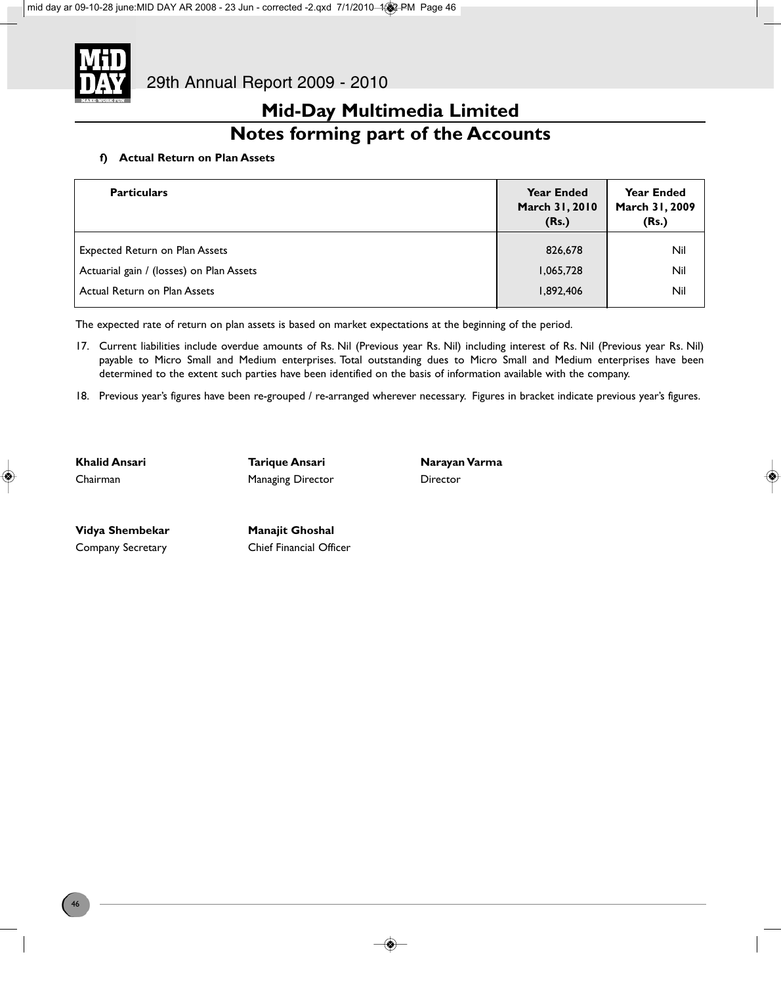

### **Notes forming part of the Accounts**

### **f) Actual Return on Plan Assets**

| <b>Particulars</b>                       | <b>Year Ended</b><br>March 31, 2010<br>(Rs.) | <b>Year Ended</b><br>March 31, 2009<br>(Rs.) |
|------------------------------------------|----------------------------------------------|----------------------------------------------|
| <b>Expected Return on Plan Assets</b>    | 826,678                                      | Nil                                          |
| Actuarial gain / (losses) on Plan Assets | 1,065,728                                    | Nil                                          |
| Actual Return on Plan Assets             | 1.892.406                                    | Nil                                          |

The expected rate of return on plan assets is based on market expectations at the beginning of the period.

- 17. Current liabilities include overdue amounts of Rs. Nil (Previous year Rs. Nil) including interest of Rs. Nil (Previous year Rs. Nil) payable to Micro Small and Medium enterprises. Total outstanding dues to Micro Small and Medium enterprises have been determined to the extent such parties have been identified on the basis of information available with the company.
- 18. Previous year's figures have been re-grouped / re-arranged wherever necessary. Figures in bracket indicate previous year's figures.

**Khalid Ansari Tarique Ansari Narayan Varma** Chairman **Managing Director** Director

Vidya Shembekar **Manajit Ghoshal** 

Company Secretary Chief Financial Officer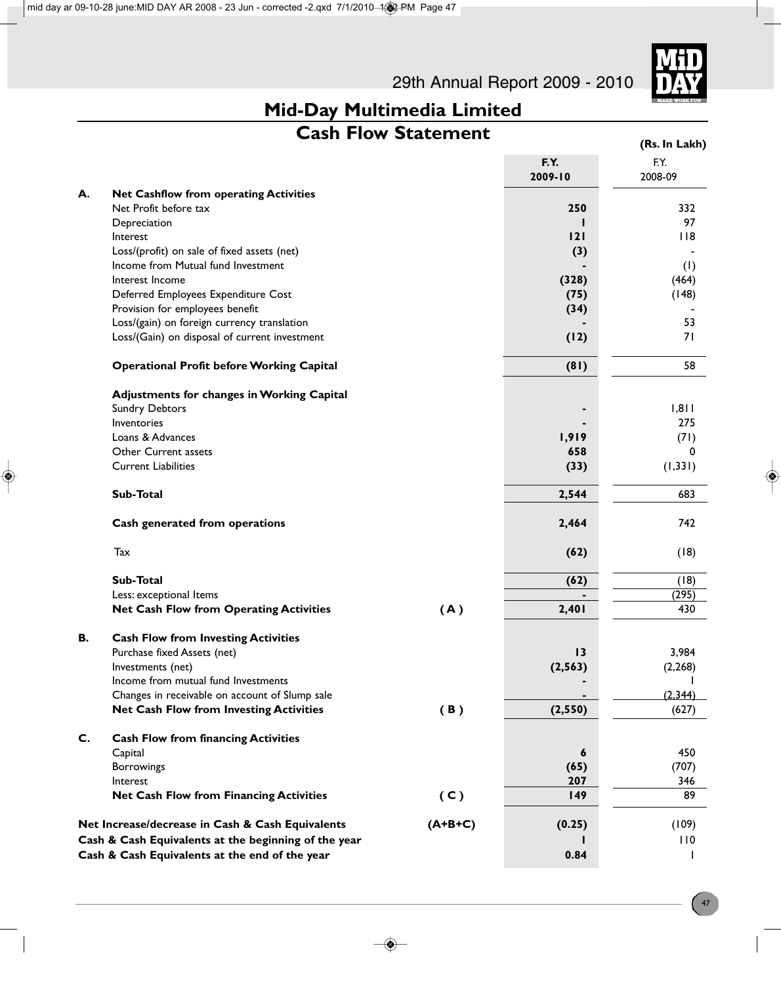

### **Cash Flow Statement**

|    |                                                      |           |                 | (Rs. In Lakh)   |
|----|------------------------------------------------------|-----------|-----------------|-----------------|
|    |                                                      |           | F.Y.<br>2009-10 | F.Y.<br>2008-09 |
| А. | Net Cashflow from operating Activities               |           |                 |                 |
|    | Net Profit before tax                                |           | 250             | 332             |
|    | Depreciation                                         |           |                 | 97              |
|    | Interest                                             |           | 121             | 118             |
|    | Loss/(profit) on sale of fixed assets (net)          |           | (3)             |                 |
|    | Income from Mutual fund Investment                   |           |                 | (1)             |
|    | Interest Income                                      |           | (328)           | (464)           |
|    | Deferred Employees Expenditure Cost                  |           | (75)            | (148)           |
|    | Provision for employees benefit                      |           | (34)            |                 |
|    | Loss/(gain) on foreign currency translation          |           |                 | 53<br>71        |
|    | Loss/(Gain) on disposal of current investment        |           | (12)            |                 |
|    | <b>Operational Profit before Working Capital</b>     |           | (81)            | 58              |
|    | Adjustments for changes in Working Capital           |           |                 |                 |
|    | <b>Sundry Debtors</b>                                |           |                 | 1,811           |
|    | Inventories                                          |           |                 | 275             |
|    | Loans & Advances                                     |           | 1,919           | (71)            |
|    | Other Current assets                                 |           | 658             | 0               |
|    | <b>Current Liabilities</b>                           |           | (33)            | (1, 331)        |
|    | Sub-Total                                            |           | 2,544           | 683             |
|    | Cash generated from operations                       |           | 2,464           | 742             |
|    | Tax                                                  |           | (62)            | (18)            |
|    | Sub-Total                                            |           | (62)            | (18)            |
|    | Less: exceptional Items                              |           |                 | (295)           |
|    | <b>Net Cash Flow from Operating Activities</b>       | (A)       | 2,401           | 430             |
| В. | <b>Cash Flow from Investing Activities</b>           |           |                 |                 |
|    | Purchase fixed Assets (net)                          |           | 13              | 3,984           |
|    | Investments (net)                                    |           | (2, 563)        | (2, 268)        |
|    | Income from mutual fund Investments                  |           |                 |                 |
|    | Changes in receivable on account of Slump sale       |           |                 | (2,344)         |
|    | <b>Net Cash Flow from Investing Activities</b>       | (B)       | (2, 550)        | (627)           |
| C. | <b>Cash Flow from financing Activities</b>           |           |                 |                 |
|    | Capital                                              |           | 6               | 450             |
|    | <b>Borrowings</b>                                    |           | (65)            | (707)           |
|    | Interest                                             |           | 207             | 346             |
|    | <b>Net Cash Flow from Financing Activities</b>       | (C)       | 149             | 89              |
|    | Net Increase/decrease in Cash & Cash Equivalents     | $(A+B+C)$ | (0.25)          | (109)           |
|    | Cash & Cash Equivalents at the beginning of the year |           |                 | 110             |
|    | Cash & Cash Equivalents at the end of the year       |           | 0.84            |                 |
|    |                                                      |           |                 |                 |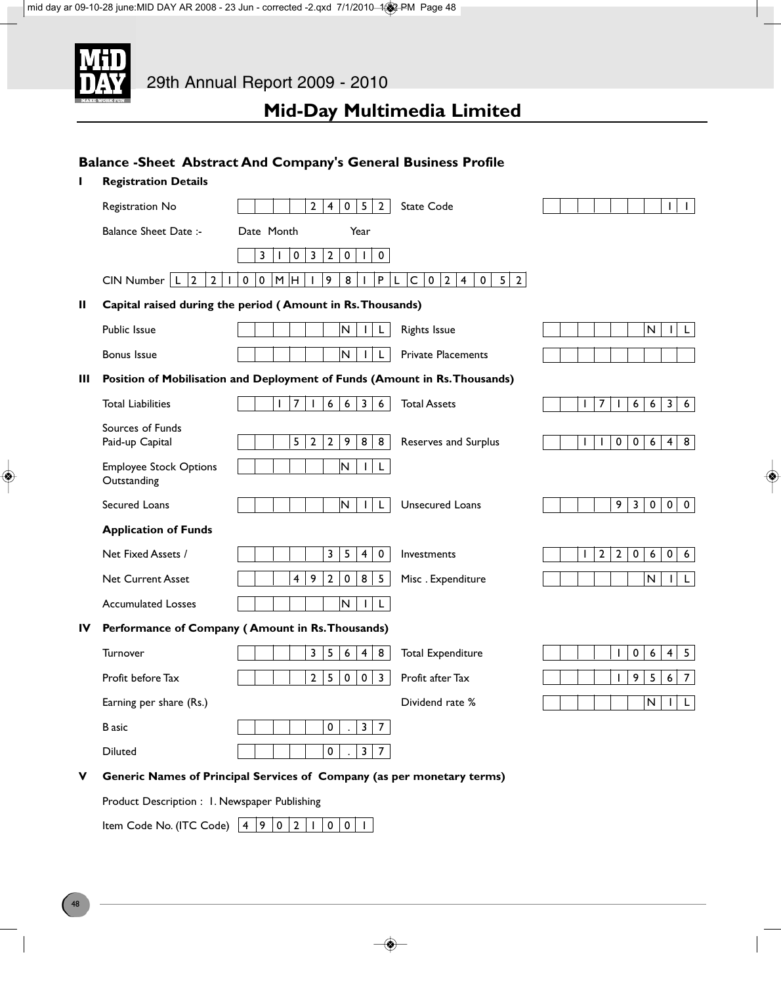

### **Balance -Sheet Abstract And Company's General Business Profile**

| п           | <b>Registration Details</b>                         |                                                                                                                                              |                                                                                       |
|-------------|-----------------------------------------------------|----------------------------------------------------------------------------------------------------------------------------------------------|---------------------------------------------------------------------------------------|
|             | Registration No                                     | $\overline{2}$<br>$5\overline{5}$<br>$\overline{4}$<br>$\mathbf 0$<br>$\overline{2}$<br><b>State Code</b>                                    | $\mathbf{I}$<br>L                                                                     |
|             | <b>Balance Sheet Date:-</b>                         | Date Month<br>Year                                                                                                                           |                                                                                       |
|             |                                                     | $\mathbf 2$<br>3<br>0<br>3<br>0<br>$\mathsf{O}\xspace$                                                                                       |                                                                                       |
|             | $\overline{2}$<br>$CIN$ Number $ L$<br>$\mathbf{2}$ | $\pmb{0}$<br>M H<br>9<br>8<br>P<br>$\mathsf C$<br>$\mathbf 0$<br>$\vert 2 \vert$<br>$\mathbf 0$<br>$5 \mid 2$<br>$\pmb{0}$<br>$\overline{4}$ |                                                                                       |
| Ш           |                                                     | Capital raised during the period (Amount in Rs. Thousands)                                                                                   |                                                                                       |
|             | Public Issue                                        | $\overline{\mathsf{N}}$<br><b>Rights Issue</b>                                                                                               | N<br>L.                                                                               |
|             | <b>Bonus Issue</b>                                  | $\overline{\mathsf{N}}$<br><b>Private Placements</b><br>L                                                                                    |                                                                                       |
| Ш           |                                                     | Position of Mobilisation and Deployment of Funds (Amount in Rs. Thousands)                                                                   |                                                                                       |
|             | <b>Total Liabilities</b>                            | $\overline{7}$<br>$\boldsymbol{6}$<br>$\overline{\mathbf{3}}$<br>$\boldsymbol{6}$<br><b>Total Assets</b><br>$\mathbf{I}$<br>6                | 7<br>$\overline{\mathbf{3}}$<br>6<br>6<br>6<br>I.<br>$\mathbf{I}$                     |
|             | Sources of Funds<br>Paid-up Capital                 | 5<br>$\overline{2}$<br>9<br>8<br>8<br>2<br>Reserves and Surplus                                                                              | $\mathbf 0$<br>0<br>6<br>$\overline{\mathbf{4}}$<br>8<br>I.<br>I.                     |
|             | <b>Employee Stock Options</b><br>Outstanding        | N<br>L<br>L                                                                                                                                  |                                                                                       |
|             | Secured Loans                                       | N<br><b>Unsecured Loans</b><br>$\mathbf{I}$<br>L                                                                                             | 9<br>$\mathbf{3}$<br>$\mathbf 0$<br>$\mathbf 0$<br>$\mathbf 0$                        |
|             | <b>Application of Funds</b>                         |                                                                                                                                              |                                                                                       |
|             | Net Fixed Assets /                                  | 3<br>5<br>0<br>4<br>Investments                                                                                                              | $\mathbf{2}$<br>$\overline{2}$<br>$\pmb{0}$<br>$\pmb{0}$<br>$6\phantom{.}6$<br>6<br>ı |
|             | <b>Net Current Asset</b>                            | 9<br>$\overline{2}$<br>8<br>5<br>$\overline{4}$<br>$\pmb{0}$<br>Misc. Expenditure                                                            | N<br>$\mathsf{L}$                                                                     |
|             | <b>Accumulated Losses</b>                           | $\mathsf N$<br>$\mathbf{I}$<br>L                                                                                                             |                                                                                       |
| IV          |                                                     | Performance of Company (Amount in Rs. Thousands)                                                                                             |                                                                                       |
|             | Turnover                                            | 5<br>3<br>8<br>6<br>4<br><b>Total Expenditure</b>                                                                                            | $\mathbf 0$<br>$6\,$<br>5<br>$\overline{\mathbf{4}}$<br>$\mathbf{I}$                  |
|             | Profit before Tax                                   | $\overline{2}$<br>5<br>$\mathbf 0$<br>$\mathbf 0$<br>Profit after Tax<br>3                                                                   | 5<br>9<br>$\overline{7}$<br>$\boldsymbol{6}$<br>$\mathbf{I}$                          |
|             | Earning per share (Rs.)                             | Dividend rate %                                                                                                                              | N<br>L<br>Τ.                                                                          |
|             | <b>B</b> asic                                       | 0<br>3<br>7                                                                                                                                  |                                                                                       |
|             | Diluted                                             | $\pmb{0}$<br>3<br>$\overline{7}$                                                                                                             |                                                                                       |
| $\mathbf v$ |                                                     | Generic Names of Principal Services of Company (as per monetary terms)                                                                       |                                                                                       |
|             | Product Description : 1. Newspaper Publishing       |                                                                                                                                              |                                                                                       |
|             | Item Code No. (ITC Code)                            | $\overline{4}$<br>9.<br>$\overline{0}$<br>$\overline{2}$<br>$\mathbf 0$<br>$\mathbf 0$<br>$\mathbf{I}$                                       |                                                                                       |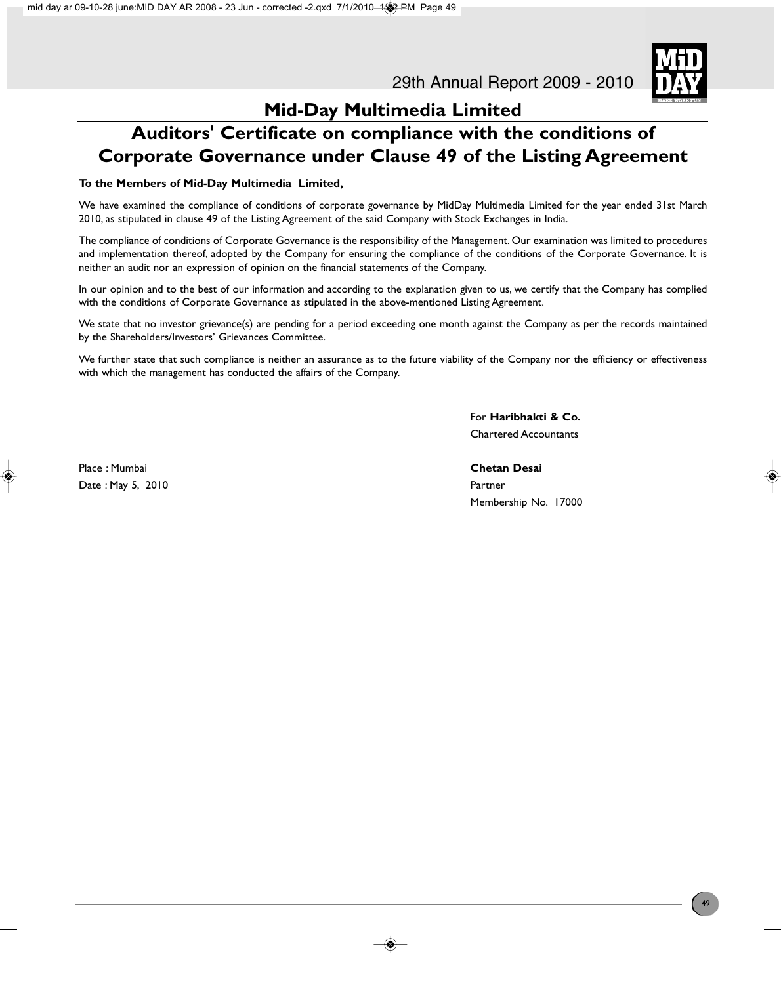

### **Auditors' Certificate on compliance with the conditions of Corporate Governance under Clause 49 of the Listing Agreement**

### **To the Members of Mid-Day Multimedia Limited,**

We have examined the compliance of conditions of corporate governance by MidDay Multimedia Limited for the year ended 31st March 2010, as stipulated in clause 49 of the Listing Agreement of the said Company with Stock Exchanges in India.

The compliance of conditions of Corporate Governance is the responsibility of the Management. Our examination was limited to procedures and implementation thereof, adopted by the Company for ensuring the compliance of the conditions of the Corporate Governance. It is neither an audit nor an expression of opinion on the financial statements of the Company.

In our opinion and to the best of our information and according to the explanation given to us, we certify that the Company has complied with the conditions of Corporate Governance as stipulated in the above-mentioned Listing Agreement.

We state that no investor grievance(s) are pending for a period exceeding one month against the Company as per the records maintained by the Shareholders/Investors' Grievances Committee.

We further state that such compliance is neither an assurance as to the future viability of the Company nor the efficiency or effectiveness with which the management has conducted the affairs of the Company.

> For **Haribhakti & Co.** Chartered Accountants

Place : Mumbai **Chetan Desai** Date : May 5, 2010 Partner New York 2010 Partner

Membership No. 17000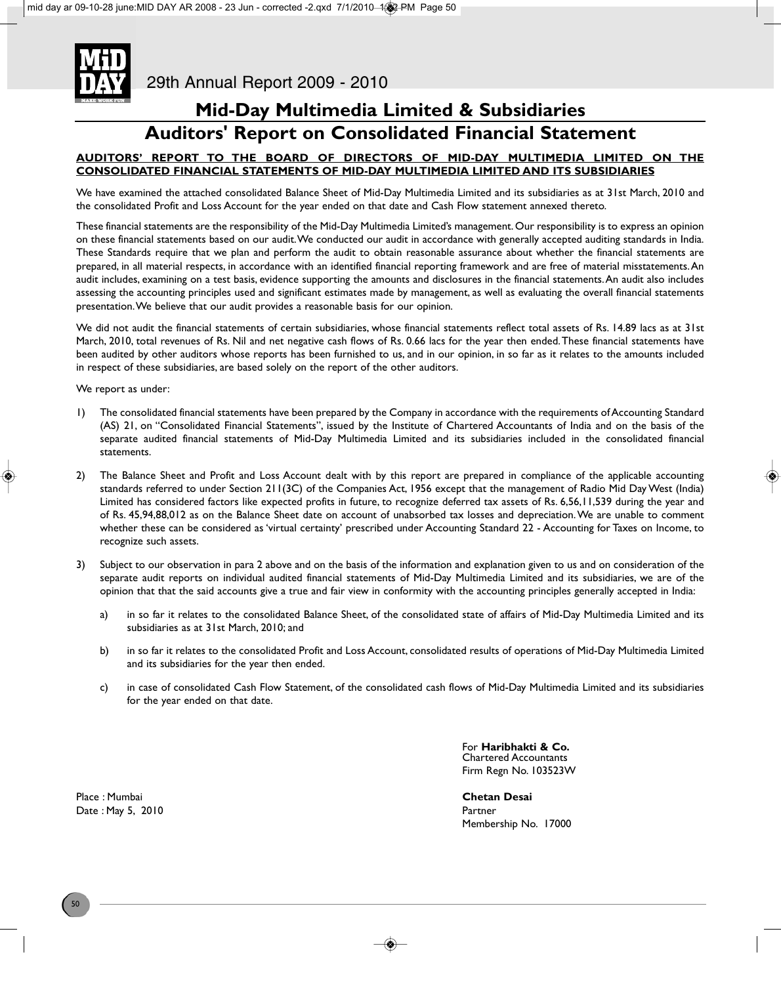# **Auditors' Report on Consolidated Financial Statement**

### **AUDITORS' REPORT TO THE BOARD OF DIRECTORS OF MID-DAY MULTIMEDIA LIMITED ON THE CONSOLIDATED FINANCIAL STATEMENTS OF MID-DAY MULTIMEDIA LIMITED AND ITS SUBSIDIARIES**

We have examined the attached consolidated Balance Sheet of Mid-Day Multimedia Limited and its subsidiaries as at 31st March, 2010 and the consolidated Profit and Loss Account for the year ended on that date and Cash Flow statement annexed thereto.

These financial statements are the responsibility of the Mid-Day Multimedia Limited's management. Our responsibility is to express an opinion on these financial statements based on our audit. We conducted our audit in accordance with generally accepted auditing standards in India. These Standards require that we plan and perform the audit to obtain reasonable assurance about whether the financial statements are prepared, in all material respects, in accordance with an identified financial reporting framework and are free of material misstatements. An audit includes, examining on a test basis, evidence supporting the amounts and disclosures in the financial statements. An audit also includes assessing the accounting principles used and significant estimates made by management, as well as evaluating the overall financial statements presentation. We believe that our audit provides a reasonable basis for our opinion.

We did not audit the financial statements of certain subsidiaries, whose financial statements reflect total assets of Rs. 14.89 lacs as at 31st March, 2010, total revenues of Rs. Nil and net negative cash flows of Rs. 0.66 lacs for the year then ended. These financial statements have been audited by other auditors whose reports has been furnished to us, and in our opinion, in so far as it relates to the amounts included in respect of these subsidiaries, are based solely on the report of the other auditors.

We report as under:

- 1) The consolidated financial statements have been prepared by the Company in accordance with the requirements of Accounting Standard (AS) 21, on "Consolidated Financial Statements", issued by the Institute of Chartered Accountants of India and on the basis of the separate audited financial statements of Mid-Day Multimedia Limited and its subsidiaries included in the consolidated financial statements.
- 2) The Balance Sheet and Profit and Loss Account dealt with by this report are prepared in compliance of the applicable accounting standards referred to under Section 211(3C) of the Companies Act, 1956 except that the management of Radio Mid Day West (India) Limited has considered factors like expected profits in future, to recognize deferred tax assets of Rs. 6,56,11,539 during the year and of Rs. 45,94,88,012 as on the Balance Sheet date on account of unabsorbed tax losses and depreciation. We are unable to comment whether these can be considered as 'virtual certainty' prescribed under Accounting Standard 22 - Accounting for Taxes on Income, to recognize such assets.
- 3) Subject to our observation in para 2 above and on the basis of the information and explanation given to us and on consideration of the separate audit reports on individual audited financial statements of Mid-Day Multimedia Limited and its subsidiaries, we are of the opinion that that the said accounts give a true and fair view in conformity with the accounting principles generally accepted in India:
	- a) in so far it relates to the consolidated Balance Sheet, of the consolidated state of affairs of Mid-Day Multimedia Limited and its subsidiaries as at 31st March, 2010; and
	- b) in so far it relates to the consolidated Profit and Loss Account, consolidated results of operations of Mid-Day Multimedia Limited and its subsidiaries for the year then ended.
	- c) in case of consolidated Cash Flow Statement, of the consolidated cash flows of Mid-Day Multimedia Limited and its subsidiaries for the year ended on that date.

For **Haribhakti & Co.** Chartered Accountants Firm Regn No. 103523W

Membership No. 17000

Place : Mumbai **Chetan Desai** Date : May 5, 2010 **Partner**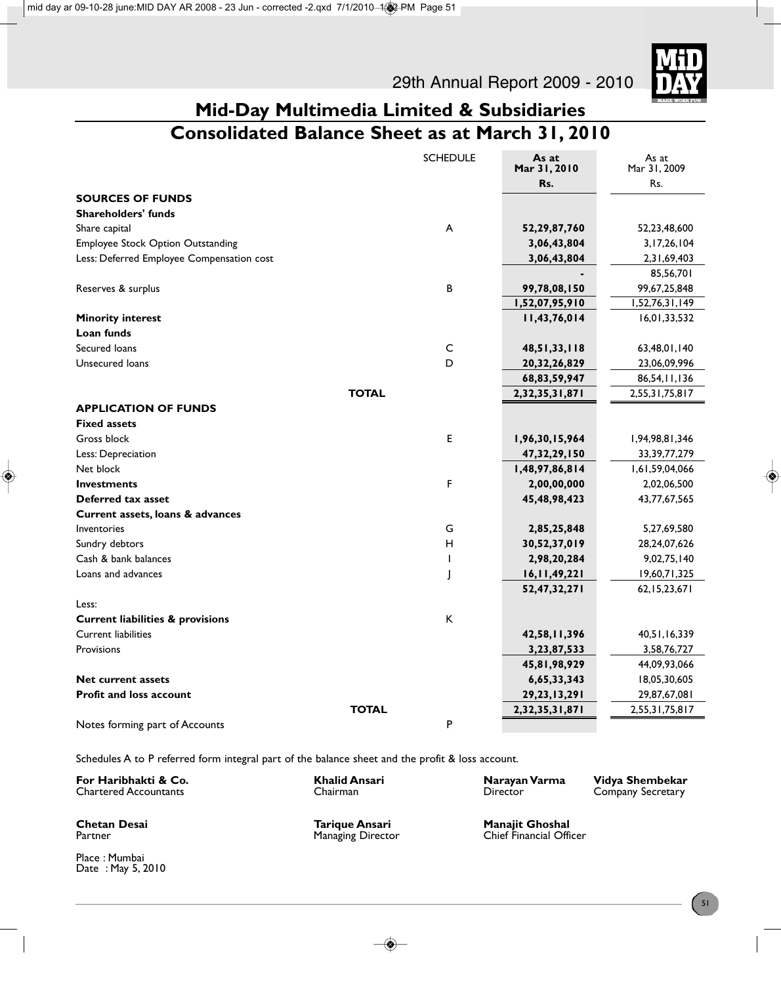

### **Mid-Day Multimedia Limited & Subsidiaries Consolidated Balance Sheet as at March 31, 2010**

|                                             | <b>SCHEDULE</b> | As at<br>Mar 31, 2010 | As at<br>Mar 31, 2009 |
|---------------------------------------------|-----------------|-----------------------|-----------------------|
|                                             |                 | Rs.                   | Rs.                   |
| <b>SOURCES OF FUNDS</b>                     |                 |                       |                       |
| <b>Shareholders' funds</b>                  |                 |                       |                       |
| Share capital                               | A               | 52,29,87,760          | 52,23,48,600          |
| Employee Stock Option Outstanding           |                 | 3,06,43,804           | 3, 17, 26, 104        |
| Less: Deferred Employee Compensation cost   |                 | 3,06,43,804           | 2,31,69,403           |
|                                             |                 |                       | 85,56,701             |
| Reserves & surplus                          | B               | 99,78,08,150          | 99,67,25,848          |
|                                             |                 | 1,52,07,95,910        | 1,52,76,31,149        |
| <b>Minority interest</b>                    |                 | 11,43,76,014          | 16,01,33,532          |
| Loan funds                                  |                 |                       |                       |
| Secured loans                               | C               | 48,51,33,118          | 63,48,01,140          |
| Unsecured loans                             | D               | 20, 32, 26, 829       | 23,06,09,996          |
|                                             |                 | 68,83,59,947          | 86,54,11,136          |
| <b>TOTAL</b>                                |                 | 2,32,35,31,871        | 2,55,31,75,817        |
| <b>APPLICATION OF FUNDS</b>                 |                 |                       |                       |
| <b>Fixed assets</b>                         |                 |                       |                       |
| Gross block                                 | E               | 1,96,30,15,964        | 1,94,98,81,346        |
| Less: Depreciation                          |                 | 47,32,29,150          | 33, 39, 77, 279       |
| Net block                                   |                 | 1,48,97,86,814        | 1,61,59,04,066        |
| <b>Investments</b>                          | F               | 2,00,00,000           | 2,02,06,500           |
| Deferred tax asset                          |                 | 45,48,98,423          | 43,77,67,565          |
| Current assets, loans & advances            |                 |                       |                       |
| Inventories                                 | G               | 2,85,25,848           | 5,27,69,580           |
| Sundry debtors                              | н               | 30,52,37,019          | 28,24,07,626          |
| Cash & bank balances                        | I.              | 2,98,20,284           | 9,02,75,140           |
| Loans and advances                          | J               | 16,11,49,221          | 19,60,71,325          |
|                                             |                 | 52,47,32,271          | 62, 15, 23, 671       |
| Less:                                       |                 |                       |                       |
| <b>Current liabilities &amp; provisions</b> | К               |                       |                       |
| <b>Current liabilities</b>                  |                 | 42,58,11,396          | 40,51,16,339          |
| Provisions                                  |                 | 3,23,87,533           | 3,58,76,727           |
|                                             |                 | 45,81,98,929          | 44,09,93,066          |
| Net current assets                          |                 | 6,65,33,343           | 18,05,30,605          |
| <b>Profit and loss account</b>              |                 | 29, 23, 13, 291       | 29,87,67,081          |
| <b>TOTAL</b>                                |                 | 2,32,35,31,871        | 2,55,31,75,817        |
| Notes forming part of Accounts              | P               |                       |                       |

Schedules A to P referred form integral part of the balance sheet and the profit & loss account.

| For Haribhakti & Co.         | Khalid Ansari | Narayan Varma | Vidya Shembekar   |
|------------------------------|---------------|---------------|-------------------|
| <b>Chartered Accountants</b> | Chairman      | Director      | Company Secretary |
|                              |               |               |                   |

Place : Mumbai Date : May 5, 2010

**Chetan Desai Tarique Ansari Manajit Ghoshal**

**Chief Financial Officer**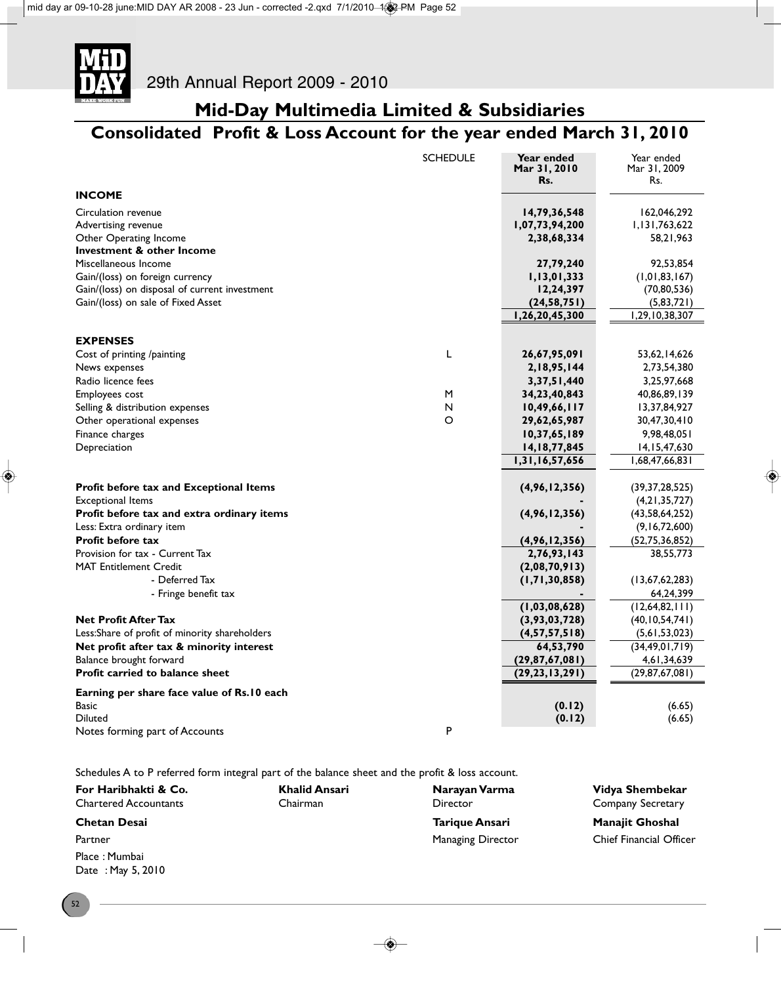

# Consolidated Profit & Loss Account for the year ended March 31, 2010

| 14,79,36,548<br>162,046,292<br>1,07,73,94,200<br>1,131,763,622<br>2,38,68,334<br>58,21,963<br>Investment & other Income<br>27,79,240<br>92,53,854<br>1,13,01,333<br>(1, 01, 83, 167)<br>12,24,397<br>(70, 80, 536)<br>Gain/(loss) on sale of Fixed Asset<br>(24, 58, 751)<br>(5,83,721)<br>1,26,20,45,300<br>1,29,10,38,307<br><b>EXPENSES</b><br>Г<br>26,67,95,091<br>53,62,14,626<br>Cost of printing /painting<br>News expenses<br>2,18,95,144<br>2,73,54,380<br>3, 37, 51, 440<br>3,25,97,668<br>M<br>Employees cost<br>34, 23, 40, 843<br>40,86,89,139<br>N<br>10,49,66,117<br>13,37,84,927<br>$\circ$<br>Other operational expenses<br>29,62,65,987<br>30,47,30,410<br>10,37,65,189<br>9,98,48,051<br>Depreciation<br>14, 18, 77, 845<br>14, 15, 47, 630<br>1,31,16,57,656<br>1,68,47,66,831<br>Profit before tax and Exceptional Items<br>(4,96,12,356)<br>(39, 37, 28, 525)<br><b>Exceptional Items</b><br>(4, 21, 35, 727)<br>Profit before tax and extra ordinary items<br>(4,96,12,356)<br>(43, 58, 64, 252)<br>Less: Extra ordinary item<br>(9, 16, 72, 600)<br>(4,96,12,356)<br>(52, 75, 36, 852)<br>2,76,93,143<br>38,55,773<br>(2,08,70,913)<br>- Deferred Tax<br>(1, 71, 30, 858)<br>(13, 67, 62, 283)<br>- Fringe benefit tax<br>64,24,399<br>(12,64,82,111)<br>(1, 03, 08, 628)<br>(3,93,03,728)<br>(40, 10, 54, 741)<br>Less:Share of profit of minority shareholders<br>(4, 57, 57, 518)<br>(5,61,53,023)<br>Net profit after tax & minority interest<br>64,53,790<br>(34, 49, 01, 719)<br>Balance brought forward<br>(29, 87, 67, 081)<br>4,61,34,639<br>Profit carried to balance sheet<br>(29, 87, 67, 081)<br>(29, 23, 13, 291)<br><b>Basic</b><br>(0.12)<br>(6.65)<br><b>Diluted</b><br>(0.12)<br>(6.65) |                                                                      | <b>SCHEDULE</b> | Year ended<br>Mar 31, 2010<br>Rs. | Year ended<br>Mar 31, 2009<br>Rs. |
|-----------------------------------------------------------------------------------------------------------------------------------------------------------------------------------------------------------------------------------------------------------------------------------------------------------------------------------------------------------------------------------------------------------------------------------------------------------------------------------------------------------------------------------------------------------------------------------------------------------------------------------------------------------------------------------------------------------------------------------------------------------------------------------------------------------------------------------------------------------------------------------------------------------------------------------------------------------------------------------------------------------------------------------------------------------------------------------------------------------------------------------------------------------------------------------------------------------------------------------------------------------------------------------------------------------------------------------------------------------------------------------------------------------------------------------------------------------------------------------------------------------------------------------------------------------------------------------------------------------------------------------------------------------------------------------------------------------------------------------|----------------------------------------------------------------------|-----------------|-----------------------------------|-----------------------------------|
|                                                                                                                                                                                                                                                                                                                                                                                                                                                                                                                                                                                                                                                                                                                                                                                                                                                                                                                                                                                                                                                                                                                                                                                                                                                                                                                                                                                                                                                                                                                                                                                                                                                                                                                                   | <b>INCOME</b>                                                        |                 |                                   |                                   |
|                                                                                                                                                                                                                                                                                                                                                                                                                                                                                                                                                                                                                                                                                                                                                                                                                                                                                                                                                                                                                                                                                                                                                                                                                                                                                                                                                                                                                                                                                                                                                                                                                                                                                                                                   | Circulation revenue<br>Advertising revenue<br>Other Operating Income |                 |                                   |                                   |
|                                                                                                                                                                                                                                                                                                                                                                                                                                                                                                                                                                                                                                                                                                                                                                                                                                                                                                                                                                                                                                                                                                                                                                                                                                                                                                                                                                                                                                                                                                                                                                                                                                                                                                                                   | Miscellaneous Income                                                 |                 |                                   |                                   |
|                                                                                                                                                                                                                                                                                                                                                                                                                                                                                                                                                                                                                                                                                                                                                                                                                                                                                                                                                                                                                                                                                                                                                                                                                                                                                                                                                                                                                                                                                                                                                                                                                                                                                                                                   | Gain/(loss) on foreign currency                                      |                 |                                   |                                   |
|                                                                                                                                                                                                                                                                                                                                                                                                                                                                                                                                                                                                                                                                                                                                                                                                                                                                                                                                                                                                                                                                                                                                                                                                                                                                                                                                                                                                                                                                                                                                                                                                                                                                                                                                   | Gain/(loss) on disposal of current investment                        |                 |                                   |                                   |
|                                                                                                                                                                                                                                                                                                                                                                                                                                                                                                                                                                                                                                                                                                                                                                                                                                                                                                                                                                                                                                                                                                                                                                                                                                                                                                                                                                                                                                                                                                                                                                                                                                                                                                                                   |                                                                      |                 |                                   |                                   |
|                                                                                                                                                                                                                                                                                                                                                                                                                                                                                                                                                                                                                                                                                                                                                                                                                                                                                                                                                                                                                                                                                                                                                                                                                                                                                                                                                                                                                                                                                                                                                                                                                                                                                                                                   |                                                                      |                 |                                   |                                   |
|                                                                                                                                                                                                                                                                                                                                                                                                                                                                                                                                                                                                                                                                                                                                                                                                                                                                                                                                                                                                                                                                                                                                                                                                                                                                                                                                                                                                                                                                                                                                                                                                                                                                                                                                   |                                                                      |                 |                                   |                                   |
|                                                                                                                                                                                                                                                                                                                                                                                                                                                                                                                                                                                                                                                                                                                                                                                                                                                                                                                                                                                                                                                                                                                                                                                                                                                                                                                                                                                                                                                                                                                                                                                                                                                                                                                                   |                                                                      |                 |                                   |                                   |
|                                                                                                                                                                                                                                                                                                                                                                                                                                                                                                                                                                                                                                                                                                                                                                                                                                                                                                                                                                                                                                                                                                                                                                                                                                                                                                                                                                                                                                                                                                                                                                                                                                                                                                                                   |                                                                      |                 |                                   |                                   |
|                                                                                                                                                                                                                                                                                                                                                                                                                                                                                                                                                                                                                                                                                                                                                                                                                                                                                                                                                                                                                                                                                                                                                                                                                                                                                                                                                                                                                                                                                                                                                                                                                                                                                                                                   | Radio licence fees                                                   |                 |                                   |                                   |
|                                                                                                                                                                                                                                                                                                                                                                                                                                                                                                                                                                                                                                                                                                                                                                                                                                                                                                                                                                                                                                                                                                                                                                                                                                                                                                                                                                                                                                                                                                                                                                                                                                                                                                                                   |                                                                      |                 |                                   |                                   |
|                                                                                                                                                                                                                                                                                                                                                                                                                                                                                                                                                                                                                                                                                                                                                                                                                                                                                                                                                                                                                                                                                                                                                                                                                                                                                                                                                                                                                                                                                                                                                                                                                                                                                                                                   | Selling & distribution expenses                                      |                 |                                   |                                   |
|                                                                                                                                                                                                                                                                                                                                                                                                                                                                                                                                                                                                                                                                                                                                                                                                                                                                                                                                                                                                                                                                                                                                                                                                                                                                                                                                                                                                                                                                                                                                                                                                                                                                                                                                   |                                                                      |                 |                                   |                                   |
|                                                                                                                                                                                                                                                                                                                                                                                                                                                                                                                                                                                                                                                                                                                                                                                                                                                                                                                                                                                                                                                                                                                                                                                                                                                                                                                                                                                                                                                                                                                                                                                                                                                                                                                                   | Finance charges                                                      |                 |                                   |                                   |
|                                                                                                                                                                                                                                                                                                                                                                                                                                                                                                                                                                                                                                                                                                                                                                                                                                                                                                                                                                                                                                                                                                                                                                                                                                                                                                                                                                                                                                                                                                                                                                                                                                                                                                                                   |                                                                      |                 |                                   |                                   |
|                                                                                                                                                                                                                                                                                                                                                                                                                                                                                                                                                                                                                                                                                                                                                                                                                                                                                                                                                                                                                                                                                                                                                                                                                                                                                                                                                                                                                                                                                                                                                                                                                                                                                                                                   |                                                                      |                 |                                   |                                   |
|                                                                                                                                                                                                                                                                                                                                                                                                                                                                                                                                                                                                                                                                                                                                                                                                                                                                                                                                                                                                                                                                                                                                                                                                                                                                                                                                                                                                                                                                                                                                                                                                                                                                                                                                   |                                                                      |                 |                                   |                                   |
|                                                                                                                                                                                                                                                                                                                                                                                                                                                                                                                                                                                                                                                                                                                                                                                                                                                                                                                                                                                                                                                                                                                                                                                                                                                                                                                                                                                                                                                                                                                                                                                                                                                                                                                                   |                                                                      |                 |                                   |                                   |
|                                                                                                                                                                                                                                                                                                                                                                                                                                                                                                                                                                                                                                                                                                                                                                                                                                                                                                                                                                                                                                                                                                                                                                                                                                                                                                                                                                                                                                                                                                                                                                                                                                                                                                                                   |                                                                      |                 |                                   |                                   |
|                                                                                                                                                                                                                                                                                                                                                                                                                                                                                                                                                                                                                                                                                                                                                                                                                                                                                                                                                                                                                                                                                                                                                                                                                                                                                                                                                                                                                                                                                                                                                                                                                                                                                                                                   |                                                                      |                 |                                   |                                   |
|                                                                                                                                                                                                                                                                                                                                                                                                                                                                                                                                                                                                                                                                                                                                                                                                                                                                                                                                                                                                                                                                                                                                                                                                                                                                                                                                                                                                                                                                                                                                                                                                                                                                                                                                   | <b>Profit before tax</b>                                             |                 |                                   |                                   |
|                                                                                                                                                                                                                                                                                                                                                                                                                                                                                                                                                                                                                                                                                                                                                                                                                                                                                                                                                                                                                                                                                                                                                                                                                                                                                                                                                                                                                                                                                                                                                                                                                                                                                                                                   | Provision for tax - Current Tax                                      |                 |                                   |                                   |
|                                                                                                                                                                                                                                                                                                                                                                                                                                                                                                                                                                                                                                                                                                                                                                                                                                                                                                                                                                                                                                                                                                                                                                                                                                                                                                                                                                                                                                                                                                                                                                                                                                                                                                                                   | <b>MAT Entitlement Credit</b>                                        |                 |                                   |                                   |
|                                                                                                                                                                                                                                                                                                                                                                                                                                                                                                                                                                                                                                                                                                                                                                                                                                                                                                                                                                                                                                                                                                                                                                                                                                                                                                                                                                                                                                                                                                                                                                                                                                                                                                                                   |                                                                      |                 |                                   |                                   |
|                                                                                                                                                                                                                                                                                                                                                                                                                                                                                                                                                                                                                                                                                                                                                                                                                                                                                                                                                                                                                                                                                                                                                                                                                                                                                                                                                                                                                                                                                                                                                                                                                                                                                                                                   |                                                                      |                 |                                   |                                   |
|                                                                                                                                                                                                                                                                                                                                                                                                                                                                                                                                                                                                                                                                                                                                                                                                                                                                                                                                                                                                                                                                                                                                                                                                                                                                                                                                                                                                                                                                                                                                                                                                                                                                                                                                   |                                                                      |                 |                                   |                                   |
|                                                                                                                                                                                                                                                                                                                                                                                                                                                                                                                                                                                                                                                                                                                                                                                                                                                                                                                                                                                                                                                                                                                                                                                                                                                                                                                                                                                                                                                                                                                                                                                                                                                                                                                                   | <b>Net Profit After Tax</b>                                          |                 |                                   |                                   |
|                                                                                                                                                                                                                                                                                                                                                                                                                                                                                                                                                                                                                                                                                                                                                                                                                                                                                                                                                                                                                                                                                                                                                                                                                                                                                                                                                                                                                                                                                                                                                                                                                                                                                                                                   |                                                                      |                 |                                   |                                   |
|                                                                                                                                                                                                                                                                                                                                                                                                                                                                                                                                                                                                                                                                                                                                                                                                                                                                                                                                                                                                                                                                                                                                                                                                                                                                                                                                                                                                                                                                                                                                                                                                                                                                                                                                   |                                                                      |                 |                                   |                                   |
|                                                                                                                                                                                                                                                                                                                                                                                                                                                                                                                                                                                                                                                                                                                                                                                                                                                                                                                                                                                                                                                                                                                                                                                                                                                                                                                                                                                                                                                                                                                                                                                                                                                                                                                                   |                                                                      |                 |                                   |                                   |
|                                                                                                                                                                                                                                                                                                                                                                                                                                                                                                                                                                                                                                                                                                                                                                                                                                                                                                                                                                                                                                                                                                                                                                                                                                                                                                                                                                                                                                                                                                                                                                                                                                                                                                                                   |                                                                      |                 |                                   |                                   |
|                                                                                                                                                                                                                                                                                                                                                                                                                                                                                                                                                                                                                                                                                                                                                                                                                                                                                                                                                                                                                                                                                                                                                                                                                                                                                                                                                                                                                                                                                                                                                                                                                                                                                                                                   | Earning per share face value of Rs.10 each                           |                 |                                   |                                   |
|                                                                                                                                                                                                                                                                                                                                                                                                                                                                                                                                                                                                                                                                                                                                                                                                                                                                                                                                                                                                                                                                                                                                                                                                                                                                                                                                                                                                                                                                                                                                                                                                                                                                                                                                   |                                                                      |                 |                                   |                                   |
|                                                                                                                                                                                                                                                                                                                                                                                                                                                                                                                                                                                                                                                                                                                                                                                                                                                                                                                                                                                                                                                                                                                                                                                                                                                                                                                                                                                                                                                                                                                                                                                                                                                                                                                                   | Notes forming part of Accounts                                       | P               |                                   |                                   |

Schedules A to P referred form integral part of the balance sheet and the profit & loss account.

| For Haribhakti & Co.                     | Khalid Ansari | Narayan Varma            | Vidya Shembekar                |
|------------------------------------------|---------------|--------------------------|--------------------------------|
| <b>Chartered Accountants</b><br>Chairman |               | Director                 | <b>Company Secretary</b>       |
| <b>Chetan Desai</b>                      |               | Tarique Ansari           | <b>Manajit Ghoshal</b>         |
| Partner                                  |               | <b>Managing Director</b> | <b>Chief Financial Officer</b> |
| Place: Mumbai                            |               |                          |                                |

Place : Mumbai Date : May 5, 2010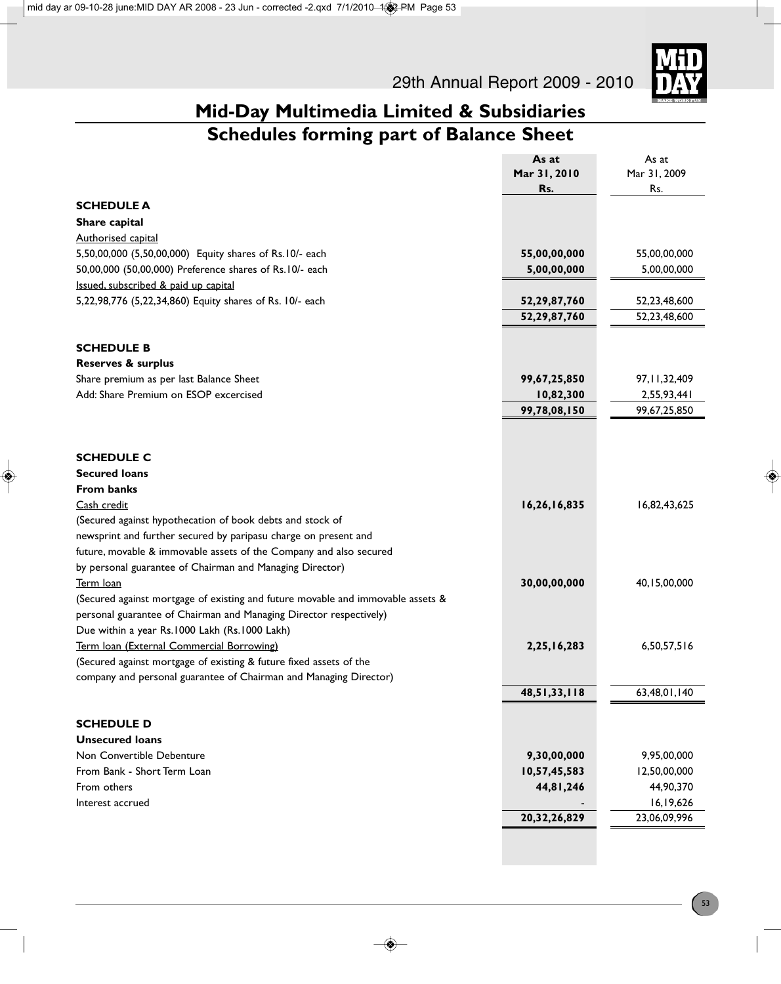

|                                                                                 | As at           | As at           |
|---------------------------------------------------------------------------------|-----------------|-----------------|
|                                                                                 | Mar 31, 2010    | Mar 31, 2009    |
|                                                                                 | Rs.             | Rs.             |
| <b>SCHEDULE A</b>                                                               |                 |                 |
| Share capital                                                                   |                 |                 |
| Authorised capital                                                              |                 |                 |
| 5,50,00,000 (5,50,00,000) Equity shares of Rs.10/- each                         | 55,00,00,000    | 55,00,00,000    |
| 50,00,000 (50,00,000) Preference shares of Rs.10/- each                         | 5,00,00,000     | 5,00,00,000     |
| Issued, subscribed & paid up capital                                            |                 |                 |
| 5,22,98,776 (5,22,34,860) Equity shares of Rs. 10/- each                        | 52,29,87,760    | 52,23,48,600    |
|                                                                                 | 52,29,87,760    | 52,23,48,600    |
|                                                                                 |                 |                 |
| <b>SCHEDULE B</b>                                                               |                 |                 |
| <b>Reserves &amp; surplus</b>                                                   |                 |                 |
| Share premium as per last Balance Sheet                                         | 99,67,25,850    | 97, 11, 32, 409 |
| Add: Share Premium on ESOP excercised                                           | 10,82,300       | 2,55,93,441     |
|                                                                                 | 99,78,08,150    | 99,67,25,850    |
|                                                                                 |                 |                 |
|                                                                                 |                 |                 |
| <b>SCHEDULE C</b>                                                               |                 |                 |
| <b>Secured loans</b>                                                            |                 |                 |
| <b>From banks</b>                                                               |                 |                 |
| Cash credit                                                                     | 16,26,16,835    | 16,82,43,625    |
| (Secured against hypothecation of book debts and stock of                       |                 |                 |
| newsprint and further secured by paripasu charge on present and                 |                 |                 |
| future, movable & immovable assets of the Company and also secured              |                 |                 |
| by personal guarantee of Chairman and Managing Director)                        |                 |                 |
| Term loan                                                                       | 30,00,00,000    | 40,15,00,000    |
| (Secured against mortgage of existing and future movable and immovable assets & |                 |                 |
| personal guarantee of Chairman and Managing Director respectively)              |                 |                 |
| Due within a year Rs.1000 Lakh (Rs.1000 Lakh)                                   |                 |                 |
| Term Ioan (External Commercial Borrowing)                                       | 2,25,16,283     | 6,50,57,516     |
| (Secured against mortgage of existing & future fixed assets of the              |                 |                 |
| company and personal guarantee of Chairman and Managing Director)               |                 |                 |
|                                                                                 | 48,51,33,118    | 63,48,01,140    |
|                                                                                 |                 |                 |
| <b>SCHEDULE D</b>                                                               |                 |                 |
| <b>Unsecured loans</b>                                                          |                 |                 |
| Non Convertible Debenture                                                       | 9,30,00,000     | 9,95,00,000     |
| From Bank - Short Term Loan                                                     | 10,57,45,583    | 12,50,00,000    |
| From others                                                                     | 44,81,246       | 44,90,370       |
| Interest accrued                                                                |                 | 16,19,626       |
|                                                                                 | 20, 32, 26, 829 | 23,06,09,996    |
|                                                                                 |                 |                 |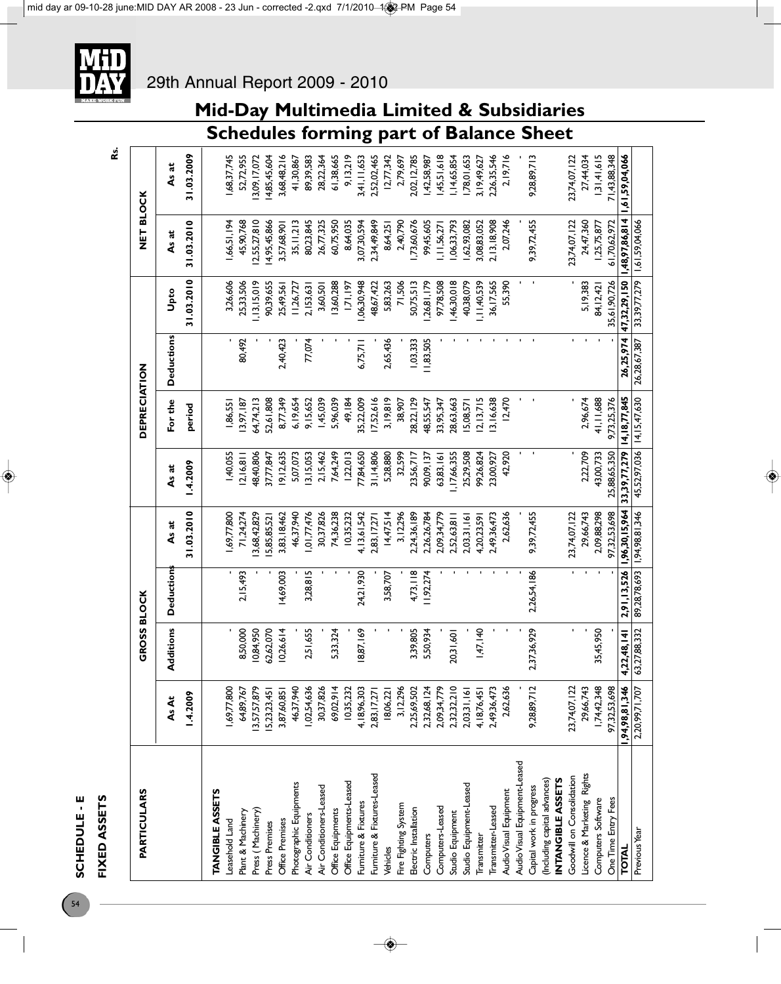

| <b>PARTICULARS</b>                                      |                | <b>GROSS BLOCK</b> |                  |                |                | <b>DEPRECIATION</b> |                   |               | NET BLOCK      |                |
|---------------------------------------------------------|----------------|--------------------|------------------|----------------|----------------|---------------------|-------------------|---------------|----------------|----------------|
|                                                         | AsAt           | Additions          | <b>Deduction</b> | As at          | As at          | For the             | <b>Deductions</b> | Upto          | As at          | As at          |
|                                                         | .4.2009        |                    |                  | 31.03.2010     | $-4.2009$      | period              |                   | 31.03.2010    | 31.03.2010     | 31.03.2009     |
| <b>TANGIBLEASSETS</b>                                   |                |                    |                  |                |                |                     |                   |               |                |                |
| Leasehold Land                                          | 1,69,77,800    |                    |                  | 1,69,77,800    | 1,40,055       | 1,86,551            |                   | 3,26,606      | 1,66,51,194    | 1,68,37,745    |
| Plant & Machinery                                       | 64,89,767      | 8,50,000           | 2,15,493         | 71,24,274      | 2,16,8         | 13,97,187           | 80,492            | 25,33,506     | 45,90,768      | 52,72,955      |
| Press (Machinery)                                       | 13,57,57,879   | 0,84,950           |                  | 3,68,42,829    | 48,40,806      | 54,74,213           |                   | 13,15,019     | 2,55,27,810    | 3,09,17,072    |
| Press Premises                                          | 15,23,23,451   | 62,62,070          |                  | 5,85,85,521    | 37,77,847      | 52,61,808           |                   | 90,39,655     | 14,95,45,866   | 14,85,45,604   |
| Office Premises                                         | 3,87,60,851    | 0,26,614           | 14,69,003        | 3,83,18,462    | 9,12,635       | 8,77,349            | 2,40,423          | 25,49,561     | 3,57,68,90     | 3,68,48,216    |
| Photographic Equipments                                 | 46,37,940      |                    |                  | 46,37,940      | 5,07,073       | 6,19,654            |                   | 1,26,727      | 35, 11, 213    | 41,30,867      |
| Air Conditioners                                        | 1,02,54,636    | 2,51,655           | 3,28,815         | , 01, 77, 476  | 3,15,053       | 9,15,652            | 77,074            | 2,153,63      | 80,23,845      | 89,39,583      |
| Air Conditioners-Leased                                 | 30,37,826      |                    |                  | 30,37,826      | 2,15,462       | 1,45,039            |                   | 3,60,501      | 26,77,325      | 28,22,364      |
| Office Equipments                                       | 69,02,914      | 5,33,324           |                  | 74,36,238      | 7,64,249       | 5,96,039            |                   | 3,60,288      | 60,75,950      | 61,38,665      |
| Office Equipments-Leased                                | 10,35,232      |                    |                  | 10,35,232      | 22,0 3         | 49,184              |                   | 1,71,197      | 8,64,035       | 9,13,219       |
| Furniture & Fixtures                                    | 4,18,96,303    | 8,87,169           | 24,21,930        | 4, 13, 61, 542 | 77,84,650      | 5,22,009            | 6,75,711          | ,06,30,948    | 3,07,30,594    | 3,41,11,653    |
| Furniture & Fixtures-Leased                             | 2,83, 17, 271  |                    |                  | 2,83,17,271    | 31, 14, 806    | 7,52,616            |                   | 18,67,422     | 2,34,49,849    | 2,52,02,465    |
| Vehicles                                                | 18,06,221      |                    | 3,58,707         | 14,47,514      | 5,28,880       | 3,19,819            | 2,65,436          | 5,83,263      | 8,64,251       | 12,77,342      |
| Fire Fighting System                                    | 3,12,296       |                    |                  | 3,12,296       | 32,599         | 38,907              |                   | 71,506        | 2,40,790       | 2,79,697       |
| Electric Installation                                   | 2,25,69,502    | 3,39,805           | 4,73, 18         | 2,24,36,189    | 23,56,717      | 28,22,129           | 1,03,333          | 50,75,513     | ,73,60,676     | 2,02,12,785    |
| Computers                                               | 2,32,68,124    | 5,50,934           | 1,92,274         | 2,26,26,784    | 90,09,137      | 18,55,547           | 1,83,505          | .26, 81, 179  | 99,45,605      | 1,42,58,987    |
| Computers-Leased                                        | 2,09,34,779    |                    |                  | 2,09,34,779    | 63,83,161      | 33,95,347           |                   | 97,78,508     | ,  11,56,27    | 1,45,51,618    |
| Studio Equipment                                        | 2,32,32,210    | 20,31,60           |                  | 2,52,63,811    | 1, 17, 66, 355 | 28,63,663           |                   | 46,30,018     | ,06,33,793     | 1,14,65,854    |
| Studio Equipment-Leased                                 | 2,03,31,161    |                    |                  | 2,03,31,16     | 25,29,508      | 5,08,571            |                   | 40,38,079     | ,62,93,082     | ,78,01,653     |
| Transmitter                                             | 4,18,76,451    | 1,47,140           |                  | 4,20,23,591    | 99,26,824      | 2,13,715            |                   | , II, 40, 539 | 3,08,83,052    | 3,19,49,627    |
| Transmitter-Leased                                      | 2,49,36,473    |                    |                  | 2,49,36,473    | 23,00,927      | 3,16,638            |                   | 36,17,565     | 2,13,18,908    | 2,26,35,546    |
| Audio Visual Equipment                                  | 2,62,636       |                    |                  | 2,62,636       | 42,920         | 12,470              |                   | 55,390        | 2,07,246       | 2,19,716       |
| Audio Visual Equipment-Leased                           |                |                    |                  |                |                |                     |                   |               |                |                |
| Capital work in progress                                | 9,28,89,712    | 2,37,36,929        | 2,26,54,186      | 9,39,72,455    |                |                     |                   |               | 9,39,72,455    | 9,28,89,713    |
| <b>INTANGIBLEASSETS</b><br>(Including capital advances) |                |                    |                  |                |                |                     |                   |               |                |                |
| Goodwill on Consolidation                               | 23,74,07,122   |                    | $\blacksquare$   | 23,74,07,122   |                |                     |                   |               | 23,74,07,122   | 23,74,07,122   |
| Licence & Marketing Rights                              | 29,66,743      |                    |                  | 29,66,743      | 2,22,709       | 2,96,674            |                   | 5, 19, 383    | 24,47,360      | 27,44,034      |
| Computers Software                                      | 1,74,42,348    | 35,45,950          | $\blacksquare$   | 2,09,88,298    | 43,00,733      | 41,11,688           |                   | 84, 12, 42    | 1,25,75,877    | 1,31,41,615    |
| One Time Entry Fees                                     | 97,32,53,698   |                    |                  | 97,32,53,698   | 25,88,65,350   | 9,73,25,376         |                   | 35,61,90,726  | 61,70,62,972   | 71,43,88,348   |
| TOTAL                                                   | 1,94,98,81,346 | 4,22,48,141        | 2,91,13,526      | 1,96,30,15,964 | 33,39,77,279   | 14,18,77,845        | 26,25,974         | 47,32,29,150  | 1,48,97,86,814 | 1,61,59,04,066 |
| Previous Year                                           | 2,20,99,71,707 | 63,27,88,332       | 89,28,78,693     | 1,94,98,81,346 | 45,52,97,036   | 14, 15, 47, 630     | 26,28,67,387      | 33,39,77,279  | 1,61,59,04,066 |                |

**Rs.**

**FIXED ASSETS**

FIXED ASSETS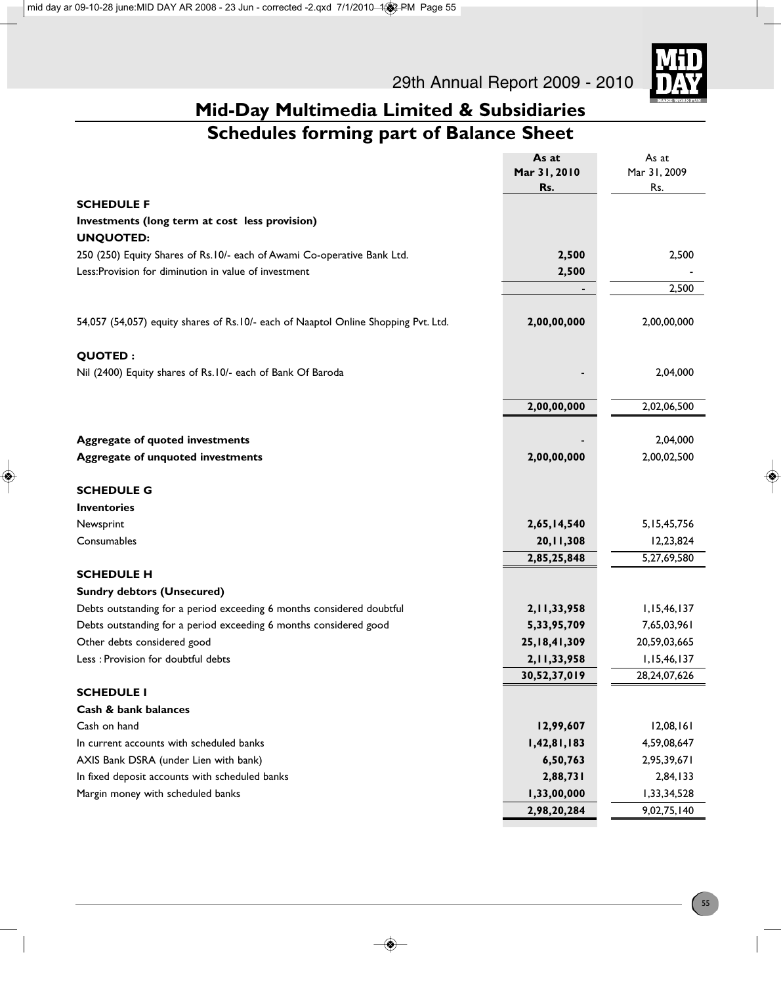

|                                                                                    | As at           | As at          |
|------------------------------------------------------------------------------------|-----------------|----------------|
|                                                                                    | Mar 31, 2010    | Mar 31, 2009   |
|                                                                                    | Rs.             | Rs.            |
| <b>SCHEDULE F</b>                                                                  |                 |                |
| Investments (long term at cost less provision)                                     |                 |                |
| <b>UNQUOTED:</b>                                                                   |                 |                |
| 250 (250) Equity Shares of Rs.10/- each of Awami Co-operative Bank Ltd.            | 2,500           | 2,500          |
| Less: Provision for diminution in value of investment                              | 2,500           |                |
|                                                                                    |                 | 2,500          |
|                                                                                    |                 |                |
| 54,057 (54,057) equity shares of Rs.10/- each of Naaptol Online Shopping Pvt. Ltd. | 2,00,00,000     | 2,00,00,000    |
| <b>QUOTED:</b>                                                                     |                 |                |
| Nil (2400) Equity shares of Rs.10/- each of Bank Of Baroda                         |                 | 2,04,000       |
|                                                                                    |                 |                |
|                                                                                    | 2,00,00,000     | 2,02,06,500    |
|                                                                                    |                 |                |
| <b>Aggregate of quoted investments</b>                                             |                 | 2,04,000       |
| <b>Aggregate of unquoted investments</b>                                           | 2,00,00,000     | 2,00,02,500    |
| <b>SCHEDULE G</b>                                                                  |                 |                |
| <b>Inventories</b>                                                                 |                 |                |
| Newsprint                                                                          | 2,65,14,540     | 5, 15, 45, 756 |
| Consumables                                                                        | 20,11,308       | 12,23,824      |
|                                                                                    | 2,85,25,848     | 5,27,69,580    |
| <b>SCHEDULE H</b>                                                                  |                 |                |
| <b>Sundry debtors (Unsecured)</b>                                                  |                 |                |
| Debts outstanding for a period exceeding 6 months considered doubtful              | 2, 11, 33, 958  | 1,15,46,137    |
| Debts outstanding for a period exceeding 6 months considered good                  | 5,33,95,709     | 7,65,03,961    |
| Other debts considered good                                                        | 25, 18, 41, 309 | 20,59,03,665   |
| Less : Provision for doubtful debts                                                | 2, 11, 33, 958  | 1,15,46,137    |
|                                                                                    | 30,52,37,019    | 28,24,07,626   |
| <b>SCHEDULE I</b>                                                                  |                 |                |
| Cash & bank balances                                                               |                 |                |
| Cash on hand                                                                       | 12,99,607       | 12,08,161      |
| In current accounts with scheduled banks                                           | 1,42,81,183     | 4,59,08,647    |
| AXIS Bank DSRA (under Lien with bank)                                              | 6,50,763        | 2,95,39,671    |
| In fixed deposit accounts with scheduled banks                                     | 2,88,731        | 2,84,133       |
| Margin money with scheduled banks                                                  | 1,33,00,000     | 1,33,34,528    |
|                                                                                    | 2,98,20,284     | 9,02,75,140    |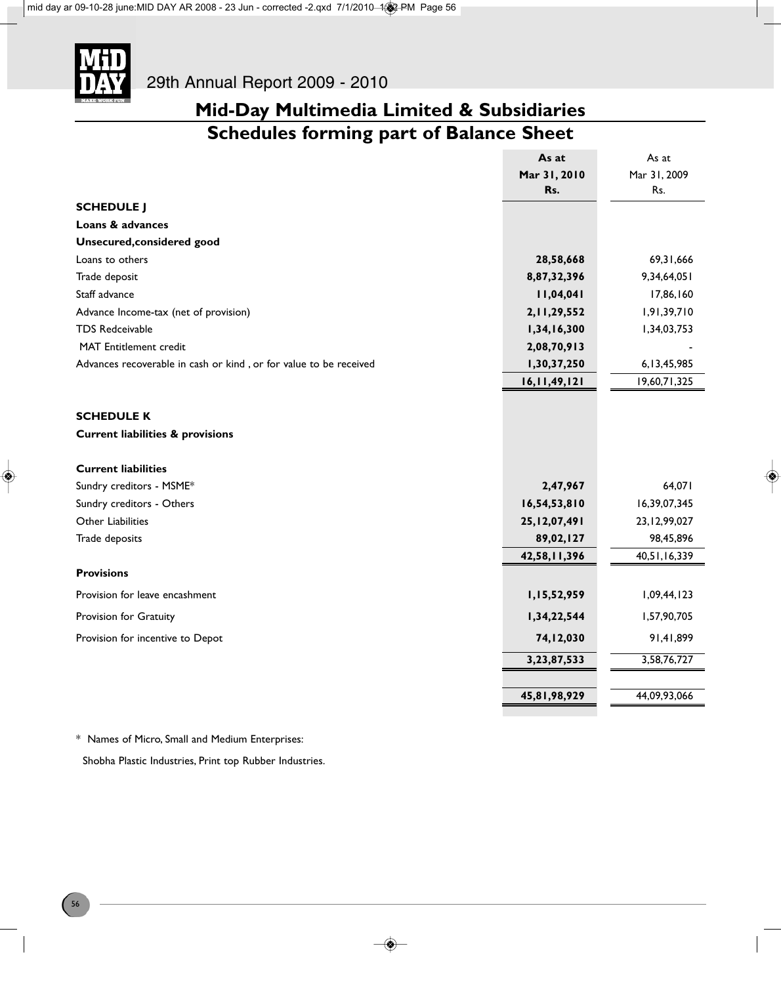

|                                                                   | As at           | As at           |
|-------------------------------------------------------------------|-----------------|-----------------|
|                                                                   | Mar 31, 2010    | Mar 31, 2009    |
|                                                                   | Rs.             | Rs.             |
| <b>SCHEDULE J</b>                                                 |                 |                 |
| Loans & advances                                                  |                 |                 |
| <b>Unsecured, considered good</b>                                 |                 |                 |
| Loans to others                                                   | 28,58,668       | 69,31,666       |
| Trade deposit                                                     | 8,87,32,396     | 9,34,64,051     |
| Staff advance                                                     | 11,04,041       | 17,86,160       |
| Advance Income-tax (net of provision)                             | 2, 11, 29, 552  | 1,91,39,710     |
| <b>TDS Redceivable</b>                                            | 1,34,16,300     | 1,34,03,753     |
| <b>MAT</b> Entitlement credit                                     | 2,08,70,913     |                 |
| Advances recoverable in cash or kind, or for value to be received | 1,30,37,250     | 6, 13, 45, 985  |
|                                                                   | 16, 11, 49, 121 | 19,60,71,325    |
|                                                                   |                 |                 |
| <b>SCHEDULE K</b>                                                 |                 |                 |
| <b>Current liabilities &amp; provisions</b>                       |                 |                 |
| <b>Current liabilities</b>                                        |                 |                 |
| Sundry creditors - MSME*                                          | 2,47,967        | 64,071          |
| Sundry creditors - Others                                         | 16,54,53,810    | 16,39,07,345    |
| Other Liabilities                                                 | 25, 12, 07, 491 | 23, 12, 99, 027 |
| Trade deposits                                                    | 89,02,127       | 98,45,896       |
|                                                                   | 42,58,11,396    | 40,51,16,339    |
| <b>Provisions</b>                                                 |                 |                 |
| Provision for leave encashment                                    | 1,15,52,959     | 1,09,44,123     |
| Provision for Gratuity                                            | 1,34,22,544     | 1,57,90,705     |
| Provision for incentive to Depot                                  | 74,12,030       | 91,41,899       |
|                                                                   | 3,23,87,533     | 3,58,76,727     |
|                                                                   |                 |                 |
|                                                                   | 45,81,98,929    | 44,09,93,066    |

\* Names of Micro, Small and Medium Enterprises:

Shobha Plastic Industries, Print top Rubber Industries.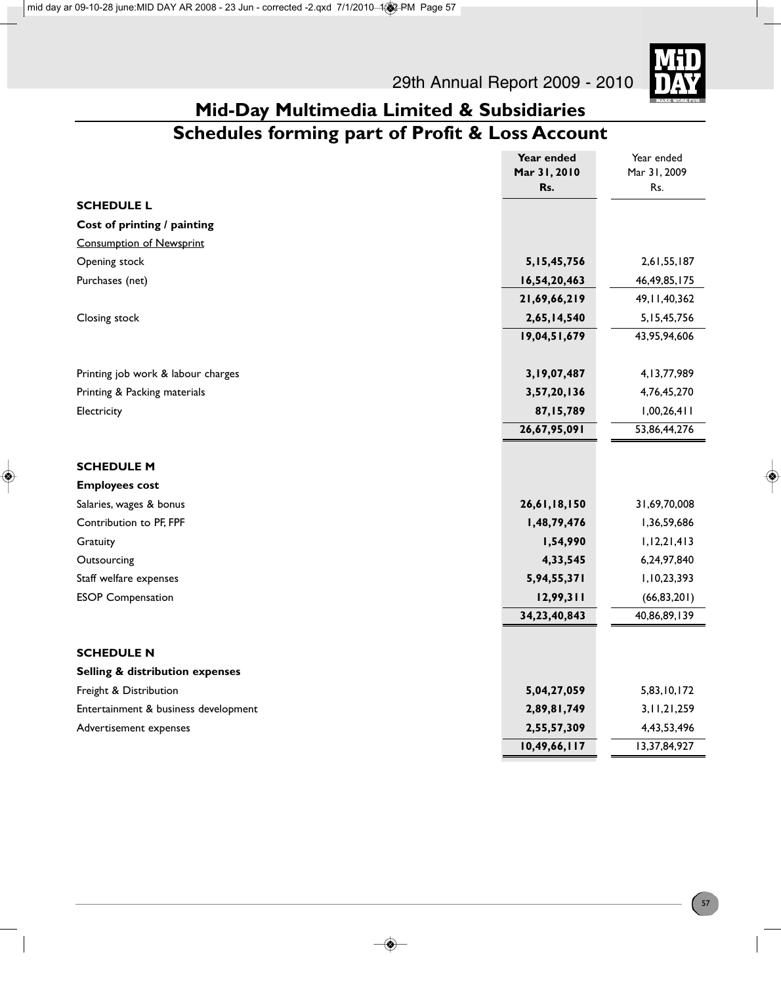

### **Mid-Day Multimedia Limited & Subsidiaries Schedules forming part of Profit & Loss Account**

|                                      | Year ended     | Year ended      |
|--------------------------------------|----------------|-----------------|
|                                      | Mar 31, 2010   | Mar 31, 2009    |
|                                      | Rs.            | Rs.             |
| <b>SCHEDULE L</b>                    |                |                 |
| Cost of printing / painting          |                |                 |
| <b>Consumption of Newsprint</b>      |                |                 |
| Opening stock                        | 5, 15, 45, 756 | 2,61,55,187     |
| Purchases (net)                      | 16,54,20,463   | 46, 49, 85, 175 |
|                                      | 21,69,66,219   | 49, 11, 40, 362 |
| Closing stock                        | 2,65,14,540    | 5, 15, 45, 756  |
|                                      | 19,04,51,679   | 43,95,94,606    |
|                                      | 3,19,07,487    | 4, 13, 77, 989  |
| Printing job work & labour charges   |                |                 |
| Printing & Packing materials         | 3,57,20,136    | 4,76,45,270     |
| Electricity                          | 87,15,789      | 1,00,26,411     |
|                                      | 26,67,95,091   | 53,86,44,276    |
| <b>SCHEDULE M</b>                    |                |                 |
| <b>Employees cost</b>                |                |                 |
| Salaries, wages & bonus              | 26,61,18,150   | 31,69,70,008    |
| Contribution to PF, FPF              | 1,48,79,476    | 1,36,59,686     |
| Gratuity                             | 1,54,990       | 1, 12, 21, 413  |
| Outsourcing                          | 4,33,545       | 6,24,97,840     |
| Staff welfare expenses               | 5,94,55,371    | 1,10,23,393     |
| <b>ESOP Compensation</b>             | 12,99,311      | (66, 83, 201)   |
|                                      | 34,23,40,843   | 40,86,89,139    |
| <b>SCHEDULE N</b>                    |                |                 |
| Selling & distribution expenses      |                |                 |
| Freight & Distribution               | 5,04,27,059    | 5,83,10,172     |
| Entertainment & business development | 2,89,81,749    | 3, 11, 21, 259  |
| Advertisement expenses               | 2,55,57,309    | 4,43,53,496     |
|                                      | 10,49,66,117   | 13,37,84,927    |
|                                      |                |                 |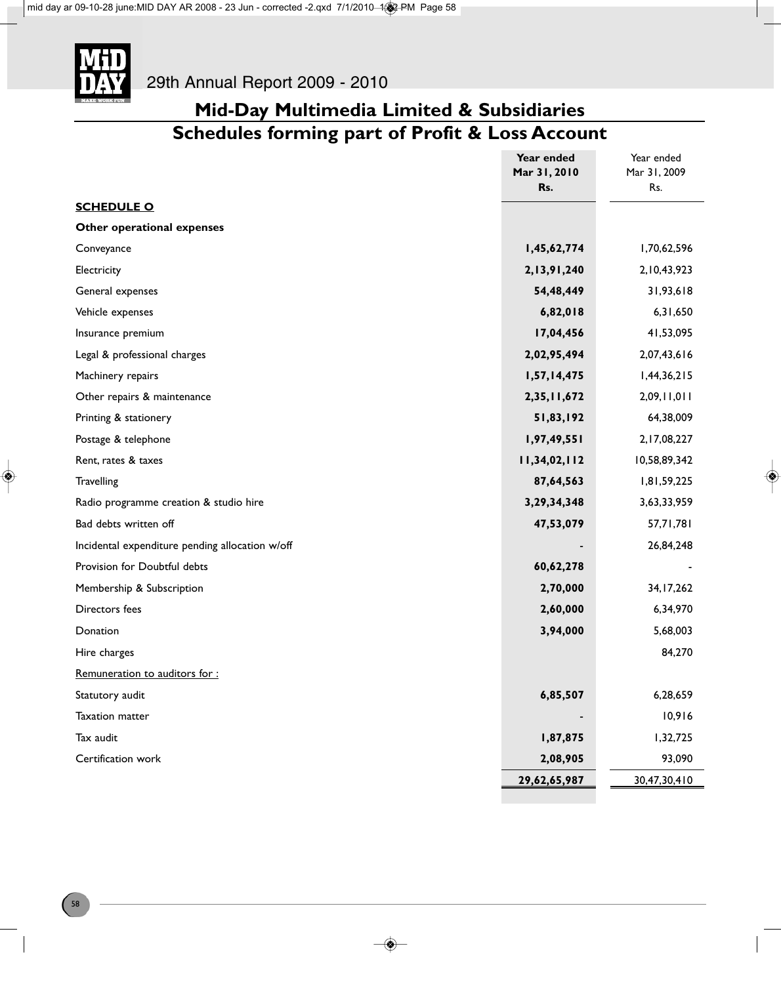

### **Mid-Day Multimedia Limited & Subsidiaries Schedules forming part of Profit & Loss Account**

|                                                 | Year ended<br>Mar 31, 2010 | Year ended<br>Mar 31, 2009 |
|-------------------------------------------------|----------------------------|----------------------------|
|                                                 | Rs.                        | Rs.                        |
| <b>SCHEDULE O</b>                               |                            |                            |
| Other operational expenses                      |                            |                            |
| Conveyance                                      | 1,45,62,774                | 1,70,62,596                |
| Electricity                                     | 2,13,91,240                | 2, 10, 43, 923             |
| General expenses                                | 54,48,449                  | 31,93,618                  |
| Vehicle expenses                                | 6,82,018                   | 6,31,650                   |
| Insurance premium                               | 17,04,456                  | 41,53,095                  |
| Legal & professional charges                    | 2,02,95,494                | 2,07,43,616                |
| Machinery repairs                               | 1,57,14,475                | 1,44,36,215                |
| Other repairs & maintenance                     | 2,35,11,672                | 2,09,11,011                |
| Printing & stationery                           | 51,83,192                  | 64,38,009                  |
| Postage & telephone                             | 1,97,49,551                | 2, 17, 08, 227             |
| Rent, rates & taxes                             | 11,34,02,112               | 10,58,89,342               |
| Travelling                                      | 87,64,563                  | 1,81,59,225                |
| Radio programme creation & studio hire          | 3,29,34,348                | 3,63,33,959                |
| Bad debts written off                           | 47,53,079                  | 57,71,781                  |
| Incidental expenditure pending allocation w/off |                            | 26,84,248                  |
| Provision for Doubtful debts                    | 60,62,278                  |                            |
| Membership & Subscription                       | 2,70,000                   | 34, 17, 262                |
| Directors fees                                  | 2,60,000                   | 6,34,970                   |
| Donation                                        | 3,94,000                   | 5,68,003                   |
| Hire charges                                    |                            | 84,270                     |
| Remuneration to auditors for:                   |                            |                            |
| Statutory audit                                 | 6,85,507                   | 6,28,659                   |
| Taxation matter                                 |                            | 10,916                     |
| Tax audit                                       | 1,87,875                   | 1,32,725                   |
| Certification work                              | 2,08,905                   | 93,090                     |
|                                                 | 29,62,65,987               | 30,47,30,410               |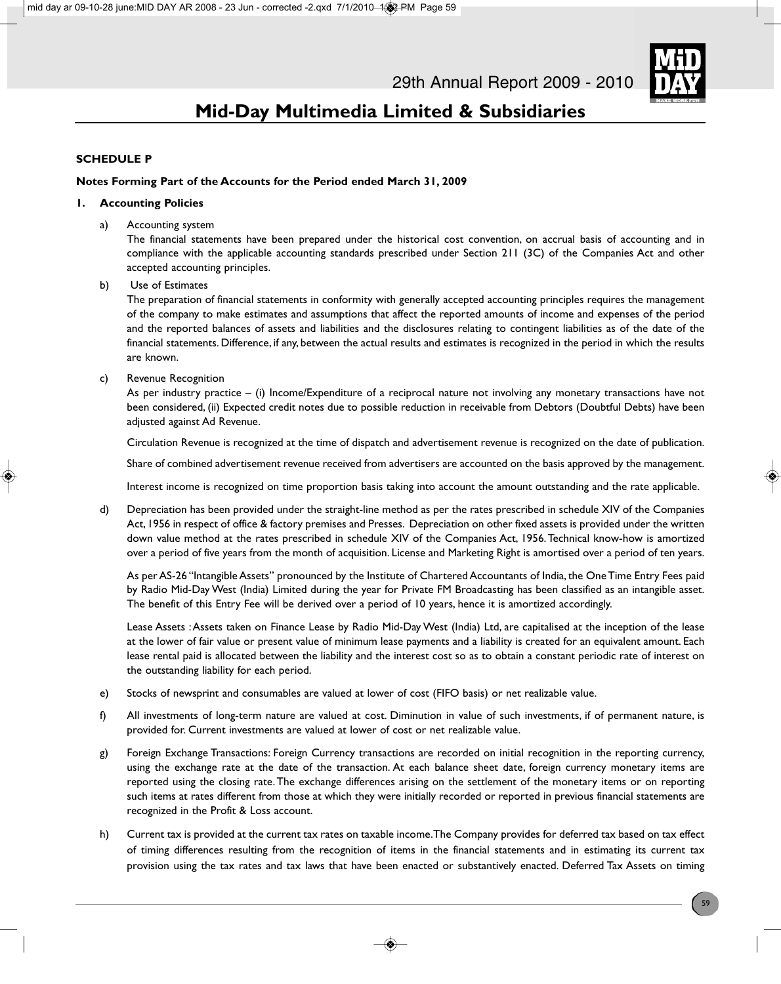

### **SCHEDULE P**

#### **Notes Forming Part of the Accounts for the Period ended March 31, 2009**

#### **1. Accounting Policies**

a) Accounting system

The financial statements have been prepared under the historical cost convention, on accrual basis of accounting and in compliance with the applicable accounting standards prescribed under Section 211 (3C) of the Companies Act and other accepted accounting principles.

b) Use of Estimates

The preparation of financial statements in conformity with generally accepted accounting principles requires the management of the company to make estimates and assumptions that affect the reported amounts of income and expenses of the period and the reported balances of assets and liabilities and the disclosures relating to contingent liabilities as of the date of the financial statements. Difference, if any, between the actual results and estimates is recognized in the period in which the results are known.

c) Revenue Recognition

As per industry practice – (i) Income/Expenditure of a reciprocal nature not involving any monetary transactions have not been considered, (ii) Expected credit notes due to possible reduction in receivable from Debtors (Doubtful Debts) have been adjusted against Ad Revenue.

Circulation Revenue is recognized at the time of dispatch and advertisement revenue is recognized on the date of publication.

Share of combined advertisement revenue received from advertisers are accounted on the basis approved by the management.

Interest income is recognized on time proportion basis taking into account the amount outstanding and the rate applicable.

d) Depreciation has been provided under the straight-line method as per the rates prescribed in schedule XIV of the Companies Act, 1956 in respect of office & factory premises and Presses. Depreciation on other fixed assets is provided under the written down value method at the rates prescribed in schedule XIV of the Companies Act, 1956. Technical know-how is amortized over a period of five years from the month of acquisition. License and Marketing Right is amortised over a period of ten years.

As per AS-26 "Intangible Assets" pronounced by the Institute of Chartered Accountants of India, the One Time Entry Fees paid by Radio Mid-Day West (India) Limited during the year for Private FM Broadcasting has been classified as an intangible asset. The benefit of this Entry Fee will be derived over a period of 10 years, hence it is amortized accordingly.

Lease Assets : Assets taken on Finance Lease by Radio Mid-Day West (India) Ltd, are capitalised at the inception of the lease at the lower of fair value or present value of minimum lease payments and a liability is created for an equivalent amount. Each lease rental paid is allocated between the liability and the interest cost so as to obtain a constant periodic rate of interest on the outstanding liability for each period.

- e) Stocks of newsprint and consumables are valued at lower of cost (FIFO basis) or net realizable value.
- f) All investments of long-term nature are valued at cost. Diminution in value of such investments, if of permanent nature, is provided for. Current investments are valued at lower of cost or net realizable value.
- g) Foreign Exchange Transactions: Foreign Currency transactions are recorded on initial recognition in the reporting currency, using the exchange rate at the date of the transaction. At each balance sheet date, foreign currency monetary items are reported using the closing rate. The exchange differences arising on the settlement of the monetary items or on reporting such items at rates different from those at which they were initially recorded or reported in previous financial statements are recognized in the Profit & Loss account.
- h) Current tax is provided at the current tax rates on taxable income. The Company provides for deferred tax based on tax effect of timing differences resulting from the recognition of items in the financial statements and in estimating its current tax provision using the tax rates and tax laws that have been enacted or substantively enacted. Deferred Tax Assets on timing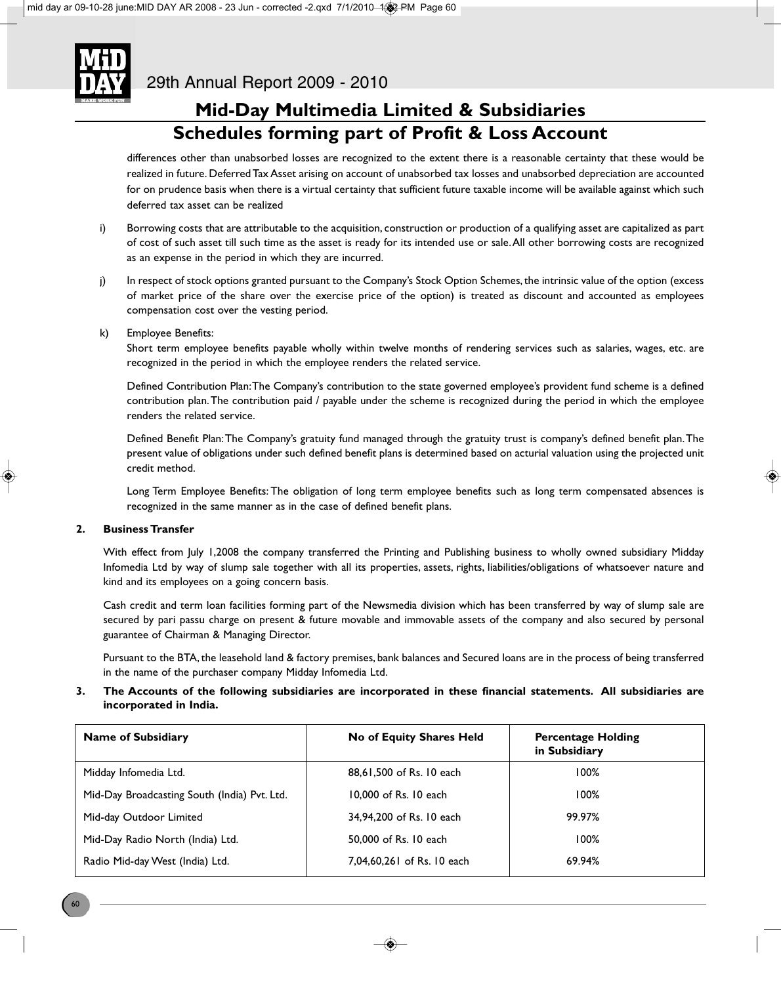

### **Mid-Day Multimedia Limited & Subsidiaries Schedules forming part of Profit & Loss Account**

differences other than unabsorbed losses are recognized to the extent there is a reasonable certainty that these would be realized in future. Deferred Tax Asset arising on account of unabsorbed tax losses and unabsorbed depreciation are accounted for on prudence basis when there is a virtual certainty that sufficient future taxable income will be available against which such deferred tax asset can be realized

- i) Borrowing costs that are attributable to the acquisition, construction or production of a qualifying asset are capitalized as part of cost of such asset till such time as the asset is ready for its intended use or sale. All other borrowing costs are recognized as an expense in the period in which they are incurred.
- j) In respect of stock options granted pursuant to the Company's Stock Option Schemes, the intrinsic value of the option (excess of market price of the share over the exercise price of the option) is treated as discount and accounted as employees compensation cost over the vesting period.
- k) Employee Benefits:

Short term employee benefits payable wholly within twelve months of rendering services such as salaries, wages, etc. are recognized in the period in which the employee renders the related service.

Defined Contribution Plan: The Company's contribution to the state governed employee's provident fund scheme is a defined contribution plan. The contribution paid / payable under the scheme is recognized during the period in which the employee renders the related service.

Defined Benefit Plan: The Company's gratuity fund managed through the gratuity trust is company's defined benefit plan. The present value of obligations under such defined benefit plans is determined based on acturial valuation using the projected unit credit method.

Long Term Employee Benefits: The obligation of long term employee benefits such as long term compensated absences is recognized in the same manner as in the case of defined benefit plans.

### **2. Business Transfer**

With effect from July 1,2008 the company transferred the Printing and Publishing business to wholly owned subsidiary Midday Infomedia Ltd by way of slump sale together with all its properties, assets, rights, liabilities/obligations of whatsoever nature and kind and its employees on a going concern basis.

Cash credit and term loan facilities forming part of the Newsmedia division which has been transferred by way of slump sale are secured by pari passu charge on present & future movable and immovable assets of the company and also secured by personal guarantee of Chairman & Managing Director.

Pursuant to the BTA, the leasehold land & factory premises, bank balances and Secured loans are in the process of being transferred in the name of the purchaser company Midday Infomedia Ltd.

### **3. The Accounts of the following subsidiaries are incorporated in these financial statements. All subsidiaries are incorporated in India.**

| <b>Name of Subsidiary</b>                    | No of Equity Shares Held   | <b>Percentage Holding</b><br>in Subsidiary |
|----------------------------------------------|----------------------------|--------------------------------------------|
| Midday Infomedia Ltd.                        | 88.61.500 of Rs. 10 each   | 100%                                       |
| Mid-Day Broadcasting South (India) Pvt. Ltd. | 10,000 of Rs. 10 each      | 100%                                       |
| Mid-day Outdoor Limited                      | 34.94.200 of Rs. 10 each   | 99.97%                                     |
| Mid-Day Radio North (India) Ltd.             | 50,000 of Rs. 10 each      | 100%                                       |
| Radio Mid-day West (India) Ltd.              | 7,04,60,261 of Rs. 10 each | 69.94%                                     |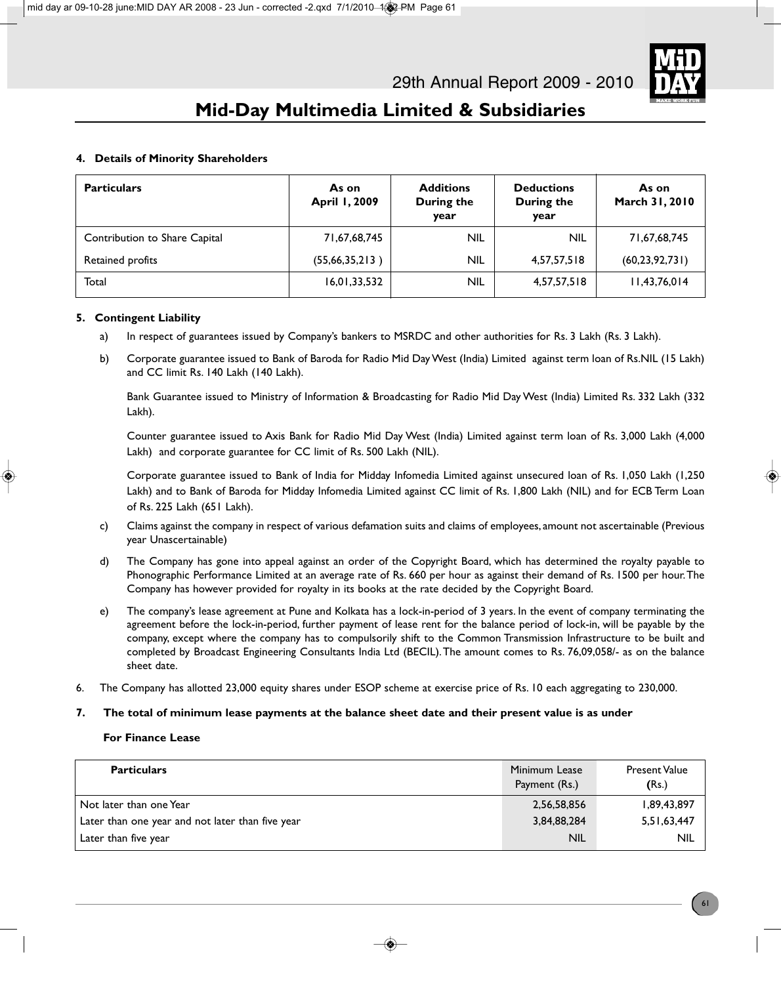

### **4. Details of Minority Shareholders**

| <b>Particulars</b>            | As on<br>April 1, 2009 | <b>Additions</b><br>During the<br>year | <b>Deductions</b><br>During the<br>year | As on<br>March 31, 2010 |
|-------------------------------|------------------------|----------------------------------------|-----------------------------------------|-------------------------|
| Contribution to Share Capital | 71,67,68,745           | <b>NIL</b>                             | <b>NIL</b>                              | 71,67,68,745            |
| Retained profits              | (55,66,35,213)         | NIL.                                   | 4,57,57,518                             | (60, 23, 92, 731)       |
| Total                         | 16,01,33,532           | <b>NIL</b>                             | 4,57,57,518                             | 11,43,76,014            |

### **5. Contingent Liability**

- a) In respect of guarantees issued by Company's bankers to MSRDC and other authorities for Rs. 3 Lakh (Rs. 3 Lakh).
- b) Corporate guarantee issued to Bank of Baroda for Radio Mid Day West (India) Limited against term loan of Rs.NIL (15 Lakh) and CC limit Rs. 140 Lakh (140 Lakh).

Bank Guarantee issued to Ministry of Information & Broadcasting for Radio Mid Day West (India) Limited Rs. 332 Lakh (332 Lakh).

Counter guarantee issued to Axis Bank for Radio Mid Day West (India) Limited against term loan of Rs. 3,000 Lakh (4,000 Lakh) and corporate guarantee for CC limit of Rs. 500 Lakh (NIL).

Corporate guarantee issued to Bank of India for Midday Infomedia Limited against unsecured loan of Rs. 1,050 Lakh (1,250 Lakh) and to Bank of Baroda for Midday Infomedia Limited against CC limit of Rs. 1,800 Lakh (NIL) and for ECB Term Loan of Rs. 225 Lakh (651 Lakh).

- c) Claims against the company in respect of various defamation suits and claims of employees, amount not ascertainable (Previous year Unascertainable)
- d) The Company has gone into appeal against an order of the Copyright Board, which has determined the royalty payable to Phonographic Performance Limited at an average rate of Rs. 660 per hour as against their demand of Rs. 1500 per hour. The Company has however provided for royalty in its books at the rate decided by the Copyright Board.
- e) The company's lease agreement at Pune and Kolkata has a lock-in-period of 3 years. In the event of company terminating the agreement before the lock-in-period, further payment of lease rent for the balance period of lock-in, will be payable by the company, except where the company has to compulsorily shift to the Common Transmission Infrastructure to be built and completed by Broadcast Engineering Consultants India Ltd (BECIL). The amount comes to Rs. 76,09,058/- as on the balance sheet date.
- 6. The Company has allotted 23,000 equity shares under ESOP scheme at exercise price of Rs. 10 each aggregating to 230,000.
- **7. The total of minimum lease payments at the balance sheet date and their present value is as under**

#### **For Finance Lease**

| <b>Particulars</b>                               | Minimum Lease<br>Payment (Rs.) | Present Value<br>(Rs.) |
|--------------------------------------------------|--------------------------------|------------------------|
| Not later than one Year                          | 2,56,58,856                    | 1,89,43,897            |
| Later than one year and not later than five year | 3,84,88,284                    | 5,51,63,447            |
| Later than five year                             | <b>NIL</b>                     | <b>NIL</b>             |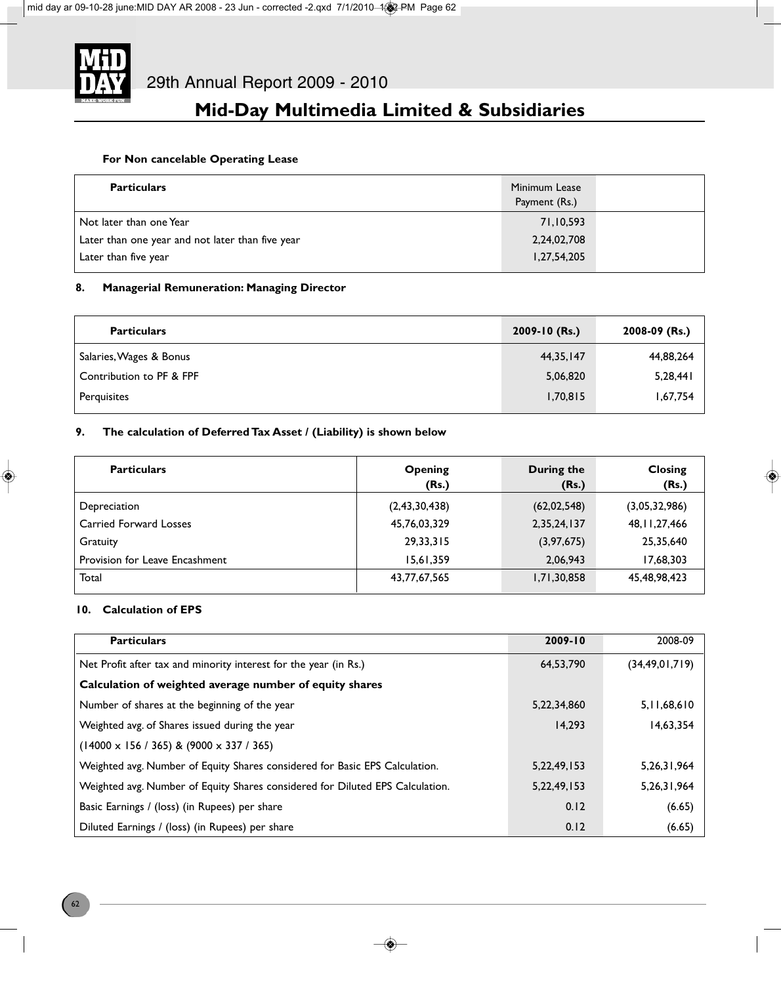

### **For Non cancelable Operating Lease**

| <b>Particulars</b>                               | Minimum Lease<br>Payment (Rs.) |  |
|--------------------------------------------------|--------------------------------|--|
| Not later than one Year                          | 71,10,593                      |  |
| Later than one year and not later than five year | 2,24,02,708                    |  |
| Later than five year                             | 1,27,54,205                    |  |

### **8. Managerial Remuneration: Managing Director**

| <b>Particulars</b>       | $2009 - 10$ (Rs.) | 2008-09 (Rs.) |
|--------------------------|-------------------|---------------|
| Salaries, Wages & Bonus  | 44, 35, 147       | 44,88,264     |
| Contribution to PF & FPF | 5,06,820          | 5,28,441      |
| Perguisites              | 1,70,815          | 1,67,754      |

### **9. The calculation of Deferred Tax Asset / (Liability) is shown below**

| <b>Particulars</b>             | <b>Opening</b><br>(Rs.) | During the<br>(Rs.) | <b>Closing</b><br>(Rs.) |
|--------------------------------|-------------------------|---------------------|-------------------------|
| Depreciation                   | (2,43,30,438)           | (62, 02, 548)       | (3,05,32,986)           |
| <b>Carried Forward Losses</b>  | 45,76,03,329            | 2,35,24,137         | 48, 11, 27, 466         |
| Gratuity                       | 29, 33, 315             | (3, 97, 675)        | 25,35,640               |
| Provision for Leave Encashment | 15.61.359               | 2,06,943            | 17,68,303               |
| Total                          | 43,77,67,565            | 1,71,30,858         | 45,48,98,423            |

### **10. Calculation of EPS**

| <b>Particulars</b>                                                            | 2009-10        | 2008-09           |
|-------------------------------------------------------------------------------|----------------|-------------------|
| Net Profit after tax and minority interest for the year (in Rs.)              | 64,53,790      | (34, 49, 01, 719) |
| Calculation of weighted average number of equity shares                       |                |                   |
| Number of shares at the beginning of the year                                 | 5,22,34,860    | 5, 11, 68, 610    |
| Weighted avg. of Shares issued during the year                                | 14.293         | 14,63,354         |
| $(14000 \times 156 / 365)$ & $(9000 \times 337 / 365)$                        |                |                   |
| Weighted avg. Number of Equity Shares considered for Basic EPS Calculation.   | 5, 22, 49, 153 | 5, 26, 31, 964    |
| Weighted avg. Number of Equity Shares considered for Diluted EPS Calculation. | 5, 22, 49, 153 | 5, 26, 31, 964    |
| Basic Earnings / (loss) (in Rupees) per share                                 | 0.12           | (6.65)            |
| Diluted Earnings / (loss) (in Rupees) per share                               | 0.12           | (6.65)            |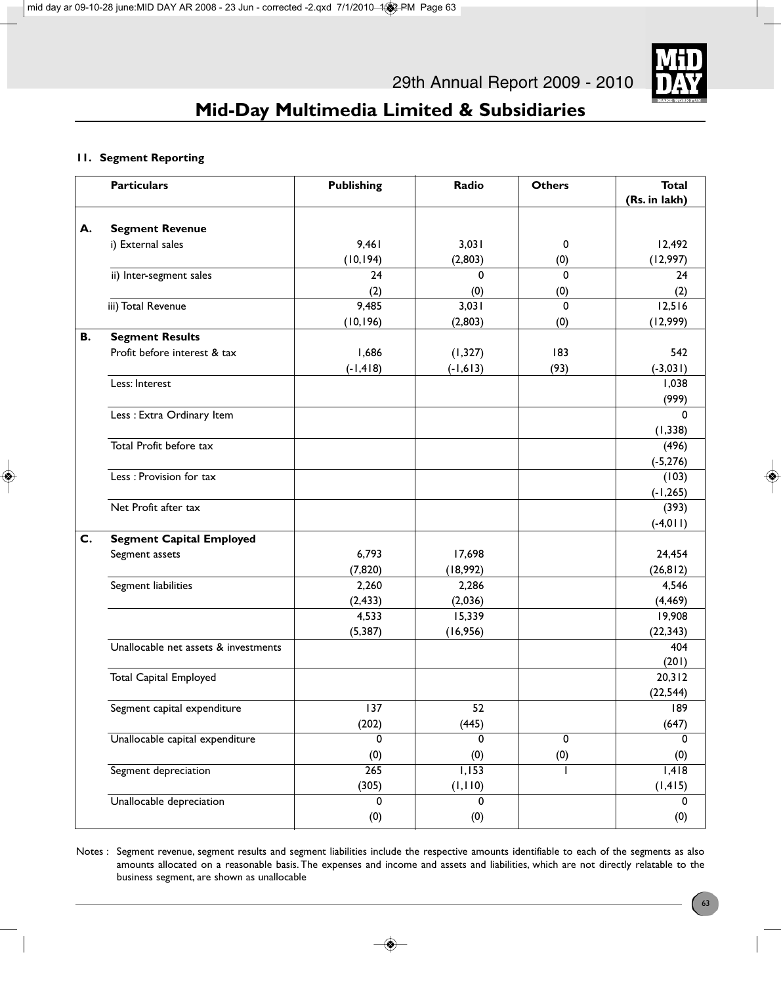

### **11. Segment Reporting**

|                | <b>Particulars</b>                   | <b>Publishing</b> | Radio          | <b>Others</b>  | <b>Total</b><br>(Rs. in lakh) |
|----------------|--------------------------------------|-------------------|----------------|----------------|-------------------------------|
| А.             | <b>Segment Revenue</b>               |                   |                |                |                               |
|                | i) External sales                    | 9,461             | 3,031          | 0              | 12,492                        |
|                |                                      | (10, 194)         | (2,803)        | (0)            | (12,997)                      |
|                | ii) Inter-segment sales              | 24                | 0              | $\mathbf 0$    | 24                            |
|                |                                      | (2)               | (0)            | (0)            | (2)                           |
|                | iii) Total Revenue                   | 9,485             | 3,031          | $\mathbf 0$    | 12,516                        |
|                |                                      | (10, 196)         | (2,803)        | (0)            | (12,999)                      |
| В.             | <b>Segment Results</b>               |                   |                |                |                               |
|                | Profit before interest & tax         | 1,686             | (1, 327)       | 183            | 542                           |
|                |                                      | $(-1, 418)$       | $(-1,613)$     | (93)           | $(-3,031)$                    |
|                | Less: Interest                       |                   |                |                | 1,038<br>(999)                |
|                | Less : Extra Ordinary Item           |                   |                |                | $\Omega$                      |
|                |                                      |                   |                |                | (1, 338)                      |
|                | Total Profit before tax              |                   |                |                | (496)                         |
|                |                                      |                   |                |                | $(-5, 276)$                   |
|                | Less : Provision for tax             |                   |                |                | (103)                         |
|                |                                      |                   |                |                | $(-1, 265)$                   |
|                | Net Profit after tax                 |                   |                |                | (393)                         |
|                |                                      |                   |                |                | $(-4, 011)$                   |
| $\mathsf{C}$ . | <b>Segment Capital Employed</b>      |                   |                |                |                               |
|                | Segment assets                       | 6,793             | 17,698         |                | 24,454                        |
|                |                                      | (7, 820)          | (18,992)       |                | (26, 812)                     |
|                | Segment liabilities                  | 2,260             | 2,286          |                | 4,546                         |
|                |                                      | (2, 433)          | (2,036)        |                | (4, 469)                      |
|                |                                      | 4,533             | 15,339         |                | 19,908                        |
|                |                                      | (5, 387)          | (16,956)       |                | (22, 343)                     |
|                | Unallocable net assets & investments |                   |                |                | 404                           |
|                | <b>Total Capital Employed</b>        |                   |                |                | (201)<br>20,312               |
|                |                                      |                   |                |                | (22, 544)                     |
|                | Segment capital expenditure          | 137               | $52\,$         |                | 189                           |
|                |                                      | (202)             | (445)          |                | (647)                         |
|                | Unallocable capital expenditure      | 0                 | 0              | $\overline{0}$ | $\mathbf 0$                   |
|                |                                      | (0)               | (0)            | (0)            | (0)                           |
|                | Segment depreciation                 | $\overline{265}$  | 1,153          |                | $\overline{1,418}$            |
|                |                                      | (305)             | (1, 110)       |                | (1, 415)                      |
|                | Unallocable depreciation             | 0                 | $\overline{0}$ |                | $\overline{0}$                |
|                |                                      | (0)               | (0)            |                | (0)                           |

Notes : Segment revenue, segment results and segment liabilities include the respective amounts identifiable to each of the segments as also amounts allocated on a reasonable basis. The expenses and income and assets and liabilities, which are not directly relatable to the business segment, are shown as unallocable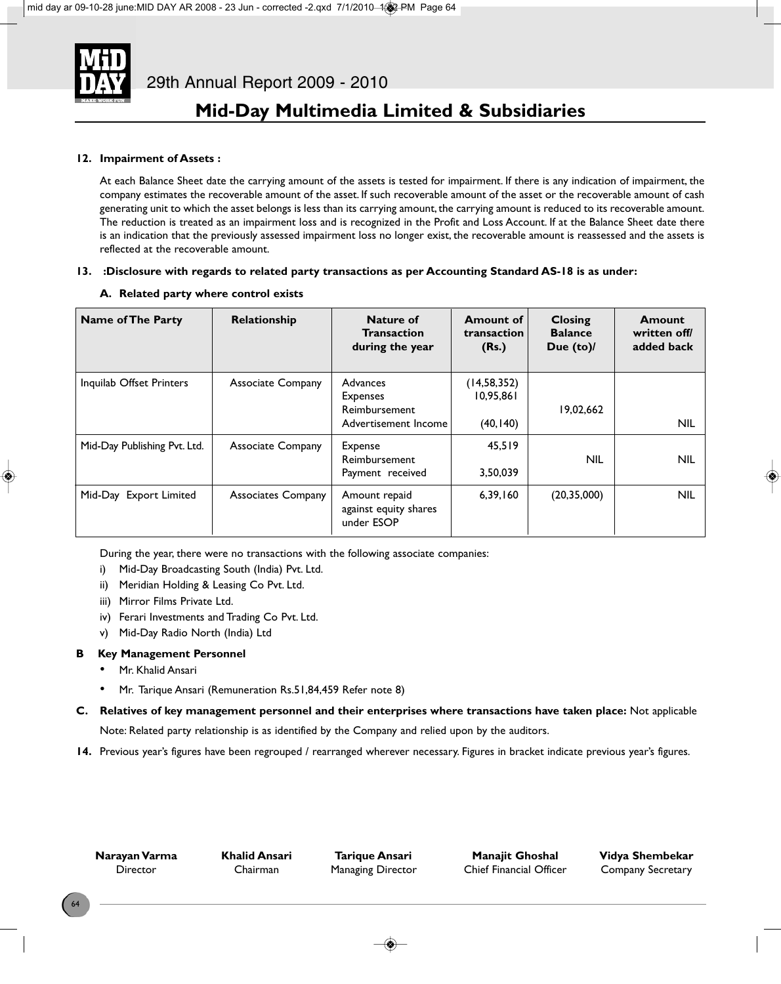

### **12. Impairment of Assets :**

At each Balance Sheet date the carrying amount of the assets is tested for impairment. If there is any indication of impairment, the company estimates the recoverable amount of the asset. If such recoverable amount of the asset or the recoverable amount of cash generating unit to which the asset belongs is less than its carrying amount, the carrying amount is reduced to its recoverable amount. The reduction is treated as an impairment loss and is recognized in the Profit and Loss Account. If at the Balance Sheet date there is an indication that the previously assessed impairment loss no longer exist, the recoverable amount is reassessed and the assets is reflected at the recoverable amount.

#### **13. :Disclosure with regards to related party transactions as per Accounting Standard AS-18 is as under:**

- **Name of The Party**  Relationship **Nature of Amount of Closing Amount Transaction | transaction | Balance | written off/** during the year | (Rs.) | Due (to)/ | added back Inquilab Offset Printers | Associate Company | Advances | (14,58,352)  $Expenses$   $|0.95,861$ Reimbursement 19,02,662 Advertisement Income (40,140) and the same of the NIL Mid-Day Publishing Pvt. Ltd. | Associate Company | Expense | 45,519 Reimbursement NIL NILL NILL NILL Payment received 3,50,039 Mid-Day Export Limited | Associates Company | Amount repaid | 6,39,160 | (20,35,000) | NIL against equity shares under ESOP
- **A. Related party where control exists**

During the year, there were no transactions with the following associate companies:

- i) Mid-Day Broadcasting South (India) Pvt. Ltd.
- ii) Meridian Holding & Leasing Co Pvt. Ltd.
- iii) Mirror Films Private Ltd.
- iv) Ferari Investments and Trading Co Pvt. Ltd.
- v) Mid-Day Radio North (India) Ltd

### **B Key Management Personnel**

- Mr. Khalid Ansari
- Mr. Tarique Ansari (Remuneration Rs.51,84,459 Refer note 8)
- **C. Relatives of key management personnel and their enterprises where transactions have taken place:** Not applicable Note: Related party relationship is as identified by the Company and relied upon by the auditors.
- **14.** Previous year's figures have been regrouped / rearranged wherever necessary. Figures in bracket indicate previous year's figures.

**Narayan Varma Khalid Ansari Tarique Ansari Manajit Ghoshal Vidya Shembekar** Director Chairman Managing Director Chief Financial Officer Company Secretary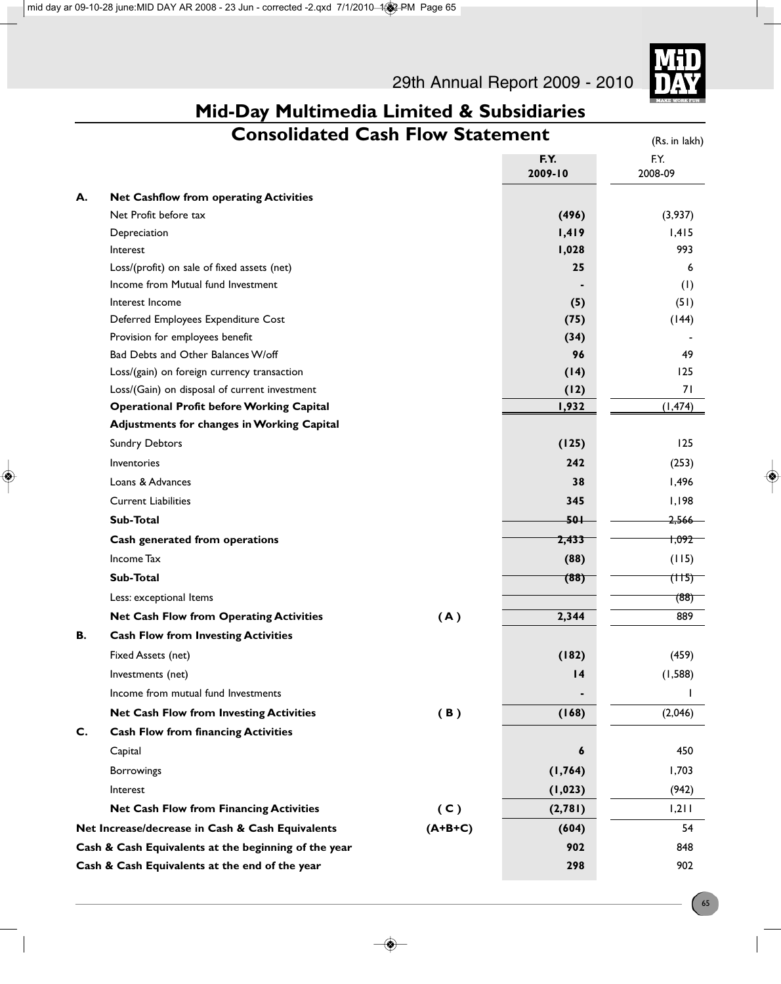29th Annual Report 2009 - 2010



# **Mid-Day Multimedia Limited & Subsidiaries**

| <b>Consolidated Cash Flow Statement</b> |                                                      |           | (Rs. in lakh)   |                    |
|-----------------------------------------|------------------------------------------------------|-----------|-----------------|--------------------|
|                                         |                                                      |           | F.Y.<br>2009-10 | F.Y.<br>2008-09    |
| А.                                      | <b>Net Cashflow from operating Activities</b>        |           |                 |                    |
|                                         | Net Profit before tax                                |           | (496)           | (3,937)            |
|                                         | Depreciation                                         |           | 1,419           | 1,415              |
|                                         | Interest                                             |           | 1,028           | 993                |
|                                         | Loss/(profit) on sale of fixed assets (net)          |           | 25              | 6                  |
|                                         | Income from Mutual fund Investment                   |           |                 | (1)                |
|                                         | Interest Income                                      |           | (5)             | (51)               |
|                                         | Deferred Employees Expenditure Cost                  |           | (75)            | (144)              |
|                                         | Provision for employees benefit                      |           | (34)            |                    |
|                                         | Bad Debts and Other Balances W/off                   |           | 96              | 49                 |
|                                         | Loss/(gain) on foreign currency transaction          |           | (14)            | 125                |
|                                         | Loss/(Gain) on disposal of current investment        |           | (12)            | 71                 |
|                                         | <b>Operational Profit before Working Capital</b>     |           | 1,932           | (1, 474)           |
|                                         | Adjustments for changes in Working Capital           |           |                 |                    |
|                                         | <b>Sundry Debtors</b>                                |           | (125)           | 125                |
|                                         | <b>Inventories</b>                                   |           | 242             | (253)              |
|                                         | Loans & Advances                                     |           | 38              | 1,496              |
|                                         | <b>Current Liabilities</b>                           |           | 345             | I, I98             |
|                                         | Sub-Total                                            |           | $50+$           | <del>2,566</del>   |
|                                         | Cash generated from operations                       |           | 2,433           | <del>1,092 -</del> |
|                                         | <b>Income Tax</b>                                    |           | (88)            | (115)              |
|                                         | Sub-Total                                            |           | (88)            | (115)              |
|                                         | Less: exceptional Items                              |           |                 | (88)               |
|                                         | <b>Net Cash Flow from Operating Activities</b>       | (A)       | 2,344           | 889                |
| В.                                      | <b>Cash Flow from Investing Activities</b>           |           |                 |                    |
|                                         | Fixed Assets (net)                                   |           | (182)           | (459)              |
|                                         | Investments (net)                                    |           | $\overline{14}$ | (1, 588)           |
|                                         | Income from mutual fund Investments                  |           |                 |                    |
|                                         | <b>Net Cash Flow from Investing Activities</b>       | (B)       | (168)           | (2,046)            |
| C.                                      | <b>Cash Flow from financing Activities</b>           |           |                 |                    |
|                                         | Capital                                              |           | 6               | 450                |
|                                         | Borrowings                                           |           | (1, 764)        | 1,703              |
|                                         | Interest                                             |           | (1, 023)        | (942)              |
|                                         | <b>Net Cash Flow from Financing Activities</b>       | (C)       | (2, 781)        | 1,211              |
|                                         | Net Increase/decrease in Cash & Cash Equivalents     | $(A+B+C)$ | (604)           | 54                 |
|                                         | Cash & Cash Equivalents at the beginning of the year |           | 902             | 848                |
|                                         | Cash & Cash Equivalents at the end of the year       |           | 298             | 902                |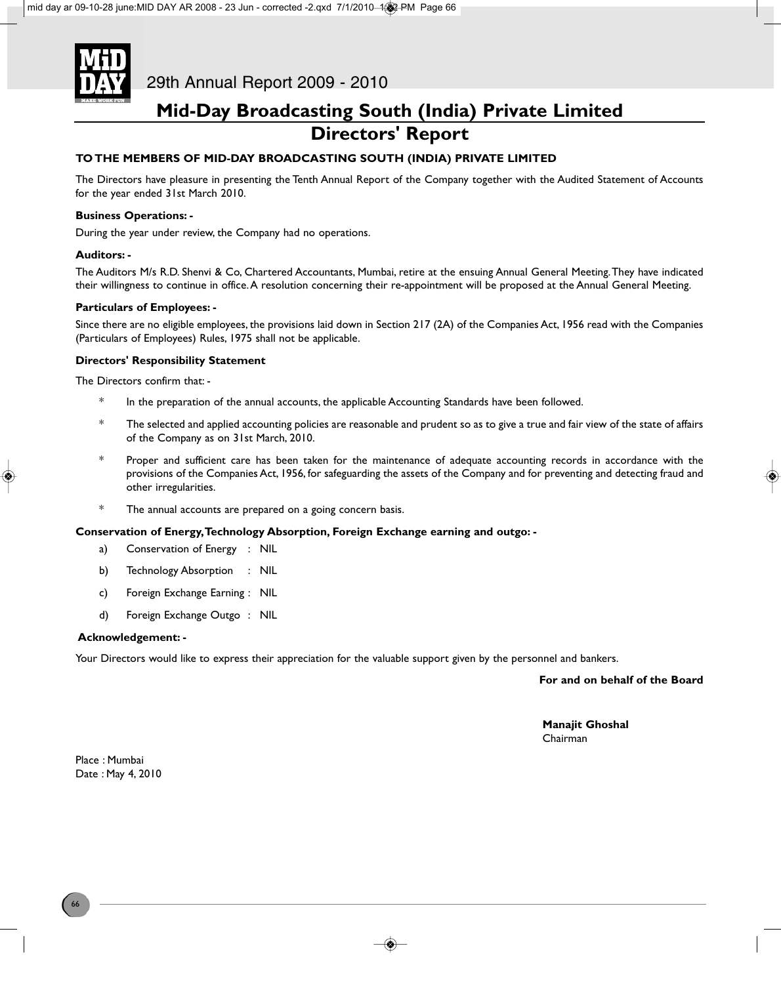

### **Mid-Day Broadcasting South (India) Private Limited Directors' Report**

### **TO THE MEMBERS OF MID-DAY BROADCASTING SOUTH (INDIA) PRIVATE LIMITED**

The Directors have pleasure in presenting the Tenth Annual Report of the Company together with the Audited Statement of Accounts for the year ended 31st March 2010.

#### **Business Operations: -**

During the year under review, the Company had no operations.

#### **Auditors: -**

The Auditors M/s R.D. Shenvi & Co, Chartered Accountants, Mumbai, retire at the ensuing Annual General Meeting. They have indicated their willingness to continue in office. A resolution concerning their re-appointment will be proposed at the Annual General Meeting.

#### **Particulars of Employees: -**

Since there are no eligible employees, the provisions laid down in Section 217 (2A) of the Companies Act, 1956 read with the Companies (Particulars of Employees) Rules, 1975 shall not be applicable.

#### **Directors' Responsibility Statement**

The Directors confirm that: -

- In the preparation of the annual accounts, the applicable Accounting Standards have been followed.
- \* The selected and applied accounting policies are reasonable and prudent so as to give a true and fair view of the state of affairs of the Company as on 31st March, 2010.
- \* Proper and sufficient care has been taken for the maintenance of adequate accounting records in accordance with the provisions of the Companies Act, 1956, for safeguarding the assets of the Company and for preventing and detecting fraud and other irregularities.
- \* The annual accounts are prepared on a going concern basis.

#### **Conservation of Energy, Technology Absorption, Foreign Exchange earning and outgo: -**

- a) Conservation of Energy : NIL
- b) Technology Absorption : NIL
- c) Foreign Exchange Earning : NIL
- d) Foreign Exchange Outgo : NIL

#### **Acknowledgement: -**

Your Directors would like to express their appreciation for the valuable support given by the personnel and bankers.

**For and on behalf of the Board**

**Manajit Ghoshal** Chairman

Place : Mumbai Date : May 4, 2010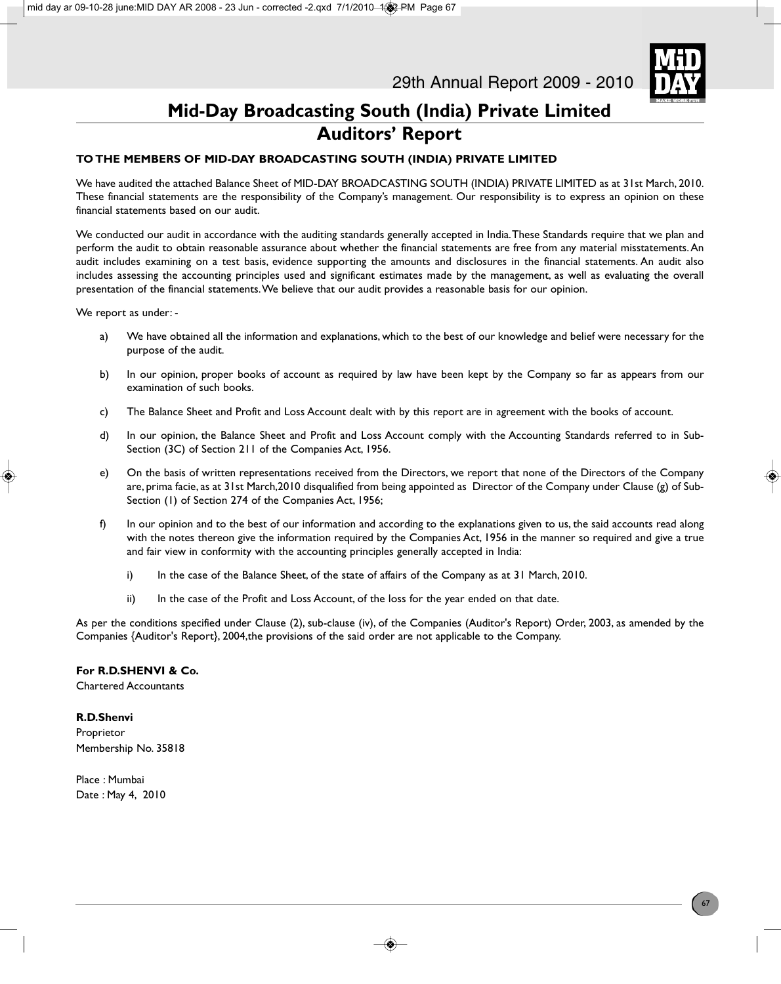

### **Mid-Day Broadcasting South (India) Private Limited Auditors' Report**

### **TO THE MEMBERS OF MID-DAY BROADCASTING SOUTH (INDIA) PRIVATE LIMITED**

We have audited the attached Balance Sheet of MID-DAY BROADCASTING SOUTH (INDIA) PRIVATE LIMITED as at 31st March, 2010. These financial statements are the responsibility of the Company's management. Our responsibility is to express an opinion on these financial statements based on our audit.

We conducted our audit in accordance with the auditing standards generally accepted in India. These Standards require that we plan and perform the audit to obtain reasonable assurance about whether the financial statements are free from any material misstatements. An audit includes examining on a test basis, evidence supporting the amounts and disclosures in the financial statements. An audit also includes assessing the accounting principles used and significant estimates made by the management, as well as evaluating the overall presentation of the financial statements. We believe that our audit provides a reasonable basis for our opinion.

We report as under: -

- a) We have obtained all the information and explanations, which to the best of our knowledge and belief were necessary for the purpose of the audit.
- b) In our opinion, proper books of account as required by law have been kept by the Company so far as appears from our examination of such books.
- c) The Balance Sheet and Profit and Loss Account dealt with by this report are in agreement with the books of account.
- d) In our opinion, the Balance Sheet and Profit and Loss Account comply with the Accounting Standards referred to in Sub-Section (3C) of Section 211 of the Companies Act, 1956.
- e) On the basis of written representations received from the Directors, we report that none of the Directors of the Company are, prima facie, as at 31st March,2010 disqualified from being appointed as Director of the Company under Clause (g) of Sub-Section (1) of Section 274 of the Companies Act, 1956;
- f) In our opinion and to the best of our information and according to the explanations given to us, the said accounts read along with the notes thereon give the information required by the Companies Act, 1956 in the manner so required and give a true and fair view in conformity with the accounting principles generally accepted in India:
	- i) In the case of the Balance Sheet, of the state of affairs of the Company as at 31 March, 2010.
	- ii) In the case of the Profit and Loss Account, of the loss for the year ended on that date.

As per the conditions specified under Clause (2), sub-clause (iv), of the Companies (Auditor's Report) Order, 2003, as amended by the Companies {Auditor's Report}, 2004,the provisions of the said order are not applicable to the Company.

#### **For R.D.SHENVI & Co.**

Chartered Accountants

#### **R.D.Shenvi**

Proprietor Membership No. 35818

Place : Mumbai Date : May 4, 2010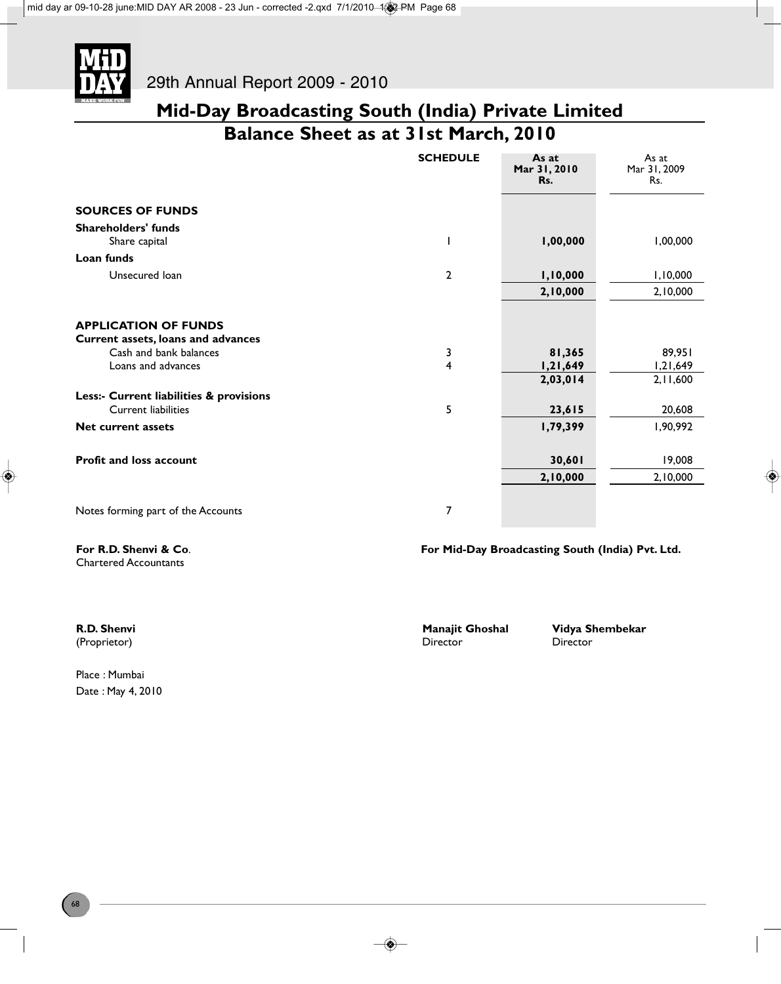

**Mid-Day Broadcasting South (India) Private Limited Balance Sheet as at 31st March, 2010**

|                                         | <b>SCHEDULE</b> | As at<br>Mar 31, 2010<br>Rs. | As at<br>Mar 31, 2009<br>Rs. |
|-----------------------------------------|-----------------|------------------------------|------------------------------|
| <b>SOURCES OF FUNDS</b>                 |                 |                              |                              |
| <b>Shareholders' funds</b>              |                 |                              |                              |
| Share capital                           |                 | 1,00,000                     | 1,00,000                     |
| Loan funds                              |                 |                              |                              |
| Unsecured loan                          | $\mathbf{2}$    | 1,10,000                     | 1,10,000                     |
|                                         |                 | 2,10,000                     | 2,10,000                     |
| <b>APPLICATION OF FUNDS</b>             |                 |                              |                              |
| Current assets, loans and advances      |                 |                              |                              |
| Cash and bank balances                  | 3               | 81,365                       | 89,951                       |
| Loans and advances                      | 4               | 1,21,649                     | 1,21,649                     |
|                                         |                 | 2,03,014                     | 2,11,600                     |
| Less:- Current liabilities & provisions |                 |                              |                              |
| Current liabilities                     | 5               | 23,615                       | 20,608                       |
| <b>Net current assets</b>               |                 | 1,79,399                     | 1,90,992                     |
| <b>Profit and loss account</b>          |                 | 30,601                       | 19,008                       |
|                                         |                 | 2,10,000                     | 2,10,000                     |
| Notes forming part of the Accounts      | 7               |                              |                              |

Chartered Accountants

**For R.D. Shenvi & Co**. **For Mid-Day Broadcasting South (India) Pvt. Ltd.**

(Proprietor)

Place : Mumbai Date : May 4, 2010

**R.D. Shenvi Manajit Ghoshal Vidya Shembekar**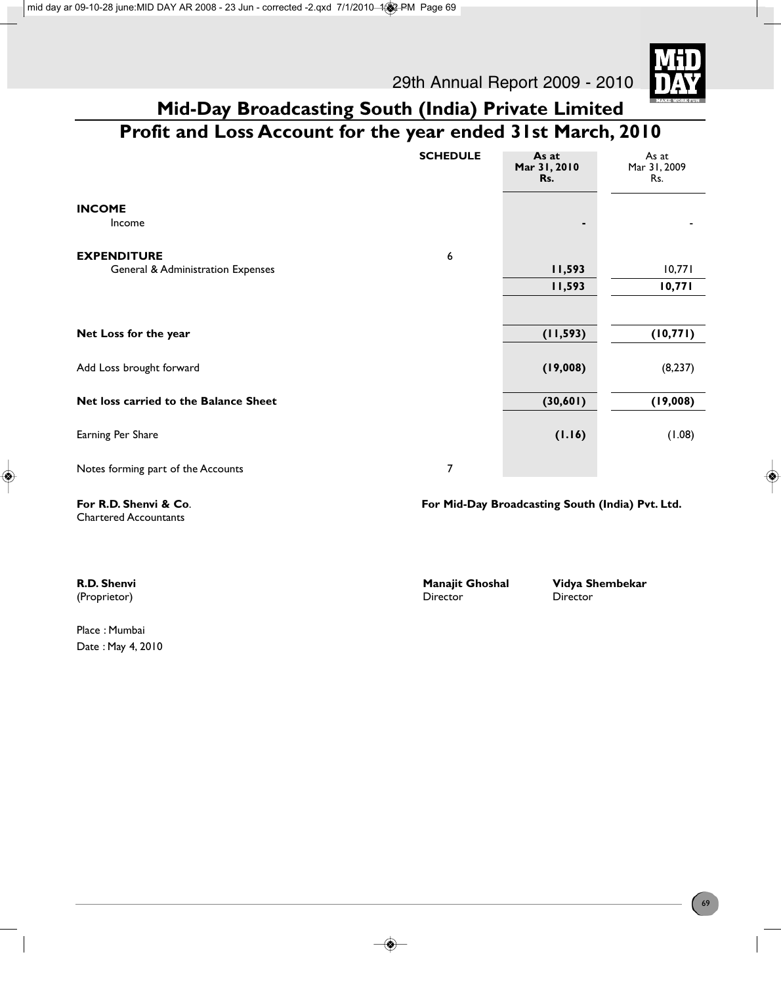29th Annual Report 2009 - 2010



# **Mid-Day Broadcasting South (India) Private Limited Profit and Loss Account for the year ended 31st March, 2010**

|                                                         | <b>SCHEDULE</b> | As at<br>Mar 31, 2010<br>Rs. | As at<br>Mar 31, 2009<br>Rs. |
|---------------------------------------------------------|-----------------|------------------------------|------------------------------|
| <b>INCOME</b><br>Income                                 |                 | ٠                            |                              |
| <b>EXPENDITURE</b><br>General & Administration Expenses | 6               | 11,593<br>11,593             | 10,771<br>10,771             |
| Net Loss for the year                                   |                 | (11, 593)                    | (10, 771)                    |
| Add Loss brought forward                                |                 | (19,008)                     | (8, 237)                     |
| Net loss carried to the Balance Sheet                   |                 | (30,601)                     | (19,008)                     |
| Earning Per Share                                       |                 | (1.16)                       | (1.08)                       |
| Notes forming part of the Accounts                      | 7               |                              |                              |

Chartered Accountants

**For R.D. Shenvi & Co**. **For Mid-Day Broadcasting South (India) Pvt. Ltd.**

| R.D. Shenvi                         | <b>Manajit Ghoshal</b> | Vidya Shembekar |  |
|-------------------------------------|------------------------|-----------------|--|
| (Proprietor)                        | Director               | Director        |  |
| $Dl$ $\sim$ $Ml$ $ml$ $\sim$ $\sim$ |                        |                 |  |

Place : Mumbai Date : May 4, 2010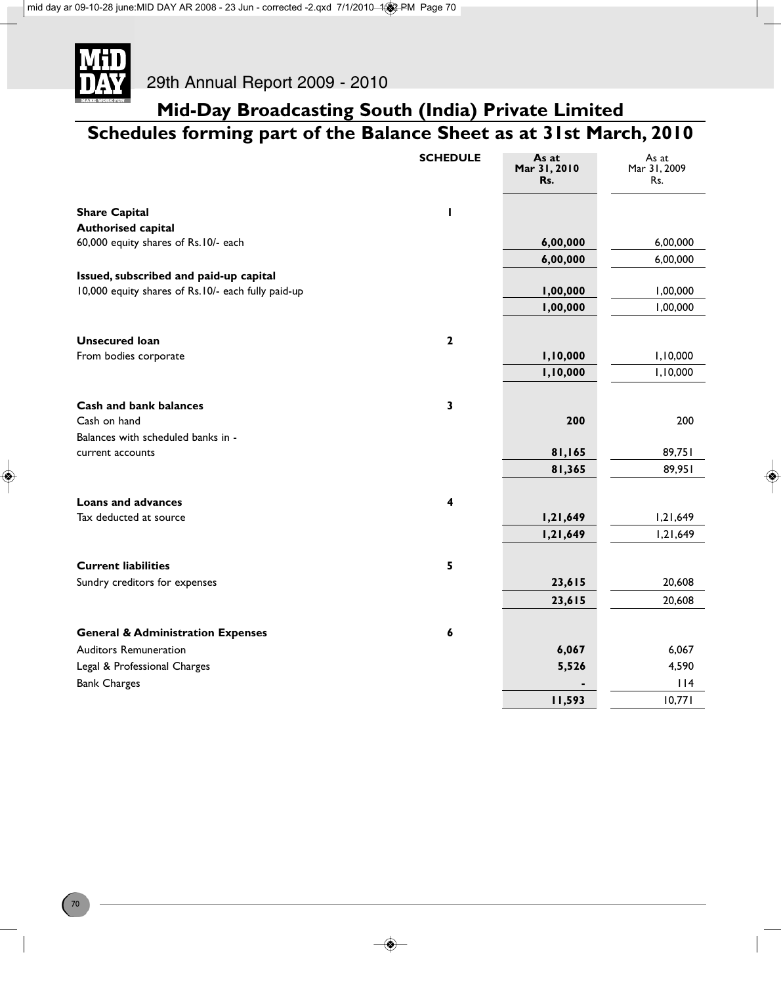

### **Mid-Day Broadcasting South (India) Private Limited Schedules forming part of the Balance Sheet as at 31st March, 2010**

|                                                    | <b>SCHEDULE</b> | As at<br>Mar 31, 2010<br>Rs. | As at<br>Mar 31, 2009<br>Rs. |
|----------------------------------------------------|-----------------|------------------------------|------------------------------|
| <b>Share Capital</b>                               |                 |                              |                              |
| <b>Authorised capital</b>                          |                 |                              |                              |
| 60,000 equity shares of Rs.10/- each               |                 | 6,00,000                     | 6,00,000                     |
|                                                    |                 | 6,00,000                     | 6,00,000                     |
| Issued, subscribed and paid-up capital             |                 |                              |                              |
| 10,000 equity shares of Rs.10/- each fully paid-up |                 | 1,00,000                     | 1,00,000                     |
|                                                    |                 | 1,00,000                     | 1,00,000                     |
| <b>Unsecured loan</b>                              | $\mathbf{2}$    |                              |                              |
| From bodies corporate                              |                 | 1,10,000                     | 1,10,000                     |
|                                                    |                 | 1,10,000                     | 1,10,000                     |
| Cash and bank balances                             | 3               |                              |                              |
| Cash on hand                                       |                 | 200                          | 200                          |
| Balances with scheduled banks in -                 |                 |                              |                              |
| current accounts                                   |                 | 81,165                       | 89,751                       |
|                                                    |                 | 81,365                       | 89,951                       |
| <b>Loans and advances</b>                          | 4               |                              |                              |
| Tax deducted at source                             |                 | 1,21,649                     | 1,21,649                     |
|                                                    |                 | 1,21,649                     | 1,21,649                     |
| <b>Current liabilities</b>                         | 5               |                              |                              |
| Sundry creditors for expenses                      |                 | 23,615                       | 20,608                       |
|                                                    |                 | 23,615                       | 20,608                       |
| <b>General &amp; Administration Expenses</b>       | 6               |                              |                              |
| <b>Auditors Remuneration</b>                       |                 | 6,067                        | 6,067                        |
| Legal & Professional Charges                       |                 | 5,526                        | 4,590                        |
| <b>Bank Charges</b>                                |                 |                              | 114                          |
|                                                    |                 | 11,593                       | 10,771                       |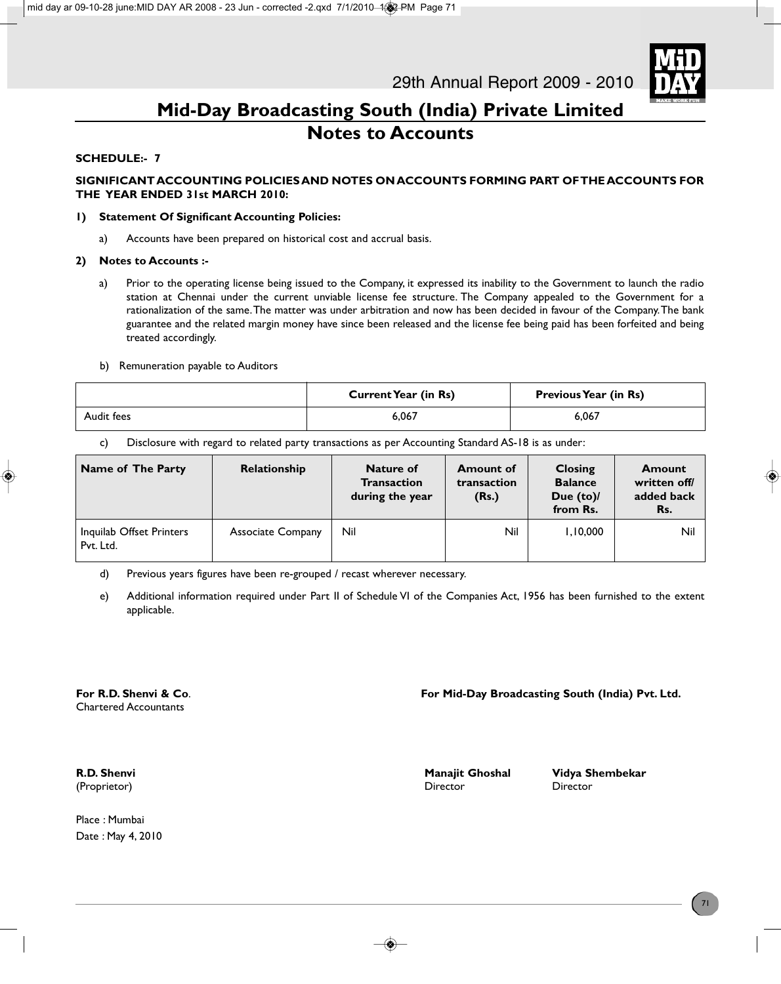

### **Mid-Day Broadcasting South (India) Private Limited Notes to Accounts**

### **SCHEDULE:- 7**

### **SIGNIFICANT ACCOUNTING POLICIES AND NOTES ON ACCOUNTS FORMING PART OF THE ACCOUNTS FOR THE YEAR ENDED 31st MARCH 2010:**

#### **1) Statement Of Significant Accounting Policies:**

a) Accounts have been prepared on historical cost and accrual basis.

#### **2) Notes to Accounts :-**

a) Prior to the operating license being issued to the Company, it expressed its inability to the Government to launch the radio station at Chennai under the current unviable license fee structure. The Company appealed to the Government for a rationalization of the same. The matter was under arbitration and now has been decided in favour of the Company. The bank guarantee and the related margin money have since been released and the license fee being paid has been forfeited and being treated accordingly.

#### b) Remuneration payable to Auditors

|            | <b>Current Year (in Rs)</b> | <b>Previous Year (in Rs)</b> |
|------------|-----------------------------|------------------------------|
| Audit fees | 6.067                       | 6.067                        |

c) Disclosure with regard to related party transactions as per Accounting Standard AS-18 is as under:

| Name of The Party                     | Relationship             | <b>Nature of</b><br><b>Transaction</b><br>during the year | <b>Amount of</b><br>transaction<br>(Rs.) | Closing<br><b>Balance</b><br>Due $(to)$<br>from Rs. | <b>Amount</b><br>written off/<br>added back<br>Rs. |
|---------------------------------------|--------------------------|-----------------------------------------------------------|------------------------------------------|-----------------------------------------------------|----------------------------------------------------|
| Inquilab Offset Printers<br>Pvt. Ltd. | <b>Associate Company</b> | Nil                                                       | Nil                                      | 1,10,000                                            | Nil                                                |

d) Previous years figures have been re-grouped / recast wherever necessary.

e) Additional information required under Part II of Schedule VI of the Companies Act, 1956 has been furnished to the extent applicable.

Chartered Accountants

### **For R.D. Shenvi & Co**. **For Mid-Day Broadcasting South (India) Pvt. Ltd.**

Place : Mumbai Date : May 4, 2010

(Proprietor) Director Director

**R.D. Shenvi** Manajit Ghoshal Manajit Ghoshal Vidya Shembekar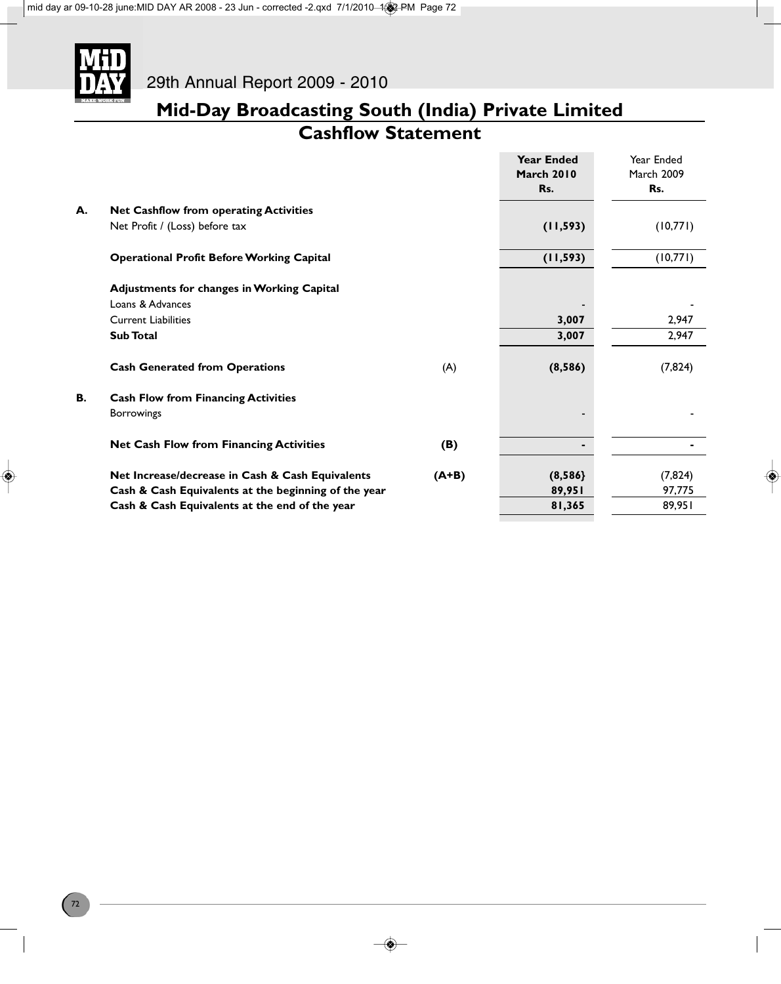

### **Mid-Day Broadcasting South (India) Private Limited Cashflow Statement**

|    |                                                      |         | <b>Year Ended</b><br><b>March 2010</b><br>Rs. | Year Ended<br><b>March 2009</b><br>Rs. |
|----|------------------------------------------------------|---------|-----------------------------------------------|----------------------------------------|
| А. | <b>Net Cashflow from operating Activities</b>        |         |                                               |                                        |
|    | Net Profit / (Loss) before tax                       |         | (11, 593)                                     | (10,771)                               |
|    | <b>Operational Profit Before Working Capital</b>     |         | (11, 593)                                     | (10,771)                               |
|    | <b>Adjustments for changes in Working Capital</b>    |         |                                               |                                        |
|    | Loans & Advances                                     |         |                                               |                                        |
|    | <b>Current Liabilities</b>                           |         | 3,007                                         | 2,947                                  |
|    | <b>Sub Total</b>                                     |         | 3,007                                         | 2,947                                  |
|    | <b>Cash Generated from Operations</b>                | (A)     | (8,586)                                       | (7, 824)                               |
| В. | <b>Cash Flow from Financing Activities</b>           |         |                                               |                                        |
|    | <b>Borrowings</b>                                    |         |                                               |                                        |
|    | <b>Net Cash Flow from Financing Activities</b>       | (B)     | ۰                                             |                                        |
|    | Net Increase/decrease in Cash & Cash Equivalents     | $(A+B)$ | (8,586)                                       | (7, 824)                               |
|    | Cash & Cash Equivalents at the beginning of the year |         | 89,951                                        | 97,775                                 |
|    | Cash & Cash Equivalents at the end of the year       |         | 81,365                                        | 89,951                                 |
|    |                                                      |         |                                               |                                        |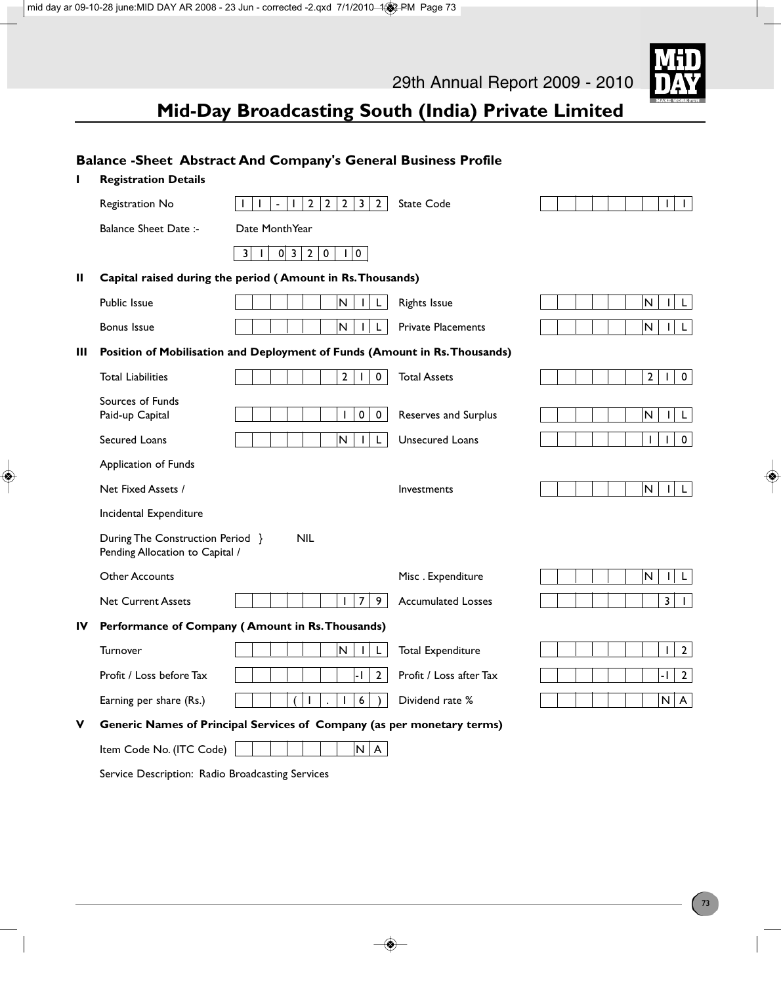

### **Mid-Day Broadcasting South (India) Private Limited**

|    |                                                                     | Balance - Sheet Abstract And Company's General Business Profile                                              |                           |                                               |
|----|---------------------------------------------------------------------|--------------------------------------------------------------------------------------------------------------|---------------------------|-----------------------------------------------|
| ı  | <b>Registration Details</b>                                         |                                                                                                              |                           |                                               |
|    | Registration No                                                     | $\overline{2}$<br>$\overline{2}$<br>$\overline{2}$<br>$\overline{\mathbf{3}}$<br>$2^{\circ}$<br>$\mathbf{I}$ | <b>State Code</b>         | $\mathbf{I}$<br>$\mathbf{L}$                  |
|    | <b>Balance Sheet Date:-</b>                                         | Date MonthYear                                                                                               |                           |                                               |
|    |                                                                     | 3 <br>$0 \vert 3 \vert$<br>$\overline{2}$<br>$\mathbf 0$<br>$\pmb{0}$<br>$\mathbf{I}$<br>$\mathbf{I}$        |                           |                                               |
| Ш  |                                                                     | Capital raised during the period (Amount in Rs. Thousands)                                                   |                           |                                               |
|    | Public Issue                                                        | $\overline{\mathsf{N}}$                                                                                      | <b>Rights Issue</b>       | ${\sf N}$<br>L                                |
|    | <b>Bonus Issue</b>                                                  | N<br>L                                                                                                       | <b>Private Placements</b> | ${\sf N}$<br>L.<br>ı                          |
| Ш  |                                                                     | Position of Mobilisation and Deployment of Funds (Amount in Rs. Thousands)                                   |                           |                                               |
|    | <b>Total Liabilities</b>                                            | 2 <sup>1</sup><br>0                                                                                          | <b>Total Assets</b>       | 2 <sup>1</sup><br>$\mathbf 0$<br>$\mathbf{I}$ |
|    | Sources of Funds<br>Paid-up Capital                                 | 0<br>$\mathbf 0$<br>T                                                                                        | Reserves and Surplus      | ${\sf N}$<br>L                                |
|    | Secured Loans                                                       | N<br>L<br>L                                                                                                  | Unsecured Loans           | T<br>$\mathbf 0$                              |
|    | Application of Funds                                                |                                                                                                              |                           |                                               |
|    | Net Fixed Assets /                                                  |                                                                                                              | <b>Investments</b>        | N<br>L.<br>$\mathbf{I}$                       |
|    | Incidental Expenditure                                              |                                                                                                              |                           |                                               |
|    | During The Construction Period }<br>Pending Allocation to Capital / | <b>NIL</b>                                                                                                   |                           |                                               |
|    | <b>Other Accounts</b>                                               |                                                                                                              | Misc. Expenditure         | N<br>L                                        |
|    | <b>Net Current Assets</b>                                           | $\overline{7}$<br>9                                                                                          | <b>Accumulated Losses</b> | 3<br>$\mathbf{I}$                             |
| IV |                                                                     | Performance of Company (Amount in Rs. Thousands)                                                             |                           |                                               |
|    | Turnover                                                            | N<br>$\mathbf{I}$                                                                                            | <b>Total Expenditure</b>  | $\overline{2}$<br>$\mathbf{I}$                |
|    | Profit / Loss before Tax                                            | $2^{\circ}$<br>-1                                                                                            | Profit / Loss after Tax   | $\overline{2}$<br>-1                          |
|    | Earning per share (Rs.)                                             | 6                                                                                                            | Dividend rate %           | N   A                                         |
| v  |                                                                     | Generic Names of Principal Services of Company (as per monetary terms)                                       |                           |                                               |
|    | Item Code No. (ITC Code)                                            | N   A                                                                                                        |                           |                                               |
|    | Service Description: Radio Broadcasting Services                    |                                                                                                              |                           |                                               |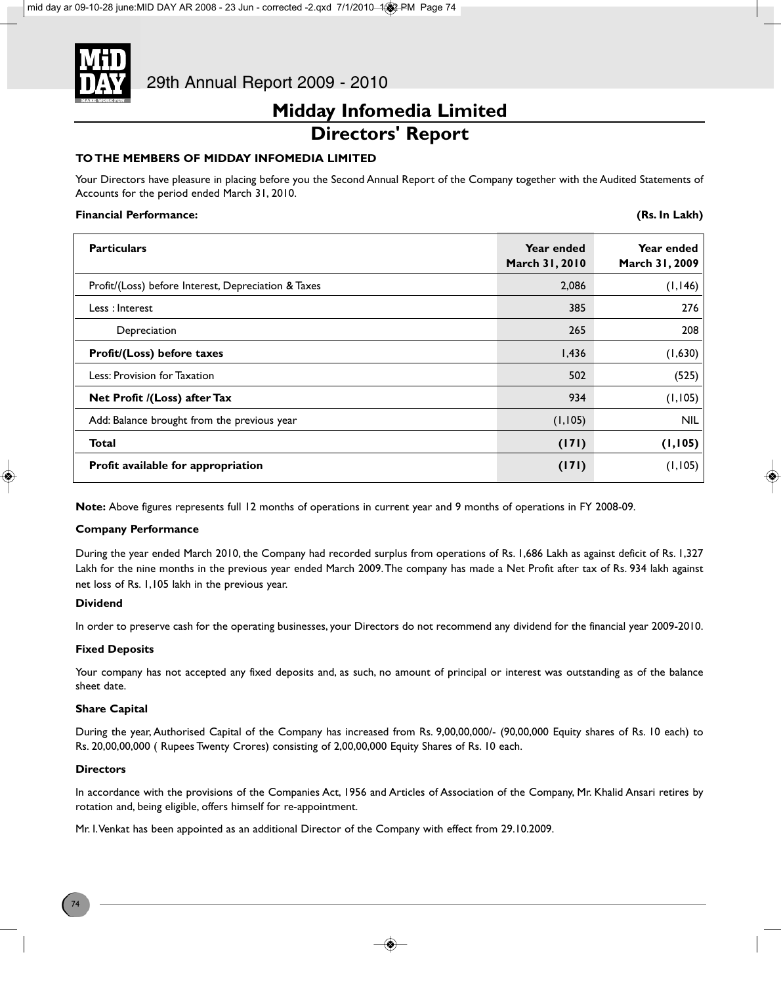

### **Midday Infomedia Limited Directors' Report**

### **TO THE MEMBERS OF MIDDAY INFOMEDIA LIMITED**

Your Directors have pleasure in placing before you the Second Annual Report of the Company together with the Audited Statements of Accounts for the period ended March 31, 2010.

### **Financial Performance:**

|  |  | (Rs. In Lakh) |
|--|--|---------------|
|--|--|---------------|

| <b>Particulars</b>                                  | Year ended<br>March 31, 2010 | Year ended<br>March 31, 2009 |
|-----------------------------------------------------|------------------------------|------------------------------|
| Profit/(Loss) before Interest, Depreciation & Taxes | 2,086                        | (1, 146)                     |
| Less: Interest                                      | 385                          | 276                          |
| Depreciation                                        | 265                          | 208                          |
| Profit/(Loss) before taxes                          | 1,436                        | (1,630)                      |
| Less: Provision for Taxation                        | 502                          | (525)                        |
| Net Profit /(Loss) after Tax                        | 934                          | (1, 105)                     |
| Add: Balance brought from the previous year         | (1, 105)                     | <b>NIL</b>                   |
| <b>Total</b>                                        | (171)                        | (1, 105)                     |
| Profit available for appropriation                  | (171)                        | (1, 105)                     |

**Note:** Above figures represents full 12 months of operations in current year and 9 months of operations in FY 2008-09.

### **Company Performance**

During the year ended March 2010, the Company had recorded surplus from operations of Rs. 1,686 Lakh as against deficit of Rs. 1,327 Lakh for the nine months in the previous year ended March 2009. The company has made a Net Profit after tax of Rs. 934 lakh against net loss of Rs. 1,105 lakh in the previous year.

### **Dividend**

In order to preserve cash for the operating businesses, your Directors do not recommend any dividend for the financial year 2009-2010.

### **Fixed Deposits**

Your company has not accepted any fixed deposits and, as such, no amount of principal or interest was outstanding as of the balance sheet date.

### **Share Capital**

During the year, Authorised Capital of the Company has increased from Rs. 9,00,00,000/- (90,00,000 Equity shares of Rs. 10 each) to Rs. 20,00,00,000 ( Rupees Twenty Crores) consisting of 2,00,00,000 Equity Shares of Rs. 10 each.

### **Directors**

In accordance with the provisions of the Companies Act, 1956 and Articles of Association of the Company, Mr. Khalid Ansari retires by rotation and, being eligible, offers himself for re-appointment.

Mr. I. Venkat has been appointed as an additional Director of the Company with effect from 29.10.2009.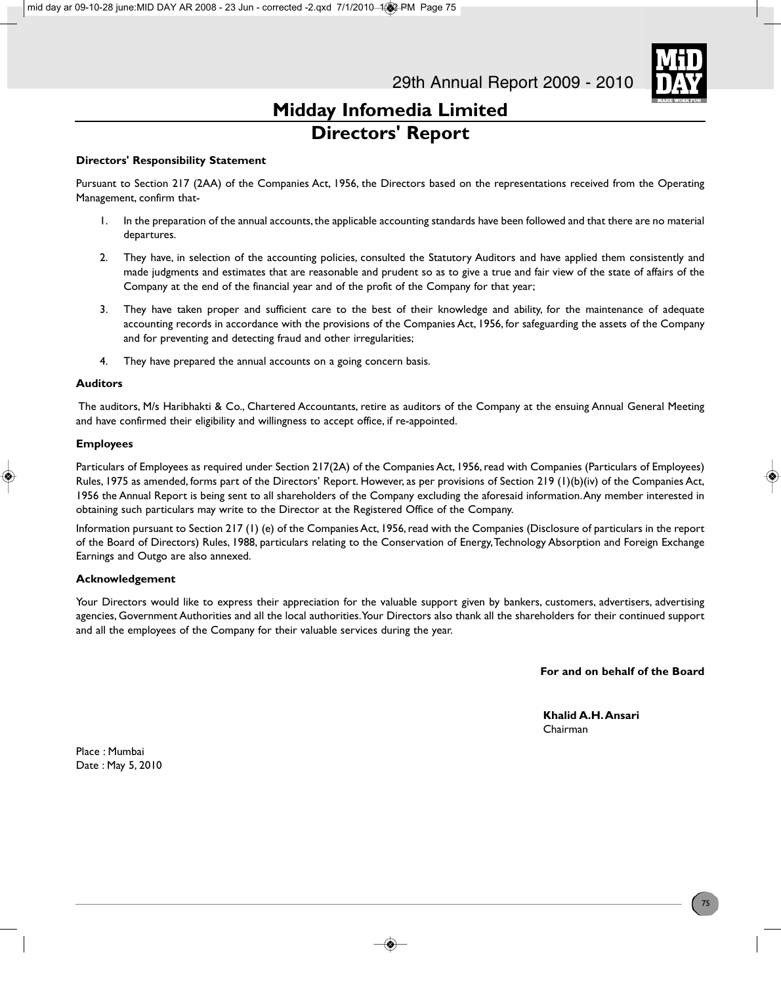

### **Midday Infomedia Limited Directors' Report**

### **Directors' Responsibility Statement**

Pursuant to Section 217 (2AA) of the Companies Act, 1956, the Directors based on the representations received from the Operating Management, confirm that-

- 1. In the preparation of the annual accounts, the applicable accounting standards have been followed and that there are no material departures.
- 2. They have, in selection of the accounting policies, consulted the Statutory Auditors and have applied them consistently and made judgments and estimates that are reasonable and prudent so as to give a true and fair view of the state of affairs of the Company at the end of the financial year and of the profit of the Company for that year;
- 3. They have taken proper and sufficient care to the best of their knowledge and ability, for the maintenance of adequate accounting records in accordance with the provisions of the Companies Act, 1956, for safeguarding the assets of the Company and for preventing and detecting fraud and other irregularities;
- 4. They have prepared the annual accounts on a going concern basis.

#### **Auditors**

The auditors, M/s Haribhakti & Co., Chartered Accountants, retire as auditors of the Company at the ensuing Annual General Meeting and have confirmed their eligibility and willingness to accept office, if re-appointed.

#### **Employees**

Particulars of Employees as required under Section 217(2A) of the Companies Act, 1956, read with Companies (Particulars of Employees) Rules, 1975 as amended, forms part of the Directors' Report. However, as per provisions of Section 219 (1)(b)(iv) of the Companies Act, 1956 the Annual Report is being sent to all shareholders of the Company excluding the aforesaid information. Any member interested in obtaining such particulars may write to the Director at the Registered Office of the Company.

Information pursuant to Section 217 (1) (e) of the Companies Act, 1956, read with the Companies (Disclosure of particulars in the report of the Board of Directors) Rules, 1988, particulars relating to the Conservation of Energy, Technology Absorption and Foreign Exchange Earnings and Outgo are also annexed.

### **Acknowledgement**

Your Directors would like to express their appreciation for the valuable support given by bankers, customers, advertisers, advertising agencies, Government Authorities and all the local authorities. Your Directors also thank all the shareholders for their continued support and all the employees of the Company for their valuable services during the year.

**For and on behalf of the Board**

**Khalid A.H. Ansari** Chairman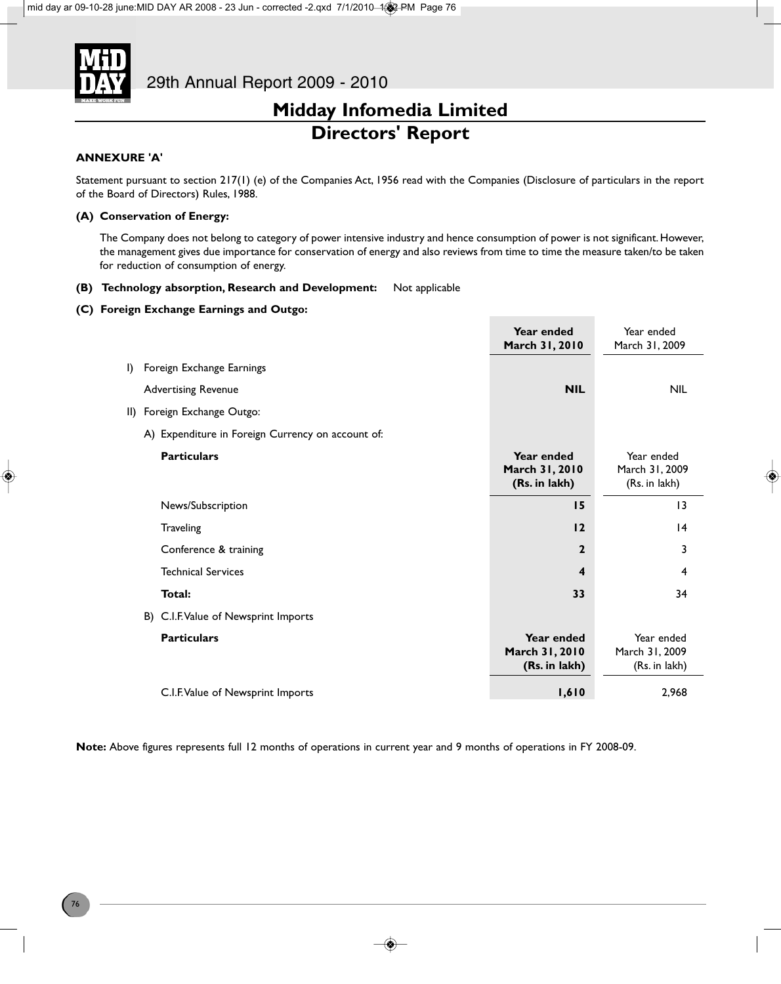

### **Midday Infomedia Limited Directors' Report**

### **ANNEXURE 'A'**

Statement pursuant to section 217(1) (e) of the Companies Act, 1956 read with the Companies (Disclosure of particulars in the report of the Board of Directors) Rules, 1988.

### **(A) Conservation of Energy:**

The Company does not belong to category of power intensive industry and hence consumption of power is not significant. However, the management gives due importance for conservation of energy and also reviews from time to time the measure taken/to be taken for reduction of consumption of energy.

#### **(B) Technology absorption, Research and Development:** Not applicable

#### **(C) Foreign Exchange Earnings and Outgo:**

|              |                                                   | Year ended<br>March 31, 2010                  | Year ended<br>March 31, 2009                  |
|--------------|---------------------------------------------------|-----------------------------------------------|-----------------------------------------------|
| $\mathsf{I}$ | Foreign Exchange Earnings                         |                                               |                                               |
|              | <b>Advertising Revenue</b>                        | <b>NIL</b>                                    | <b>NIL</b>                                    |
|              | II) Foreign Exchange Outgo:                       |                                               |                                               |
|              | A) Expenditure in Foreign Currency on account of: |                                               |                                               |
|              | <b>Particulars</b>                                | Year ended<br>March 31, 2010<br>(Rs. in lakh) | Year ended<br>March 31, 2009<br>(Rs. in lakh) |
|              | News/Subscription                                 | 15                                            | $\overline{13}$                               |
|              | Traveling                                         | 12                                            | 4                                             |
|              | Conference & training                             | $\mathbf{2}$                                  | 3                                             |
|              | <b>Technical Services</b>                         | 4                                             | 4                                             |
|              | Total:                                            | 33                                            | 34                                            |
|              | B) C.I.F. Value of Newsprint Imports              |                                               |                                               |
|              | <b>Particulars</b>                                | Year ended<br>March 31, 2010<br>(Rs. in lakh) | Year ended<br>March 31, 2009<br>(Rs. in lakh) |
|              | C.I.F. Value of Newsprint Imports                 | 1,610                                         | 2,968                                         |

**Note:** Above figures represents full 12 months of operations in current year and 9 months of operations in FY 2008-09.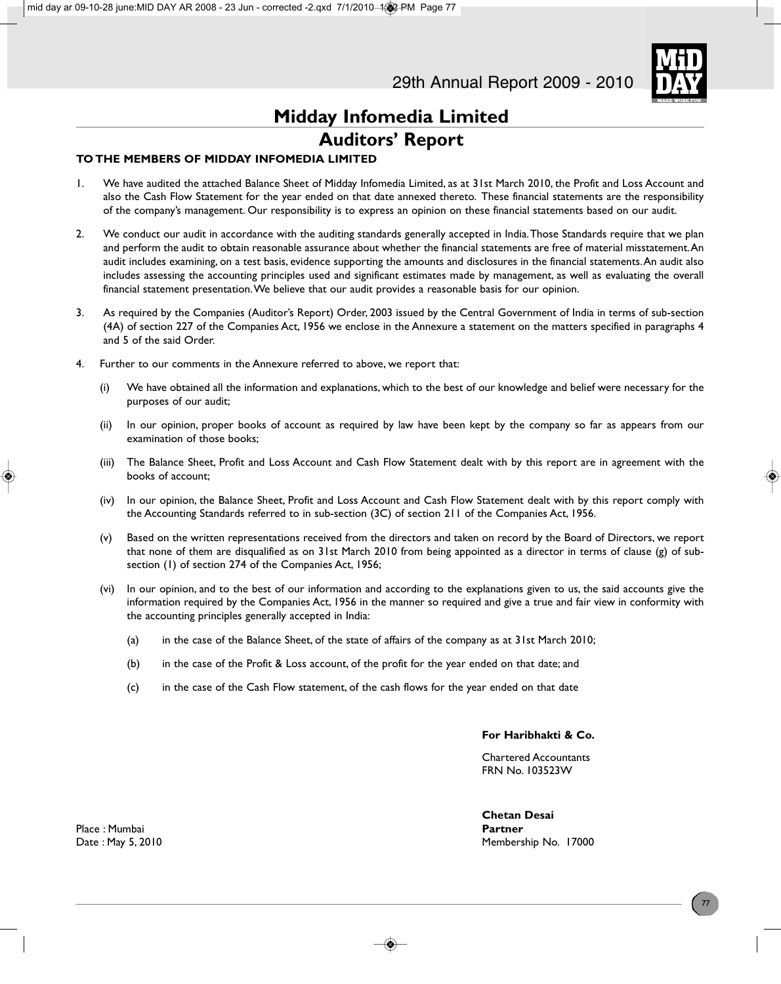

### **Midday Infomedia Limited Auditors' Report**

### **TO THE MEMBERS OF MIDDAY INFOMEDIA LIMITED**

- 1. We have audited the attached Balance Sheet of Midday Infomedia Limited, as at 31st March 2010, the Profit and Loss Account and also the Cash Flow Statement for the year ended on that date annexed thereto. These financial statements are the responsibility of the company's management. Our responsibility is to express an opinion on these financial statements based on our audit.
- 2. We conduct our audit in accordance with the auditing standards generally accepted in India. Those Standards require that we plan and perform the audit to obtain reasonable assurance about whether the financial statements are free of material misstatement. An audit includes examining, on a test basis, evidence supporting the amounts and disclosures in the financial statements. An audit also includes assessing the accounting principles used and significant estimates made by management, as well as evaluating the overall financial statement presentation. We believe that our audit provides a reasonable basis for our opinion.
- 3. As required by the Companies (Auditor's Report) Order, 2003 issued by the Central Government of India in terms of sub-section (4A) of section 227 of the Companies Act, 1956 we enclose in the Annexure a statement on the matters specified in paragraphs 4 and 5 of the said Order.
- 4. Further to our comments in the Annexure referred to above, we report that:
	- (i) We have obtained all the information and explanations, which to the best of our knowledge and belief were necessary for the purposes of our audit;
	- (ii) In our opinion, proper books of account as required by law have been kept by the company so far as appears from our examination of those books;
	- (iii) The Balance Sheet, Profit and Loss Account and Cash Flow Statement dealt with by this report are in agreement with the books of account;
	- (iv) In our opinion, the Balance Sheet, Profit and Loss Account and Cash Flow Statement dealt with by this report comply with the Accounting Standards referred to in sub-section (3C) of section 211 of the Companies Act, 1956.
	- (v) Based on the written representations received from the directors and taken on record by the Board of Directors, we report that none of them are disqualified as on 31st March 2010 from being appointed as a director in terms of clause (g) of subsection (1) of section 274 of the Companies Act, 1956;
	- (vi) In our opinion, and to the best of our information and according to the explanations given to us, the said accounts give the information required by the Companies Act, 1956 in the manner so required and give a true and fair view in conformity with the accounting principles generally accepted in India:
		- (a) in the case of the Balance Sheet, of the state of affairs of the company as at 31st March 2010;
		- (b) in the case of the Profit & Loss account, of the profit for the year ended on that date; and
		- (c) in the case of the Cash Flow statement, of the cash flows for the year ended on that date

#### **For Haribhakti & Co.**

Chartered Accountants FRN No. 103523W

**Chetan Desai** Date : May 5, 2010 **Membership No. 17000** Membership No. 17000

Place : Mumbai **Partner**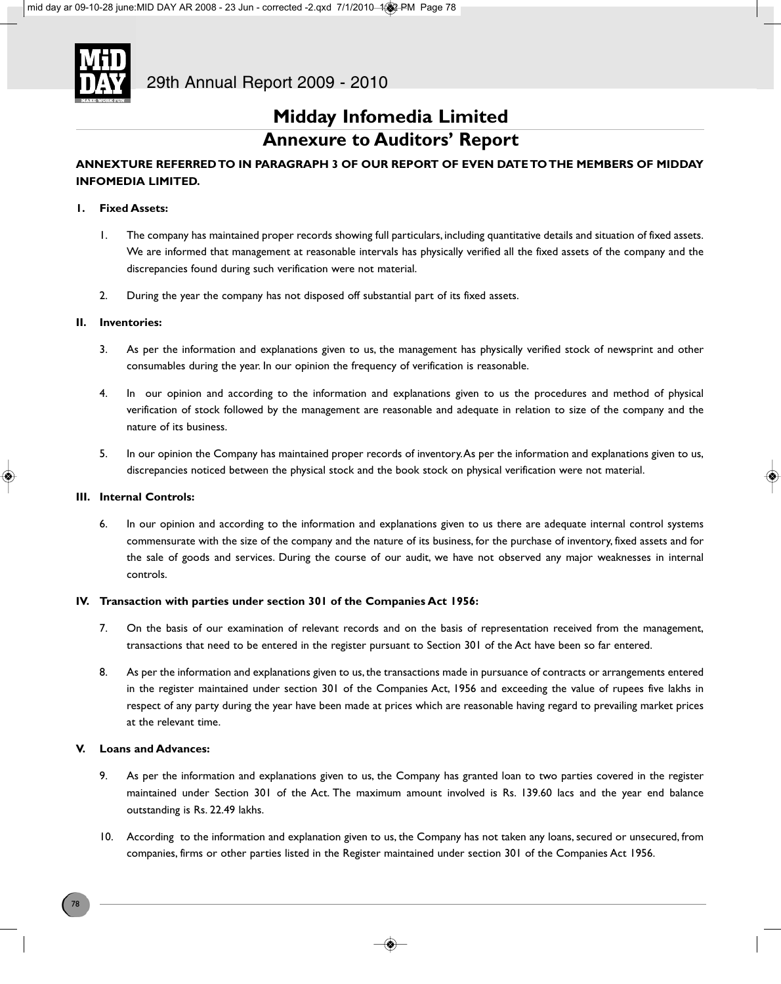

### **Midday Infomedia Limited Annexure to Auditors' Report**

### **ANNEXTURE REFERRED TO IN PARAGRAPH 3 OF OUR REPORT OF EVEN DATE TO THE MEMBERS OF MIDDAY INFOMEDIA LIMITED.**

#### **1. Fixed Assets:**

- 1. The company has maintained proper records showing full particulars, including quantitative details and situation of fixed assets. We are informed that management at reasonable intervals has physically verified all the fixed assets of the company and the discrepancies found during such verification were not material.
- 2. During the year the company has not disposed off substantial part of its fixed assets.

#### **II. Inventories:**

- 3. As per the information and explanations given to us, the management has physically verified stock of newsprint and other consumables during the year. In our opinion the frequency of verification is reasonable.
- 4. In our opinion and according to the information and explanations given to us the procedures and method of physical verification of stock followed by the management are reasonable and adequate in relation to size of the company and the nature of its business.
- 5. In our opinion the Company has maintained proper records of inventory. As per the information and explanations given to us, discrepancies noticed between the physical stock and the book stock on physical verification were not material.

#### **III. Internal Controls:**

6. In our opinion and according to the information and explanations given to us there are adequate internal control systems commensurate with the size of the company and the nature of its business, for the purchase of inventory, fixed assets and for the sale of goods and services. During the course of our audit, we have not observed any major weaknesses in internal controls.

#### **IV. Transaction with parties under section 301 of the Companies Act 1956:**

- 7. On the basis of our examination of relevant records and on the basis of representation received from the management, transactions that need to be entered in the register pursuant to Section 301 of the Act have been so far entered.
- 8. As per the information and explanations given to us, the transactions made in pursuance of contracts or arrangements entered in the register maintained under section 301 of the Companies Act, 1956 and exceeding the value of rupees five lakhs in respect of any party during the year have been made at prices which are reasonable having regard to prevailing market prices at the relevant time.

#### **V. Loans and Advances:**

- 9. As per the information and explanations given to us, the Company has granted loan to two parties covered in the register maintained under Section 301 of the Act. The maximum amount involved is Rs. 139.60 lacs and the year end balance outstanding is Rs. 22.49 lakhs.
- 10. According to the information and explanation given to us, the Company has not taken any loans, secured or unsecured, from companies, firms or other parties listed in the Register maintained under section 301 of the Companies Act 1956.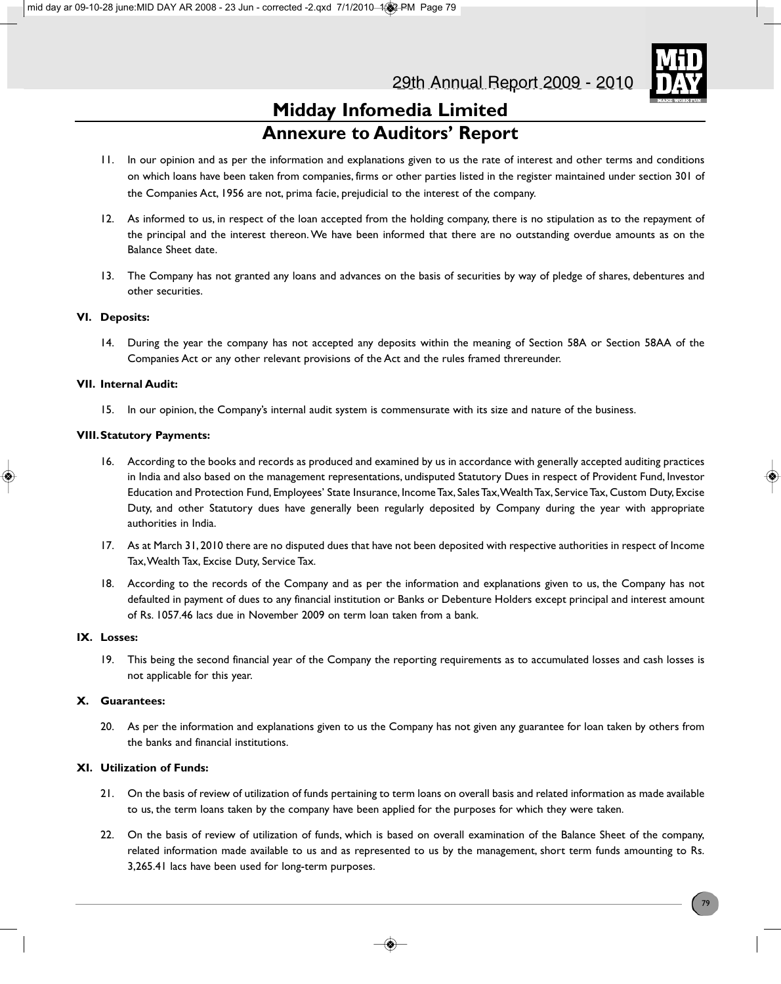

### **Midday Infomedia Limited Annexure to Auditors' Report**

- 11. In our opinion and as per the information and explanations given to us the rate of interest and other terms and conditions on which loans have been taken from companies, firms or other parties listed in the register maintained under section 301 of the Companies Act, 1956 are not, prima facie, prejudicial to the interest of the company.
- 12. As informed to us, in respect of the loan accepted from the holding company, there is no stipulation as to the repayment of the principal and the interest thereon. We have been informed that there are no outstanding overdue amounts as on the Balance Sheet date.
- 13. The Company has not granted any loans and advances on the basis of securities by way of pledge of shares, debentures and other securities.

### **VI. Deposits:**

14. During the year the company has not accepted any deposits within the meaning of Section 58A or Section 58AA of the Companies Act or any other relevant provisions of the Act and the rules framed threreunder.

### **VII. Internal Audit:**

15. In our opinion, the Company's internal audit system is commensurate with its size and nature of the business.

### **VIII.Statutory Payments:**

- 16. According to the books and records as produced and examined by us in accordance with generally accepted auditing practices in India and also based on the management representations, undisputed Statutory Dues in respect of Provident Fund, Investor Education and Protection Fund, Employees' State Insurance, Income Tax, Sales Tax, Wealth Tax, Service Tax, Custom Duty, Excise Duty, and other Statutory dues have generally been regularly deposited by Company during the year with appropriate authorities in India.
- 17. As at March 31, 2010 there are no disputed dues that have not been deposited with respective authorities in respect of Income Tax, Wealth Tax, Excise Duty, Service Tax.
- 18. According to the records of the Company and as per the information and explanations given to us, the Company has not defaulted in payment of dues to any financial institution or Banks or Debenture Holders except principal and interest amount of Rs. 1057.46 lacs due in November 2009 on term loan taken from a bank.

### **IX. Losses:**

19. This being the second financial year of the Company the reporting requirements as to accumulated losses and cash losses is not applicable for this year.

### **X. Guarantees:**

20. As per the information and explanations given to us the Company has not given any guarantee for loan taken by others from the banks and financial institutions.

### **XI. Utilization of Funds:**

- 21. On the basis of review of utilization of funds pertaining to term loans on overall basis and related information as made available to us, the term loans taken by the company have been applied for the purposes for which they were taken.
- 22. On the basis of review of utilization of funds, which is based on overall examination of the Balance Sheet of the company, related information made available to us and as represented to us by the management, short term funds amounting to Rs. 3,265.41 lacs have been used for long-term purposes.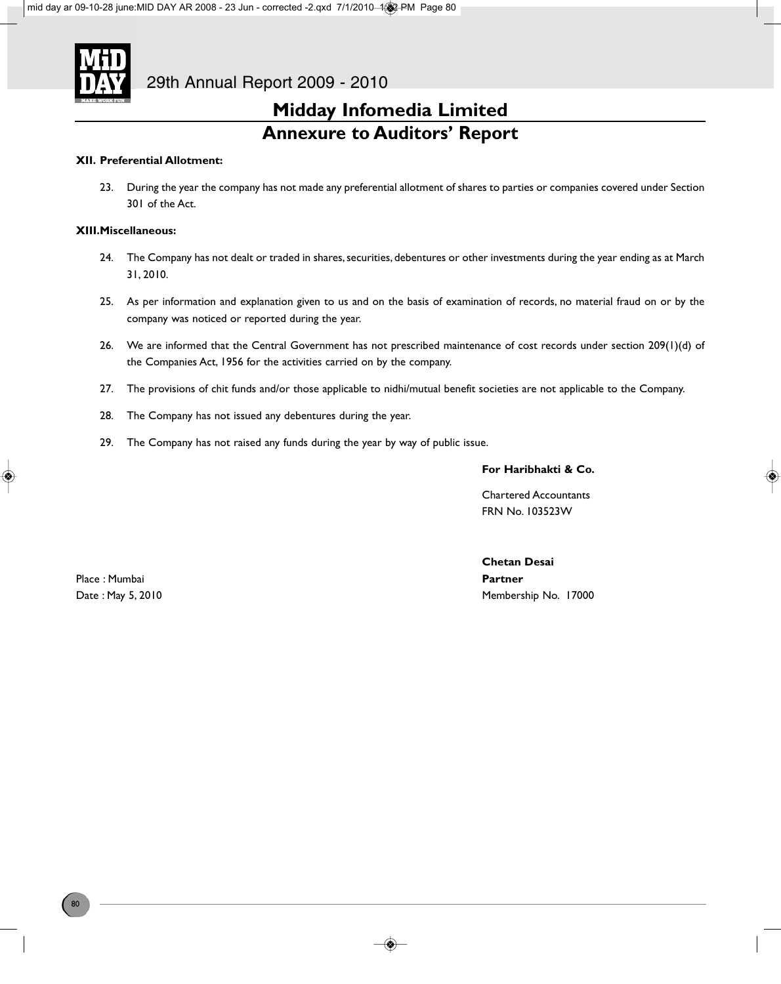

### **Midday Infomedia Limited Annexure to Auditors' Report**

### **XII. Preferential Allotment:**

23. During the year the company has not made any preferential allotment of shares to parties or companies covered under Section 301 of the Act.

### **XIII.Miscellaneous:**

- 24. The Company has not dealt or traded in shares, securities, debentures or other investments during the year ending as at March 31, 2010.
- 25. As per information and explanation given to us and on the basis of examination of records, no material fraud on or by the company was noticed or reported during the year.
- 26. We are informed that the Central Government has not prescribed maintenance of cost records under section 209(1)(d) of the Companies Act, 1956 for the activities carried on by the company.
- 27. The provisions of chit funds and/or those applicable to nidhi/mutual benefit societies are not applicable to the Company.
- 28. The Company has not issued any debentures during the year.
- 29. The Company has not raised any funds during the year by way of public issue.

### **For Haribhakti & Co.**

Chartered Accountants FRN No. 103523W

Place : Mumbai **Partner**

**Chetan Desai** Date : May 5, 2010 **Membership No. 17000** Membership No. 17000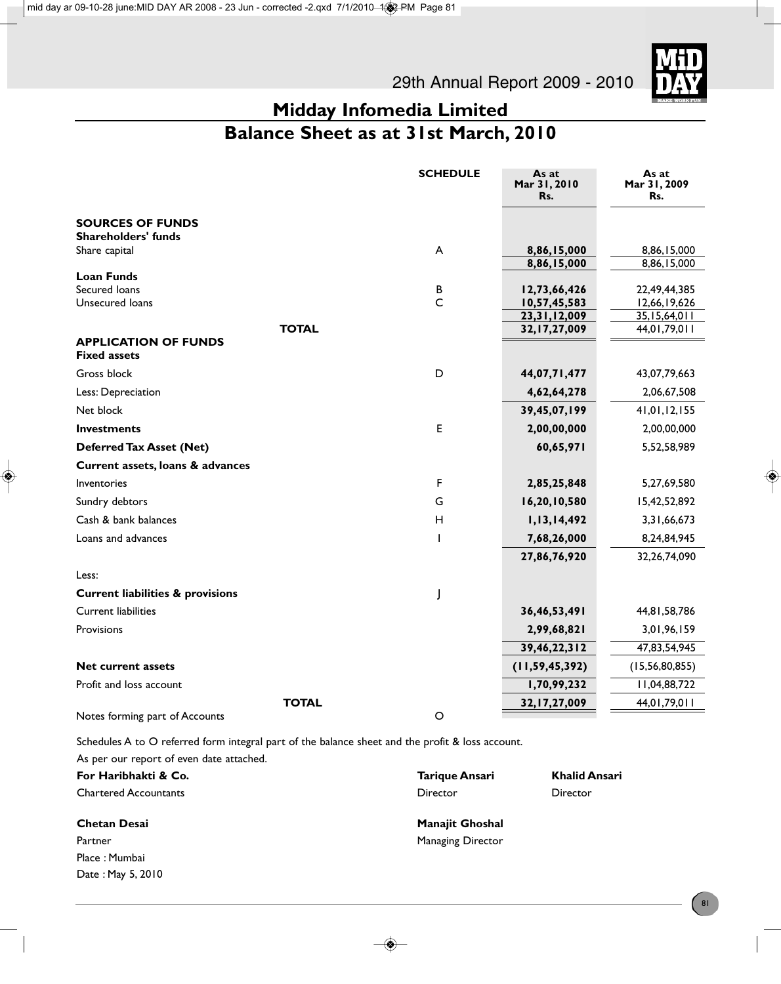

### **Midday Infomedia Limited Balance Sheet as at 31st March, 2010**

|                                             | <b>SCHEDULE</b> | As at<br>Mar 31, 2010<br>Rs.       | As at<br>Mar 31, 2009<br>Rs.     |
|---------------------------------------------|-----------------|------------------------------------|----------------------------------|
| <b>SOURCES OF FUNDS</b>                     |                 |                                    |                                  |
| <b>Shareholders' funds</b>                  |                 |                                    |                                  |
| Share capital                               | A               | 8,86,15,000<br>8,86,15,000         | 8,86,15,000<br>8,86,15,000       |
| <b>Loan Funds</b>                           |                 |                                    |                                  |
| Secured Ioans                               | В               | 12,73,66,426                       | 22,49,44,385                     |
| Unsecured loans                             | $\mathsf{C}$    | 10,57,45,583                       | 12,66,19,626                     |
|                                             | <b>TOTAL</b>    | 23, 31, 12, 009<br>32, 17, 27, 009 | 35, 15, 64, 0 11<br>44,01,79,011 |
| <b>APPLICATION OF FUNDS</b>                 |                 |                                    |                                  |
| <b>Fixed assets</b>                         |                 |                                    |                                  |
| Gross block                                 | D               | 44,07,71,477                       | 43,07,79,663                     |
| Less: Depreciation                          |                 | 4,62,64,278                        | 2,06,67,508                      |
| Net block                                   |                 | 39,45,07,199                       | 41,01,12,155                     |
| <b>Investments</b>                          | E               | 2,00,00,000                        | 2,00,00,000                      |
| <b>Deferred Tax Asset (Net)</b>             |                 | 60,65,971                          | 5,52,58,989                      |
| Current assets, loans & advances            |                 |                                    |                                  |
| Inventories                                 | F               | 2,85,25,848                        | 5,27,69,580                      |
| Sundry debtors                              | G               | 16,20,10,580                       | 15,42,52,892                     |
| Cash & bank balances                        | Н               | 1,13,14,492                        | 3,31,66,673                      |
| Loans and advances                          |                 | 7,68,26,000                        | 8,24,84,945                      |
|                                             |                 | 27,86,76,920                       | 32,26,74,090                     |
| Less:                                       |                 |                                    |                                  |
| <b>Current liabilities &amp; provisions</b> |                 |                                    |                                  |
| <b>Current liabilities</b>                  |                 | 36,46,53,491                       | 44,81,58,786                     |
| Provisions                                  |                 | 2,99,68,821                        | 3,01,96,159                      |
|                                             |                 | 39,46,22,312                       | 47,83,54,945                     |
| <b>Net current assets</b>                   |                 | (11, 59, 45, 392)                  | (15, 56, 80, 855)                |
| Profit and loss account                     |                 | 1,70,99,232                        | 11,04,88,722                     |
|                                             | <b>TOTAL</b>    | 32, 17, 27, 009                    | 44,01,79,011                     |
| Notes forming part of Accounts              | $\circ$         |                                    |                                  |
|                                             |                 |                                    |                                  |

Schedules A to O referred form integral part of the balance sheet and the profit & loss account.

| As per our report of even date attached. |                          |                      |
|------------------------------------------|--------------------------|----------------------|
| For Haribhakti & Co.                     | Tarique Ansari           | <b>Khalid Ansari</b> |
| <b>Chartered Accountants</b>             | Director                 | Director             |
| <b>Chetan Desai</b>                      | <b>Manajit Ghoshal</b>   |                      |
| Partner                                  | <b>Managing Director</b> |                      |
| Place: Mumbai                            |                          |                      |
| Date: May 5, 2010                        |                          |                      |
|                                          |                          |                      |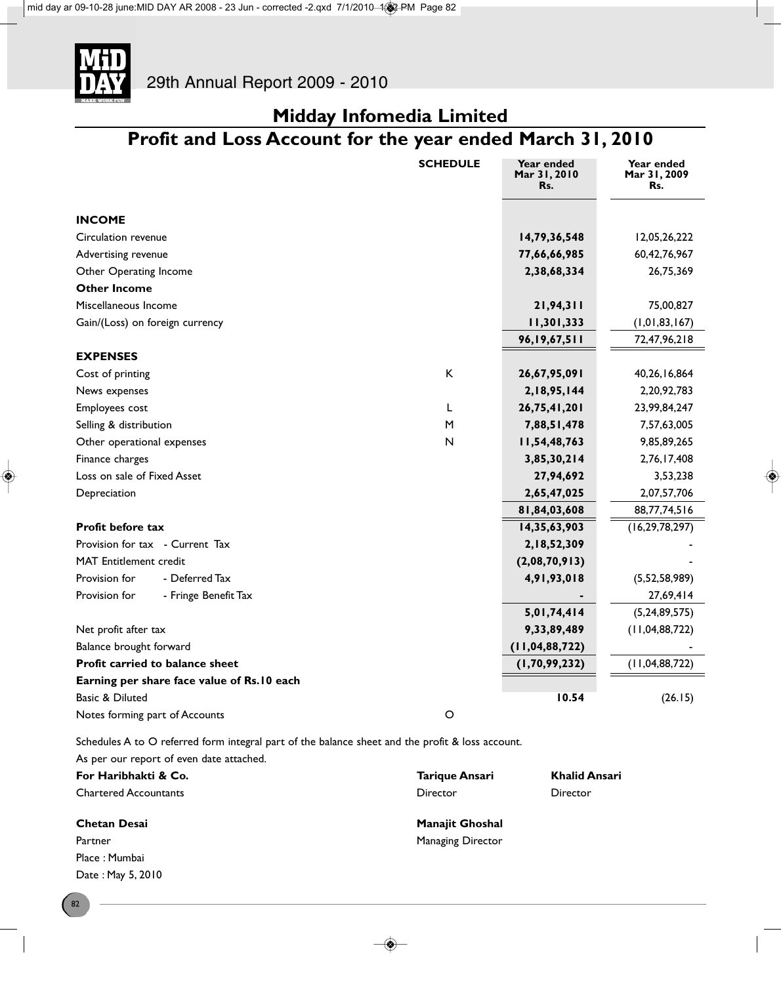

## **Profit and Loss Account for the year ended March 31, 2010**

|                                            | <b>SCHEDULE</b> | Year ended<br>Mar 31, 2010<br>Rs. | Year ended<br>Mar 31, 2009<br>Rs. |
|--------------------------------------------|-----------------|-----------------------------------|-----------------------------------|
| <b>INCOME</b>                              |                 |                                   |                                   |
| Circulation revenue                        |                 | 14,79,36,548                      | 12,05,26,222                      |
| Advertising revenue                        |                 | 77,66,66,985                      | 60, 42, 76, 967                   |
| Other Operating Income                     |                 | 2,38,68,334                       | 26,75,369                         |
| <b>Other Income</b>                        |                 |                                   |                                   |
| Miscellaneous Income                       |                 | 21,94,311                         | 75,00,827                         |
| Gain/(Loss) on foreign currency            |                 | 11,301,333                        | (1, 01, 83, 167)                  |
|                                            |                 | 96,19,67,511                      | 72,47,96,218                      |
| <b>EXPENSES</b>                            |                 |                                   |                                   |
| Cost of printing                           | K               | 26,67,95,091                      | 40,26,16,864                      |
| News expenses                              |                 | 2,18,95,144                       | 2,20,92,783                       |
| Employees cost                             | L               | 26,75,41,201                      | 23,99,84,247                      |
| Selling & distribution                     | M               | 7,88,51,478                       | 7,57,63,005                       |
| Other operational expenses                 | N               | 11,54,48,763                      | 9,85,89,265                       |
| Finance charges                            |                 | 3,85,30,214                       | 2,76,17,408                       |
| Loss on sale of Fixed Asset                |                 | 27,94,692                         | 3,53,238                          |
| Depreciation                               |                 | 2,65,47,025                       | 2,07,57,706                       |
|                                            |                 | 81,84,03,608                      | 88,77,74,516                      |
| <b>Profit before tax</b>                   |                 | 14,35,63,903                      | (16, 29, 78, 297)                 |
| Provision for tax - Current Tax            |                 | 2,18,52,309                       |                                   |
| <b>MAT</b> Entitlement credit              |                 | (2,08,70,913)                     |                                   |
| Provision for<br>- Deferred Tax            |                 | 4,91,93,018                       | (5,52,58,989)                     |
| Provision for<br>- Fringe Benefit Tax      |                 |                                   | 27,69,414                         |
|                                            |                 | 5,01,74,414                       | (5, 24, 89, 575)                  |
| Net profit after tax                       |                 | 9,33,89,489                       | (11, 04, 88, 722)                 |
| Balance brought forward                    |                 | (11, 04, 88, 722)                 |                                   |
| Profit carried to balance sheet            |                 | (1, 70, 99, 232)                  | (11, 04, 88, 722)                 |
| Earning per share face value of Rs.10 each |                 |                                   |                                   |
| Basic & Diluted                            |                 | 10.54                             | (26.15)                           |
| Notes forming part of Accounts             | $\circ$         |                                   |                                   |

Schedules A to O referred form integral part of the balance sheet and the profit & loss account.

| As per our report of even date attached. |                          |                      |
|------------------------------------------|--------------------------|----------------------|
| For Haribhakti & Co.                     | Tarique Ansari           | <b>Khalid Ansari</b> |
| <b>Chartered Accountants</b>             | Director                 | Director             |
| <b>Chetan Desai</b>                      | <b>Manajit Ghoshal</b>   |                      |
| Partner                                  | <b>Managing Director</b> |                      |
| Place: Mumbai                            |                          |                      |
| Date: May 5, 2010                        |                          |                      |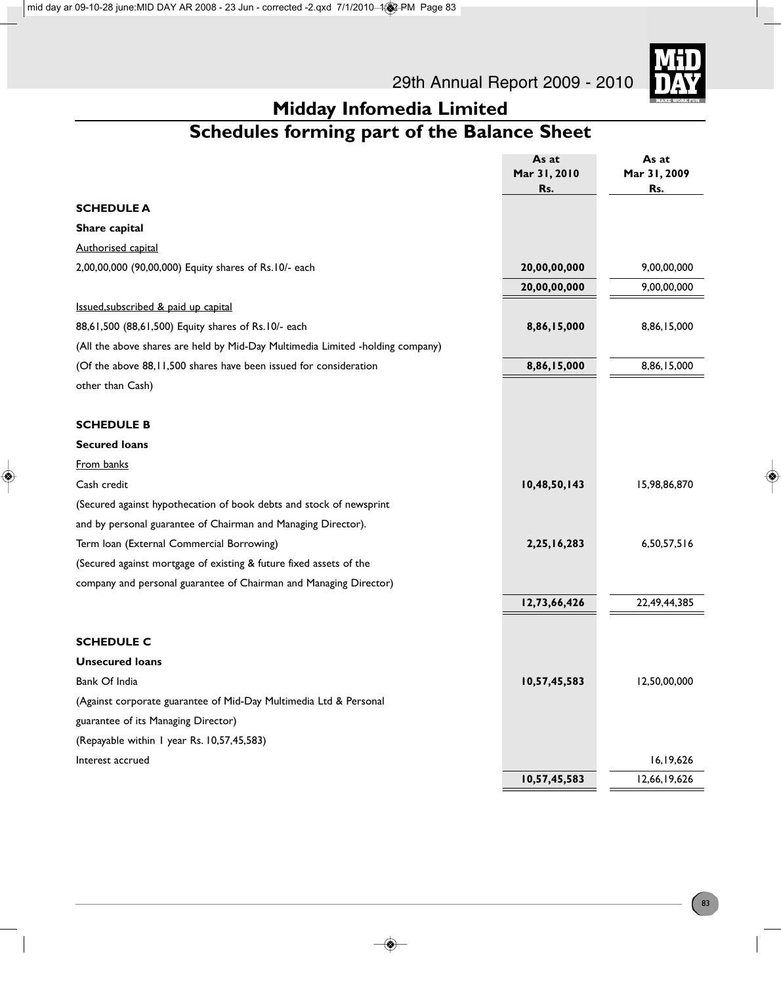

## **Schedules forming part of the Balance Sheet**

|                                                                                | As at        | As at        |
|--------------------------------------------------------------------------------|--------------|--------------|
|                                                                                | Mar 31, 2010 | Mar 31, 2009 |
|                                                                                | Rs.          | Rs.          |
| <b>SCHEDULE A</b>                                                              |              |              |
| Share capital                                                                  |              |              |
| <b>Authorised capital</b>                                                      |              |              |
| 2,00,00,000 (90,00,000) Equity shares of Rs.10/- each                          | 20,00,00,000 | 9,00,00,000  |
|                                                                                | 20,00,00,000 | 9,00,00,000  |
| Issued, subscribed & paid up capital                                           |              |              |
| 88,61,500 (88,61,500) Equity shares of Rs.10/- each                            | 8,86,15,000  | 8,86,15,000  |
| (All the above shares are held by Mid-Day Multimedia Limited -holding company) |              |              |
| (Of the above 88, I I,500 shares have been issued for consideration            | 8,86,15,000  | 8,86,15,000  |
| other than Cash)                                                               |              |              |
| <b>SCHEDULE B</b>                                                              |              |              |
| <b>Secured loans</b>                                                           |              |              |
| From banks                                                                     |              |              |
| Cash credit                                                                    | 10,48,50,143 | 15,98,86,870 |
| (Secured against hypothecation of book debts and stock of newsprint            |              |              |
| and by personal guarantee of Chairman and Managing Director).                  |              |              |
| Term Ioan (External Commercial Borrowing)                                      | 2,25,16,283  | 6,50,57,516  |
| (Secured against mortgage of existing & future fixed assets of the             |              |              |
| company and personal guarantee of Chairman and Managing Director)              |              |              |
|                                                                                | 12,73,66,426 | 22,49,44,385 |
| <b>SCHEDULE C</b>                                                              |              |              |
| <b>Unsecured loans</b>                                                         |              |              |
| Bank Of India                                                                  | 10,57,45,583 | 12,50,00,000 |
| (Against corporate guarantee of Mid-Day Multimedia Ltd & Personal              |              |              |
| guarantee of its Managing Director)                                            |              |              |
| (Repayable within I year Rs. 10,57,45,583)                                     |              |              |
| Interest accrued                                                               |              | 16,19,626    |
|                                                                                | 10,57,45,583 | 12,66,19,626 |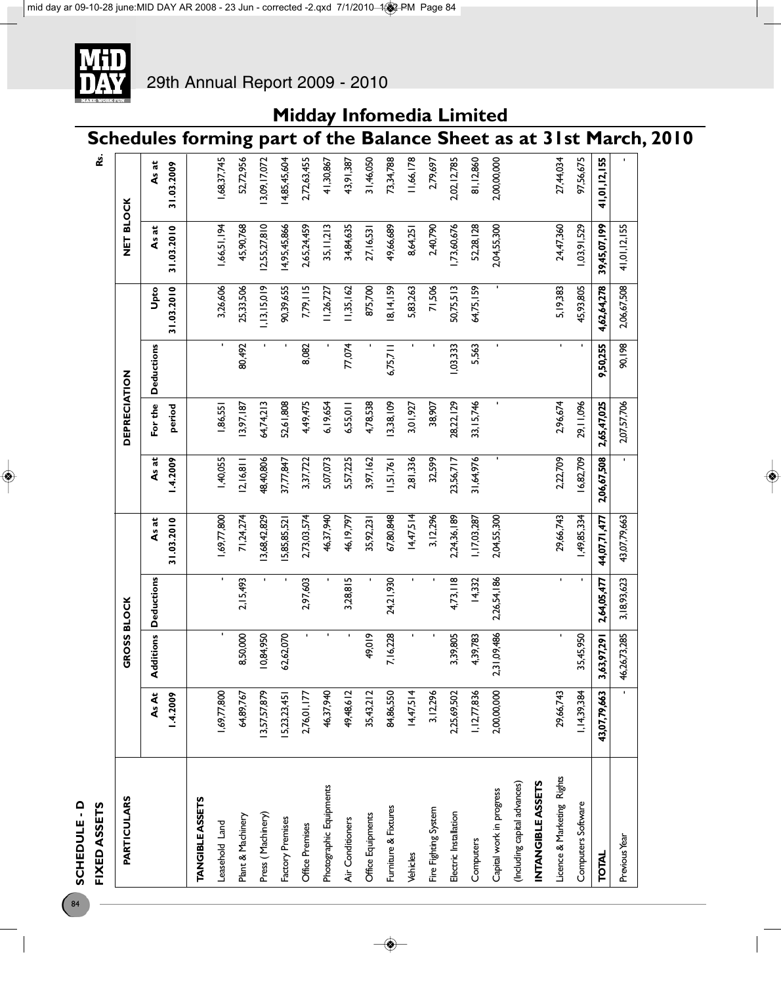SCHEDULE - D FIXED ASSETS **SCHEDULE - D**

84

| FIXED ASSETS                 |              |                   |                   |              |             |                     |                   |             |              | <u>ی</u>      |                                                                    |
|------------------------------|--------------|-------------------|-------------------|--------------|-------------|---------------------|-------------------|-------------|--------------|---------------|--------------------------------------------------------------------|
| PARTICULARS                  |              | ROSS BLOCK<br>v   |                   |              |             | <b>DEPRECIATION</b> |                   |             | NET BLOCK    |               |                                                                    |
|                              | As At        | <b>Additions</b>  | <b>Deductions</b> | As at        | As at       | For the             | <b>Deductions</b> | Upto        | As at        | As at         |                                                                    |
|                              | 1.4.2009     |                   |                   | 31.03.2010   | 1.4.2009    | period              |                   | 31.03.2010  | 31.03.2010   | 31.03.2009    |                                                                    |
| <b>TANGIBLE ASSETS</b>       |              |                   |                   |              |             |                     |                   |             |              |               |                                                                    |
| Leasehold Land               | 1,69,77,800  |                   |                   | 1,69,77,800  | 1,40,055    | 1,86,551            |                   | 3,26,606    | 1,66,51,194  | 1,68,37,745   |                                                                    |
| Plant & Machinery            | 64,89,767    | 8,50,000          | 2,15,493          | 71,24,274    | 2,16,8      | 13,97,187           | 80,492            | 25,33,506   | 45,90,768    | 52,72,956     |                                                                    |
| Press (Machinery)            | 13,57,57,879 | 10,84,950         |                   | 3,68,42,829  | 48,40,806   | 64,74,213           |                   | 1,13,15,019 | 2,55,27,810  | 13,09, 17,072 |                                                                    |
| Factory Premises             | 5,23,23,45   | 62,62,070         |                   | 5,85,85,52   | 37,77,847   | 52,61,808           |                   | 90,39,655   | 14,95,45,866 | 14,85,45,604  |                                                                    |
| Office Premises              | 2,76,01,177  | ×.                | 2,97,603          | 2,73,03,574  | 3,37,722    | 4,49,475            | 8,082             | 7,79,115    | 2,65,24,459  | 2,72,63,455   |                                                                    |
| Photographic Equipments      | 46,37,940    |                   |                   | 46,37,940    | 5,07,073    | 6,19,654            |                   | 11,26,727   | 35, 11, 213  | 41,30,867     |                                                                    |
| Air Conditioners             | 49,48,612    |                   | 3,28,815          | 46, 19, 797  | 5,57,225    | 6,55,011            | 77,074            | 11,35,162   | 34,84,635    | 43,91,387     |                                                                    |
| Office Equipments            | 35,43,212    | 49,019            |                   | 35,92,231    | 3,97, 162   | 4,78,538            |                   | 875,700     | 27, 16, 53   | 31,46,050     |                                                                    |
| Furniture & Fixtures         | 84,86,550    | 7,16,228          | 24,21,930         | 67,80,848    | 11,51,761   | 13,38,109           | 6,75,711          | 18, 14, 159 | 49,66,689    | 73,34,788     |                                                                    |
| Vehicles                     | 14,47,514    |                   | $\blacksquare$    | 14,47,514    | 2,81,336    | 3,01,927            |                   | 5,83,263    | 8,64,251     | 11,66,178     |                                                                    |
| Fire Fighting System         | 3,12,296     |                   |                   | 3,12,296     | 32,599      | 38,907              |                   | 71,506      | 2,40,790     | 2,79,697      |                                                                    |
| Electric Installation        | 2,25,69,502  | 3,39,805          | 4,73,118          | 2,24,36,189  | 23,56,717   | 28,22, 129          | 1,03,333          | 50,75,513   | 1,73,60,676  | 2,02, 12,785  |                                                                    |
| Computers                    | 1,12,77,836  | 4,39,783          | 14,332            | 1,17,03,287  | 31,64,976   | 33, 15, 746         | 5,563             | 64,75,159   | 52,28,128    | 81,12,860     |                                                                    |
| Capital work in progress     | 2,00,00,000  | 1,09,486<br>23    | 2,26,54,186       | 2,04,55,300  |             |                     | ٠                 |             | 2,04,55,300  | 2,00,00,000   |                                                                    |
| (Including capital advances) |              |                   |                   |              |             |                     |                   |             |              |               |                                                                    |
| <b>INTANGIBLEASSETS</b>      |              |                   |                   |              |             |                     |                   |             |              |               |                                                                    |
| Licence & Marketing Rights   | 29,66,743    | $\blacksquare$    | $\blacksquare$    | 29,66,743    | 2,22,709    | 2,96,674            | $\blacksquare$    | 5, 19, 383  | 24,47,360    | 27,44,034     |                                                                    |
| Computers Software           | 1,14,39,384  | 35,45,950         |                   | 1,49,85,334  | 16,82,709   | 29,11,096           |                   | 45,93,805   | 1,03,91,529  | 97,56,675     |                                                                    |
| <b>TOTAL</b>                 | 43,07,79,663 | 1,97,291<br>3,63, | 2,64,05,477       | 44,07,71,477 | 2,06,67,508 | 2,65,47,025         | 9,50,255          | 4,62,64,278 | 39,45,07,199 | 41,01,12,155  |                                                                    |
| Previous Year                |              | 46,26,73,285      | 3, 18, 93, 623    | 43,07,79,663 |             | 2,07,57,706         | 90,198            | 2,06,67,508 | 41,01,12,155 |               |                                                                    |
|                              |              |                   |                   |              |             |                     |                   |             |              |               | Schedules forming part of the Balance Sheet as at 31st March, 2010 |
|                              |              |                   |                   |              |             |                     |                   |             |              |               |                                                                    |

**Midday Infomedia Limited**

### 29th Annual Report 2009 - 2010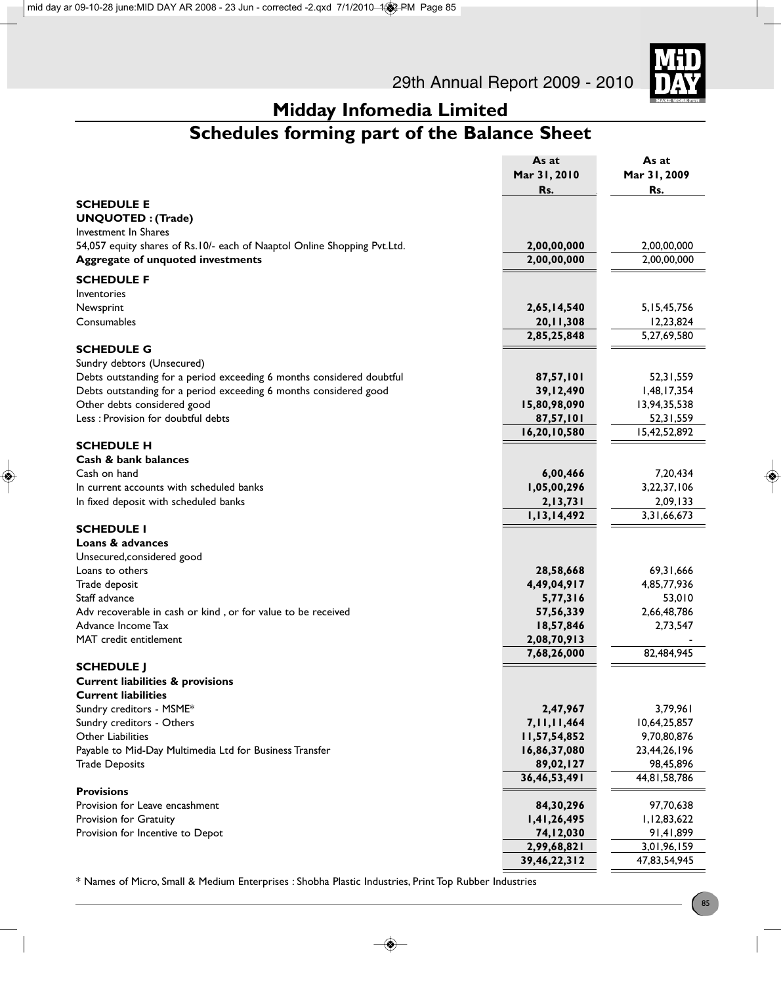

## **Schedules forming part of the Balance Sheet**

|                                                                          | As at          | As at                     |
|--------------------------------------------------------------------------|----------------|---------------------------|
|                                                                          | Mar 31, 2010   | Mar 31, 2009              |
|                                                                          | Rs.            | Rs.                       |
| <b>SCHEDULE E</b>                                                        |                |                           |
| <b>UNQUOTED: (Trade)</b>                                                 |                |                           |
| Investment In Shares                                                     |                |                           |
| 54,057 equity shares of Rs.10/- each of Naaptol Online Shopping Pvt.Ltd. | 2,00,00,000    | 2,00,00,000               |
| Aggregate of unquoted investments                                        | 2,00,00,000    | 2,00,00,000               |
| <b>SCHEDULE F</b>                                                        |                |                           |
| Inventories                                                              |                |                           |
| Newsprint                                                                | 2,65,14,540    | 5, 15, 45, 756            |
| Consumables                                                              | 20, 11, 308    | 12,23,824                 |
|                                                                          | 2,85,25,848    | 5,27,69,580               |
| <b>SCHEDULE G</b>                                                        |                |                           |
| Sundry debtors (Unsecured)                                               |                |                           |
| Debts outstanding for a period exceeding 6 months considered doubtful    | 87,57,101      | 52,31,559                 |
| Debts outstanding for a period exceeding 6 months considered good        | 39,12,490      | 1,48,17,354               |
| Other debts considered good                                              | 15,80,98,090   | 13,94,35,538              |
| Less : Provision for doubtful debts                                      | 87,57,101      | 52,31,559                 |
|                                                                          | 16,20,10,580   | 15,42,52,892              |
| <b>SCHEDULE H</b>                                                        |                |                           |
| <b>Cash &amp; bank balances</b>                                          |                |                           |
| Cash on hand                                                             | 6,00,466       | 7,20,434                  |
| In current accounts with scheduled banks                                 | 1,05,00,296    | 3,22,37,106               |
| In fixed deposit with scheduled banks                                    | 2,13,731       | 2,09,133                  |
|                                                                          | 1,13,14,492    | 3,31,66,673               |
| <b>SCHEDULE I</b>                                                        |                |                           |
| Loans & advances                                                         |                |                           |
| Unsecured, considered good                                               |                |                           |
| Loans to others                                                          | 28,58,668      | 69, 31, 666               |
| Trade deposit                                                            | 4,49,04,917    | 4,85,77,936               |
| Staff advance                                                            | 5,77,316       | 53,010                    |
| Adv recoverable in cash or kind, or for value to be received             | 57, 56, 339    | 2,66,48,786               |
| Advance Income Tax                                                       | 18,57,846      | 2,73,547                  |
| MAT credit entitlement                                                   | 2,08,70,913    |                           |
|                                                                          | 7,68,26,000    | 82,484,945                |
| <b>SCHEDULE J</b>                                                        |                |                           |
| <b>Current liabilities &amp; provisions</b>                              |                |                           |
| <b>Current liabilities</b>                                               |                |                           |
| Sundry creditors - MSME*                                                 | 2,47,967       | 3,79,961                  |
| Sundry creditors - Others                                                | 7, 11, 11, 464 | 10,64,25,857              |
| Other Liabilities                                                        | 11,57,54,852   | 9,70,80,876               |
| Payable to Mid-Day Multimedia Ltd for Business Transfer                  | 16,86,37,080   | 23,44,26,196              |
| <b>Trade Deposits</b>                                                    | 89,02,127      | 98,45,896<br>44,81,58,786 |
| <b>Provisions</b>                                                        | 36,46,53,491   |                           |
| Provision for Leave encashment                                           | 84,30,296      | 97,70,638                 |
| Provision for Gratuity                                                   | 1,41,26,495    | 1,12,83,622               |
| Provision for Incentive to Depot                                         | 74,12,030      | 91,41,899                 |
|                                                                          | 2,99,68,821    | 3,01,96,159               |
|                                                                          | 39,46,22,312   | 47,83,54,945              |
|                                                                          |                |                           |

\* Names of Micro, Small & Medium Enterprises : Shobha Plastic Industries, Print Top Rubber Industries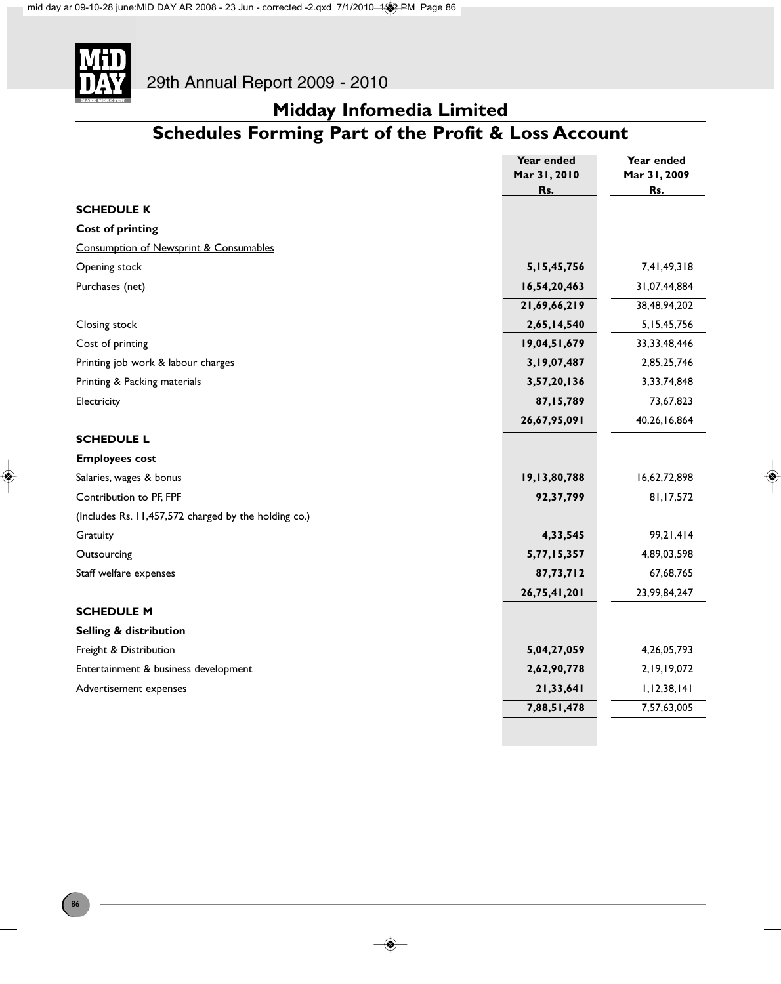

### **Midday Infomedia Limited Schedules Forming Part of the Profit & Loss Account**

|                                                      | Year ended          | Year ended          |
|------------------------------------------------------|---------------------|---------------------|
|                                                      | Mar 31, 2010<br>Rs. | Mar 31, 2009<br>Rs. |
| <b>SCHEDULE K</b>                                    |                     |                     |
|                                                      |                     |                     |
| <b>Cost of printing</b>                              |                     |                     |
| Consumption of Newsprint & Consumables               |                     |                     |
| Opening stock                                        | 5, 15, 45, 756      | 7,41,49,318         |
| Purchases (net)                                      | 16,54,20,463        | 31,07,44,884        |
|                                                      | 21,69,66,219        | 38,48,94,202        |
| Closing stock                                        | 2,65,14,540         | 5, 15, 45, 756      |
| Cost of printing                                     | 19,04,51,679        | 33, 33, 48, 446     |
| Printing job work & labour charges                   | 3,19,07,487         | 2,85,25,746         |
| Printing & Packing materials                         | 3,57,20,136         | 3,33,74,848         |
| Electricity                                          | 87,15,789           | 73,67,823           |
|                                                      | 26,67,95,091        | 40,26,16,864        |
| <b>SCHEDULE L</b>                                    |                     |                     |
| <b>Employees cost</b>                                |                     |                     |
| Salaries, wages & bonus                              | 19,13,80,788        | 16,62,72,898        |
| Contribution to PF, FPF                              | 92,37,799           | 81,17,572           |
| (Includes Rs. 11,457,572 charged by the holding co.) |                     |                     |
| Gratuity                                             | 4,33,545            | 99,21,414           |
| Outsourcing                                          | 5,77,15,357         | 4,89,03,598         |
| Staff welfare expenses                               | 87,73,712           | 67,68,765           |
|                                                      | 26,75,41,201        | 23,99,84,247        |
| <b>SCHEDULE M</b>                                    |                     |                     |
| <b>Selling &amp; distribution</b>                    |                     |                     |
| Freight & Distribution                               | 5,04,27,059         | 4,26,05,793         |
| Entertainment & business development                 | 2,62,90,778         | 2, 19, 19, 072      |
| Advertisement expenses                               | 21,33,641           | 1, 12, 38, 141      |
|                                                      | 7,88,51,478         | 7,57,63,005         |
|                                                      |                     |                     |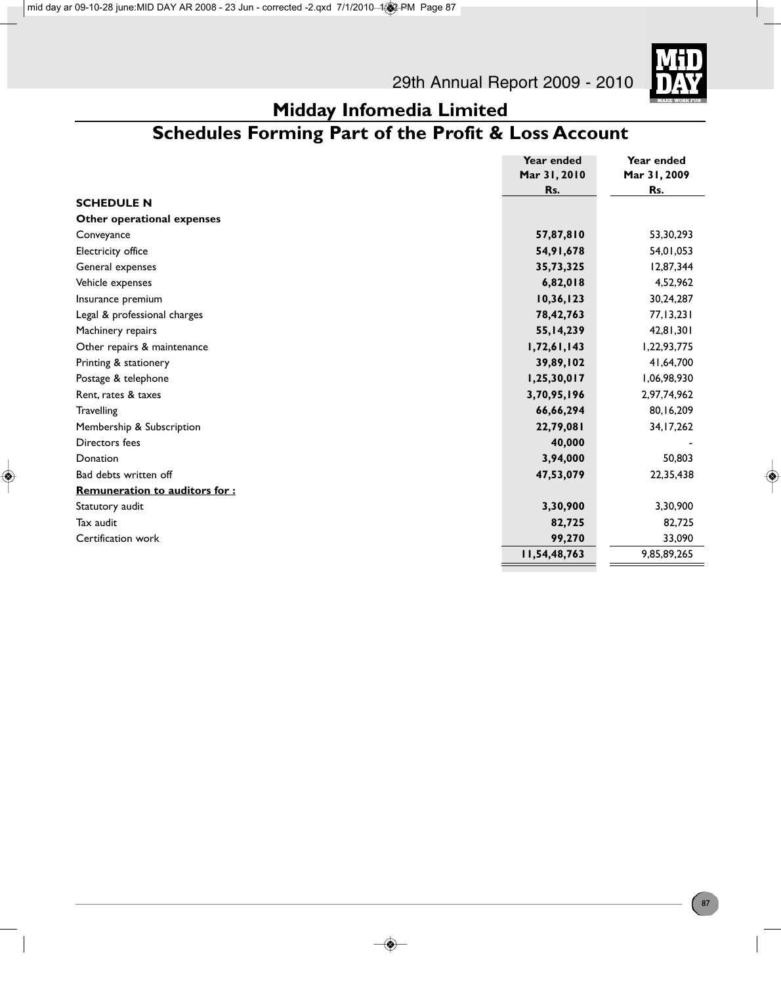

### **Midday Infomedia Limited Schedules Forming Part of the Profit & Loss Account**

|                                      | Year ended   | Year ended   |
|--------------------------------------|--------------|--------------|
|                                      | Mar 31, 2010 | Mar 31, 2009 |
|                                      | Rs.          | Rs.          |
| <b>SCHEDULE N</b>                    |              |              |
| Other operational expenses           |              |              |
| Conveyance                           | 57,87,810    | 53,30,293    |
| Electricity office                   | 54, 91, 678  | 54,01,053    |
| General expenses                     | 35,73,325    | 12,87,344    |
| Vehicle expenses                     | 6,82,018     | 4,52,962     |
| Insurance premium                    | 10,36,123    | 30,24,287    |
| Legal & professional charges         | 78,42,763    | 77, 13, 231  |
| Machinery repairs                    | 55, 14, 239  | 42,81,301    |
| Other repairs & maintenance          | 1,72,61,143  | 1,22,93,775  |
| Printing & stationery                | 39,89,102    | 41,64,700    |
| Postage & telephone                  | 1,25,30,017  | 1,06,98,930  |
| Rent, rates & taxes                  | 3,70,95,196  | 2,97,74,962  |
| <b>Travelling</b>                    | 66,66,294    | 80,16,209    |
| Membership & Subscription            | 22,79,081    | 34, 17, 262  |
| Directors fees                       | 40,000       |              |
| Donation                             | 3,94,000     | 50,803       |
| Bad debts written off                | 47,53,079    | 22,35,438    |
| <b>Remuneration to auditors for:</b> |              |              |
| Statutory audit                      | 3,30,900     | 3,30,900     |
| Tax audit                            | 82,725       | 82,725       |
| Certification work                   | 99,270       | 33,090       |
|                                      | 11,54,48,763 | 9,85,89,265  |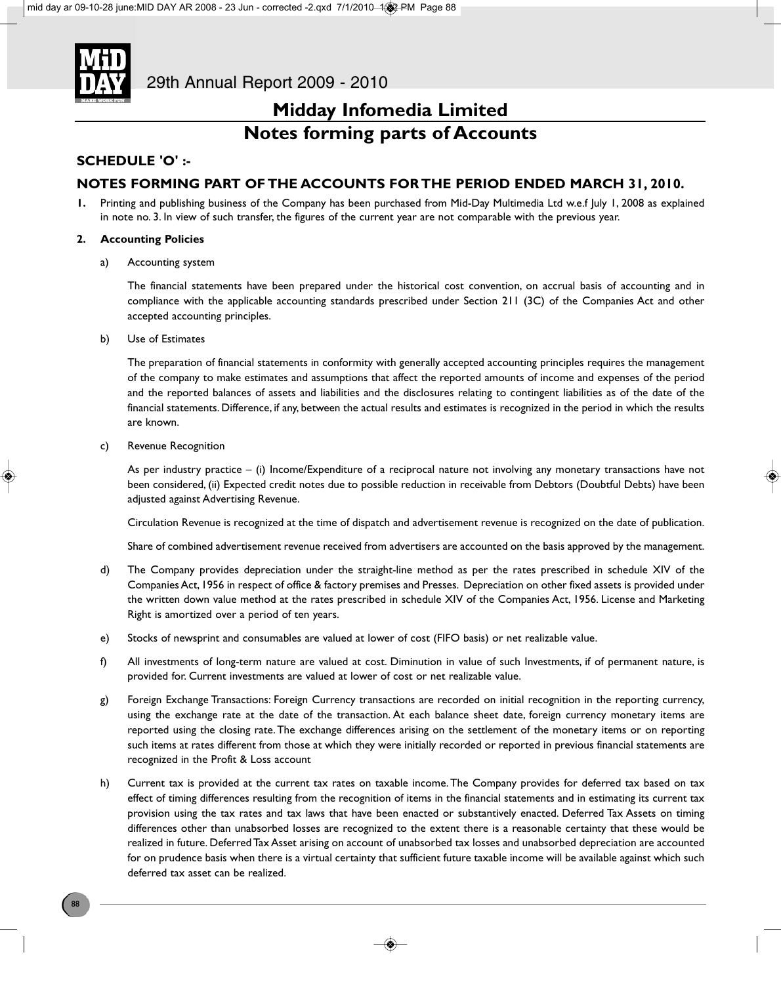

### **Midday Infomedia Limited Notes forming parts of Accounts**

### **SCHEDULE 'O' :-**

### **NOTES FORMING PART OF THE ACCOUNTS FOR THE PERIOD ENDED MARCH 31, 2010.**

**1.** Printing and publishing business of the Company has been purchased from Mid-Day Multimedia Ltd w.e.f July 1, 2008 as explained in note no. 3. In view of such transfer, the figures of the current year are not comparable with the previous year.

### **2. Accounting Policies**

a) Accounting system

The financial statements have been prepared under the historical cost convention, on accrual basis of accounting and in compliance with the applicable accounting standards prescribed under Section 211 (3C) of the Companies Act and other accepted accounting principles.

b) Use of Estimates

The preparation of financial statements in conformity with generally accepted accounting principles requires the management of the company to make estimates and assumptions that affect the reported amounts of income and expenses of the period and the reported balances of assets and liabilities and the disclosures relating to contingent liabilities as of the date of the financial statements. Difference, if any, between the actual results and estimates is recognized in the period in which the results are known.

c) Revenue Recognition

As per industry practice – (i) Income/Expenditure of a reciprocal nature not involving any monetary transactions have not been considered, (ii) Expected credit notes due to possible reduction in receivable from Debtors (Doubtful Debts) have been adjusted against Advertising Revenue.

Circulation Revenue is recognized at the time of dispatch and advertisement revenue is recognized on the date of publication.

Share of combined advertisement revenue received from advertisers are accounted on the basis approved by the management.

- d) The Company provides depreciation under the straight-line method as per the rates prescribed in schedule XIV of the Companies Act, 1956 in respect of office & factory premises and Presses. Depreciation on other fixed assets is provided under the written down value method at the rates prescribed in schedule XIV of the Companies Act, 1956. License and Marketing Right is amortized over a period of ten years.
- e) Stocks of newsprint and consumables are valued at lower of cost (FIFO basis) or net realizable value.
- f) All investments of long-term nature are valued at cost. Diminution in value of such Investments, if of permanent nature, is provided for. Current investments are valued at lower of cost or net realizable value.
- g) Foreign Exchange Transactions: Foreign Currency transactions are recorded on initial recognition in the reporting currency, using the exchange rate at the date of the transaction. At each balance sheet date, foreign currency monetary items are reported using the closing rate. The exchange differences arising on the settlement of the monetary items or on reporting such items at rates different from those at which they were initially recorded or reported in previous financial statements are recognized in the Profit & Loss account
- h) Current tax is provided at the current tax rates on taxable income. The Company provides for deferred tax based on tax effect of timing differences resulting from the recognition of items in the financial statements and in estimating its current tax provision using the tax rates and tax laws that have been enacted or substantively enacted. Deferred Tax Assets on timing differences other than unabsorbed losses are recognized to the extent there is a reasonable certainty that these would be realized in future. Deferred Tax Asset arising on account of unabsorbed tax losses and unabsorbed depreciation are accounted for on prudence basis when there is a virtual certainty that sufficient future taxable income will be available against which such deferred tax asset can be realized.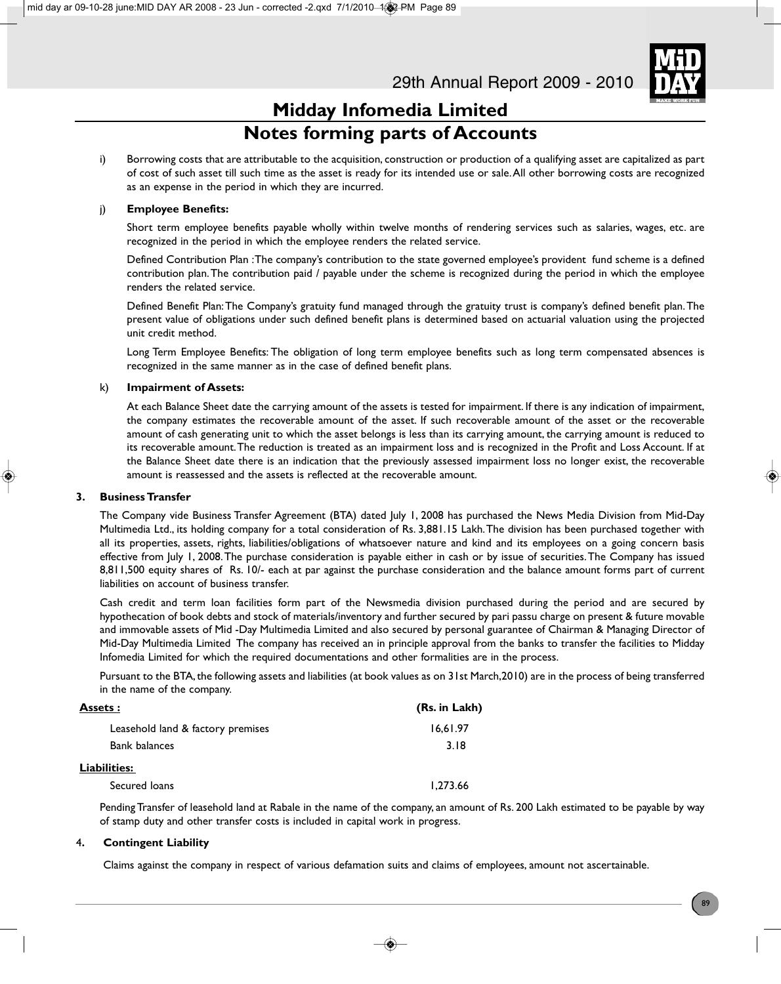

### **Midday Infomedia Limited Notes forming parts of Accounts**

i) Borrowing costs that are attributable to the acquisition, construction or production of a qualifying asset are capitalized as part of cost of such asset till such time as the asset is ready for its intended use or sale. All other borrowing costs are recognized as an expense in the period in which they are incurred.

### j) **Employee Benefits:**

Short term employee benefits payable wholly within twelve months of rendering services such as salaries, wages, etc. are recognized in the period in which the employee renders the related service.

Defined Contribution Plan : The company's contribution to the state governed employee's provident fund scheme is a defined contribution plan. The contribution paid / payable under the scheme is recognized during the period in which the employee renders the related service.

Defined Benefit Plan: The Company's gratuity fund managed through the gratuity trust is company's defined benefit plan. The present value of obligations under such defined benefit plans is determined based on actuarial valuation using the projected unit credit method.

Long Term Employee Benefits: The obligation of long term employee benefits such as long term compensated absences is recognized in the same manner as in the case of defined benefit plans.

### k) **Impairment of Assets:**

At each Balance Sheet date the carrying amount of the assets is tested for impairment. If there is any indication of impairment, the company estimates the recoverable amount of the asset. If such recoverable amount of the asset or the recoverable amount of cash generating unit to which the asset belongs is less than its carrying amount, the carrying amount is reduced to its recoverable amount. The reduction is treated as an impairment loss and is recognized in the Profit and Loss Account. If at the Balance Sheet date there is an indication that the previously assessed impairment loss no longer exist, the recoverable amount is reassessed and the assets is reflected at the recoverable amount.

### **3. Business Transfer**

The Company vide Business Transfer Agreement (BTA) dated July 1, 2008 has purchased the News Media Division from Mid-Day Multimedia Ltd., its holding company for a total consideration of Rs. 3,881.15 Lakh. The division has been purchased together with all its properties, assets, rights, liabilities/obligations of whatsoever nature and kind and its employees on a going concern basis effective from July 1, 2008. The purchase consideration is payable either in cash or by issue of securities. The Company has issued 8,811,500 equity shares of Rs. 10/- each at par against the purchase consideration and the balance amount forms part of current liabilities on account of business transfer.

Cash credit and term loan facilities form part of the Newsmedia division purchased during the period and are secured by hypothecation of book debts and stock of materials/inventory and further secured by pari passu charge on present & future movable and immovable assets of Mid -Day Multimedia Limited and also secured by personal guarantee of Chairman & Managing Director of Mid-Day Multimedia Limited The company has received an in principle approval from the banks to transfer the facilities to Midday Infomedia Limited for which the required documentations and other formalities are in the process.

Pursuant to the BTA, the following assets and liabilities (at book values as on 31st March,2010) are in the process of being transferred in the name of the company.

| Assets :                          | (Rs. in Lakh) |
|-----------------------------------|---------------|
| Leasehold land & factory premises | 16,61.97      |
| <b>Bank balances</b>              | 3.18          |
| <u> Liabilities:</u>              |               |
| Secured loans                     | 1.273.66      |

Pending Transfer of leasehold land at Rabale in the name of the company, an amount of Rs. 200 Lakh estimated to be payable by way of stamp duty and other transfer costs is included in capital work in progress.

### 4**. Contingent Liability**

Claims against the company in respect of various defamation suits and claims of employees, amount not ascertainable.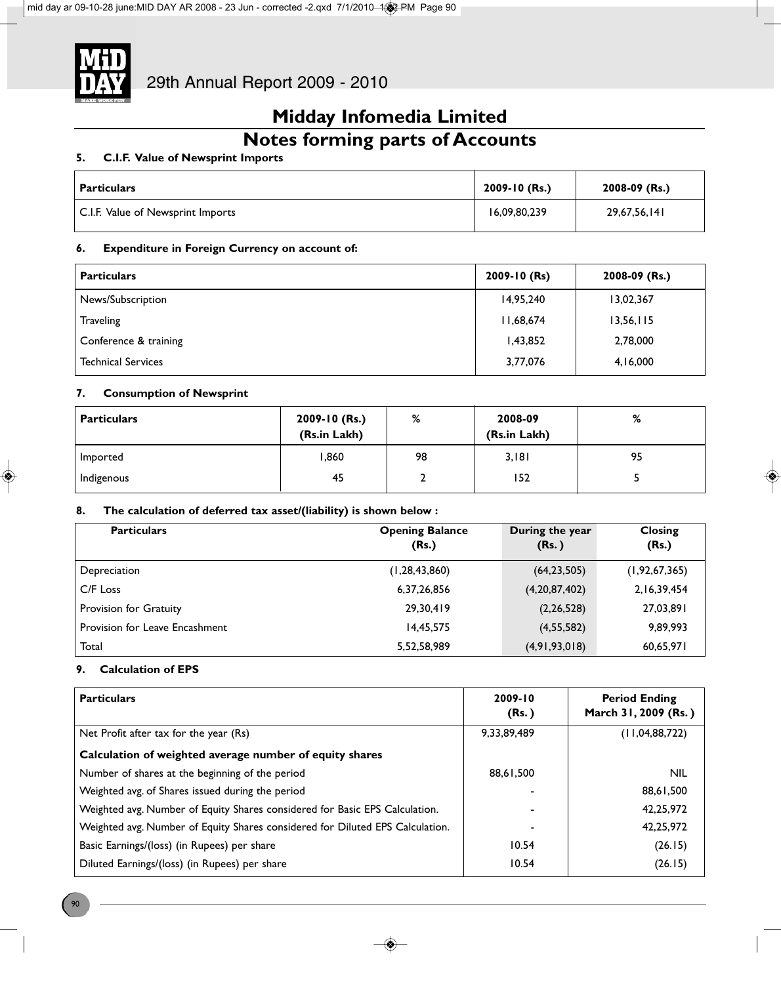

## **Notes forming parts of Accounts**

### **5. C.I.F. Value of Newsprint Imports**

| <b>Particulars</b>                | 2009-10 (Rs.) | 2008-09 (Rs.) |
|-----------------------------------|---------------|---------------|
| C.I.F. Value of Newsprint Imports | 16,09,80,239  | 29,67,56,141  |

### **6. Expenditure in Foreign Currency on account of:**

| <b>Particulars</b>        | 2009-10 (Rs) | 2008-09 (Rs.) |
|---------------------------|--------------|---------------|
| News/Subscription         | 14,95,240    | 13,02,367     |
| <b>Traveling</b>          | 11,68,674    | 13,56,115     |
| Conference & training     | 1,43,852     | 2,78,000      |
| <b>Technical Services</b> | 3,77,076     | 4,16,000      |

### **7. Consumption of Newsprint**

| <b>Particulars</b> | 2009-10 (Rs.)<br>(Rs.in Lakh) | %  | 2008-09<br>(Rs.in Lakh) | %  |
|--------------------|-------------------------------|----|-------------------------|----|
| Imported           | 860, ا                        | 98 | 3,181                   | 95 |
| Indigenous         | 45                            |    | 152                     |    |

### **8. The calculation of deferred tax asset/(liability) is shown below :**

| <b>Particulars</b>             | <b>Opening Balance</b><br>(Rs.) | During the year<br>(Rs.) | <b>Closing</b><br>(Rs.) |
|--------------------------------|---------------------------------|--------------------------|-------------------------|
| Depreciation                   | (1, 28, 43, 860)                | (64, 23, 505)            | (1, 92, 67, 365)        |
| C/F Loss                       | 6,37,26,856                     | (4,20,87,402)            | 2,16,39,454             |
| Provision for Gratuity         | 29.30.419                       | (2, 26, 528)             | 27,03,891               |
| Provision for Leave Encashment | 14.45.575                       | (4,55,582)               | 9,89,993                |
| Total                          | 5,52,58,989                     | (4,91,93,018)            | 60,65,971               |

### **9. Calculation of EPS**

| <b>Particulars</b>                                                            | 2009-10<br>(Rs.) | <b>Period Ending</b><br>March 31, 2009 (Rs.) |
|-------------------------------------------------------------------------------|------------------|----------------------------------------------|
| Net Profit after tax for the year (Rs)                                        | 9,33,89,489      | (11,04,88,722)                               |
| Calculation of weighted average number of equity shares                       |                  |                                              |
| Number of shares at the beginning of the period                               | 88.61.500        | <b>NIL</b>                                   |
| Weighted avg. of Shares issued during the period                              | ۰                | 88,61,500                                    |
| Weighted avg. Number of Equity Shares considered for Basic EPS Calculation.   | ۰                | 42,25,972                                    |
| Weighted avg. Number of Equity Shares considered for Diluted EPS Calculation. |                  | 42,25,972                                    |
| Basic Earnings/(loss) (in Rupees) per share                                   | 10.54            | (26.15)                                      |
| Diluted Earnings/(loss) (in Rupees) per share                                 | 10.54            | (26.15)                                      |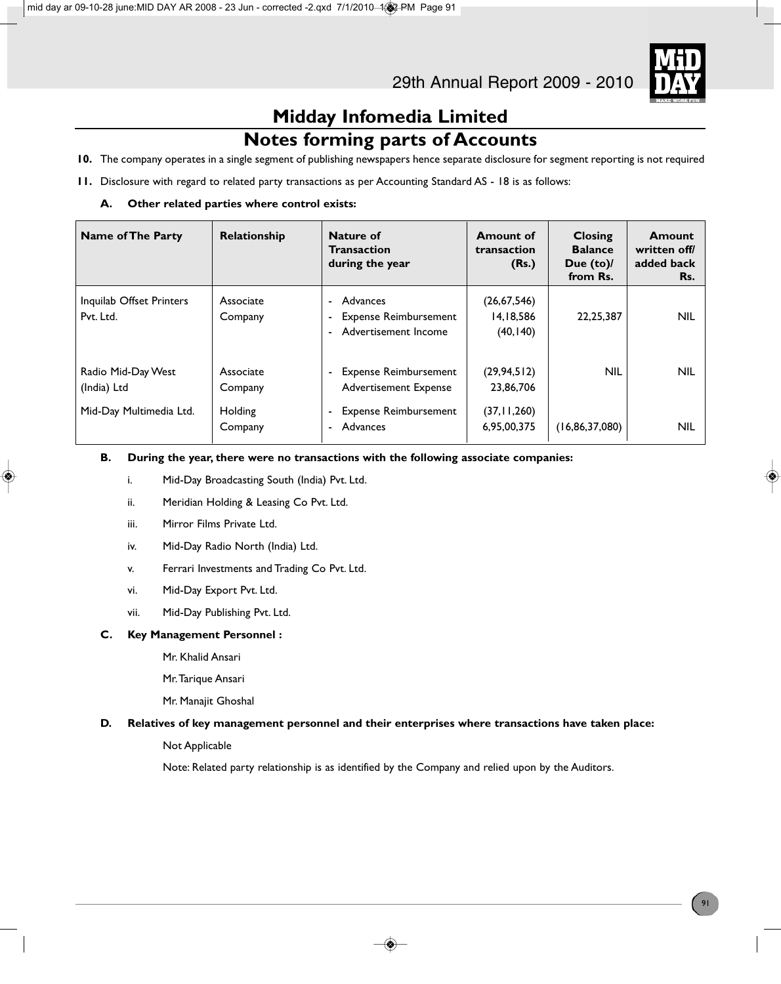

### **Notes forming parts of Accounts**

- **10.** The company operates in a single segment of publishing newspapers hence separate disclosure for segment reporting is not required
- **11.** Disclosure with regard to related party transactions as per Accounting Standard AS 18 is as follows:
	- **A. Other related parties where control exists:**

| <b>Name of The Party</b>              | Relationship         | Nature of<br><b>Transaction</b><br>during the year                                           | <b>Amount of</b><br>transaction<br>(Rs.) | Closing<br><b>Balance</b><br>Due (to)/<br>from Rs. | Amount<br>written off/<br>added back<br>Rs. |
|---------------------------------------|----------------------|----------------------------------------------------------------------------------------------|------------------------------------------|----------------------------------------------------|---------------------------------------------|
| Inquilab Offset Printers<br>Pvt. Ltd. | Associate<br>Company | Advances<br>٠<br><b>Expense Reimbursement</b><br>۰<br>Advertisement Income<br>$\blacksquare$ | (26, 67, 546)<br>14,18,586<br>(40, 140)  | 22, 25, 387                                        | <b>NIL</b>                                  |
| Radio Mid-Day West<br>(India) Ltd     | Associate<br>Company | <b>Expense Reimbursement</b><br>٠<br>Advertisement Expense                                   | (29, 94, 512)<br>23,86,706               | <b>NIL</b>                                         | <b>NIL</b>                                  |
| Mid-Day Multimedia Ltd.               | Holding<br>Company   | <b>Expense Reimbursement</b><br>۰<br>Advances<br>۰                                           | (37, 11, 260)<br>6,95,00,375             | (16, 86, 37, 080)                                  | <b>NIL</b>                                  |

### **B. During the year, there were no transactions with the following associate companies:**

- i. Mid-Day Broadcasting South (India) Pvt. Ltd.
- ii. Meridian Holding & Leasing Co Pvt. Ltd.
- iii. Mirror Films Private Ltd.
- iv. Mid-Day Radio North (India) Ltd.
- v. Ferrari Investments and Trading Co Pvt. Ltd.
- vi. Mid-Day Export Pvt. Ltd.
- vii. Mid-Day Publishing Pvt. Ltd.

### **C. Key Management Personnel :**

- Mr. Khalid Ansari
- Mr. Tarique Ansari
- Mr. Manajit Ghoshal

### **D. Relatives of key management personnel and their enterprises where transactions have taken place:**

### Not Applicable

Note: Related party relationship is as identified by the Company and relied upon by the Auditors.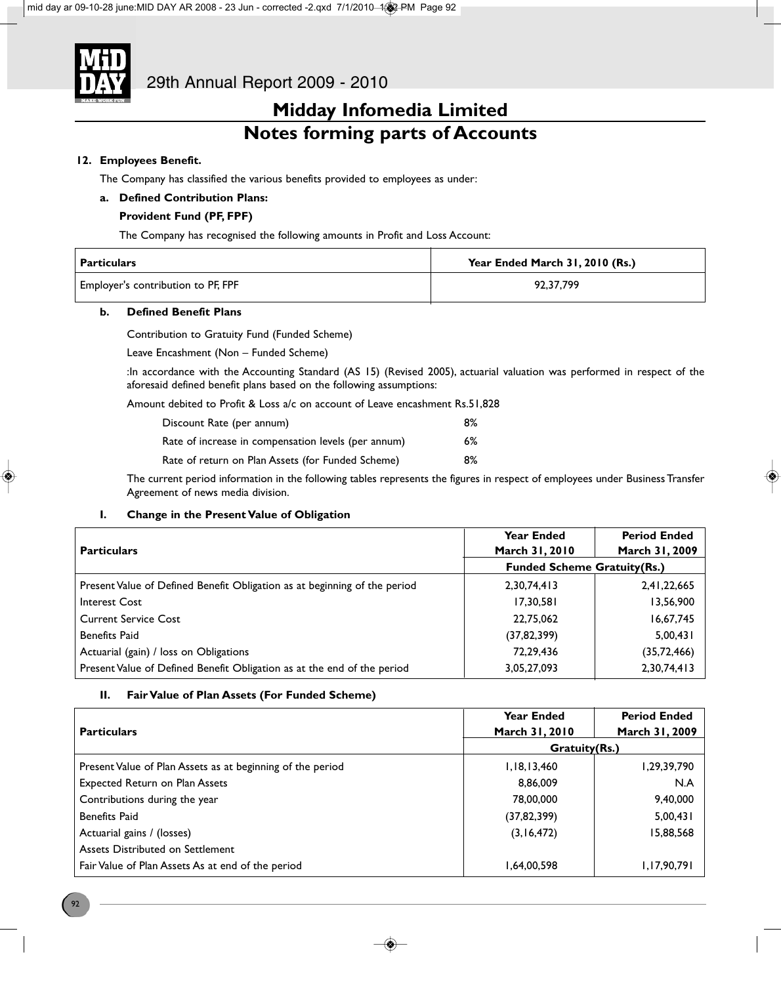

### **Midday Infomedia Limited Notes forming parts of Accounts**

### **12. Employees Benefit.**

The Company has classified the various benefits provided to employees as under:

### **a. Defined Contribution Plans:**

### **Provident Fund (PF, FPF)**

The Company has recognised the following amounts in Profit and Loss Account:

| Particulars                        | Year Ended March 31, 2010 (Rs.) |
|------------------------------------|---------------------------------|
| Employer's contribution to PF, FPF | 92.37.799                       |

### **b. Defined Benefit Plans**

Contribution to Gratuity Fund (Funded Scheme)

Leave Encashment (Non – Funded Scheme)

:In accordance with the Accounting Standard (AS 15) (Revised 2005), actuarial valuation was performed in respect of the aforesaid defined benefit plans based on the following assumptions:

Amount debited to Profit & Loss a/c on account of Leave encashment Rs.51,828

| Discount Rate (per annum)                           | 8% |
|-----------------------------------------------------|----|
| Rate of increase in compensation levels (per annum) | 6% |
| Rate of return on Plan Assets (for Funded Scheme)   | 8% |

The current period information in the following tables represents the figures in respect of employees under Business Transfer Agreement of news media division.

### **I. Change in the Present Value of Obligation**

|                                                                           | Year Ended                         | <b>Period Ended</b> |
|---------------------------------------------------------------------------|------------------------------------|---------------------|
| <b>Particulars</b>                                                        | March 31, 2010                     | March 31, 2009      |
|                                                                           | <b>Funded Scheme Gratuity(Rs.)</b> |                     |
| Present Value of Defined Benefit Obligation as at beginning of the period | 2,30,74,413                        | 2,41,22,665         |
| Interest Cost                                                             | 17,30,581                          | 13,56,900           |
| <b>Current Service Cost</b>                                               | 22.75.062                          | 16,67,745           |
| Benefits Paid                                                             | (37, 82, 399)                      | 5,00,431            |
| Actuarial (gain) / loss on Obligations                                    | 72,29,436                          | (35, 72, 466)       |
| Present Value of Defined Benefit Obligation as at the end of the period   | 3,05,27,093                        | 2,30,74,413         |

### **II. Fair Value of Plan Assets (For Funded Scheme)**

| <b>Particulars</b>                                         | <b>Year Ended</b><br>March 31, 2010 | <b>Period Ended</b><br>March 31, 2009 |
|------------------------------------------------------------|-------------------------------------|---------------------------------------|
|                                                            | Gratuity(Rs.)                       |                                       |
| Present Value of Plan Assets as at beginning of the period | 1,18,13,460                         | 1,29,39,790                           |
| Expected Return on Plan Assets                             | 8,86,009                            | N.A                                   |
| Contributions during the year                              | 78,00,000                           | 9,40,000                              |
| <b>Benefits Paid</b>                                       | (37, 82, 399)                       | 5,00,431                              |
| Actuarial gains / (losses)                                 | (3, 16, 472)                        | 15,88,568                             |
| Assets Distributed on Settlement                           |                                     |                                       |
| Fair Value of Plan Assets As at end of the period          | 1,64,00,598                         | 1,17,90,791                           |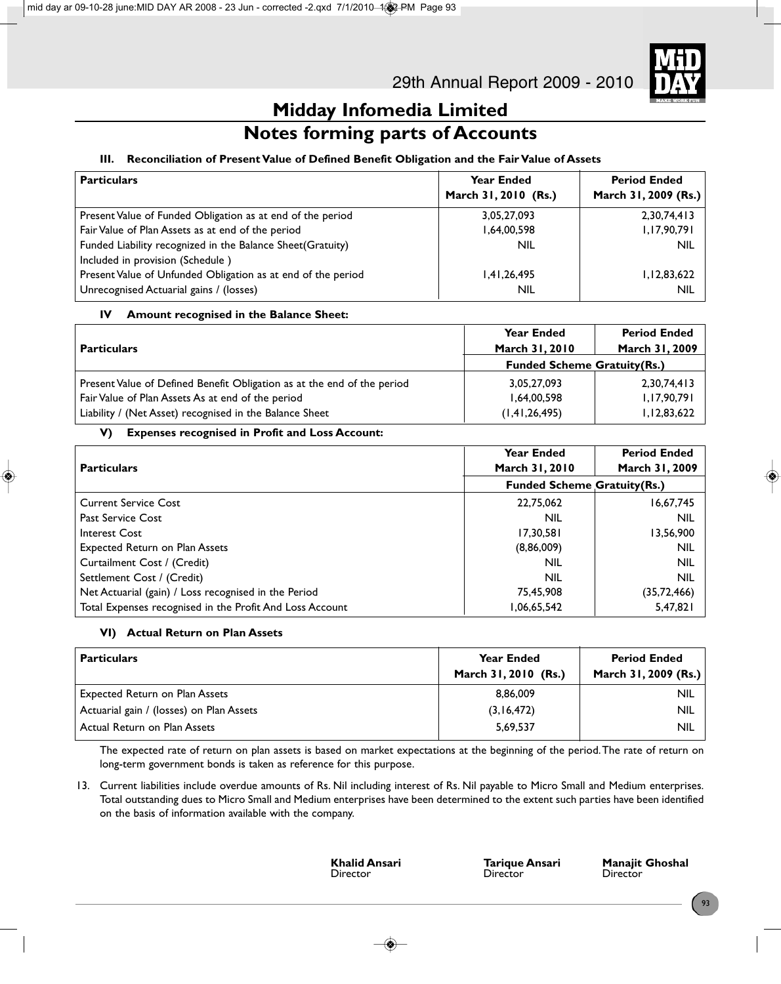

### **Notes forming parts of Accounts**

### **III. Reconciliation of Present Value of Defined Benefit Obligation and the Fair Value of Assets**

| <b>Particulars</b>                                           | <b>Year Ended</b><br>March 31, 2010 (Rs.) | <b>Period Ended</b><br>March 31, 2009 (Rs.) |
|--------------------------------------------------------------|-------------------------------------------|---------------------------------------------|
| Present Value of Funded Obligation as at end of the period   | 3,05,27,093                               | 2,30,74,413                                 |
| Fair Value of Plan Assets as at end of the period            | 1,64,00,598                               | 1,17,90,791                                 |
| Funded Liability recognized in the Balance Sheet(Gratuity)   | <b>NIL</b>                                | <b>NIL</b>                                  |
| Included in provision (Schedule)                             |                                           |                                             |
| Present Value of Unfunded Obligation as at end of the period | 1,41,26,495                               | 1, 12, 83, 622                              |
| Unrecognised Actuarial gains / (losses)                      | <b>NIL</b>                                | <b>NIL</b>                                  |

### **IV Amount recognised in the Balance Sheet:**

|                                                                         | <b>Year Ended</b>                  | <b>Period Ended</b> |
|-------------------------------------------------------------------------|------------------------------------|---------------------|
| <b>Particulars</b>                                                      | March 31, 2010                     | March 31, 2009      |
|                                                                         | <b>Funded Scheme Gratuity(Rs.)</b> |                     |
| Present Value of Defined Benefit Obligation as at the end of the period | 3,05,27,093                        | 2,30,74,413         |
| Fair Value of Plan Assets As at end of the period                       | 1,64,00,598                        | 1,17,90,791         |
| Liability / (Net Asset) recognised in the Balance Sheet                 | (1, 41, 26, 495)                   | 1,12,83,622         |

### **V) Expenses recognised in Profit and Loss Account:**

|                                                          | <b>Year Ended</b>                  | <b>Period Ended</b> |
|----------------------------------------------------------|------------------------------------|---------------------|
| <b>Particulars</b>                                       | March 31, 2010                     | March 31, 2009      |
|                                                          | <b>Funded Scheme Gratuity(Rs.)</b> |                     |
| <b>Current Service Cost</b>                              | 22,75,062                          | 16,67,745           |
| <b>Past Service Cost</b>                                 | <b>NIL</b>                         | <b>NIL</b>          |
| Interest Cost                                            | 17,30,581                          | 13,56,900           |
| <b>Expected Return on Plan Assets</b>                    | (8,86,009)                         | <b>NIL</b>          |
| Curtailment Cost / (Credit)                              | NIL                                | <b>NIL</b>          |
| Settlement Cost / (Credit)                               | <b>NIL</b>                         | <b>NIL</b>          |
| Net Actuarial (gain) / Loss recognised in the Period     | 75,45,908                          | (35, 72, 466)       |
| Total Expenses recognised in the Profit And Loss Account | 06,65,542. ا                       | 5,47,821            |

### **VI) Actual Return on Plan Assets**

| <b>Particulars</b>                       | <b>Year Ended</b><br>March 31, 2010 (Rs.) | <b>Period Ended</b><br>March 31, 2009 (Rs.) |
|------------------------------------------|-------------------------------------------|---------------------------------------------|
| Expected Return on Plan Assets           | 8.86.009                                  | <b>NIL</b>                                  |
| Actuarial gain / (losses) on Plan Assets | (3,16,472)                                | <b>NIL</b>                                  |
| Actual Return on Plan Assets             | 5,69,537                                  | <b>NIL</b>                                  |

The expected rate of return on plan assets is based on market expectations at the beginning of the period. The rate of return on long-term government bonds is taken as reference for this purpose.

13. Current liabilities include overdue amounts of Rs. Nil including interest of Rs. Nil payable to Micro Small and Medium enterprises. Total outstanding dues to Micro Small and Medium enterprises have been determined to the extent such parties have been identified on the basis of information available with the company.

Director

**Khalid Ansari Tarique Ansari Manajit Ghoshal**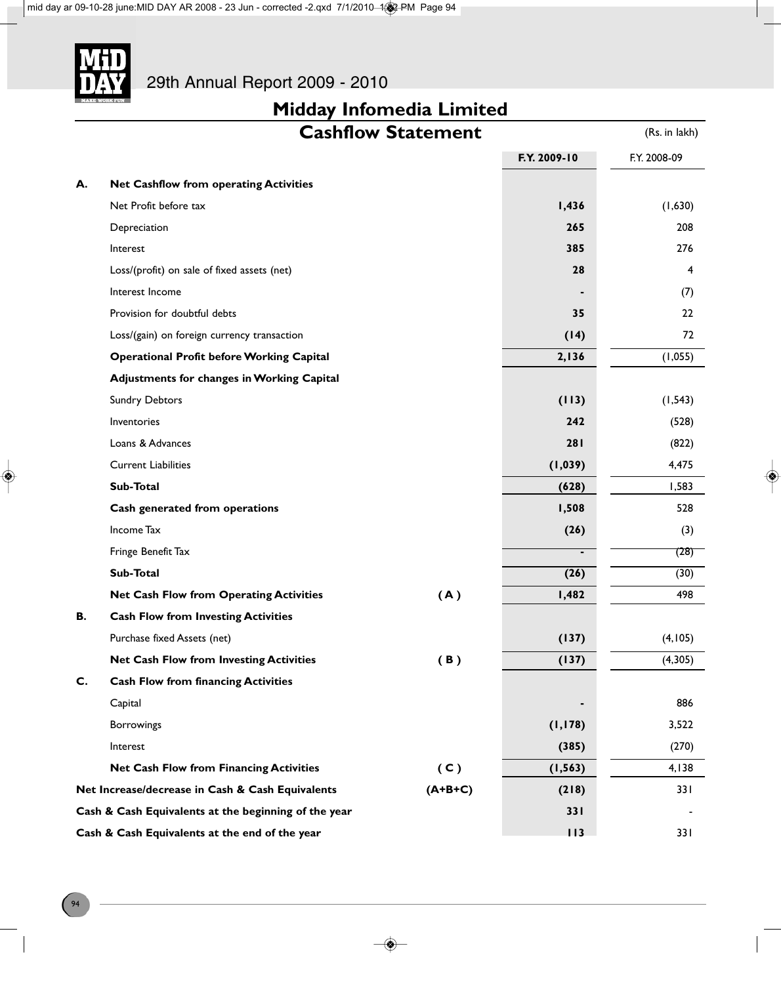

|    |                                                      | <b>Cashflow Statement</b> |                | (Rs. in lakh) |
|----|------------------------------------------------------|---------------------------|----------------|---------------|
|    |                                                      |                           | F.Y. 2009-10   | F.Y. 2008-09  |
| А. | <b>Net Cashflow from operating Activities</b>        |                           |                |               |
|    | Net Profit before tax                                |                           | 1,436          | (1,630)       |
|    | Depreciation                                         |                           | 265            | 208           |
|    | Interest                                             |                           | 385            | 276           |
|    | Loss/(profit) on sale of fixed assets (net)          |                           | 28             | 4             |
|    | Interest Income                                      |                           |                | (7)           |
|    | Provision for doubtful debts                         |                           | 35             | 22            |
|    | Loss/(gain) on foreign currency transaction          |                           | (14)           | 72            |
|    | <b>Operational Profit before Working Capital</b>     |                           | 2,136          | (1,055)       |
|    | <b>Adjustments for changes in Working Capital</b>    |                           |                |               |
|    | <b>Sundry Debtors</b>                                |                           | (113)          | (1, 543)      |
|    | Inventories                                          |                           | 242            | (528)         |
|    | Loans & Advances                                     |                           | 281            | (822)         |
|    | <b>Current Liabilities</b>                           |                           | (1,039)        | 4,475         |
|    | Sub-Total                                            |                           | (628)          | 1,583         |
|    | Cash generated from operations                       |                           | 1,508          | 528           |
|    | Income Tax                                           |                           | (26)           | (3)           |
|    | Fringe Benefit Tax                                   |                           | $\blacksquare$ | (28)          |
|    | Sub-Total                                            |                           | (26)           | (30)          |
|    | <b>Net Cash Flow from Operating Activities</b>       | (A)                       | 1,482          | 498           |
| В. | <b>Cash Flow from Investing Activities</b>           |                           |                |               |
|    | Purchase fixed Assets (net)                          |                           | (137)          | (4, 105)      |
|    | <b>Net Cash Flow from Investing Activities</b>       | (B)                       | (137)          | (4,305)       |
| C. | <b>Cash Flow from financing Activities</b>           |                           |                |               |
|    | Capital                                              |                           |                | 886           |
|    | Borrowings                                           |                           | (1, 178)       | 3,522         |
|    | Interest                                             |                           | (385)          | (270)         |
|    | <b>Net Cash Flow from Financing Activities</b>       | (C)                       | (1, 563)       | 4,138         |
|    | Net Increase/decrease in Cash & Cash Equivalents     | $(A+B+C)$                 | (218)          | 331           |
|    | Cash & Cash Equivalents at the beginning of the year |                           | <b>331</b>     |               |
|    | Cash & Cash Equivalents at the end of the year       |                           | 113            | 33 I          |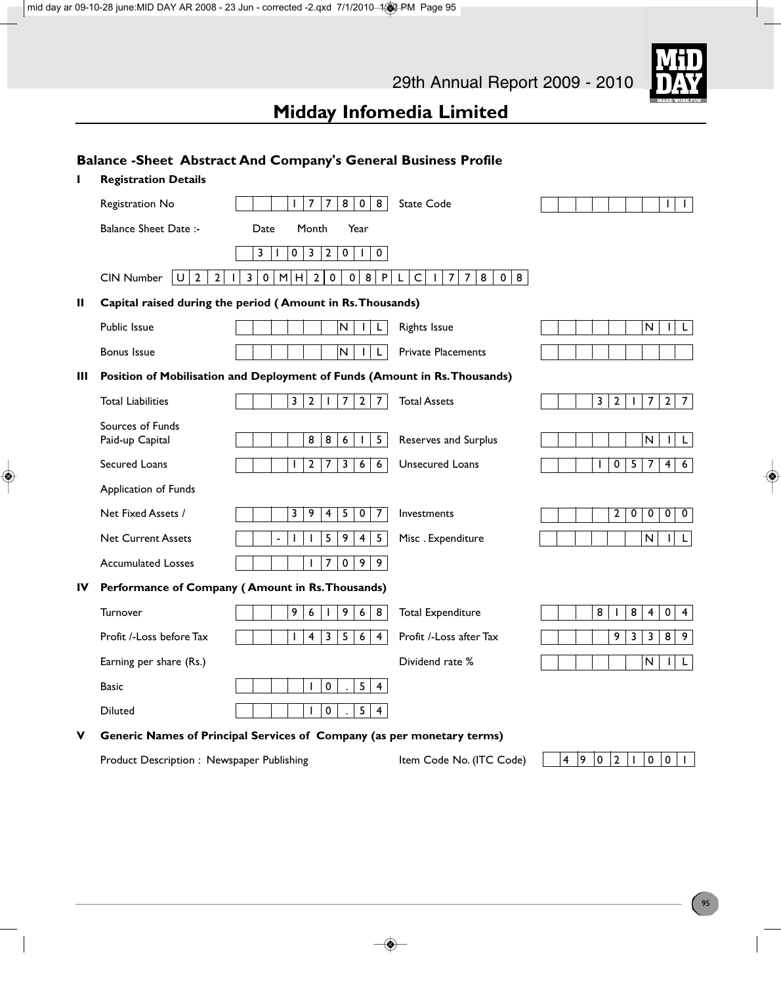|    |                                                               | <b>Balance - Sheet Abstract And Company's General Business Profile</b>                          |                                                                                      |                                                                                         |
|----|---------------------------------------------------------------|-------------------------------------------------------------------------------------------------|--------------------------------------------------------------------------------------|-----------------------------------------------------------------------------------------|
|    | <b>Registration Details</b>                                   |                                                                                                 |                                                                                      |                                                                                         |
|    | Registration No                                               | $\overline{7}$<br>8<br>$\mathbf 0$<br>8<br>$\overline{7}$<br>Т                                  | <b>State Code</b>                                                                    | L<br>$\mathbf{I}$                                                                       |
|    | <b>Balance Sheet Date:-</b>                                   | Month<br>Year<br>Date                                                                           |                                                                                      |                                                                                         |
|    |                                                               | 0<br>3<br>$\mathbf{2}$<br>$\pmb{0}$<br>$\mathbf 0$<br>3<br>$\mathbf{I}$<br>$\mathbf{I}$         |                                                                                      |                                                                                         |
|    | $\cup$<br>$\overline{2}$<br><b>CIN Number</b><br>$\mathbf{2}$ | $\overline{2}$<br>$\bf 8$<br>M<br>$\mathbf 0$<br>$\pmb{0}$<br>$\mathsf{P}$<br>3<br>0<br>H       | $\mathsf C$<br>8<br>0   8  <br>L<br>$\overline{7}$<br>$\overline{7}$<br>$\mathbf{L}$ |                                                                                         |
| Ш  |                                                               | Capital raised during the period (Amount in Rs. Thousands)                                      |                                                                                      |                                                                                         |
|    | Public Issue                                                  | N<br>L.                                                                                         | <b>Rights Issue</b>                                                                  | N<br>$\mathbf{I}$<br>L                                                                  |
|    | <b>Bonus Issue</b>                                            | ${\sf N}$<br>L                                                                                  | <b>Private Placements</b>                                                            |                                                                                         |
| Ш  |                                                               | Position of Mobilisation and Deployment of Funds (Amount in Rs. Thousands)                      |                                                                                      |                                                                                         |
|    | <b>Total Liabilities</b>                                      | $\overline{\mathbf{3}}$<br>$\mathbf 2$<br>$\overline{2}$<br>7<br>$\overline{7}$<br>$\mathbf{I}$ | <b>Total Assets</b>                                                                  | $\overline{\mathbf{3}}$<br>2 <br>$\mathbf{2}$<br>7<br>$\overline{7}$<br>$\mathbf{I}$    |
|    | Sources of Funds                                              |                                                                                                 |                                                                                      |                                                                                         |
|    | Paid-up Capital                                               | 8<br>8<br>6<br>5 <sub>5</sub>                                                                   | Reserves and Surplus                                                                 | $\mathsf{N}$<br>$\mathbf{I}$<br>L                                                       |
|    | Secured Loans                                                 | 7<br>3<br>$\overline{6}$<br>$\overline{6}$<br>$\mathbf{2}$                                      | <b>Unsecured Loans</b>                                                               | $\overline{0}$<br>$\overline{5}$<br>$\overline{7}$<br>$\overline{4}$<br>$6\overline{6}$ |
|    | Application of Funds                                          |                                                                                                 |                                                                                      |                                                                                         |
|    | Net Fixed Assets /                                            | 3<br>9<br>$\overline{4}$<br>5<br>$\pmb{0}$<br>$\overline{7}$                                    | Investments                                                                          | $\overline{2}$<br>$\overline{0}$<br>0<br>$\overline{0}$<br>$\mathbf 0$                  |
|    | <b>Net Current Assets</b>                                     | 5<br>9<br>$\overline{\mathbf{4}}$<br>$5\overline{)}$<br>$\overline{a}$                          | Misc. Expenditure                                                                    | ${\sf N}$<br>L<br>П                                                                     |
|    | <b>Accumulated Losses</b>                                     | $\overline{7}$<br>$\pmb{0}$<br>9 <sup>1</sup><br>9                                              |                                                                                      |                                                                                         |
| IV |                                                               | Performance of Company (Amount in Rs. Thousands)                                                |                                                                                      |                                                                                         |
|    | Turnover                                                      | 9<br>$\boldsymbol{6}$<br>9<br>6<br>8                                                            | <b>Total Expenditure</b>                                                             | 8<br>8<br>$\overline{\mathbf{4}}$<br>$\pmb{0}$<br>$\mathbf{I}$<br>$\overline{4}$        |
|    | Profit /-Loss before Tax                                      | 5<br>$\overline{\mathbf{4}}$<br>3<br>6<br>L<br>$\overline{4}$                                   | Profit /-Loss after Tax                                                              | 9<br>$\overline{\mathbf{3}}$<br>3<br>8<br>9                                             |
|    | Earning per share (Rs.)                                       |                                                                                                 | Dividend rate %                                                                      | $\mathsf{N}$<br>T<br>L                                                                  |
|    | <b>Basic</b>                                                  | 5 <sup>5</sup><br>$\pmb{0}$<br>$\overline{4}$<br>T                                              |                                                                                      |                                                                                         |
|    | <b>Diluted</b>                                                | $\pmb{0}$<br>5 <sup>5</sup><br>$\overline{4}$                                                   |                                                                                      |                                                                                         |
| V  |                                                               | Generic Names of Principal Services of Company (as per monetary terms)                          |                                                                                      |                                                                                         |
|    | Product Description : Newspaper Publishing                    |                                                                                                 | Item Code No. (ITC Code)                                                             | 9<br>$ 0\rangle$<br>$\overline{2}$<br>$\mathbf 0$<br>0<br>4<br>$\mathbf{I}$             |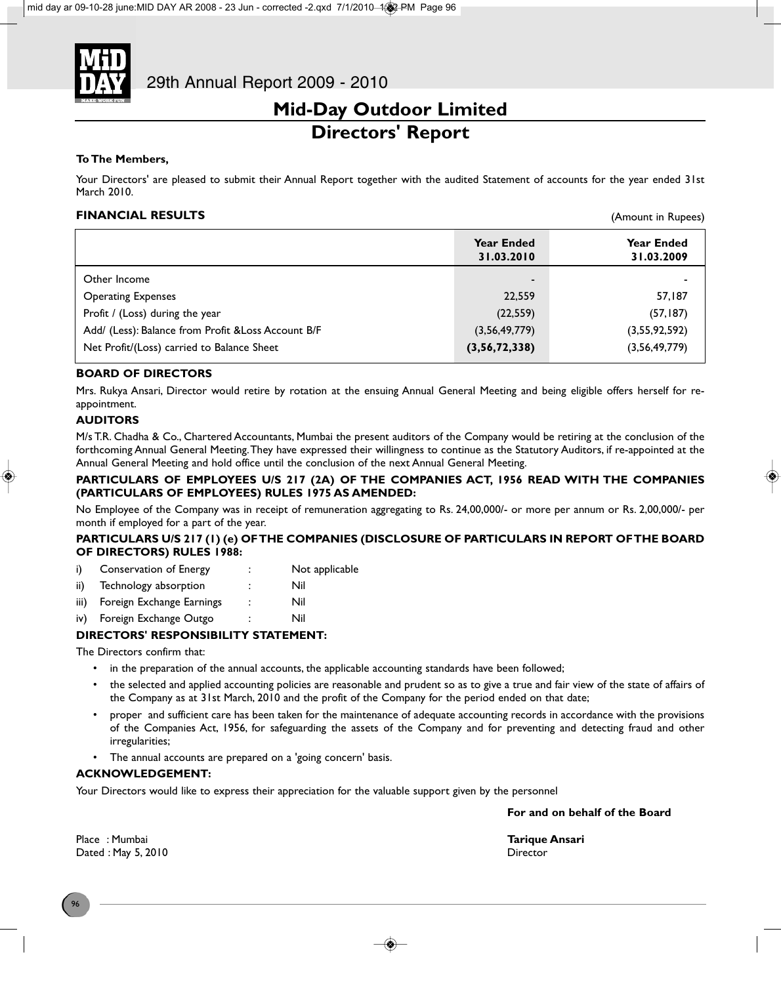

### **Mid-Day Outdoor Limited Directors' Report**

### **To The Members,**

Your Directors' are pleased to submit their Annual Report together with the audited Statement of accounts for the year ended 31st March 2010.

### **FINANCIAL RESULTS**

|                                                     | <b>Year Ended</b><br>31.03.2010 | Year Ended<br>31.03.2009 |
|-----------------------------------------------------|---------------------------------|--------------------------|
| Other Income                                        | ۰                               |                          |
| <b>Operating Expenses</b>                           | 22,559                          | 57,187                   |
| Profit / (Loss) during the year                     | (22, 559)                       | (57, 187)                |
| Add/ (Less): Balance from Profit & Loss Account B/F | (3,56,49,779)                   | (3,55,92,592)            |
| Net Profit/(Loss) carried to Balance Sheet          | (3,56,72,338)                   | (3,56,49,779)            |

### **BOARD OF DIRECTORS**

Mrs. Rukya Ansari, Director would retire by rotation at the ensuing Annual General Meeting and being eligible offers herself for reappointment.

### **AUDITORS**

M/s T.R. Chadha & Co., Chartered Accountants, Mumbai the present auditors of the Company would be retiring at the conclusion of the forthcoming Annual General Meeting. They have expressed their willingness to continue as the Statutory Auditors, if re-appointed at the Annual General Meeting and hold office until the conclusion of the next Annual General Meeting.

### **PARTICULARS OF EMPLOYEES U/S 217 (2A) OF THE COMPANIES ACT, 1956 READ WITH THE COMPANIES (PARTICULARS OF EMPLOYEES) RULES 1975 AS AMENDED:**

No Employee of the Company was in receipt of remuneration aggregating to Rs. 24,00,000/- or more per annum or Rs. 2,00,000/- per month if employed for a part of the year.

#### **PARTICULARS U/S 217 (1) (e) OF THE COMPANIES (DISCLOSURE OF PARTICULARS IN REPORT OF THE BOARD OF DIRECTORS) RULES 1988:**

- i) Conservation of Energy : Not applicable
- ii) Technology absorption : Nil
- iii) Foreign Exchange Earnings : Nil
- iv) Foreign Exchange Outgo : Nil

### **DIRECTORS' RESPONSIBILITY STATEMENT:**

The Directors confirm that:

- in the preparation of the annual accounts, the applicable accounting standards have been followed;
- the selected and applied accounting policies are reasonable and prudent so as to give a true and fair view of the state of affairs of the Company as at 31st March, 2010 and the profit of the Company for the period ended on that date;
- proper and sufficient care has been taken for the maintenance of adequate accounting records in accordance with the provisions of the Companies Act, 1956, for safeguarding the assets of the Company and for preventing and detecting fraud and other irregularities;
- The annual accounts are prepared on a 'going concern' basis.

### **ACKNOWLEDGEMENT:**

Your Directors would like to express their appreciation for the valuable support given by the personnel

**For and on behalf of the Board**

(Amount in Rupees)

Place : Mumbai **Tarique Ansari** Dated : May 5, 2010 **Director**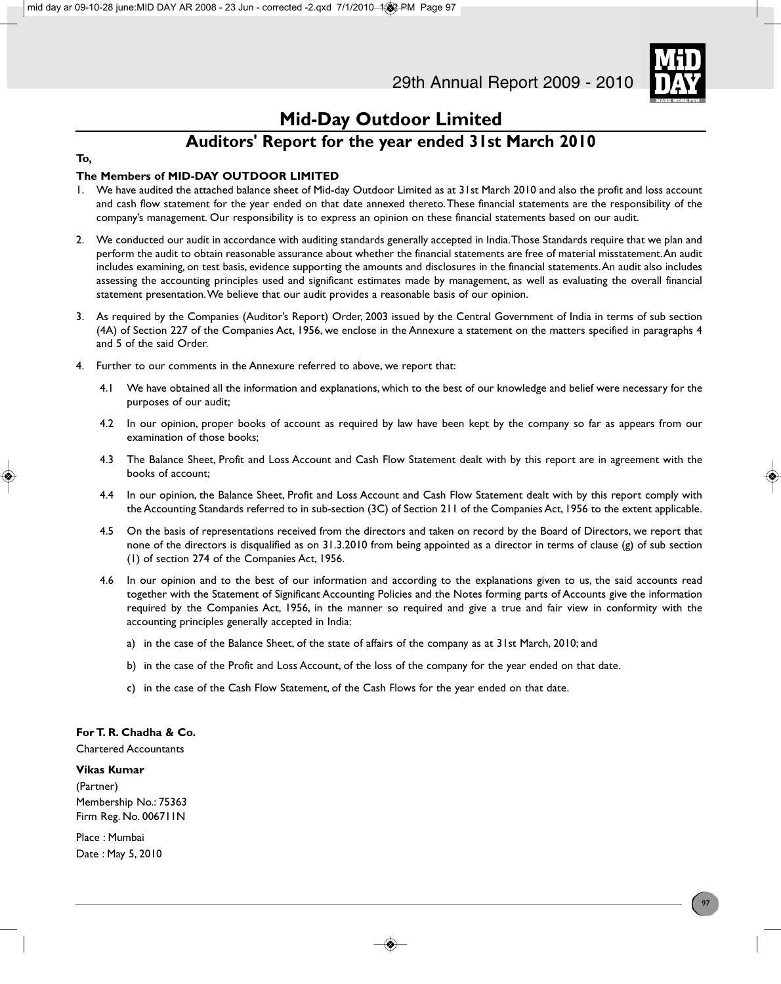

### **Mid-Day Outdoor Limited**

### **Auditors' Report for the year ended 31st March 2010**

### **To,**

### **The Members of MID-DAY OUTDOOR LIMITED**

- 1. We have audited the attached balance sheet of Mid-day Outdoor Limited as at 31st March 2010 and also the profit and loss account and cash flow statement for the year ended on that date annexed thereto. These financial statements are the responsibility of the company's management. Our responsibility is to express an opinion on these financial statements based on our audit.
- 2. We conducted our audit in accordance with auditing standards generally accepted in India. Those Standards require that we plan and perform the audit to obtain reasonable assurance about whether the financial statements are free of material misstatement. An audit includes examining, on test basis, evidence supporting the amounts and disclosures in the financial statements. An audit also includes assessing the accounting principles used and significant estimates made by management, as well as evaluating the overall financial statement presentation. We believe that our audit provides a reasonable basis of our opinion.
- 3. As required by the Companies (Auditor's Report) Order, 2003 issued by the Central Government of India in terms of sub section (4A) of Section 227 of the Companies Act, 1956, we enclose in the Annexure a statement on the matters specified in paragraphs 4 and 5 of the said Order.
- 4. Further to our comments in the Annexure referred to above, we report that:
	- 4.1 We have obtained all the information and explanations, which to the best of our knowledge and belief were necessary for the purposes of our audit;
	- 4.2 In our opinion, proper books of account as required by law have been kept by the company so far as appears from our examination of those books;
	- 4.3 The Balance Sheet, Profit and Loss Account and Cash Flow Statement dealt with by this report are in agreement with the books of account;
	- 4.4 In our opinion, the Balance Sheet, Profit and Loss Account and Cash Flow Statement dealt with by this report comply with the Accounting Standards referred to in sub-section (3C) of Section 211 of the Companies Act, 1956 to the extent applicable.
	- 4.5 On the basis of representations received from the directors and taken on record by the Board of Directors, we report that none of the directors is disqualified as on 31.3.2010 from being appointed as a director in terms of clause (g) of sub section (1) of section 274 of the Companies Act, 1956.
	- 4.6 In our opinion and to the best of our information and according to the explanations given to us, the said accounts read together with the Statement of Significant Accounting Policies and the Notes forming parts of Accounts give the information required by the Companies Act, 1956, in the manner so required and give a true and fair view in conformity with the accounting principles generally accepted in India:
		- a) in the case of the Balance Sheet, of the state of affairs of the company as at 31st March, 2010; and
		- b) in the case of the Profit and Loss Account, of the loss of the company for the year ended on that date.
		- c) in the case of the Cash Flow Statement, of the Cash Flows for the year ended on that date.

### **For T. R. Chadha & Co.**

Chartered Accountants

#### **Vikas Kumar**

(Partner) Membership No.: 75363 Firm Reg. No. 006711N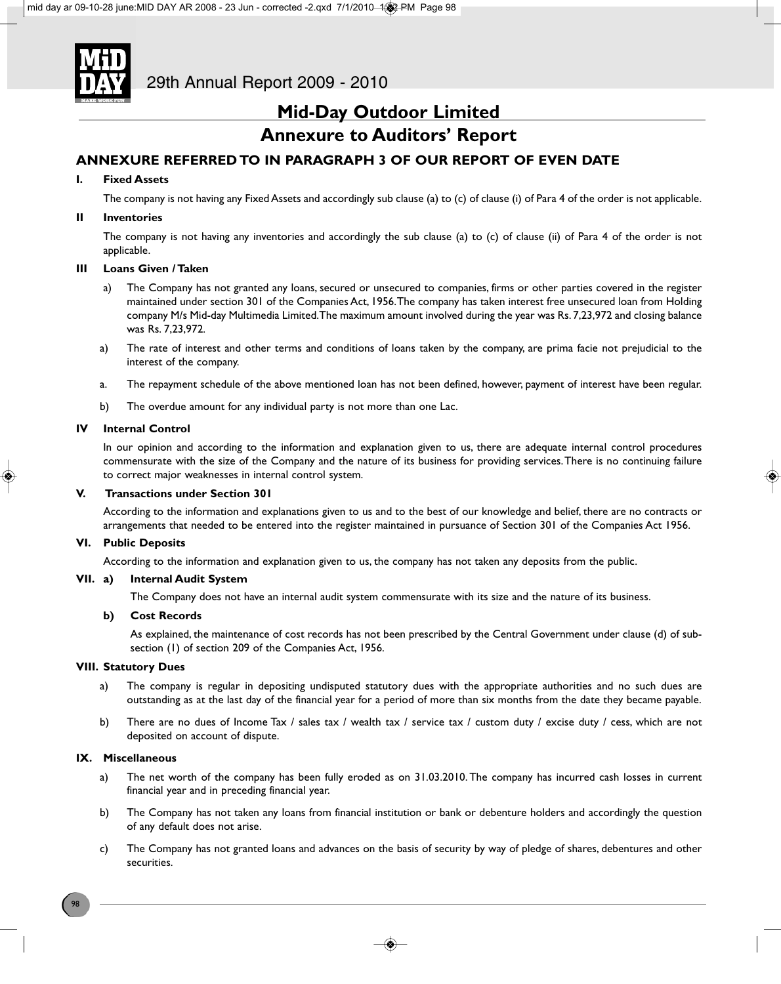

### **Mid-Day Outdoor Limited**

### **Annexure to Auditors' Report**

### **ANNEXURE REFERRED TO IN PARAGRAPH 3 OF OUR REPORT OF EVEN DATE**

#### **I. Fixed Assets**

The company is not having any Fixed Assets and accordingly sub clause (a) to (c) of clause (i) of Para 4 of the order is not applicable.

#### **II Inventories**

The company is not having any inventories and accordingly the sub clause (a) to (c) of clause (ii) of Para 4 of the order is not applicable.

#### **III Loans Given / Taken**

- a) The Company has not granted any loans, secured or unsecured to companies, firms or other parties covered in the register maintained under section 301 of the Companies Act, 1956. The company has taken interest free unsecured loan from Holding company M/s Mid-day Multimedia Limited. The maximum amount involved during the year was Rs. 7,23,972 and closing balance was Rs. 7,23,972.
- a) The rate of interest and other terms and conditions of loans taken by the company, are prima facie not prejudicial to the interest of the company.
- a. The repayment schedule of the above mentioned loan has not been defined, however, payment of interest have been regular.
- b) The overdue amount for any individual party is not more than one Lac.

#### **IV Internal Control**

In our opinion and according to the information and explanation given to us, there are adequate internal control procedures commensurate with the size of the Company and the nature of its business for providing services. There is no continuing failure to correct major weaknesses in internal control system.

### **V. Transactions under Section 301**

According to the information and explanations given to us and to the best of our knowledge and belief, there are no contracts or arrangements that needed to be entered into the register maintained in pursuance of Section 301 of the Companies Act 1956.

#### **VI. Public Deposits**

According to the information and explanation given to us, the company has not taken any deposits from the public.

#### **VII. a) Internal Audit System**

The Company does not have an internal audit system commensurate with its size and the nature of its business.

### **b) Cost Records**

As explained, the maintenance of cost records has not been prescribed by the Central Government under clause (d) of subsection (1) of section 209 of the Companies Act, 1956.

#### **VIII. Statutory Dues**

- a) The company is regular in depositing undisputed statutory dues with the appropriate authorities and no such dues are outstanding as at the last day of the financial year for a period of more than six months from the date they became payable.
- b) There are no dues of Income Tax / sales tax / wealth tax / service tax / custom duty / excise duty / cess, which are not deposited on account of dispute.

#### **IX. Miscellaneous**

- a) The net worth of the company has been fully eroded as on 31.03.2010. The company has incurred cash losses in current financial year and in preceding financial year.
- b) The Company has not taken any loans from financial institution or bank or debenture holders and accordingly the question of any default does not arise.
- c) The Company has not granted loans and advances on the basis of security by way of pledge of shares, debentures and other securities.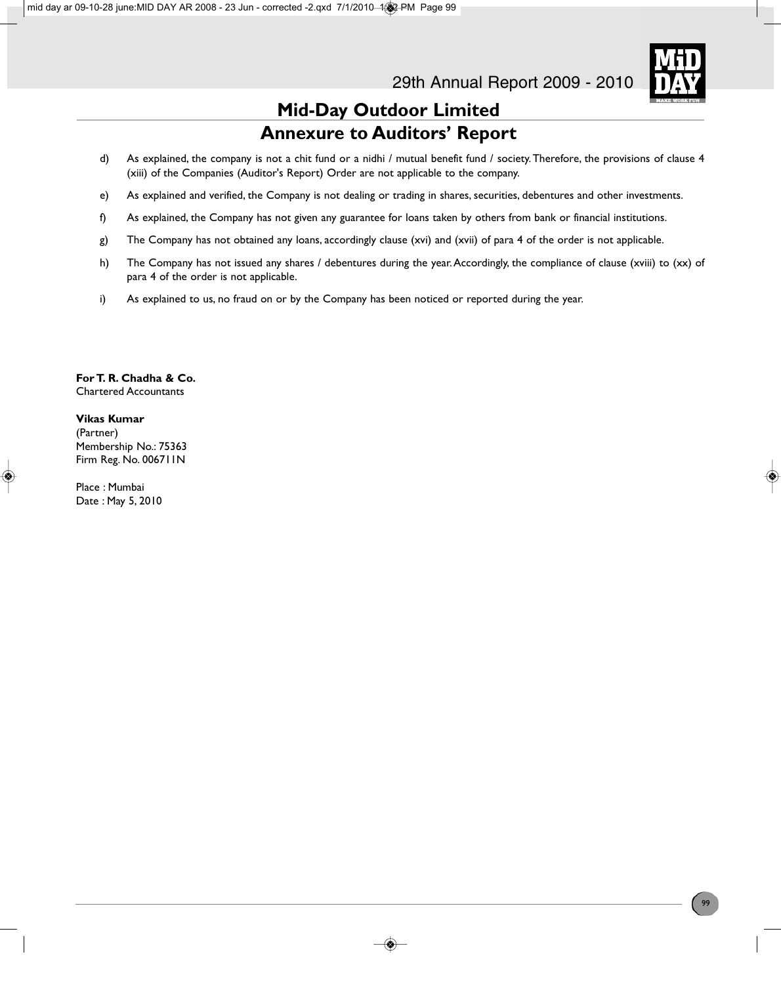

### **Mid-Day Outdoor Limited Annexure to Auditors' Report**

- d) As explained, the company is not a chit fund or a nidhi / mutual benefit fund / society. Therefore, the provisions of clause 4 (xiii) of the Companies (Auditor's Report) Order are not applicable to the company.
- e) As explained and verified, the Company is not dealing or trading in shares, securities, debentures and other investments.
- f) As explained, the Company has not given any guarantee for loans taken by others from bank or financial institutions.
- g) The Company has not obtained any loans, accordingly clause (xvi) and (xvii) of para 4 of the order is not applicable.
- h) The Company has not issued any shares / debentures during the year. Accordingly, the compliance of clause (xviii) to (xx) of para 4 of the order is not applicable.
- i) As explained to us, no fraud on or by the Company has been noticed or reported during the year.

**For T. R. Chadha & Co.** Chartered Accountants

#### **Vikas Kumar**

(Partner) Membership No.: 75363 Firm Reg. No. 006711N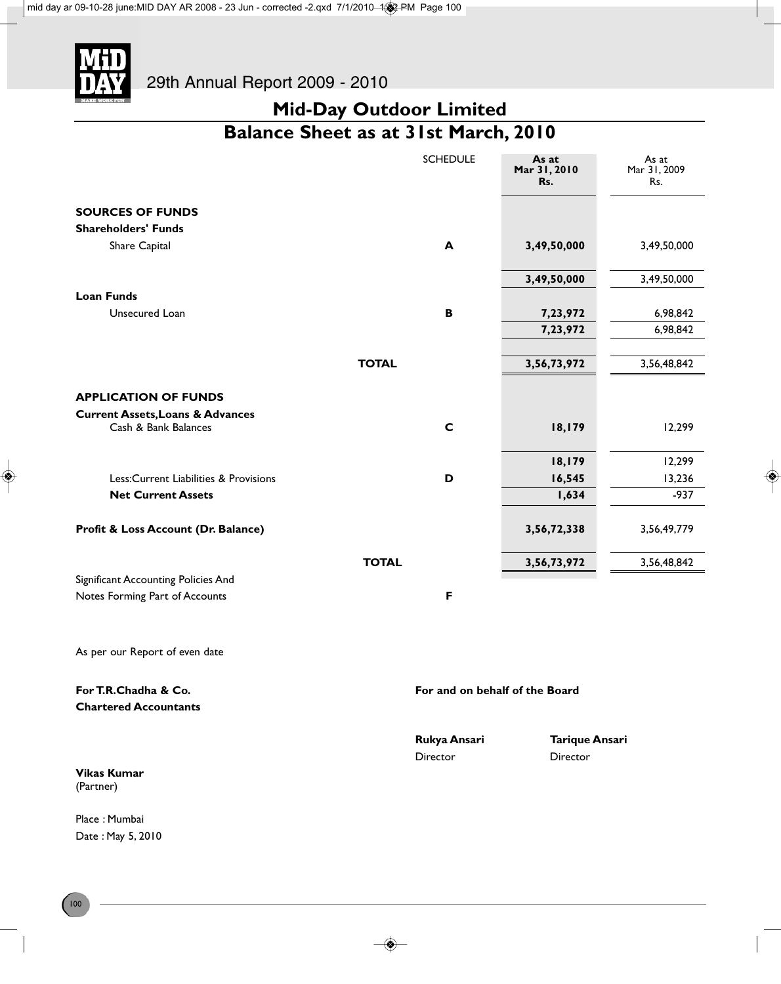

## **Mid-Day Outdoor Limited Balance Sheet as at 31st March, 2010**

|                                                      |              | <b>SCHEDULE</b>                | As at<br>Mar 31, 2010<br>Rs. | As at<br>Mar 31, 2009<br>Rs. |
|------------------------------------------------------|--------------|--------------------------------|------------------------------|------------------------------|
| <b>SOURCES OF FUNDS</b>                              |              |                                |                              |                              |
| <b>Shareholders' Funds</b>                           |              |                                |                              |                              |
| Share Capital                                        |              | A                              | 3,49,50,000                  | 3,49,50,000                  |
|                                                      |              |                                | 3,49,50,000                  | 3,49,50,000                  |
| <b>Loan Funds</b>                                    |              |                                |                              |                              |
| Unsecured Loan                                       |              | B                              | 7,23,972                     | 6,98,842                     |
|                                                      |              |                                | 7,23,972                     | 6,98,842                     |
|                                                      | <b>TOTAL</b> |                                | 3,56,73,972                  | 3,56,48,842                  |
| <b>APPLICATION OF FUNDS</b>                          |              |                                |                              |                              |
| <b>Current Assets, Loans &amp; Advances</b>          |              |                                |                              |                              |
| Cash & Bank Balances                                 |              | $\mathbf C$                    | 18,179                       | 12,299                       |
|                                                      |              |                                | 18,179                       | 12,299                       |
| Less: Current Liabilities & Provisions               |              | D                              | 16,545                       | 13,236                       |
| <b>Net Current Assets</b>                            |              |                                | 1,634                        | $-937$                       |
| Profit & Loss Account (Dr. Balance)                  |              |                                | 3,56,72,338                  | 3,56,49,779                  |
|                                                      | <b>TOTAL</b> |                                | 3,56,73,972                  | 3,56,48,842                  |
| Significant Accounting Policies And                  |              |                                |                              |                              |
| Notes Forming Part of Accounts                       |              | F                              |                              |                              |
| As per our Report of even date                       |              |                                |                              |                              |
| For T.R.Chadha & Co.<br><b>Chartered Accountants</b> |              | For and on behalf of the Board |                              |                              |
|                                                      |              | Rukya Ansari                   | <b>Tarique Ansari</b>        |                              |

Director Director

**Vikas Kumar** (Partner)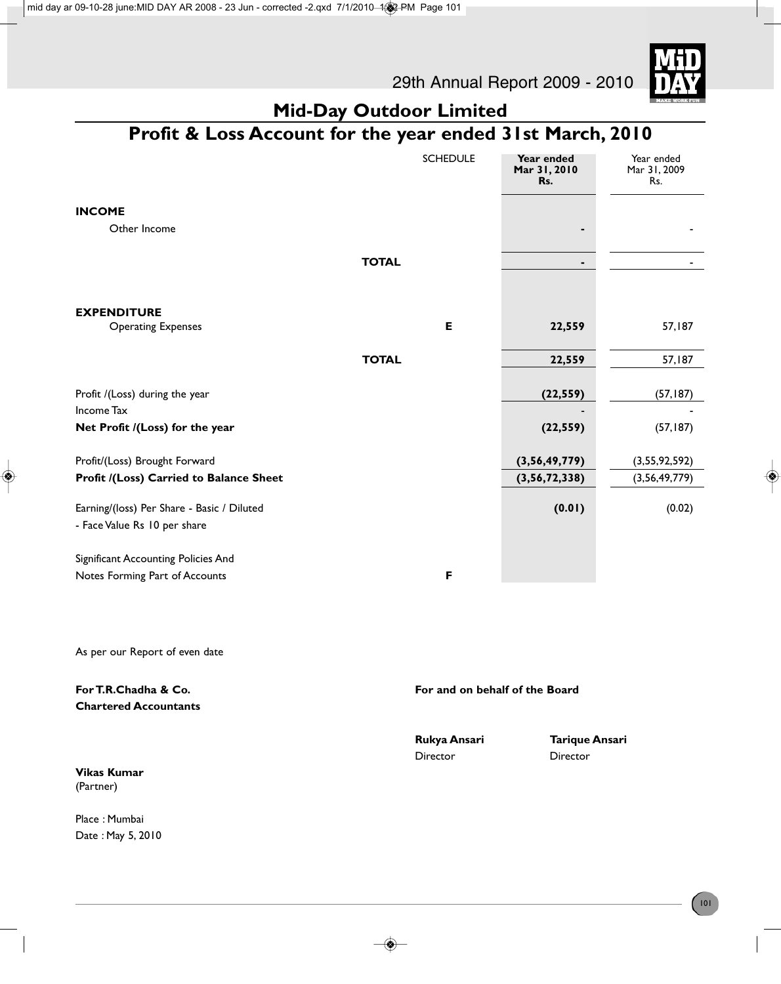



## **Mid-Day Outdoor Limited**

## **Profit & Loss Account for the year ended 31st March, 2010**

|                                                                            |              | <b>SCHEDULE</b> | Year ended<br>Mar 31, 2010<br>Rs. | Year ended<br>Mar 31, 2009<br>Rs. |
|----------------------------------------------------------------------------|--------------|-----------------|-----------------------------------|-----------------------------------|
| <b>INCOME</b>                                                              |              |                 |                                   |                                   |
| Other Income                                                               |              |                 |                                   |                                   |
|                                                                            | <b>TOTAL</b> |                 | ٠                                 |                                   |
| <b>EXPENDITURE</b>                                                         |              |                 |                                   |                                   |
| <b>Operating Expenses</b>                                                  |              | E               | 22,559                            | 57,187                            |
|                                                                            | <b>TOTAL</b> |                 | 22,559                            | 57,187                            |
|                                                                            |              |                 |                                   |                                   |
| Profit /(Loss) during the year                                             |              |                 | (22, 559)                         | (57, 187)                         |
| Income Tax<br>Net Profit /(Loss) for the year                              |              |                 | (22, 559)                         | (57, 187)                         |
| Profit/(Loss) Brought Forward                                              |              |                 | (3,56,49,779)                     | (3,55,92,592)                     |
| Profit /(Loss) Carried to Balance Sheet                                    |              |                 | (3,56,72,338)                     | (3,56,49,779)                     |
| Earning/(loss) Per Share - Basic / Diluted<br>- Face Value Rs 10 per share |              |                 | (0.01)                            | (0.02)                            |
| Significant Accounting Policies And<br>Notes Forming Part of Accounts      |              | F               |                                   |                                   |
|                                                                            |              |                 |                                   |                                   |

As per our Report of even date

| For T.R.Chadha & Co.<br><b>Chartered Accountants</b> | For and on behalf of the Board |                       |
|------------------------------------------------------|--------------------------------|-----------------------|
|                                                      | Rukya Ansari                   | <b>Tarique Ansari</b> |
|                                                      | Director                       | Director              |
| <b>Vikas Kumar</b>                                   |                                |                       |
| (Partner)                                            |                                |                       |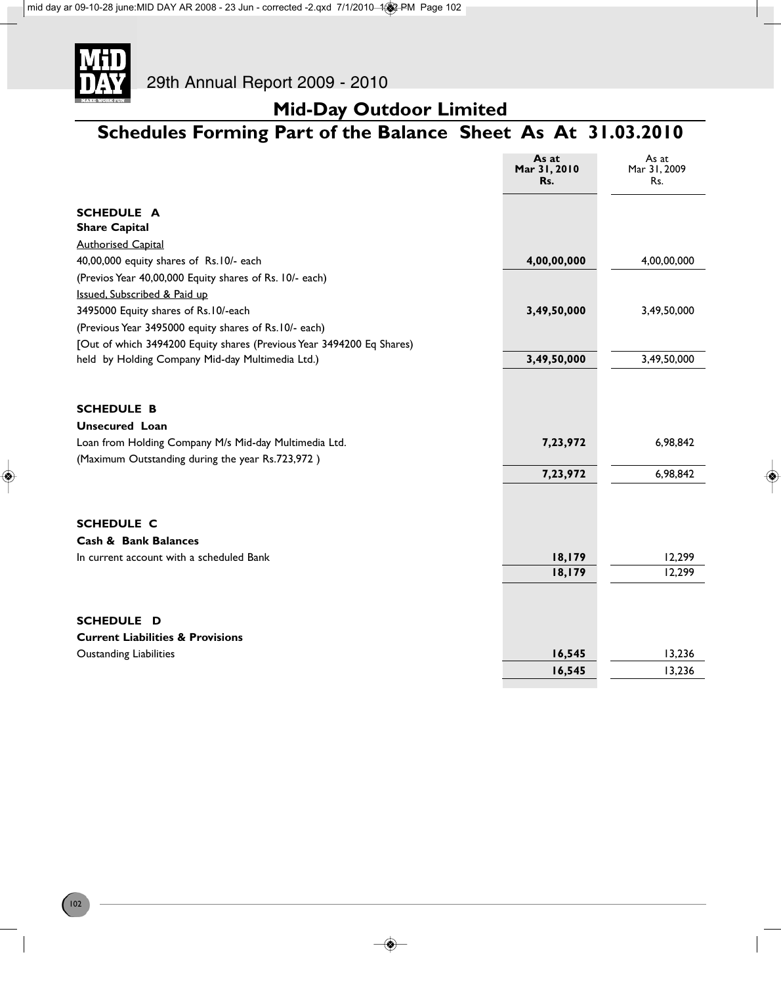

## **Mid-Day Outdoor Limited**

## **Schedules Forming Part of the Balance Sheet As At 31.03.2010**

|                                                                       | As at<br>Mar 31, 2010<br>Rs. | As at<br>Mar 31, 2009<br>Rs. |
|-----------------------------------------------------------------------|------------------------------|------------------------------|
| <b>SCHEDULE A</b>                                                     |                              |                              |
| <b>Share Capital</b>                                                  |                              |                              |
| <b>Authorised Capital</b>                                             |                              |                              |
| 40,00,000 equity shares of Rs.10/- each                               | 4,00,00,000                  | 4,00,00,000                  |
| (Previos Year 40,00,000 Equity shares of Rs. 10/- each)               |                              |                              |
| Issued, Subscribed & Paid up                                          |                              |                              |
| 3495000 Equity shares of Rs.10/-each                                  | 3,49,50,000                  | 3,49,50,000                  |
| (Previous Year 3495000 equity shares of Rs.10/- each)                 |                              |                              |
| [Out of which 3494200 Equity shares (Previous Year 3494200 Eq Shares) |                              |                              |
| held by Holding Company Mid-day Multimedia Ltd.)                      | 3,49,50,000                  | 3,49,50,000                  |
| <b>SCHEDULE B</b>                                                     |                              |                              |
| <b>Unsecured Loan</b>                                                 |                              |                              |
| Loan from Holding Company M/s Mid-day Multimedia Ltd.                 | 7,23,972                     | 6,98,842                     |
| (Maximum Outstanding during the year Rs.723,972)                      |                              |                              |
|                                                                       | 7,23,972                     | 6,98,842                     |
| <b>SCHEDULE C</b>                                                     |                              |                              |
| <b>Cash &amp; Bank Balances</b>                                       |                              |                              |
| In current account with a scheduled Bank                              | 18,179                       | 12,299                       |
|                                                                       | 18,179                       | 12,299                       |
| SCHEDULE D                                                            |                              |                              |
| <b>Current Liabilities &amp; Provisions</b>                           |                              |                              |
| <b>Oustanding Liabilities</b>                                         | 16,545                       | 13,236                       |
|                                                                       | 16,545                       | 13,236                       |
|                                                                       |                              |                              |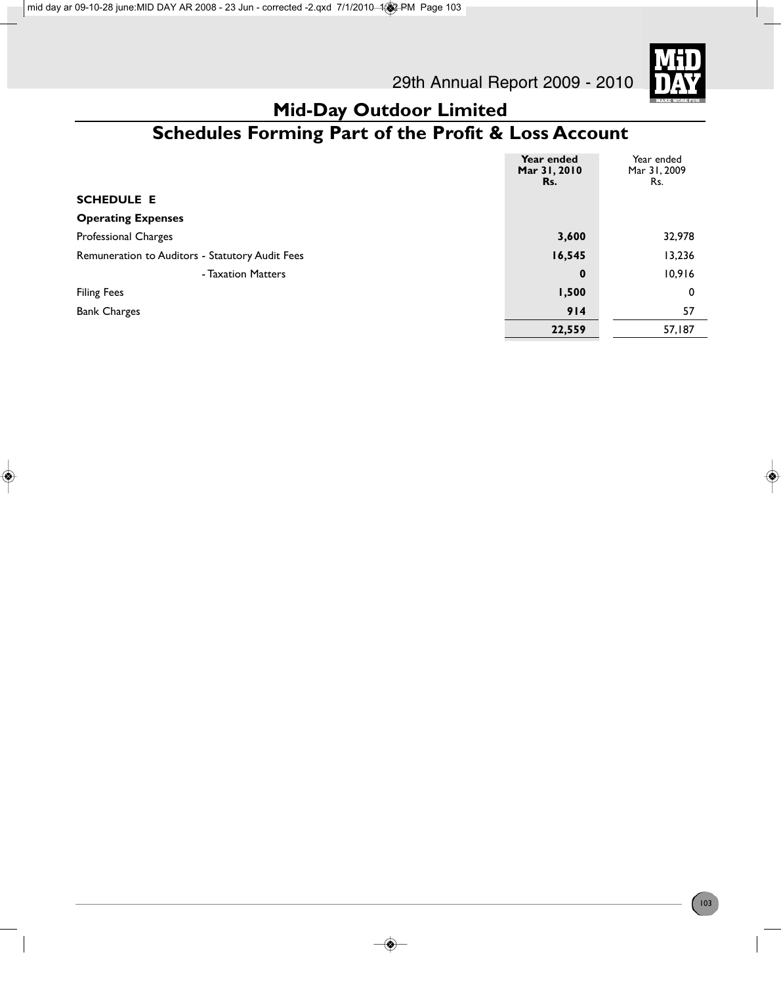

### **Mid-Day Outdoor Limited Schedules Forming Part of the Profit & Loss Account**

|                                                 | Year ended<br>Mar 31, 2010<br>Rs. | Year ended<br>Mar 31, 2009<br>Rs. |
|-------------------------------------------------|-----------------------------------|-----------------------------------|
| <b>SCHEDULE E</b>                               |                                   |                                   |
| <b>Operating Expenses</b>                       |                                   |                                   |
| Professional Charges                            | 3,600                             | 32,978                            |
| Remuneration to Auditors - Statutory Audit Fees | 16,545                            | 13,236                            |
| - Taxation Matters                              | $\mathbf 0$                       | 10,916                            |
| <b>Filing Fees</b>                              | 1,500                             | 0                                 |
| <b>Bank Charges</b>                             | 914                               | 57                                |
|                                                 | 22,559                            | 57,187                            |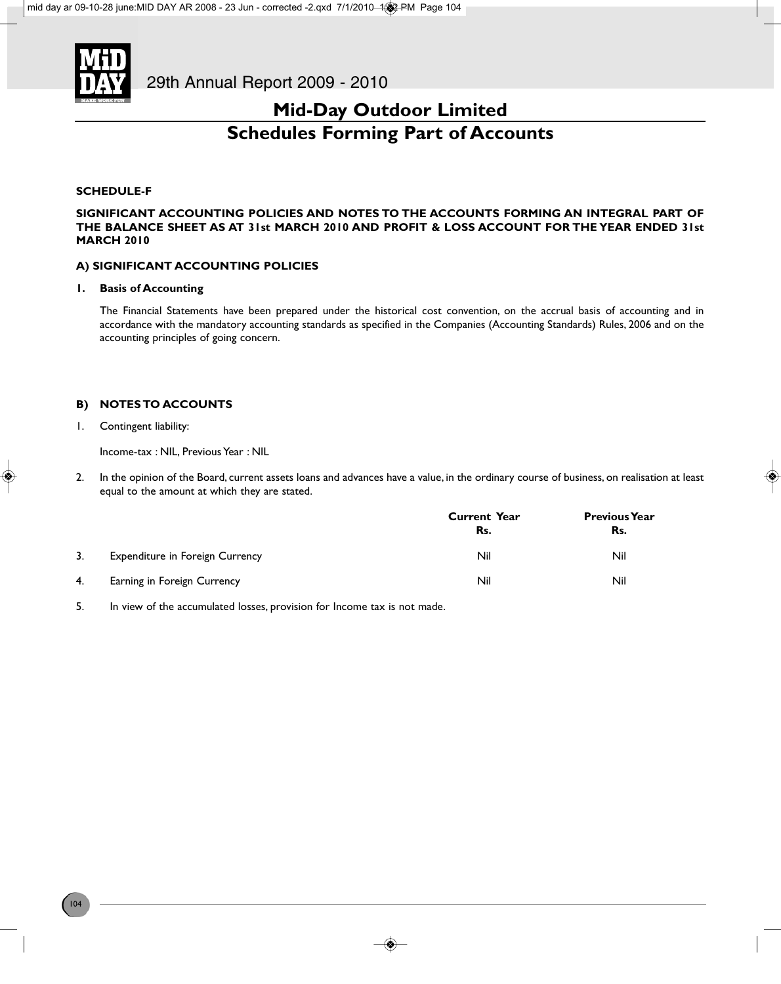

### **Mid-Day Outdoor Limited Schedules Forming Part of Accounts**

#### **SCHEDULE-F**

**SIGNIFICANT ACCOUNTING POLICIES AND NOTES TO THE ACCOUNTS FORMING AN INTEGRAL PART OF THE BALANCE SHEET AS AT 31st MARCH 2010 AND PROFIT & LOSS ACCOUNT FOR THE YEAR ENDED 31st MARCH 2010**

### **A) SIGNIFICANT ACCOUNTING POLICIES**

#### **1. Basis of Accounting**

The Financial Statements have been prepared under the historical cost convention, on the accrual basis of accounting and in accordance with the mandatory accounting standards as specified in the Companies (Accounting Standards) Rules, 2006 and on the accounting principles of going concern.

### **B) NOTES TO ACCOUNTS**

1. Contingent liability:

Income-tax : NIL, Previous Year : NIL

2. In the opinion of the Board, current assets loans and advances have a value, in the ordinary course of business, on realisation at least equal to the amount at which they are stated.

|    |                                        | <b>Current Year</b><br>Rs. | <b>Previous Year</b><br>Rs. |
|----|----------------------------------------|----------------------------|-----------------------------|
| 3. | <b>Expenditure in Foreign Currency</b> | Nil                        | Nil                         |
| 4. | Earning in Foreign Currency            | Nil                        | Nil                         |

5. In view of the accumulated losses, provision for Income tax is not made.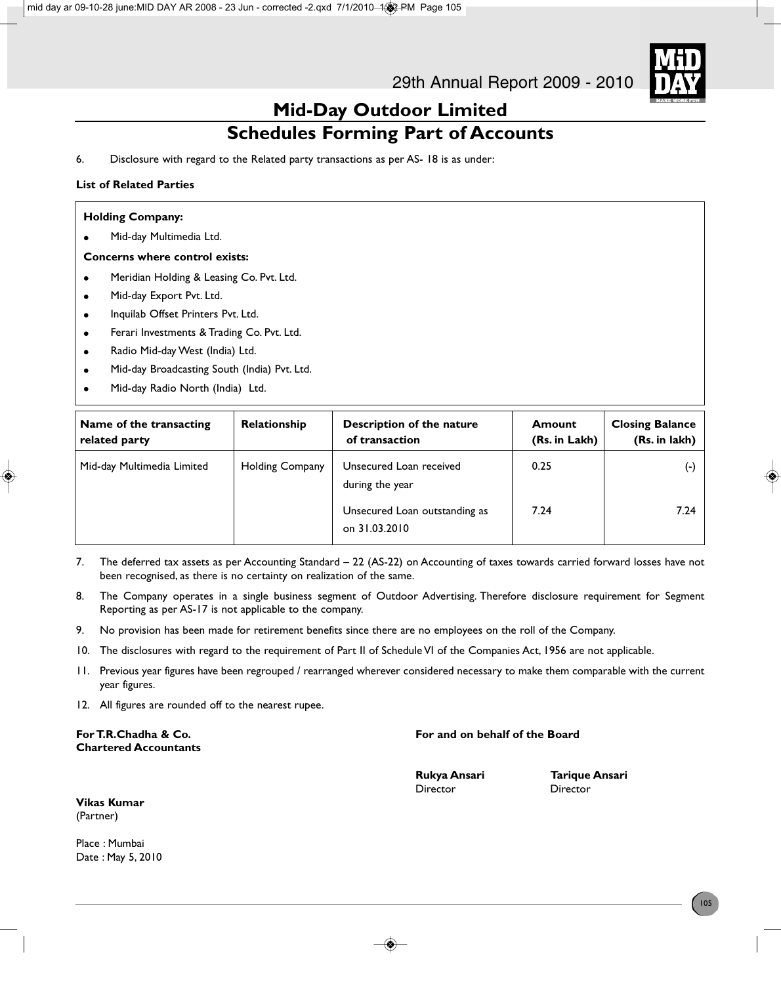

### **Mid-Day Outdoor Limited Schedules Forming Part of Accounts**

6. Disclosure with regard to the Related party transactions as per AS- 18 is as under:

### **List of Related Parties**

|           | <b>Holding Company:</b>                      |  |  |  |
|-----------|----------------------------------------------|--|--|--|
| $\bullet$ | Mid-day Multimedia Ltd.                      |  |  |  |
|           | <b>Concerns where control exists:</b>        |  |  |  |
| $\bullet$ | Meridian Holding & Leasing Co. Pvt. Ltd.     |  |  |  |
| $\bullet$ | Mid-day Export Pvt. Ltd.                     |  |  |  |
| $\bullet$ | Inquilab Offset Printers Pvt. Ltd.           |  |  |  |
| $\bullet$ | Ferari Investments & Trading Co. Pvt. Ltd.   |  |  |  |
| $\bullet$ | Radio Mid-day West (India) Ltd.              |  |  |  |
| $\bullet$ | Mid-day Broadcasting South (India) Pvt. Ltd. |  |  |  |
| $\bullet$ | Mid-day Radio North (India) Ltd.             |  |  |  |

- Name of the transacting Relationship Description of the nature **Amount** Closing Balance **related party of transaction** (Rs. in Lakh) (Rs. in lakh) Mid-day Multimedia Limited | Holding Company | Unsecured Loan received | 0.25 | | | | | | | | | | | | | | | | | during the year
- 7. The deferred tax assets as per Accounting Standard 22 (AS-22) on Accounting of taxes towards carried forward losses have not been recognised, as there is no certainty on realization of the same. on 31.03.2010
- 8. The Company operates in a single business segment of Outdoor Advertising. Therefore disclosure requirement for Segment Reporting as per AS-17 is not applicable to the company.
- 9. No provision has been made for retirement benefits since there are no employees on the roll of the Company.
- 10. The disclosures with regard to the requirement of Part II of Schedule VI of the Companies Act, 1956 are not applicable.
- 11. Previous year figures have been regrouped / rearranged wherever considered necessary to make them comparable with the current year figures.
- 12. All figures are rounded off to the nearest rupee.

**Chartered Accountants**

#### **For T.R.Chadha & Co.** The same of the Board on the Board on behalf of the Board

Unsecured Loan outstanding as  $\vert$  7.24  $\vert$  7.24 7.24

Director Director

**Rukya Ansari Tarique Ansari** 

### **Vikas Kumar** (Partner)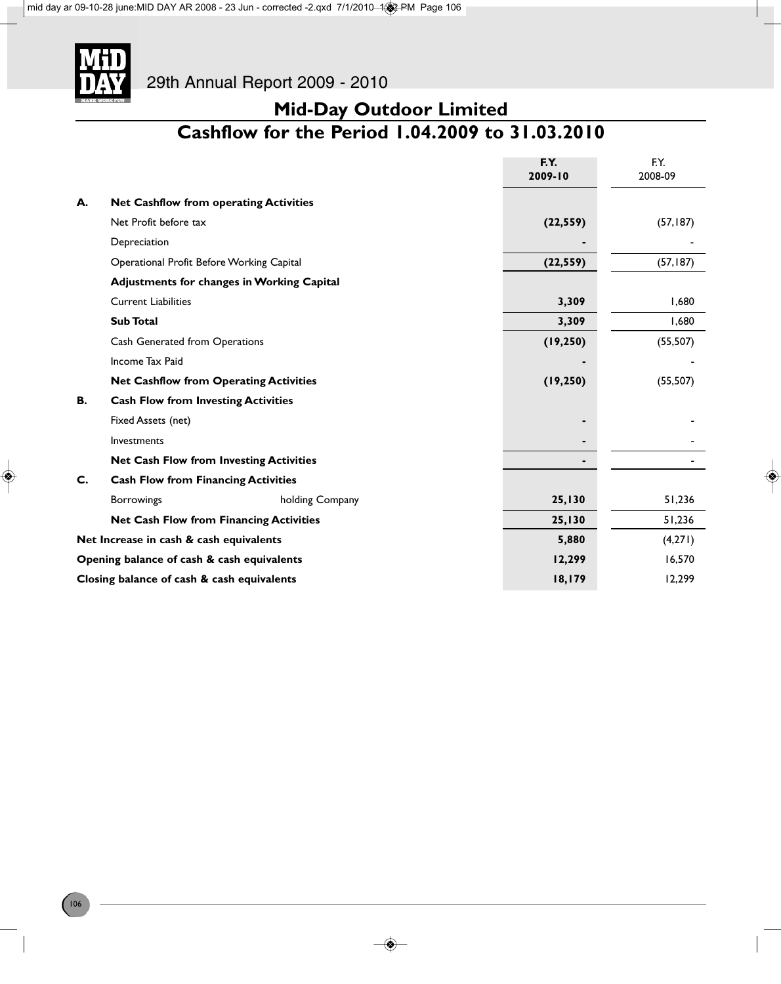

### **Mid-Day Outdoor Limited Cashflow for the Period 1.04.2009 to 31.03.2010**

|                                            |                                                   |                 | F.Y.           | F.Y.      |  |  |
|--------------------------------------------|---------------------------------------------------|-----------------|----------------|-----------|--|--|
|                                            |                                                   |                 | 2009-10        | 2008-09   |  |  |
| А.                                         | <b>Net Cashflow from operating Activities</b>     |                 |                |           |  |  |
|                                            | Net Profit before tax                             |                 | (22, 559)      | (57, 187) |  |  |
|                                            | Depreciation                                      |                 |                |           |  |  |
|                                            | Operational Profit Before Working Capital         |                 | (22, 559)      | (57, 187) |  |  |
|                                            | <b>Adjustments for changes in Working Capital</b> |                 |                |           |  |  |
|                                            | <b>Current Liabilities</b>                        | 3,309           | 1,680          |           |  |  |
|                                            | <b>Sub Total</b>                                  | 3,309           | 1,680          |           |  |  |
|                                            | Cash Generated from Operations                    |                 | (19, 250)      | (55, 507) |  |  |
|                                            | Income Tax Paid                                   |                 |                |           |  |  |
|                                            | <b>Net Cashflow from Operating Activities</b>     |                 | (19, 250)      | (55, 507) |  |  |
| В.                                         | <b>Cash Flow from Investing Activities</b>        |                 |                |           |  |  |
|                                            | Fixed Assets (net)                                |                 | ٠              |           |  |  |
|                                            | Investments                                       |                 | $\blacksquare$ |           |  |  |
|                                            | <b>Net Cash Flow from Investing Activities</b>    |                 |                |           |  |  |
| C.                                         | <b>Cash Flow from Financing Activities</b>        |                 |                |           |  |  |
|                                            | <b>Borrowings</b>                                 | holding Company | 25,130         | 51,236    |  |  |
|                                            | <b>Net Cash Flow from Financing Activities</b>    |                 | 25,130         | 51,236    |  |  |
| Net Increase in cash & cash equivalents    |                                                   |                 | 5,880          | (4,271)   |  |  |
| Opening balance of cash & cash equivalents |                                                   |                 | 12,299         | 16,570    |  |  |
| Closing balance of cash & cash equivalents |                                                   |                 | 18,179         | 12,299    |  |  |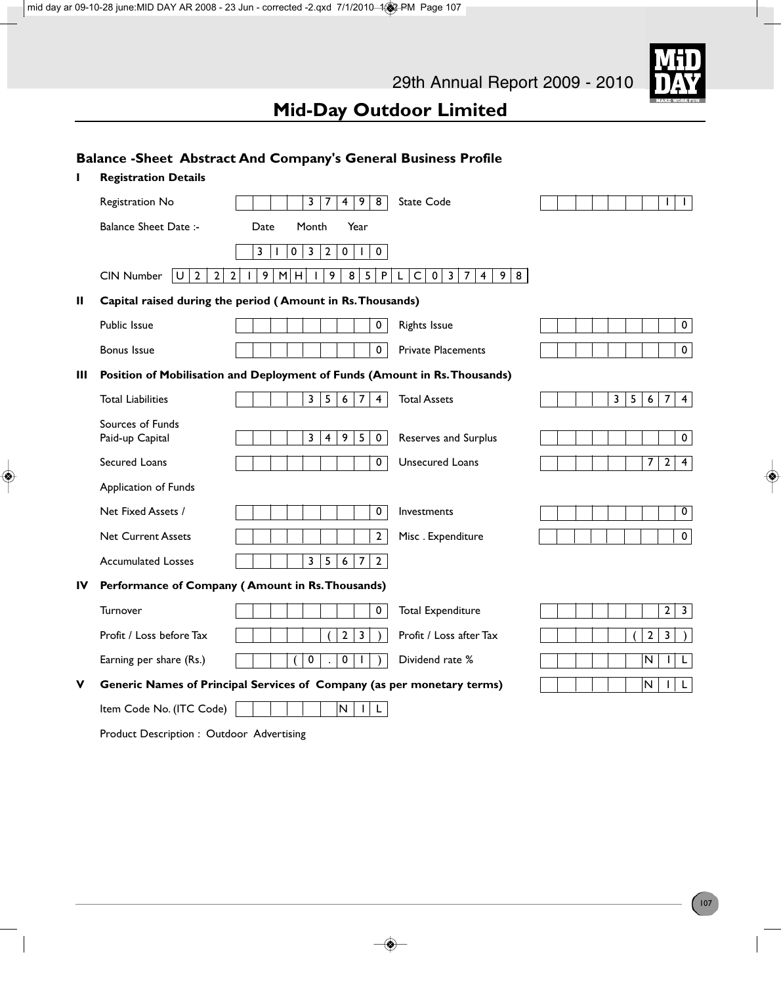### **Mid-Day Outdoor Limited**

### **Balance -Sheet Abstract And Company's General Business Profile**

| п  | <b>Registration Details</b>                                 |                                                                                                   |                                                                                            |                                                              |
|----|-------------------------------------------------------------|---------------------------------------------------------------------------------------------------|--------------------------------------------------------------------------------------------|--------------------------------------------------------------|
|    | Registration No                                             | 3<br>$\overline{4}$<br>9<br>8<br>7                                                                | State Code                                                                                 | L<br>$\mathbf{I}$                                            |
|    | <b>Balance Sheet Date:-</b>                                 | Date<br>Month<br>Year                                                                             |                                                                                            |                                                              |
|    |                                                             | 3<br>$\mathbf{2}$<br>3<br>0<br>$\pmb{0}$<br>$\pmb{0}$                                             |                                                                                            |                                                              |
|    | U <br>$\overline{2}$<br>$\overline{2}$<br><b>CIN Number</b> | 9<br>M<br>9<br>8<br>5<br>$\overline{2}$<br>H<br>$\mathsf{P}$<br>L<br>$\mathbf{L}$<br>$\mathbf{I}$ | $\mathsf C$<br>$\mathbf 0$<br>$\overline{3}$<br>$\overline{7}$<br>9<br>$\overline{4}$<br>8 |                                                              |
| Ш  |                                                             | Capital raised during the period (Amount in Rs. Thousands)                                        |                                                                                            |                                                              |
|    | Public Issue                                                | $\pmb{0}$                                                                                         | <b>Rights Issue</b>                                                                        | $\mathbf 0$                                                  |
|    | <b>Bonus Issue</b>                                          | $\mathbf 0$                                                                                       | <b>Private Placements</b>                                                                  | $\mathbf 0$                                                  |
| Ш  |                                                             | Position of Mobilisation and Deployment of Funds (Amount in Rs. Thousands)                        |                                                                                            |                                                              |
|    | <b>Total Liabilities</b>                                    | 5<br>$\overline{7}$<br>3<br>6<br>$\overline{4}$                                                   | <b>Total Assets</b>                                                                        | $\mathbf{3}$<br>5<br>$\boldsymbol{7}$<br>$\overline{4}$<br>6 |
|    | Sources of Funds<br>Paid-up Capital                         | $\overline{3}$<br>9<br>5<br>$\mathbf 0$<br>$\overline{4}$                                         | Reserves and Surplus                                                                       | $\mathbf 0$                                                  |
|    | Secured Loans                                               | $\mathbf 0$                                                                                       | <b>Unsecured Loans</b>                                                                     | $\overline{7}$<br>$\mathbf{2}$<br>$\overline{4}$             |
|    | Application of Funds                                        |                                                                                                   |                                                                                            |                                                              |
|    | Net Fixed Assets /                                          | $\mathbf 0$                                                                                       | Investments                                                                                | $\mathbf 0$                                                  |
|    | <b>Net Current Assets</b>                                   | $\mathbf{2}$                                                                                      | Misc. Expenditure                                                                          | $\mathbf 0$                                                  |
|    | <b>Accumulated Losses</b>                                   | 3<br>5<br>6<br>$\overline{7}$<br>$\overline{2}$                                                   |                                                                                            |                                                              |
| IV |                                                             | Performance of Company (Amount in Rs. Thousands)                                                  |                                                                                            |                                                              |
|    | Turnover                                                    | 0                                                                                                 | <b>Total Expenditure</b>                                                                   | $\mathbf{2}$<br>$\overline{\mathbf{3}}$                      |
|    | Profit / Loss before Tax                                    | $\overline{2}$<br>3                                                                               | Profit / Loss after Tax                                                                    | $\overline{2}$<br>3                                          |
|    | Earning per share (Rs.)                                     | $\pmb{0}$<br>0                                                                                    | Dividend rate %                                                                            | N<br>L                                                       |
| v  |                                                             | Generic Names of Principal Services of Company (as per monetary terms)                            |                                                                                            | N<br>$\mathsf{L}$                                            |
|    | Item Code No. (ITC Code)                                    | N<br>$\mathsf{L}$<br>$\mathbf{L}$                                                                 |                                                                                            |                                                              |

Product Description : Outdoor Advertising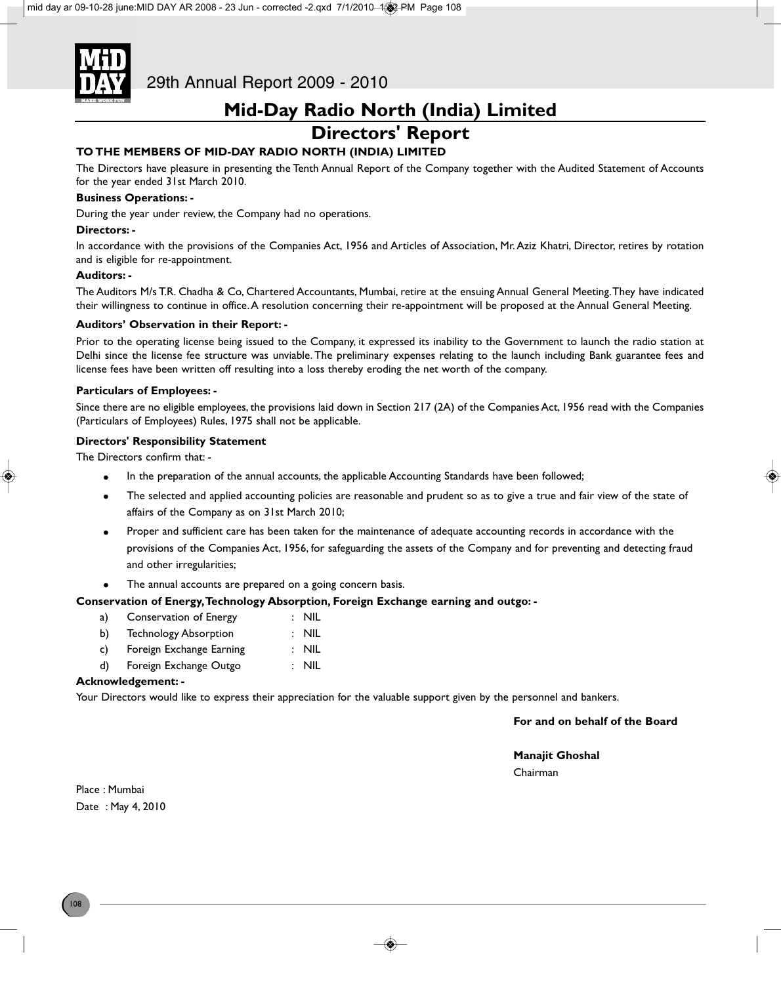

29th Annual Report 2009 - 2010

### **Mid-Day Radio North (India) Limited**

### **Directors' Report**

### **TO THE MEMBERS OF MID-DAY RADIO NORTH (INDIA) LIMITED**

The Directors have pleasure in presenting the Tenth Annual Report of the Company together with the Audited Statement of Accounts for the year ended 31st March 2010.

### **Business Operations: -**

During the year under review, the Company had no operations.

#### **Directors: -**

In accordance with the provisions of the Companies Act, 1956 and Articles of Association, Mr. Aziz Khatri, Director, retires by rotation and is eligible for re-appointment.

#### **Auditors: -**

The Auditors M/s T.R. Chadha & Co, Chartered Accountants, Mumbai, retire at the ensuing Annual General Meeting. They have indicated their willingness to continue in office. A resolution concerning their re-appointment will be proposed at the Annual General Meeting.

#### **Auditors' Observation in their Report: -**

Prior to the operating license being issued to the Company, it expressed its inability to the Government to launch the radio station at Delhi since the license fee structure was unviable. The preliminary expenses relating to the launch including Bank guarantee fees and license fees have been written off resulting into a loss thereby eroding the net worth of the company.

#### **Particulars of Employees: -**

Since there are no eligible employees, the provisions laid down in Section 217 (2A) of the Companies Act, 1956 read with the Companies (Particulars of Employees) Rules, 1975 shall not be applicable.

#### **Directors' Responsibility Statement**

The Directors confirm that: -

- In the preparation of the annual accounts, the applicable Accounting Standards have been followed;
- The selected and applied accounting policies are reasonable and prudent so as to give a true and fair view of the state of affairs of the Company as on 31st March 2010;
- Proper and sufficient care has been taken for the maintenance of adequate accounting records in accordance with the provisions of the Companies Act, 1956, for safeguarding the assets of the Company and for preventing and detecting fraud and other irregularities;
- The annual accounts are prepared on a going concern basis.

### **Conservation of Energy, Technology Absorption, Foreign Exchange earning and outgo: -**

- a) Conservation of Energy : NIL
- b) Technology Absorption : NIL
- c) Foreign Exchange Earning : NIL
- d) Foreign Exchange Outgo : NIL

#### **Acknowledgement: -**

Your Directors would like to express their appreciation for the valuable support given by the personnel and bankers.

**For and on behalf of the Board**

**Manajit Ghoshal** Chairman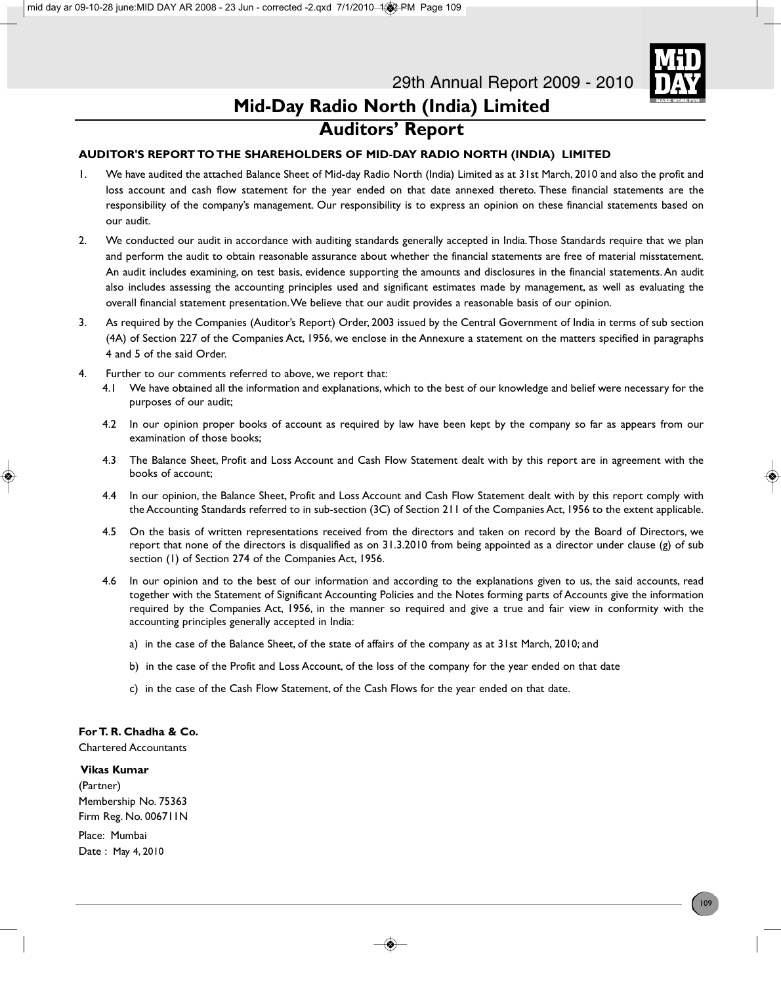

# **Mid-Day Radio North (India) Limited Auditors' Report**

### **AUDITOR'S REPORT TO THE SHAREHOLDERS OF MID-DAY RADIO NORTH (INDIA) LIMITED**

- 1. We have audited the attached Balance Sheet of Mid-day Radio North (India) Limited as at 31st March, 2010 and also the profit and loss account and cash flow statement for the year ended on that date annexed thereto. These financial statements are the responsibility of the company's management. Our responsibility is to express an opinion on these financial statements based on our audit.
- 2. We conducted our audit in accordance with auditing standards generally accepted in India. Those Standards require that we plan and perform the audit to obtain reasonable assurance about whether the financial statements are free of material misstatement. An audit includes examining, on test basis, evidence supporting the amounts and disclosures in the financial statements. An audit also includes assessing the accounting principles used and significant estimates made by management, as well as evaluating the overall financial statement presentation. We believe that our audit provides a reasonable basis of our opinion.
- 3. As required by the Companies (Auditor's Report) Order, 2003 issued by the Central Government of India in terms of sub section (4A) of Section 227 of the Companies Act, 1956, we enclose in the Annexure a statement on the matters specified in paragraphs 4 and 5 of the said Order.
- 4. Further to our comments referred to above, we report that:
	- 4.1 We have obtained all the information and explanations, which to the best of our knowledge and belief were necessary for the purposes of our audit;
	- 4.2 In our opinion proper books of account as required by law have been kept by the company so far as appears from our examination of those books;
	- 4.3 The Balance Sheet, Profit and Loss Account and Cash Flow Statement dealt with by this report are in agreement with the books of account;
	- 4.4 In our opinion, the Balance Sheet, Profit and Loss Account and Cash Flow Statement dealt with by this report comply with the Accounting Standards referred to in sub-section (3C) of Section 211 of the Companies Act, 1956 to the extent applicable.
	- 4.5 On the basis of written representations received from the directors and taken on record by the Board of Directors, we report that none of the directors is disqualified as on 31.3.2010 from being appointed as a director under clause (g) of sub section (1) of Section 274 of the Companies Act, 1956.
	- 4.6 In our opinion and to the best of our information and according to the explanations given to us, the said accounts, read together with the Statement of Significant Accounting Policies and the Notes forming parts of Accounts give the information required by the Companies Act, 1956, in the manner so required and give a true and fair view in conformity with the accounting principles generally accepted in India:
		- a) in the case of the Balance Sheet, of the state of affairs of the company as at 31st March, 2010; and
		- b) in the case of the Profit and Loss Account, of the loss of the company for the year ended on that date
		- c) in the case of the Cash Flow Statement, of the Cash Flows for the year ended on that date.

### **For T. R. Chadha & Co.**

Chartered Accountants

### **Vikas Kumar**

(Partner) Membership No. 75363 Firm Reg. No. 006711N

Place: Mumbai Date : May 4, 2010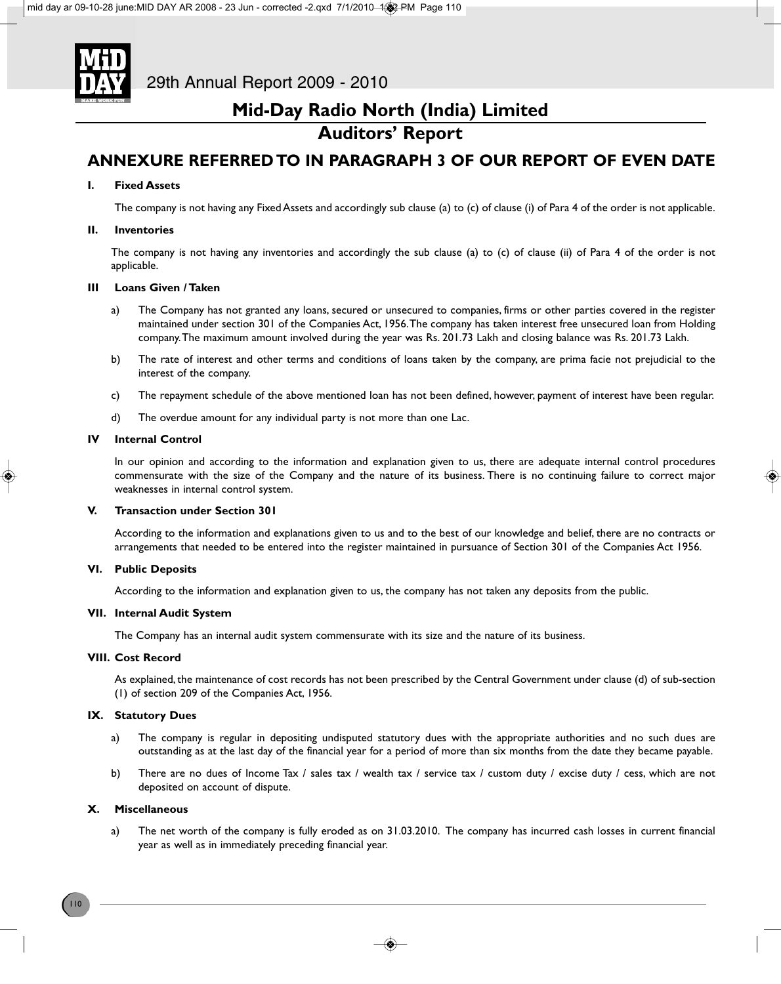

# **Auditors' Report**

### **ANNEXURE REFERRED TO IN PARAGRAPH 3 OF OUR REPORT OF EVEN DATE**

### **I. Fixed Assets**

The company is not having any Fixed Assets and accordingly sub clause (a) to (c) of clause (i) of Para 4 of the order is not applicable.

### **II. Inventories**

The company is not having any inventories and accordingly the sub clause (a) to (c) of clause (ii) of Para 4 of the order is not applicable.

### **III Loans Given / Taken**

- a) The Company has not granted any loans, secured or unsecured to companies, firms or other parties covered in the register maintained under section 301 of the Companies Act, 1956. The company has taken interest free unsecured loan from Holding company. The maximum amount involved during the year was Rs. 201.73 Lakh and closing balance was Rs. 201.73 Lakh.
- b) The rate of interest and other terms and conditions of loans taken by the company, are prima facie not prejudicial to the interest of the company.
- c) The repayment schedule of the above mentioned loan has not been defined, however, payment of interest have been regular.
- d) The overdue amount for any individual party is not more than one Lac.

### **IV Internal Control**

In our opinion and according to the information and explanation given to us, there are adequate internal control procedures commensurate with the size of the Company and the nature of its business. There is no continuing failure to correct major weaknesses in internal control system.

### **V. Transaction under Section 301**

According to the information and explanations given to us and to the best of our knowledge and belief, there are no contracts or arrangements that needed to be entered into the register maintained in pursuance of Section 301 of the Companies Act 1956.

### **VI. Public Deposits**

According to the information and explanation given to us, the company has not taken any deposits from the public.

### **VII. Internal Audit System**

The Company has an internal audit system commensurate with its size and the nature of its business.

### **VIII. Cost Record**

As explained, the maintenance of cost records has not been prescribed by the Central Government under clause (d) of sub-section (1) of section 209 of the Companies Act, 1956.

### **IX. Statutory Dues**

- a) The company is regular in depositing undisputed statutory dues with the appropriate authorities and no such dues are outstanding as at the last day of the financial year for a period of more than six months from the date they became payable.
- b) There are no dues of Income Tax / sales tax / wealth tax / service tax / custom duty / excise duty / cess, which are not deposited on account of dispute.

### **X. Miscellaneous**

a) The net worth of the company is fully eroded as on 31.03.2010. The company has incurred cash losses in current financial year as well as in immediately preceding financial year.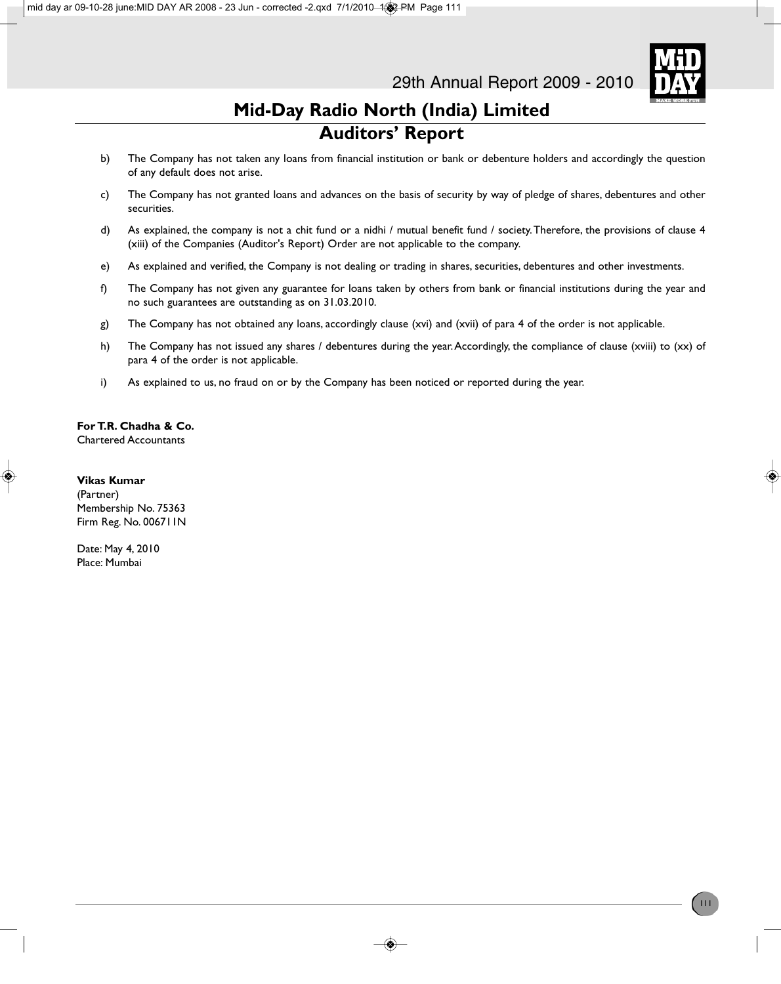

# **Mid-Day Radio North (India) Limited Auditors' Report**

- b) The Company has not taken any loans from financial institution or bank or debenture holders and accordingly the question of any default does not arise.
- c) The Company has not granted loans and advances on the basis of security by way of pledge of shares, debentures and other securities.
- d) As explained, the company is not a chit fund or a nidhi / mutual benefit fund / society. Therefore, the provisions of clause 4 (xiii) of the Companies (Auditor's Report) Order are not applicable to the company.
- e) As explained and verified, the Company is not dealing or trading in shares, securities, debentures and other investments.
- f) The Company has not given any guarantee for loans taken by others from bank or financial institutions during the year and no such guarantees are outstanding as on 31.03.2010.
- g) The Company has not obtained any loans, accordingly clause (xvi) and (xvii) of para 4 of the order is not applicable.
- h) The Company has not issued any shares / debentures during the year. Accordingly, the compliance of clause (xviii) to (xx) of para 4 of the order is not applicable.
- i) As explained to us, no fraud on or by the Company has been noticed or reported during the year.

### **For T.R. Chadha & Co.**

Chartered Accountants

### **Vikas Kumar**

(Partner) Membership No. 75363 Firm Reg. No. 006711N

Date: May 4, 2010 Place: Mumbai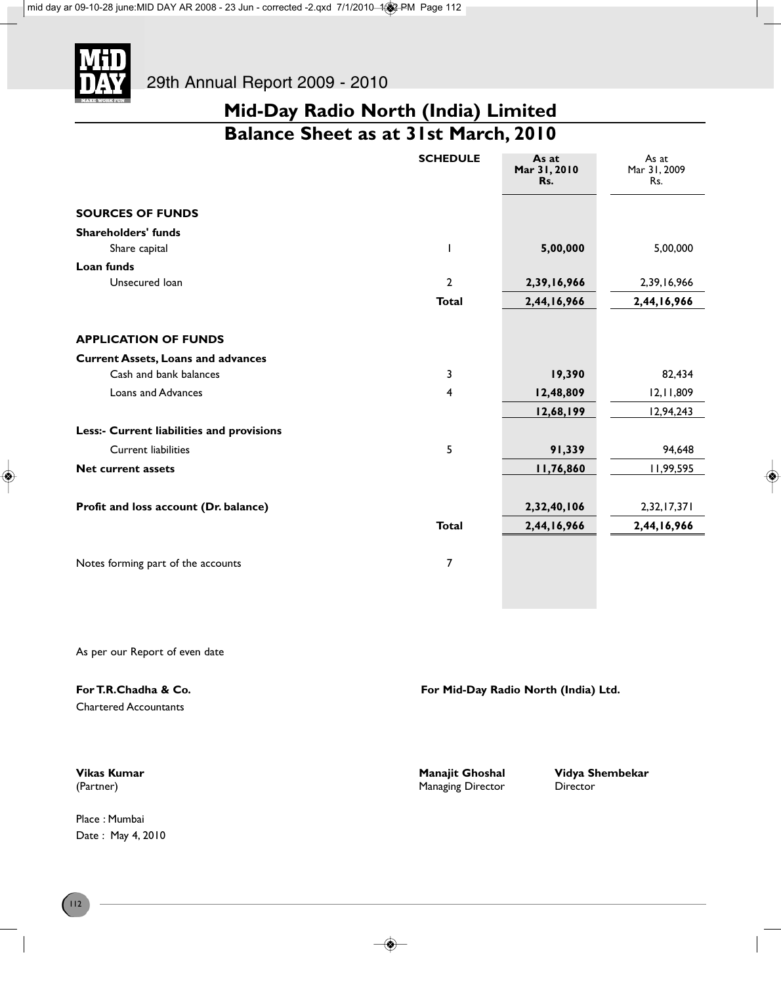

# **Mid-Day Radio North (India) Limited Balance Sheet as at 31st March, 2010**

|                                           | <b>SCHEDULE</b> | As at<br>Mar 31, 2010<br>Rs. | As at<br>Mar 31, 2009<br>Rs. |
|-------------------------------------------|-----------------|------------------------------|------------------------------|
| <b>SOURCES OF FUNDS</b>                   |                 |                              |                              |
| <b>Shareholders' funds</b>                |                 |                              |                              |
| Share capital                             | I               | 5,00,000                     | 5,00,000                     |
| Loan funds                                |                 |                              |                              |
| Unsecured loan                            | $\mathbf{2}$    | 2,39,16,966                  | 2,39,16,966                  |
|                                           | <b>Total</b>    | 2,44,16,966                  | 2,44,16,966                  |
| <b>APPLICATION OF FUNDS</b>               |                 |                              |                              |
| <b>Current Assets, Loans and advances</b> |                 |                              |                              |
| Cash and bank balances                    | 3               | 19,390                       | 82,434                       |
| <b>Loans and Advances</b>                 | 4               | 12,48,809                    | 12, 11, 809                  |
|                                           |                 | 12,68,199                    | 12,94,243                    |
| Less:- Current liabilities and provisions |                 |                              |                              |
| <b>Current liabilities</b>                | 5               | 91,339                       | 94,648                       |
| <b>Net current assets</b>                 |                 | 11,76,860                    | 11,99,595                    |
|                                           |                 |                              |                              |
| Profit and loss account (Dr. balance)     |                 | 2,32,40,106                  | 2,32,17,371                  |
|                                           | <b>Total</b>    | 2,44,16,966                  | 2,44,16,966                  |
| Notes forming part of the accounts        | 7               |                              |                              |
|                                           |                 |                              |                              |

As per our Report of even date

| For T.R.Chadha & Co.         | For Mid-Day Radio North (India) Ltd. |
|------------------------------|--------------------------------------|
| <b>Chartered Accountants</b> |                                      |
|                              |                                      |

(Partner) **Managing Director** Director Director

Place : Mumbai Date : May 4, 2010

**Vikas Kumar Manajit Ghoshal Vidya Shembekar**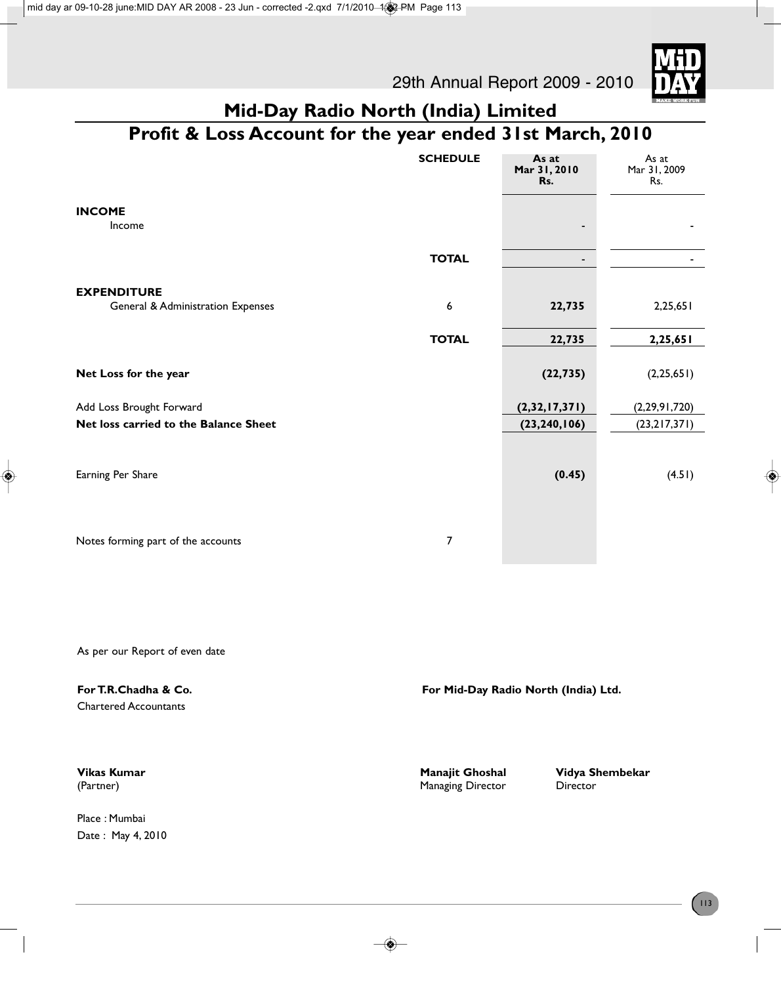29th Annual Report 2009 - 2010



# **Mid-Day Radio North (India) Limited**

# **Profit & Loss Account for the year ended 31st March, 2010**

|                                                         | <b>SCHEDULE</b> | As at<br>Mar 31, 2010<br>Rs. | As at<br>Mar 31, 2009<br>Rs. |
|---------------------------------------------------------|-----------------|------------------------------|------------------------------|
| <b>INCOME</b><br>Income                                 |                 |                              |                              |
|                                                         | <b>TOTAL</b>    |                              |                              |
| <b>EXPENDITURE</b><br>General & Administration Expenses | 6               | 22,735                       | 2,25,651                     |
|                                                         | <b>TOTAL</b>    | 22,735                       | 2,25,651                     |
| Net Loss for the year                                   |                 | (22, 735)                    | (2, 25, 651)                 |
| Add Loss Brought Forward                                |                 | (2, 32, 17, 371)             | (2, 29, 91, 720)             |
| Net loss carried to the Balance Sheet                   |                 | (23, 240, 106)               | (23,217,371)                 |
| Earning Per Share                                       |                 | (0.45)                       | (4.51)                       |
| Notes forming part of the accounts                      | $\overline{7}$  |                              |                              |
|                                                         |                 |                              |                              |

As per our Report of even date

| For T.R.Chadha & Co.<br><b>Chartered Accountants</b> | For Mid-Day Radio North (India) Ltd. |                 |
|------------------------------------------------------|--------------------------------------|-----------------|
| <b>Vikas Kumar</b>                                   | <b>Manajit Ghoshal</b>               | Vidya Shembekar |
| (Partner)                                            | Managing Director                    | <b>Director</b> |

Place : Mumbai Date : May 4, 2010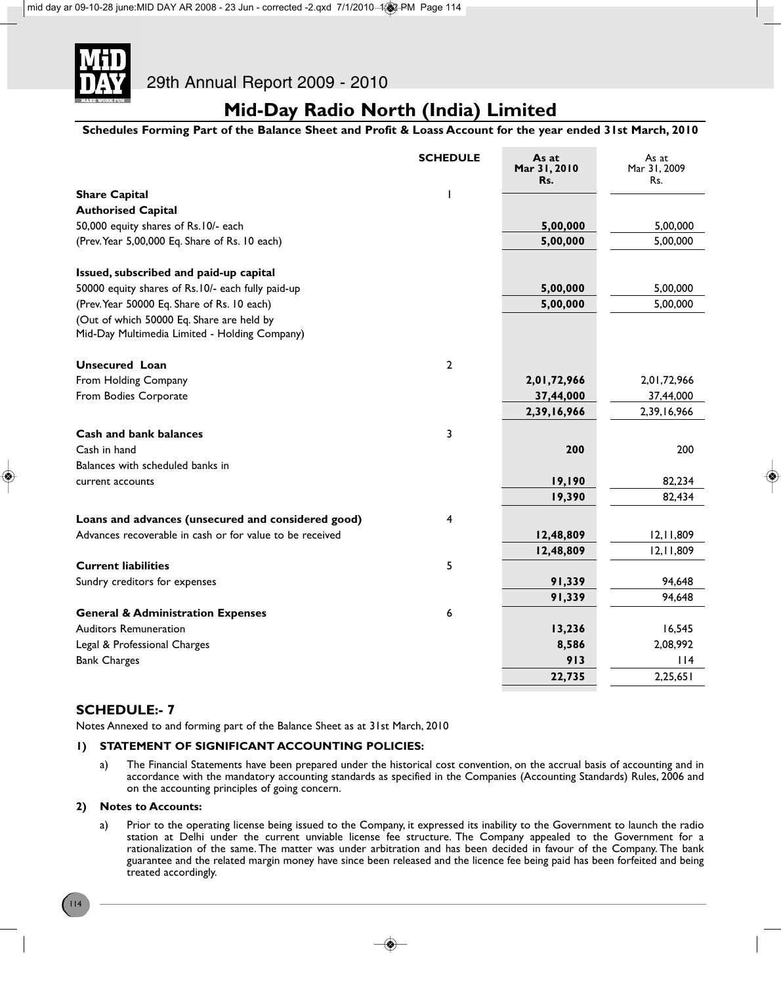

**Schedules Forming Part of the Balance Sheet and Profit & Loass Account for the year ended 31st March, 2010**

|                                                          | <b>SCHEDULE</b> | As at<br>Mar 31, 2010<br>Rs. | As at<br>Mar 31, 2009<br>Rs. |
|----------------------------------------------------------|-----------------|------------------------------|------------------------------|
| <b>Share Capital</b>                                     |                 |                              |                              |
| <b>Authorised Capital</b>                                |                 |                              |                              |
| 50,000 equity shares of Rs.10/- each                     |                 | 5,00,000                     | 5,00,000                     |
| (Prev. Year 5,00,000 Eq. Share of Rs. 10 each)           |                 | 5,00,000                     | 5,00,000                     |
| Issued, subscribed and paid-up capital                   |                 |                              |                              |
| 50000 equity shares of Rs.10/- each fully paid-up        |                 | 5,00,000                     | 5,00,000                     |
| (Prev. Year 50000 Eq. Share of Rs. 10 each)              |                 | 5,00,000                     | 5,00,000                     |
| (Out of which 50000 Eq. Share are held by                |                 |                              |                              |
| Mid-Day Multimedia Limited - Holding Company)            |                 |                              |                              |
| <b>Unsecured Loan</b>                                    | $\mathbf{2}$    |                              |                              |
| From Holding Company                                     |                 | 2,01,72,966                  | 2,01,72,966                  |
| From Bodies Corporate                                    |                 | 37,44,000                    | 37,44,000                    |
|                                                          |                 | 2,39,16,966                  | 2,39,16,966                  |
| <b>Cash and bank balances</b>                            | 3               |                              |                              |
| Cash in hand                                             |                 | 200                          | 200                          |
| Balances with scheduled banks in                         |                 |                              |                              |
| current accounts                                         |                 | 19,190                       | 82,234                       |
|                                                          |                 | 19,390                       | 82,434                       |
| Loans and advances (unsecured and considered good)       | 4               |                              |                              |
| Advances recoverable in cash or for value to be received |                 | 12,48,809                    | 12, 11, 809                  |
|                                                          |                 | 12,48,809                    | 12, 11, 809                  |
| <b>Current liabilities</b>                               | 5               |                              |                              |
| Sundry creditors for expenses                            |                 | 91,339                       | 94,648                       |
|                                                          |                 | 91,339                       | 94,648                       |
| <b>General &amp; Administration Expenses</b>             | 6               |                              |                              |
| <b>Auditors Remuneration</b>                             |                 | 13,236                       | 16,545                       |
| Legal & Professional Charges                             |                 | 8,586                        | 2,08,992                     |
| <b>Bank Charges</b>                                      |                 | 913                          | $ $  4                       |
|                                                          |                 | 22,735                       | 2,25,651                     |

### **SCHEDULE:- 7**

Notes Annexed to and forming part of the Balance Sheet as at 31st March, 2010

### **1) STATEMENT OF SIGNIFICANT ACCOUNTING POLICIES:**

a) The Financial Statements have been prepared under the historical cost convention, on the accrual basis of accounting and in accordance with the mandatory accounting standards as specified in the Companies (Accounting Standards) Rules, 2006 and on the accounting principles of going concern.

### **2) Notes to Accounts:**

a) Prior to the operating license being issued to the Company, it expressed its inability to the Government to launch the radio station at Delhi under the current unviable license fee structure. The Company appealed to the Government for a rationalization of the same. The matter was under arbitration and has been decided in favour of the Company. The bank guarantee and the related margin money have since been released and the licence fee being paid has been forfeited and being treated accordingly.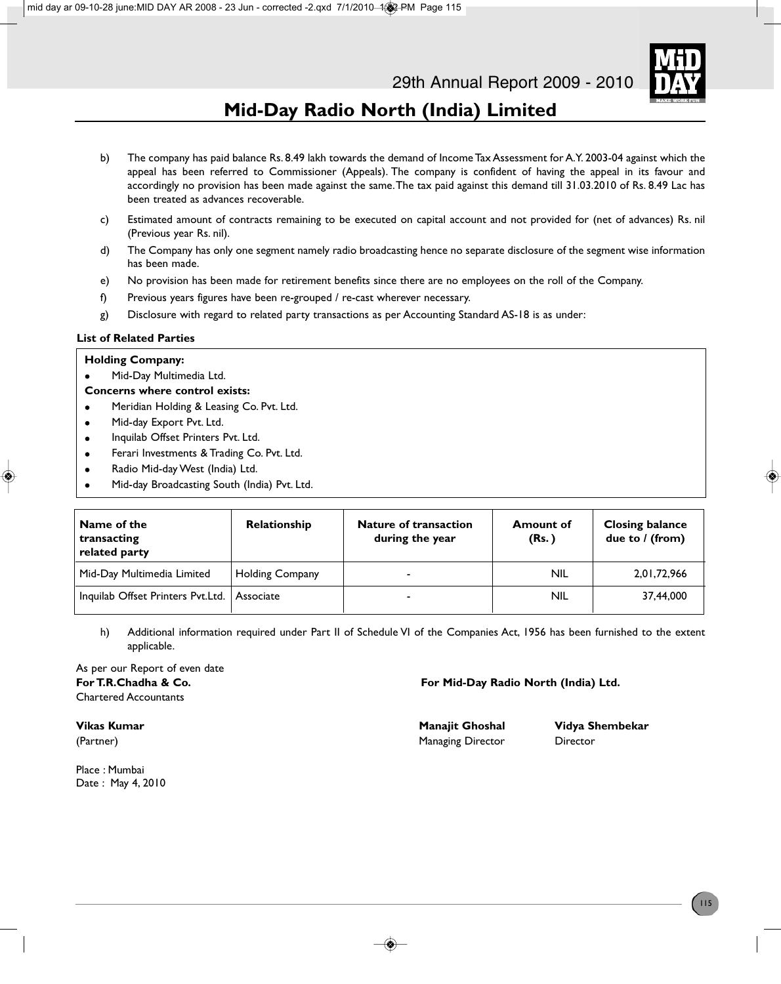

- b) The company has paid balance Rs. 8.49 lakh towards the demand of Income Tax Assessment for A.Y. 2003-04 against which the appeal has been referred to Commissioner (Appeals). The company is confident of having the appeal in its favour and accordingly no provision has been made against the same. The tax paid against this demand till 31.03.2010 of Rs. 8.49 Lac has been treated as advances recoverable.
- c) Estimated amount of contracts remaining to be executed on capital account and not provided for (net of advances) Rs. nil (Previous year Rs. nil).
- d) The Company has only one segment namely radio broadcasting hence no separate disclosure of the segment wise information has been made.
- e) No provision has been made for retirement benefits since there are no employees on the roll of the Company.
- f) Previous years figures have been re-grouped / re-cast wherever necessary.
- g) Disclosure with regard to related party transactions as per Accounting Standard AS-18 is as under:

### **List of Related Parties**

### **Holding Company:**

Mid-Day Multimedia Ltd.

### **Concerns where control exists:**

- **•** Meridian Holding & Leasing Co. Pvt. Ltd.
- Mid-day Export Pvt. Ltd.
- Inquilab Offset Printers Pvt. Ltd.
- Ferari Investments & Trading Co. Pvt. Ltd.
- Radio Mid-day West (India) Ltd.
- <sup>l</sup> Mid-day Broadcasting South (India) Pvt. Ltd.

| Name of the<br>transacting<br>related party   | <b>Relationship</b>    | <b>Nature of transaction</b><br>during the year | <b>Amount of</b><br>(Rs.) | <b>Closing balance</b><br>due to / (from) |
|-----------------------------------------------|------------------------|-------------------------------------------------|---------------------------|-------------------------------------------|
| Mid-Day Multimedia Limited                    | <b>Holding Company</b> | $\overline{\phantom{0}}$                        | NIL                       | 2,01,72,966                               |
| Inquilab Offset Printers Pvt.Ltd.   Associate |                        | -                                               | <b>NIL</b>                | 37.44.000                                 |

h) Additional information required under Part II of Schedule VI of the Companies Act, 1956 has been furnished to the extent applicable.

As per our Report of even date Chartered Accountants

**For T.R.Chadha & Co. For Mid-Day Radio North (India) Ltd.**

Place : Mumbai Date : May 4, 2010

(Partner) **Managing Director** Director Director

**Vikas Kumar Manajit Ghoshal Vidya Shembekar**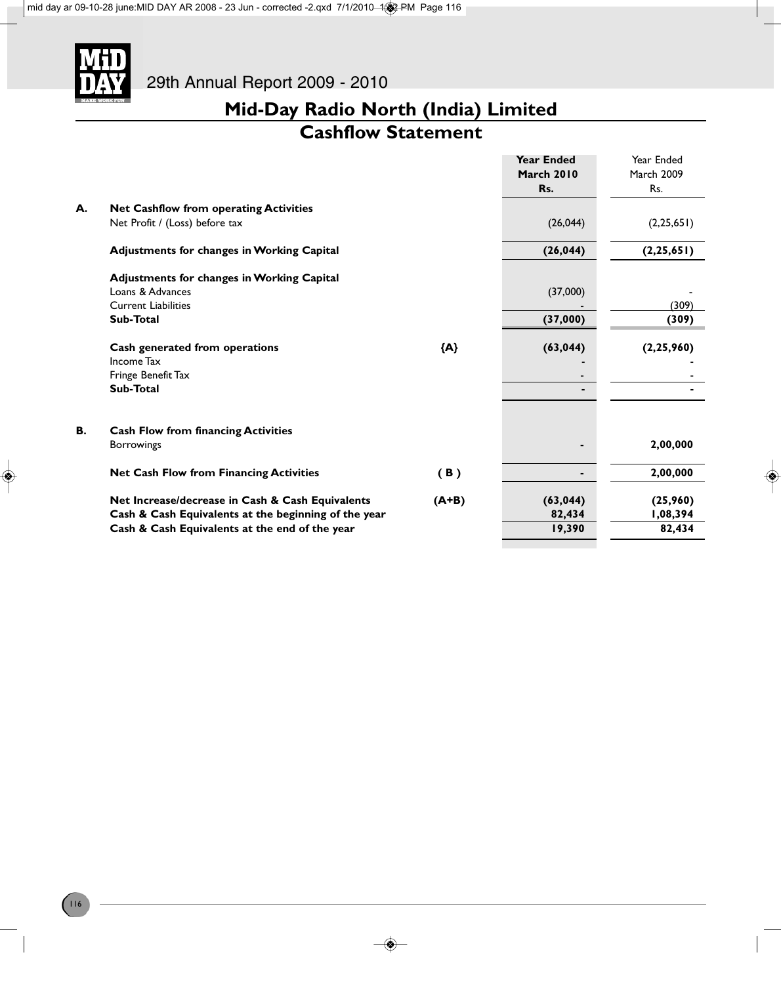

### **Cashflow Statement**

|    |                                                      |         | <b>Year Ended</b><br><b>March 2010</b><br>Rs. | Year Ended<br><b>March 2009</b><br>Rs. |
|----|------------------------------------------------------|---------|-----------------------------------------------|----------------------------------------|
| А. | <b>Net Cashflow from operating Activities</b>        |         |                                               |                                        |
|    | Net Profit / (Loss) before tax                       |         | (26, 044)                                     | (2, 25, 651)                           |
|    | <b>Adjustments for changes in Working Capital</b>    |         | (26, 044)                                     | (2, 25, 651)                           |
|    | <b>Adjustments for changes in Working Capital</b>    |         |                                               |                                        |
|    | Loans & Advances                                     |         | (37,000)                                      |                                        |
|    | <b>Current Liabilities</b>                           |         |                                               | (309)                                  |
|    | Sub-Total                                            |         | (37,000)                                      | (309)                                  |
|    | Cash generated from operations                       | ${A}$   | (63, 044)                                     | (2, 25, 960)                           |
|    | Income Tax                                           |         |                                               |                                        |
|    | Fringe Benefit Tax                                   |         | ٠                                             |                                        |
|    | Sub-Total                                            |         | ۰                                             |                                        |
| В. | <b>Cash Flow from financing Activities</b>           |         |                                               |                                        |
|    | <b>Borrowings</b>                                    |         |                                               | 2,00,000                               |
|    | <b>Net Cash Flow from Financing Activities</b>       | (B)     |                                               | 2,00,000                               |
|    | Net Increase/decrease in Cash & Cash Equivalents     | $(A+B)$ | (63, 044)                                     | (25,960)                               |
|    | Cash & Cash Equivalents at the beginning of the year |         | 82,434                                        | 1,08,394                               |
|    | Cash & Cash Equivalents at the end of the year       |         | 19,390                                        | 82,434                                 |
|    |                                                      |         |                                               |                                        |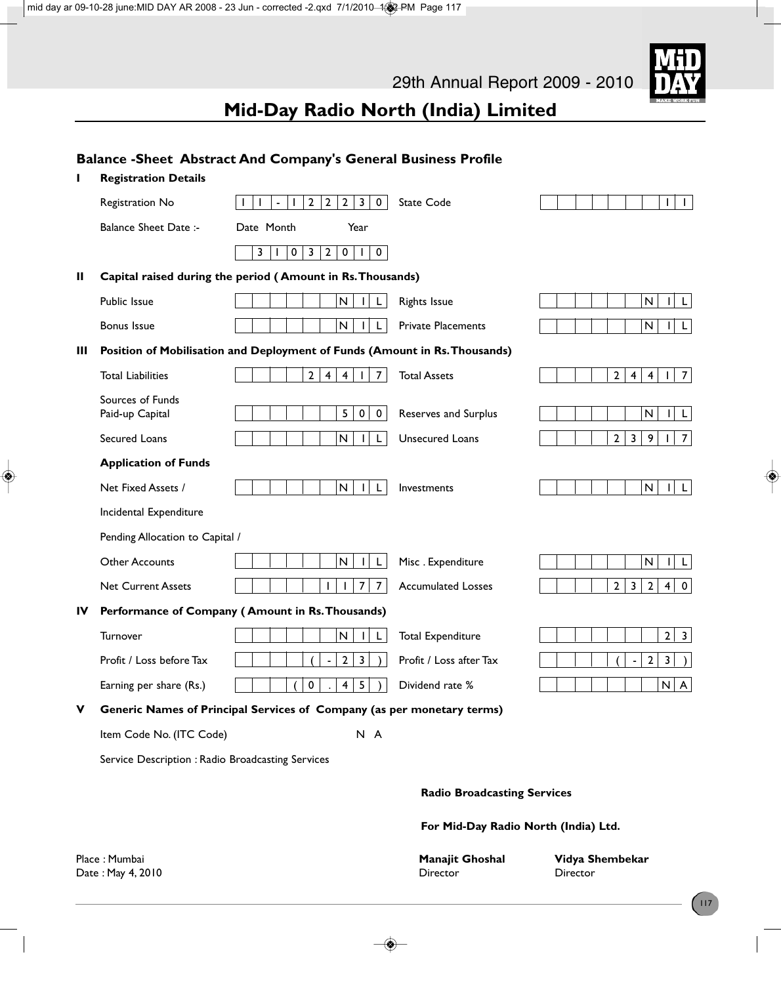

# **Balance -Sheet Abstract And Company's General Business Profile I Registration Details** Registration No 1 1 -122230 State Code 1 1 Balance Sheet Date :- Date Month Year  $3|1|0|3|2|0|1|0|$ **II Capital raised during the period ( Amount in Rs. Thousands)** Public Issue  $\begin{array}{|c|c|c|c|c|c|}\hline \end{array}$   $\begin{array}{|c|c|c|c|c|}\hline \end{array}$   $\begin{array}{|c|c|c|c|c|}\hline \end{array}$   $\begin{array}{|c|c|c|c|c|}\hline \end{array}$   $\begin{array}{|c|c|c|c|}\hline \end{array}$   $\begin{array}{|c|c|c|c|}\hline \end{array}$   $\begin{array}{|c|c|c|c|}\hline \end{array}$   $\begin{array}{|c|c|c|c|}\hline \end{array}$ Bonus Issue N I L Private Placements N I L **III Position of Mobilisation and Deployment of Funds (Amount in Rs. Thousands)** Total Liabilities 24417 Total Assets 24417 Sources of Funds<br>Paid-up Capital  $P_5 | 0 | 0 |$  Reserves and Surplus  $\left| 1 | 1 | 1 | 1 | 1 | 1 \right|$ Secured Loans  $|| \t|| || \t|| \t|| N ||t||$  Unsecured Loans  $|| \t|| 2| 3| 9| 1| 7$ **Application of Funds** Net Fixed Assets / N I L Investments N I L Incidental Expenditure Pending Allocation to Capital / Other Accounts N I L Misc . Expenditure N I L Net Current Assets 11111177 Accumulated Losses 111223240 **IV Performance of Company ( Amount in Rs. Thousands)** Turnover  $| \ | \ | \ | \ | \ | \ | \ | \ | \ | \ | \ | \ | \ \ \, | \ \ \, | \ \ \, | \ \ \, | \ \ \, | \ \ \, | \ \ \, | \ \ \, | \ \ \, | \ \ \, | \ \ \, | \ \ \, | \ \ \, | \ \ \, | \ \ \, | \ \ \, | \ \ \, | \ \ \, | \ \ \, | \ \ \, | \ \ \, | \ \ \, | \ \ \, | \ \ \, | \ \ \, | \ \ \, | \ \$ Profit / Loss before Tax  $\begin{vmatrix} \begin{vmatrix} \end{vmatrix} & \begin{vmatrix} \end{vmatrix} & \begin{vmatrix} \end{vmatrix} & \begin{vmatrix} \end{vmatrix} & \begin{vmatrix} \end{vmatrix} & \begin{vmatrix} \end{vmatrix} & \begin{vmatrix} \end{vmatrix} & \begin{vmatrix} \end{vmatrix} & \begin{vmatrix} \end{vmatrix} & \begin{vmatrix} \end{vmatrix} & \begin{vmatrix} \end{vmatrix} & \begin{vmatrix} \end{vmatrix} & \begin{vmatrix} \end{vmatrix} & \begin{vmatrix} \end{vmatrix} & \begin{vmatrix} \$ Earning per share (Rs.) ( 0 . 4 5 ) Dividend rate % N A **V Generic Names of Principal Services of Company (as per monetary terms)** Item Code No. (ITC Code) N A Service Description : Radio Broadcasting Services **Radio Broadcasting Services For Mid-Day Radio North (India) Ltd.**

Date : May 4, 2010 **Director** Director **Director** Director **Director** Director

Place : Mumbai **Manajit Ghoshal Vidya Shembekar**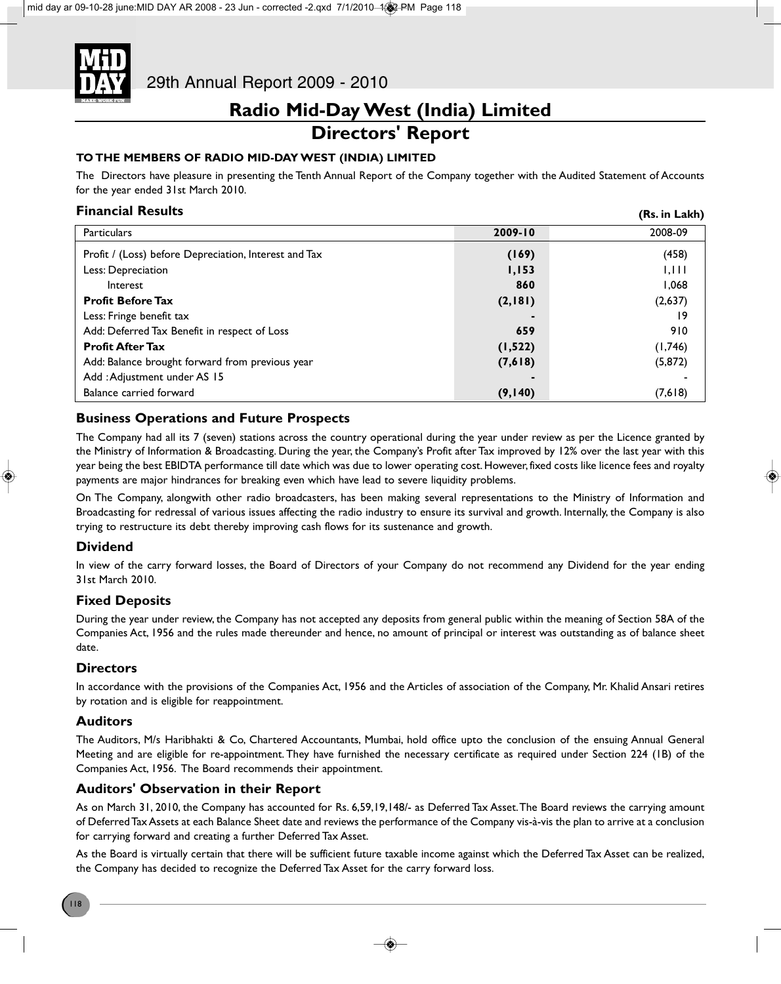

# **Directors' Report**

### **TO THE MEMBERS OF RADIO MID-DAY WEST (INDIA) LIMITED**

The Directors have pleasure in presenting the Tenth Annual Report of the Company together with the Audited Statement of Accounts for the year ended 31st March 2010.

**(Rs. in Lakh)**

### **Financial Results**

| Particulars                                           | 2009-10  | 2008-09  |
|-------------------------------------------------------|----------|----------|
| Profit / (Loss) before Depreciation, Interest and Tax | (169)    | (458)    |
| Less: Depreciation                                    | 1,153    | 1,111    |
| Interest                                              | 860      | 1,068    |
| <b>Profit Before Tax</b>                              | (2,181)  | (2,637)  |
| Less: Fringe benefit tax                              |          | 19       |
| Add: Deferred Tax Benefit in respect of Loss          | 659      | 910      |
| <b>Profit After Tax</b>                               | (1, 522) | (1,746)  |
| Add: Balance brought forward from previous year       | (7,618)  | (5, 872) |
| Add: Adjustment under AS 15                           |          |          |
| Balance carried forward                               | (9,140)  | (7,618)  |

### **Business Operations and Future Prospects**

The Company had all its 7 (seven) stations across the country operational during the year under review as per the Licence granted by the Ministry of Information & Broadcasting. During the year, the Company's Profit after Tax improved by 12% over the last year with this year being the best EBIDTA performance till date which was due to lower operating cost. However, fixed costs like licence fees and royalty payments are major hindrances for breaking even which have lead to severe liquidity problems.

On The Company, alongwith other radio broadcasters, has been making several representations to the Ministry of Information and Broadcasting for redressal of various issues affecting the radio industry to ensure its survival and growth. Internally, the Company is also trying to restructure its debt thereby improving cash flows for its sustenance and growth.

### **Dividend**

In view of the carry forward losses, the Board of Directors of your Company do not recommend any Dividend for the year ending 31st March 2010.

### **Fixed Deposits**

During the year under review, the Company has not accepted any deposits from general public within the meaning of Section 58A of the Companies Act, 1956 and the rules made thereunder and hence, no amount of principal or interest was outstanding as of balance sheet date.

### **Directors**

In accordance with the provisions of the Companies Act, 1956 and the Articles of association of the Company, Mr. Khalid Ansari retires by rotation and is eligible for reappointment.

### **Auditors**

The Auditors, M/s Haribhakti & Co, Chartered Accountants, Mumbai, hold office upto the conclusion of the ensuing Annual General Meeting and are eligible for re-appointment. They have furnished the necessary certificate as required under Section 224 (1B) of the Companies Act, 1956. The Board recommends their appointment.

### **Auditors' Observation in their Report**

As on March 31, 2010, the Company has accounted for Rs. 6,59,19,148/- as Deferred Tax Asset. The Board reviews the carrying amount of Deferred Tax Assets at each Balance Sheet date and reviews the performance of the Company vis-à-vis the plan to arrive at a conclusion for carrying forward and creating a further Deferred Tax Asset.

As the Board is virtually certain that there will be sufficient future taxable income against which the Deferred Tax Asset can be realized, the Company has decided to recognize the Deferred Tax Asset for the carry forward loss.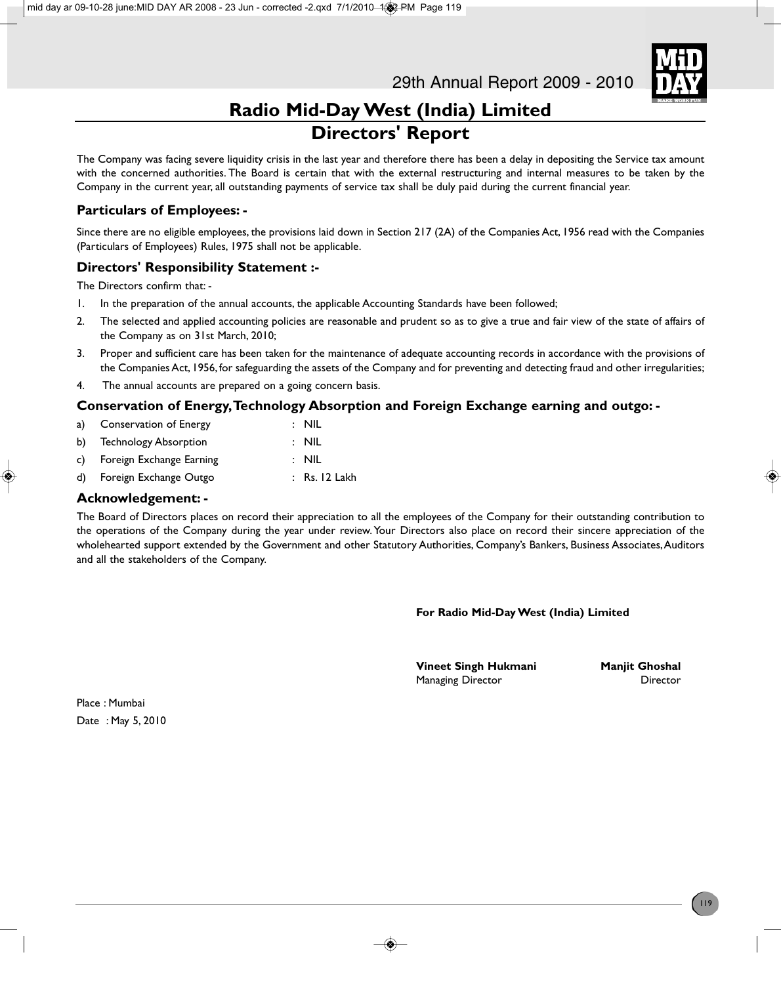

# **Radio Mid-Day West (India) Limited Directors' Report**

The Company was facing severe liquidity crisis in the last year and therefore there has been a delay in depositing the Service tax amount with the concerned authorities. The Board is certain that with the external restructuring and internal measures to be taken by the Company in the current year, all outstanding payments of service tax shall be duly paid during the current financial year.

### **Particulars of Employees: -**

Since there are no eligible employees, the provisions laid down in Section 217 (2A) of the Companies Act, 1956 read with the Companies (Particulars of Employees) Rules, 1975 shall not be applicable.

### **Directors' Responsibility Statement :-**

The Directors confirm that: -

- 1. In the preparation of the annual accounts, the applicable Accounting Standards have been followed;
- 2. The selected and applied accounting policies are reasonable and prudent so as to give a true and fair view of the state of affairs of the Company as on 31st March, 2010;
- 3. Proper and sufficient care has been taken for the maintenance of adequate accounting records in accordance with the provisions of the Companies Act, 1956, for safeguarding the assets of the Company and for preventing and detecting fraud and other irregularities;
- 4. The annual accounts are prepared on a going concern basis.

### **Conservation of Energy, Technology Absorption and Foreign Exchange earning and outgo: -**

| a) Conservation of Energy   | $:$ NIL         |
|-----------------------------|-----------------|
| b) Technology Absorption    | $:$ NIL         |
| c) Foreign Exchange Earning | $:$ NIL         |
| d) Foreign Exchange Outgo   | $:$ Rs. 12 Lakh |
|                             |                 |

### **Acknowledgement: -**

The Board of Directors places on record their appreciation to all the employees of the Company for their outstanding contribution to the operations of the Company during the year under review. Your Directors also place on record their sincere appreciation of the wholehearted support extended by the Government and other Statutory Authorities, Company's Bankers, Business Associates, Auditors and all the stakeholders of the Company.

**For Radio Mid-Day West (India) Limited**

**Vineet Singh Hukmani** Manjit Ghoshal Managing Director **Director** Director

Place : Mumbai Date : May 5, 2010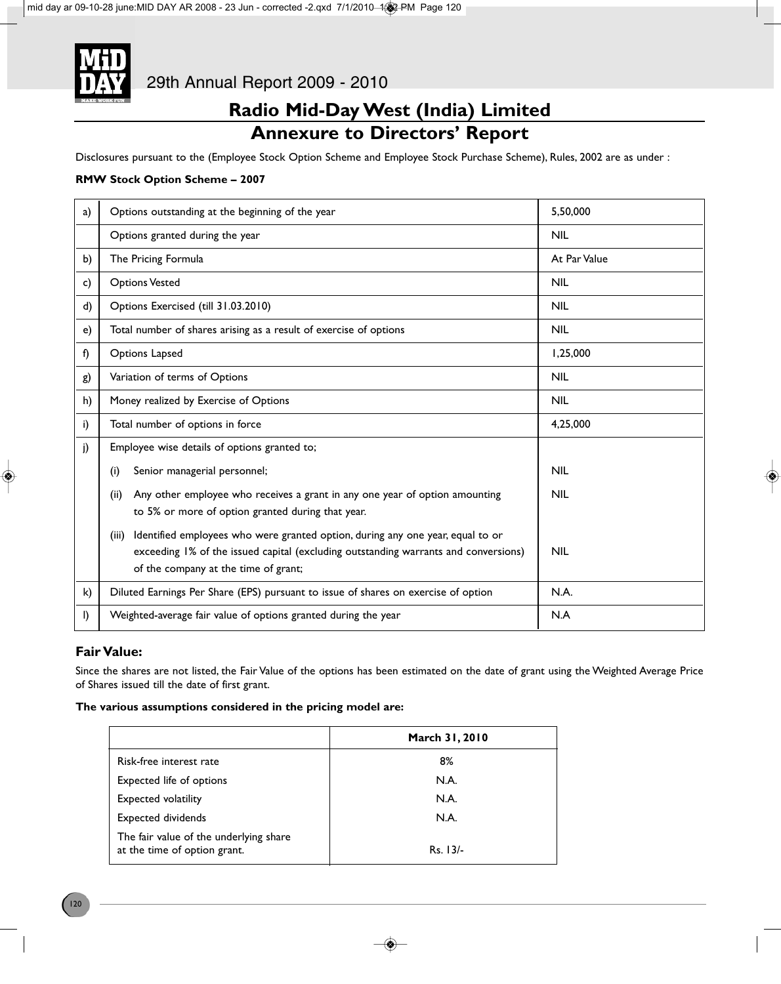

# **Radio Mid-Day West (India) Limited Annexure to Directors' Report**

Disclosures pursuant to the (Employee Stock Option Scheme and Employee Stock Purchase Scheme), Rules, 2002 are as under :

### **RMW Stock Option Scheme – 2007**

| a) | Options outstanding at the beginning of the year                                                                                                                                                                       | 5,50,000     |
|----|------------------------------------------------------------------------------------------------------------------------------------------------------------------------------------------------------------------------|--------------|
|    | Options granted during the year                                                                                                                                                                                        | <b>NIL</b>   |
| b) | The Pricing Formula                                                                                                                                                                                                    | At Par Value |
| c) | <b>Options Vested</b>                                                                                                                                                                                                  | <b>NIL</b>   |
| d) | Options Exercised (till 31.03.2010)                                                                                                                                                                                    | <b>NIL</b>   |
| e) | Total number of shares arising as a result of exercise of options                                                                                                                                                      | <b>NIL</b>   |
| f) | Options Lapsed                                                                                                                                                                                                         | 1,25,000     |
| g) | Variation of terms of Options                                                                                                                                                                                          | <b>NIL</b>   |
| h) | Money realized by Exercise of Options                                                                                                                                                                                  | <b>NIL</b>   |
| i) | Total number of options in force                                                                                                                                                                                       | 4,25,000     |
| j) | Employee wise details of options granted to;                                                                                                                                                                           |              |
|    | Senior managerial personnel;<br>(i)                                                                                                                                                                                    | <b>NIL</b>   |
|    | Any other employee who receives a grant in any one year of option amounting<br>(ii)<br>to 5% or more of option granted during that year.                                                                               | <b>NIL</b>   |
|    | Identified employees who were granted option, during any one year, equal to or<br>(iii)<br>exceeding 1% of the issued capital (excluding outstanding warrants and conversions)<br>of the company at the time of grant; | <b>NIL</b>   |
| k) | Diluted Earnings Per Share (EPS) pursuant to issue of shares on exercise of option                                                                                                                                     | N.A.         |
| I) | Weighted-average fair value of options granted during the year                                                                                                                                                         | N.A          |

### **Fair Value:**

Since the shares are not listed, the Fair Value of the options has been estimated on the date of grant using the Weighted Average Price of Shares issued till the date of first grant.

### **The various assumptions considered in the pricing model are:**

|                                                                        | March 31, 2010 |
|------------------------------------------------------------------------|----------------|
| Risk-free interest rate                                                | 8%             |
| Expected life of options                                               | N.A.           |
| <b>Expected volatility</b>                                             | N.A.           |
| Expected dividends                                                     | N.A.           |
| The fair value of the underlying share<br>at the time of option grant. | $Rs. 13/-$     |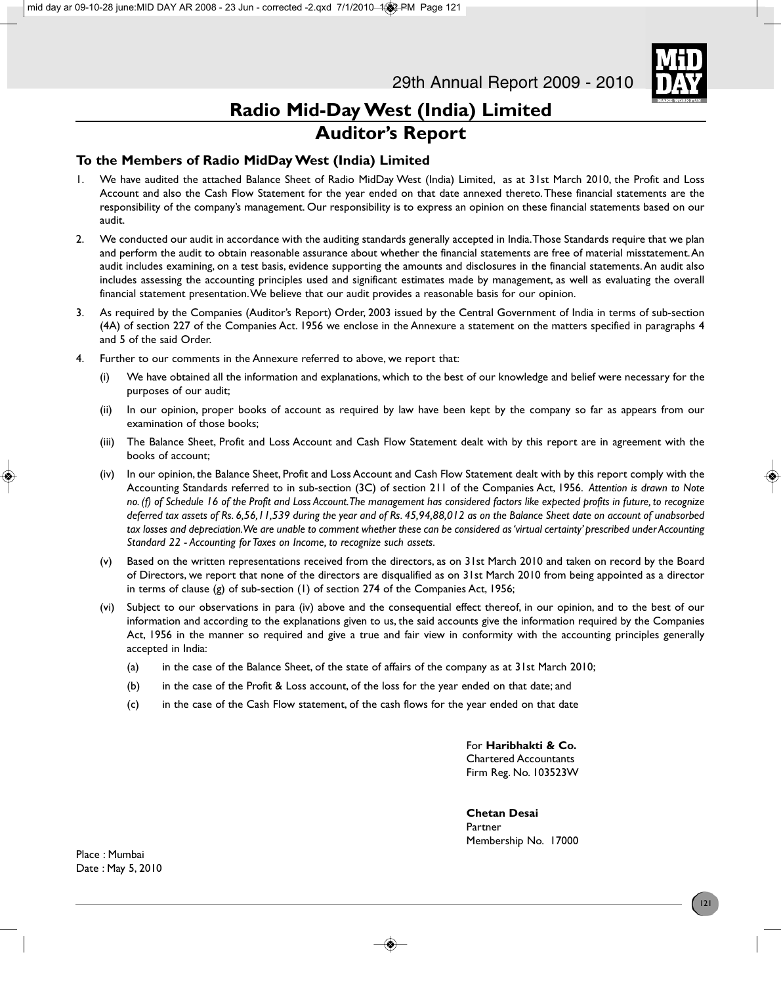

# **Radio Mid-Day West (India) Limited Auditor's Report**

### **To the Members of Radio MidDay West (India) Limited**

- 1. We have audited the attached Balance Sheet of Radio MidDay West (India) Limited, as at 31st March 2010, the Profit and Loss Account and also the Cash Flow Statement for the year ended on that date annexed thereto. These financial statements are the responsibility of the company's management. Our responsibility is to express an opinion on these financial statements based on our audit.
- 2. We conducted our audit in accordance with the auditing standards generally accepted in India. Those Standards require that we plan and perform the audit to obtain reasonable assurance about whether the financial statements are free of material misstatement. An audit includes examining, on a test basis, evidence supporting the amounts and disclosures in the financial statements. An audit also includes assessing the accounting principles used and significant estimates made by management, as well as evaluating the overall financial statement presentation. We believe that our audit provides a reasonable basis for our opinion.
- 3. As required by the Companies (Auditor's Report) Order, 2003 issued by the Central Government of India in terms of sub-section (4A) of section 227 of the Companies Act. 1956 we enclose in the Annexure a statement on the matters specified in paragraphs 4 and 5 of the said Order.
- 4. Further to our comments in the Annexure referred to above, we report that:
	- (i) We have obtained all the information and explanations, which to the best of our knowledge and belief were necessary for the purposes of our audit;
	- (ii) In our opinion, proper books of account as required by law have been kept by the company so far as appears from our examination of those books;
	- (iii) The Balance Sheet, Profit and Loss Account and Cash Flow Statement dealt with by this report are in agreement with the books of account;
	- (iv) In our opinion, the Balance Sheet, Profit and Loss Account and Cash Flow Statement dealt with by this report comply with the Accounting Standards referred to in sub-section (3C) of section 211 of the Companies Act, 1956. *Attention is drawn to Note no. (f) of Schedule 16 of the Profit and Loss Account. The management has considered factors like expected profits in future, to recognize deferred tax assets of Rs. 6,56,11,539 during the year and of Rs. 45,94,88,012 as on the Balance Sheet date on account of unabsorbed tax losses and depreciation. We are unable to comment whether these can be considered as 'virtual certainty' prescribed under Accounting Standard 22 - Accounting for Taxes on Income, to recognize such assets.*
	- (v) Based on the written representations received from the directors, as on 31st March 2010 and taken on record by the Board of Directors, we report that none of the directors are disqualified as on 31st March 2010 from being appointed as a director in terms of clause (g) of sub-section (1) of section 274 of the Companies Act, 1956;
	- (vi) Subject to our observations in para (iv) above and the consequential effect thereof, in our opinion, and to the best of our information and according to the explanations given to us, the said accounts give the information required by the Companies Act, 1956 in the manner so required and give a true and fair view in conformity with the accounting principles generally accepted in India:
		- (a) in the case of the Balance Sheet, of the state of affairs of the company as at 31st March 2010;
		- (b) in the case of the Profit & Loss account, of the loss for the year ended on that date; and
		- (c) in the case of the Cash Flow statement, of the cash flows for the year ended on that date

For **Haribhakti & Co.** Chartered Accountants Firm Reg. No. 103523W

**Chetan Desai** Partner Membership No. 17000

Place : Mumbai Date : May 5, 2010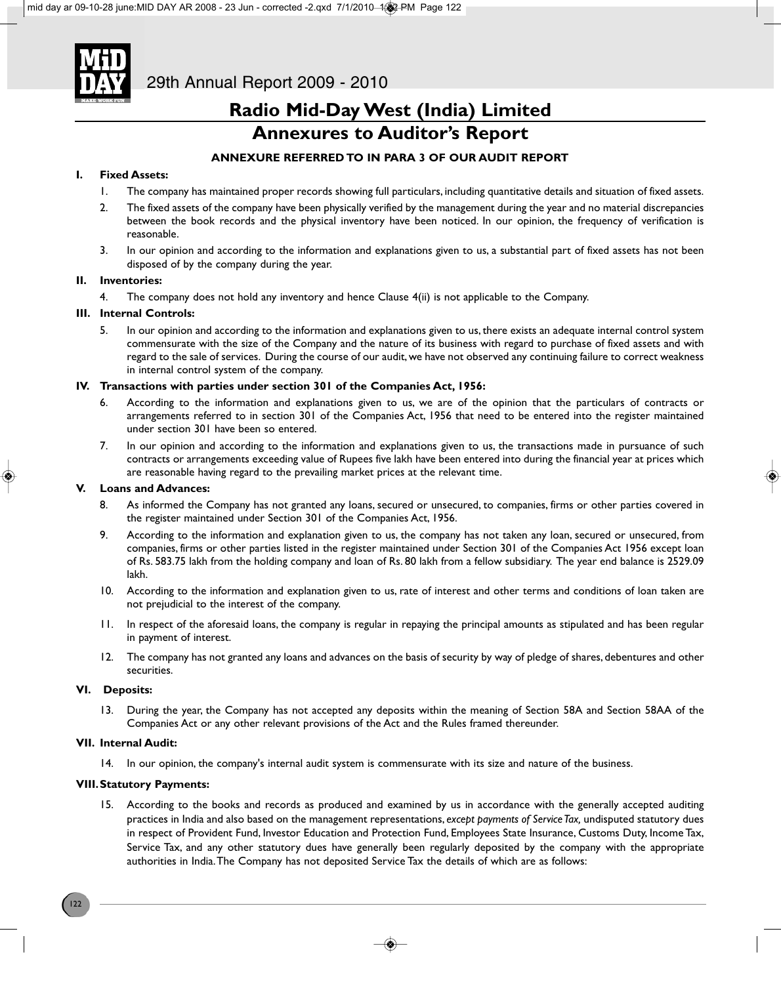

## **Annexures to Auditor's Report**

### **ANNEXURE REFERRED TO IN PARA 3 OF OUR AUDIT REPORT**

### **I. Fixed Assets:**

- 1. The company has maintained proper records showing full particulars, including quantitative details and situation of fixed assets.
- 2. The fixed assets of the company have been physically verified by the management during the year and no material discrepancies between the book records and the physical inventory have been noticed. In our opinion, the frequency of verification is reasonable.
- 3. In our opinion and according to the information and explanations given to us, a substantial part of fixed assets has not been disposed of by the company during the year.

### **II. Inventories:**

4. The company does not hold any inventory and hence Clause 4(ii) is not applicable to the Company.

### **III. Internal Controls:**

5. In our opinion and according to the information and explanations given to us, there exists an adequate internal control system commensurate with the size of the Company and the nature of its business with regard to purchase of fixed assets and with regard to the sale of services. During the course of our audit, we have not observed any continuing failure to correct weakness in internal control system of the company.

### **IV. Transactions with parties under section 301 of the Companies Act, 1956:**

- 6. According to the information and explanations given to us, we are of the opinion that the particulars of contracts or arrangements referred to in section 301 of the Companies Act, 1956 that need to be entered into the register maintained under section 301 have been so entered.
- 7. In our opinion and according to the information and explanations given to us, the transactions made in pursuance of such contracts or arrangements exceeding value of Rupees five lakh have been entered into during the financial year at prices which are reasonable having regard to the prevailing market prices at the relevant time.

### **V. Loans and Advances:**

- 8. As informed the Company has not granted any loans, secured or unsecured, to companies, firms or other parties covered in the register maintained under Section 301 of the Companies Act, 1956.
- 9. According to the information and explanation given to us, the company has not taken any loan, secured or unsecured, from companies, firms or other parties listed in the register maintained under Section 301 of the Companies Act 1956 except loan of Rs. 583.75 lakh from the holding company and loan of Rs. 80 lakh from a fellow subsidiary. The year end balance is 2529.09 lakh.
- 10. According to the information and explanation given to us, rate of interest and other terms and conditions of loan taken are not prejudicial to the interest of the company.
- 11. In respect of the aforesaid loans, the company is regular in repaying the principal amounts as stipulated and has been regular in payment of interest.
- 12. The company has not granted any loans and advances on the basis of security by way of pledge of shares, debentures and other securities.

### **VI. Deposits:**

13. During the year, the Company has not accepted any deposits within the meaning of Section 58A and Section 58AA of the Companies Act or any other relevant provisions of the Act and the Rules framed thereunder.

#### **VII. Internal Audit:**

14. In our opinion, the company's internal audit system is commensurate with its size and nature of the business.

### **VIII.Statutory Payments:**

15. According to the books and records as produced and examined by us in accordance with the generally accepted auditing practices in India and also based on the management representations, *except payments of Service Tax,* undisputed statutory dues in respect of Provident Fund, Investor Education and Protection Fund, Employees State Insurance, Customs Duty, Income Tax, Service Tax, and any other statutory dues have generally been regularly deposited by the company with the appropriate authorities in India. The Company has not deposited Service Tax the details of which are as follows: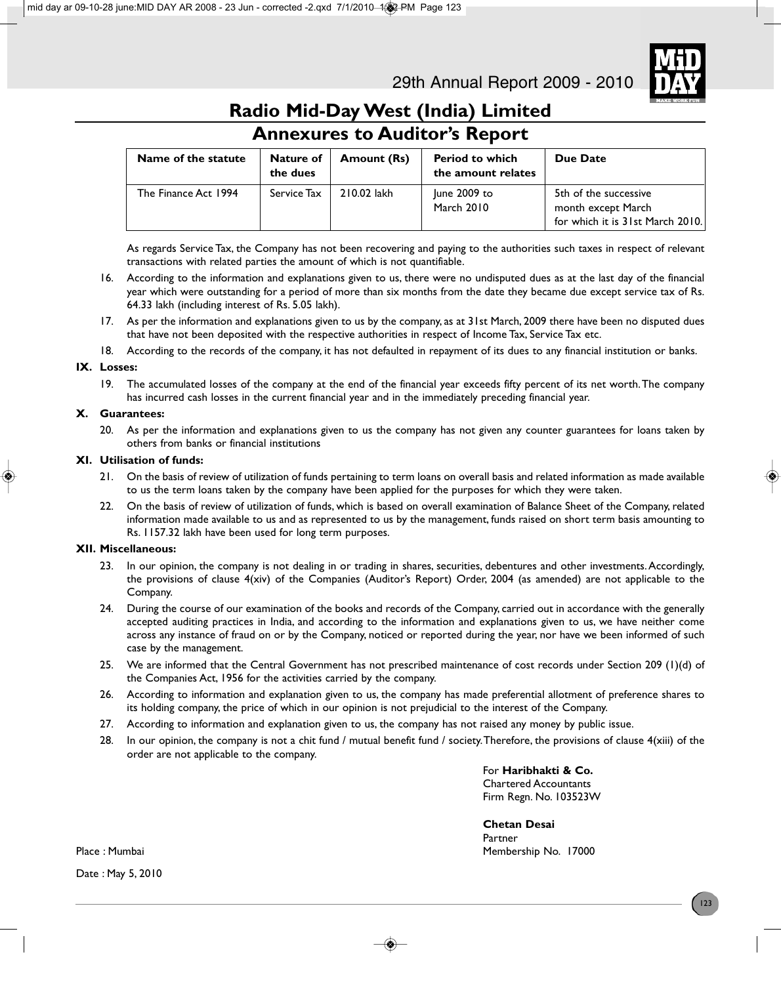

for which it is 31st March 2010.

# **Radio Mid-Day West (India) Limited**

| <b>Annexures to Augitor's Report</b> |                       |                    |                                              |                                             |  |
|--------------------------------------|-----------------------|--------------------|----------------------------------------------|---------------------------------------------|--|
| Name of the statute                  | Nature of<br>the dues | <b>Amount (Rs)</b> | <b>Period to which</b><br>the amount relates | Due Date                                    |  |
| The Finance Act 1994                 | Service Tax           | 210.02 lakh        | June 2009 to<br>March 2010                   | 5th of the successive<br>month except March |  |

### **Annexures to Auditor's Report**

As regards Service Tax, the Company has not been recovering and paying to the authorities such taxes in respect of relevant transactions with related parties the amount of which is not quantifiable.

- 16. According to the information and explanations given to us, there were no undisputed dues as at the last day of the financial year which were outstanding for a period of more than six months from the date they became due except service tax of Rs. 64.33 lakh (including interest of Rs. 5.05 lakh).
- 17. As per the information and explanations given to us by the company, as at 31st March, 2009 there have been no disputed dues that have not been deposited with the respective authorities in respect of Income Tax, Service Tax etc.
- 18. According to the records of the company, it has not defaulted in repayment of its dues to any financial institution or banks.

### **IX. Losses:**

19. The accumulated losses of the company at the end of the financial year exceeds fifty percent of its net worth. The company has incurred cash losses in the current financial year and in the immediately preceding financial year.

### **X. Guarantees:**

20. As per the information and explanations given to us the company has not given any counter guarantees for loans taken by others from banks or financial institutions

### **XI. Utilisation of funds:**

- 21. On the basis of review of utilization of funds pertaining to term loans on overall basis and related information as made available to us the term loans taken by the company have been applied for the purposes for which they were taken.
- 22. On the basis of review of utilization of funds, which is based on overall examination of Balance Sheet of the Company, related information made available to us and as represented to us by the management, funds raised on short term basis amounting to Rs. 1157.32 lakh have been used for long term purposes.

### **XII. Miscellaneous:**

- 23. In our opinion, the company is not dealing in or trading in shares, securities, debentures and other investments. Accordingly, the provisions of clause 4(xiv) of the Companies (Auditor's Report) Order, 2004 (as amended) are not applicable to the Company.
- 24. During the course of our examination of the books and records of the Company, carried out in accordance with the generally accepted auditing practices in India, and according to the information and explanations given to us, we have neither come across any instance of fraud on or by the Company, noticed or reported during the year, nor have we been informed of such case by the management.
- 25. We are informed that the Central Government has not prescribed maintenance of cost records under Section 209 (1)(d) of the Companies Act, 1956 for the activities carried by the company.
- 26. According to information and explanation given to us, the company has made preferential allotment of preference shares to its holding company, the price of which in our opinion is not prejudicial to the interest of the Company.
- 27. According to information and explanation given to us, the company has not raised any money by public issue.
- 28. In our opinion, the company is not a chit fund / mutual benefit fund / society. Therefore, the provisions of clause 4(xiii) of the order are not applicable to the company.

For **Haribhakti & Co.** Chartered Accountants Firm Regn. No. 103523W

**Chetan Desai** Partner Place : Mumbai Membership No. 17000

Date : May 5, 2010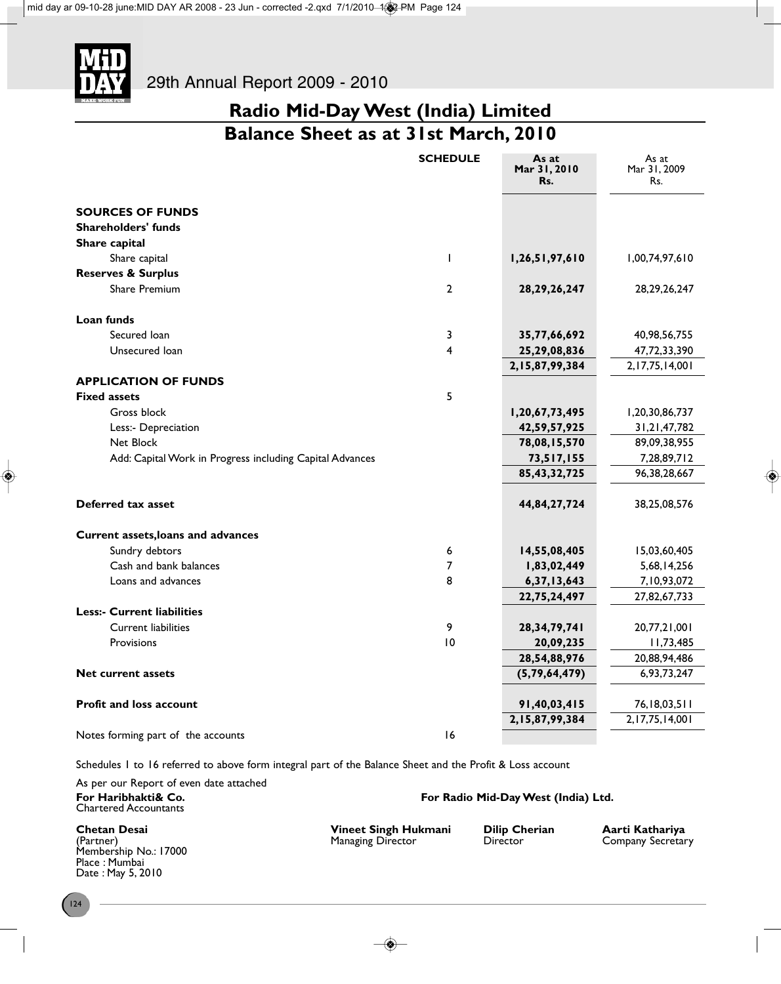

**Balance Sheet as at 31st March, 2010**

|                                                          | <b>SCHEDULE</b> | As at<br>Mar 31, 2010<br>Rs. | As at<br>Mar 31, 2009<br>Rs. |
|----------------------------------------------------------|-----------------|------------------------------|------------------------------|
| <b>SOURCES OF FUNDS</b>                                  |                 |                              |                              |
| <b>Shareholders' funds</b>                               |                 |                              |                              |
| Share capital                                            |                 |                              |                              |
| Share capital                                            | $\mathbf{I}$    | 1,26,51,97,610               | 1,00,74,97,610               |
| <b>Reserves &amp; Surplus</b>                            |                 |                              |                              |
| Share Premium                                            | $\overline{2}$  | 28, 29, 26, 247              | 28, 29, 26, 247              |
| Loan funds                                               |                 |                              |                              |
| Secured Ioan                                             | 3               | 35,77,66,692                 | 40,98,56,755                 |
| Unsecured loan                                           | 4               | 25,29,08,836                 | 47,72,33,390                 |
|                                                          |                 | 2,15,87,99,384               | 2, 17, 75, 14, 001           |
| <b>APPLICATION OF FUNDS</b>                              |                 |                              |                              |
| <b>Fixed assets</b>                                      | 5               |                              |                              |
| Gross block                                              |                 | 1,20,67,73,495               | 1,20,30,86,737               |
| Less:- Depreciation                                      |                 | 42,59,57,925                 | 31, 21, 47, 782              |
| Net Block                                                |                 | 78,08,15,570                 | 89,09,38,955                 |
| Add: Capital Work in Progress including Capital Advances |                 | 73,517,155                   | 7,28,89,712                  |
|                                                          |                 | 85, 43, 32, 725              | 96, 38, 28, 667              |
| Deferred tax asset                                       |                 | 44,84,27,724                 | 38,25,08,576                 |
| Current assets, loans and advances                       |                 |                              |                              |
| Sundry debtors                                           | 6               | 14,55,08,405                 | 15,03,60,405                 |
| Cash and bank balances                                   | 7               | 1,83,02,449                  | 5,68,14,256                  |
| Loans and advances                                       | 8               | 6,37,13,643                  | 7,10,93,072                  |
|                                                          |                 | 22,75,24,497                 | 27,82,67,733                 |
| <b>Less:- Current liabilities</b>                        |                 |                              |                              |
| <b>Current liabilities</b>                               | 9               | 28,34,79,741                 | 20,77,21,001                 |
| Provisions                                               | 10              | 20,09,235                    | 11,73,485                    |
|                                                          |                 | 28,54,88,976                 | 20,88,94,486                 |
| <b>Net current assets</b>                                |                 | (5, 79, 64, 479)             | 6,93,73,247                  |
| <b>Profit and loss account</b>                           |                 | 91,40,03,415                 | 76, 18, 03, 5 11             |
|                                                          |                 | 2,15,87,99,384               | 2, 17, 75, 14, 001           |
| Notes forming part of the accounts                       | 16              |                              |                              |

Schedules 1 to 16 referred to above form integral part of the Balance Sheet and the Profit & Loss account

As per our Report of even date attached For Haribhakti& Co. **For Radio Mid-Day West (India) Ltd.** Chartered Accountants

Membership No.: 17000 Place : Mumbai Date : May 5, 2010

**Chetan Desai Vineet Singh Hukmani Dilip Cherian Aarti Kathariya**

Company Secretary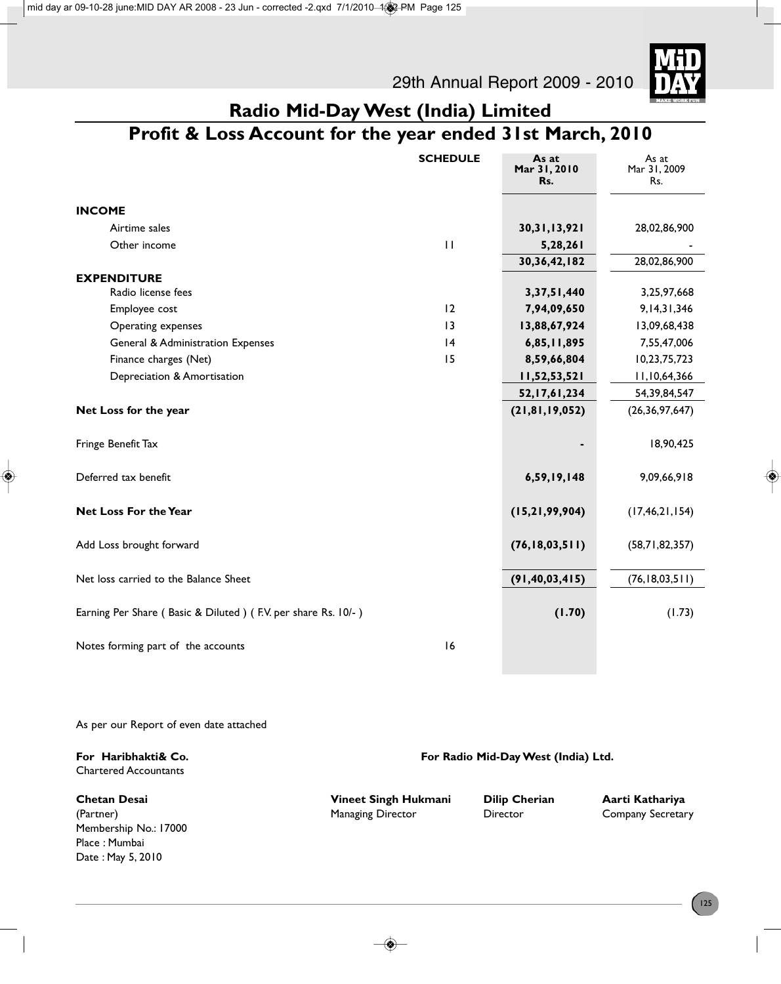29th Annual Report 2009 - 2010



# **Radio Mid-Day West (India) Limited**

# **Profit & Loss Account for the year ended 31st March, 2010**

|                                                               | <b>SCHEDULE</b> | As at<br>Mar 31, 2010<br>Rs. | As at<br>Mar 31, 2009<br>Rs. |
|---------------------------------------------------------------|-----------------|------------------------------|------------------------------|
| <b>INCOME</b>                                                 |                 |                              |                              |
| Airtime sales                                                 |                 | 30, 31, 13, 921              | 28,02,86,900                 |
| Other income                                                  | $\mathbf{H}$    | 5,28,261                     |                              |
|                                                               |                 | 30, 36, 42, 182              | 28,02,86,900                 |
| <b>EXPENDITURE</b>                                            |                 |                              |                              |
| Radio license fees                                            |                 | 3, 37, 51, 440               | 3,25,97,668                  |
| Employee cost                                                 | 12              | 7,94,09,650                  | 9, 14, 31, 346               |
| Operating expenses                                            | 13              | 13,88,67,924                 | 13,09,68,438                 |
| General & Administration Expenses                             | 4               | 6,85,11,895                  | 7,55,47,006                  |
| Finance charges (Net)                                         | 15              | 8,59,66,804                  | 10,23,75,723                 |
| Depreciation & Amortisation                                   |                 | 11,52,53,521                 | 11,10,64,366                 |
|                                                               |                 | 52, 17, 61, 234              | 54,39,84,547                 |
| Net Loss for the year                                         |                 | (21, 81, 19, 052)            | (26, 36, 97, 647)            |
| Fringe Benefit Tax                                            |                 |                              | 18,90,425                    |
| Deferred tax benefit                                          |                 | 6,59,19,148                  | 9,09,66,918                  |
| Net Loss For the Year                                         |                 | (15, 21, 99, 904)            | (17, 46, 21, 154)            |
| Add Loss brought forward                                      |                 | (76, 18, 03, 511)            | (58,71,82,357)               |
| Net loss carried to the Balance Sheet                         |                 | (91, 40, 03, 415)            | (76, 18, 03, 511)            |
| Earning Per Share (Basic & Diluted) (F.V. per share Rs. 10/-) |                 | (1.70)                       | (1.73)                       |
| Notes forming part of the accounts                            | 16              |                              |                              |

As per our Report of even date attached

| For Haribhakti& Co.<br><b>Chartered Accountants</b> | For Radio Mid-Day West (India) Ltd. |                      |                   |
|-----------------------------------------------------|-------------------------------------|----------------------|-------------------|
| <b>Chetan Desai</b>                                 | Vineet Singh Hukmani                | <b>Dilip Cherian</b> | Aarti Kathariya   |
| (Partner)                                           | <b>Managing Director</b>            | Director             | Company Secretary |
| Membership No.: 17000                               |                                     |                      |                   |
| Place: Mumbai                                       |                                     |                      |                   |
| Date: May 5, 2010                                   |                                     |                      |                   |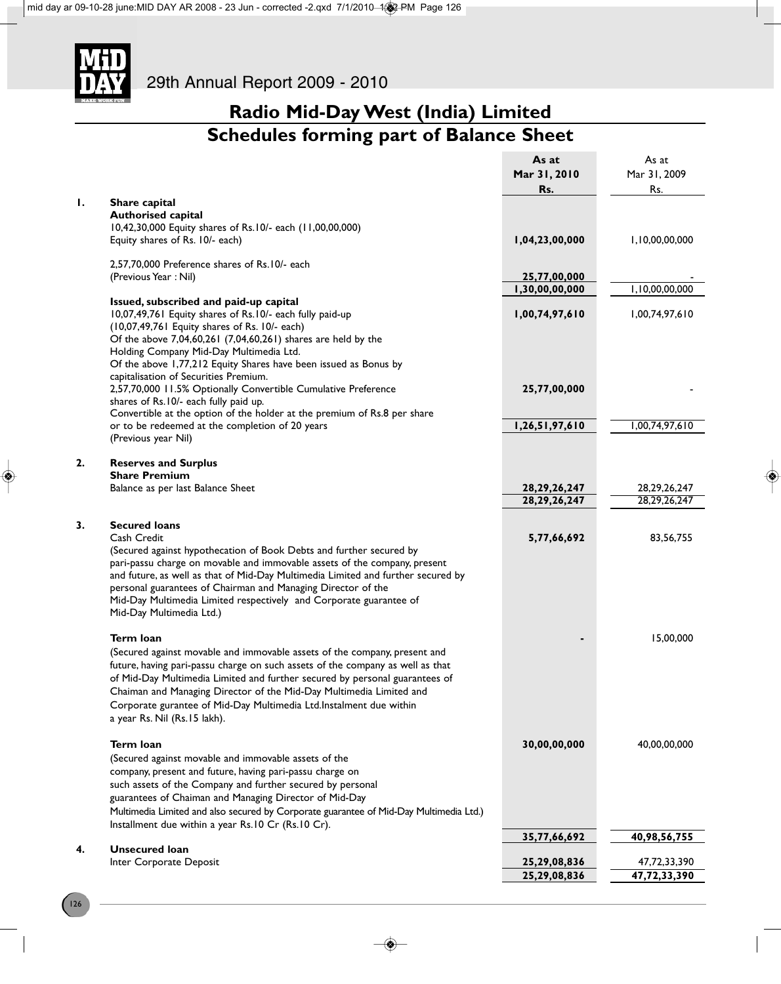

# **Radio Mid-Day West (India) Limited Schedules forming part of Balance Sheet**

|    |                                                                                                                                                                                                                                                                                                                                                                                                                                               | As at<br>Mar 31, 2010<br>Rs. | As at<br>Mar 31, 2009<br>Rs. |
|----|-----------------------------------------------------------------------------------------------------------------------------------------------------------------------------------------------------------------------------------------------------------------------------------------------------------------------------------------------------------------------------------------------------------------------------------------------|------------------------------|------------------------------|
| Ι. | Share capital                                                                                                                                                                                                                                                                                                                                                                                                                                 |                              |                              |
|    | <b>Authorised capital</b>                                                                                                                                                                                                                                                                                                                                                                                                                     |                              |                              |
|    | 10,42,30,000 Equity shares of Rs.10/- each (11,00,00,000)                                                                                                                                                                                                                                                                                                                                                                                     |                              |                              |
|    | Equity shares of Rs. 10/- each)                                                                                                                                                                                                                                                                                                                                                                                                               | 1,04,23,00,000               | 1,10,00,00,000               |
|    | 2,57,70,000 Preference shares of Rs.10/- each                                                                                                                                                                                                                                                                                                                                                                                                 |                              |                              |
|    | (Previous Year: Nil)                                                                                                                                                                                                                                                                                                                                                                                                                          | 25,77,00,000                 |                              |
|    |                                                                                                                                                                                                                                                                                                                                                                                                                                               | 1,30,00,00,000               | 1,10,00,00,000               |
|    | Issued, subscribed and paid-up capital<br>10,07,49,761 Equity shares of Rs.10/- each fully paid-up<br>(10,07,49,761 Equity shares of Rs. 10/- each)<br>Of the above 7,04,60,261 (7,04,60,261) shares are held by the                                                                                                                                                                                                                          | 1,00,74,97,610               | 1,00,74,97,610               |
|    | Holding Company Mid-Day Multimedia Ltd.<br>Of the above 1,77,212 Equity Shares have been issued as Bonus by                                                                                                                                                                                                                                                                                                                                   |                              |                              |
|    | capitalisation of Securities Premium.<br>2,57,70,000 11.5% Optionally Convertible Cumulative Preference<br>shares of Rs.10/- each fully paid up.<br>Convertible at the option of the holder at the premium of Rs.8 per share                                                                                                                                                                                                                  | 25,77,00,000                 |                              |
|    | or to be redeemed at the completion of 20 years                                                                                                                                                                                                                                                                                                                                                                                               | 1,26,51,97,610               | 1,00,74,97,610               |
|    | (Previous year Nil)                                                                                                                                                                                                                                                                                                                                                                                                                           |                              |                              |
| 2. | <b>Reserves and Surplus</b>                                                                                                                                                                                                                                                                                                                                                                                                                   |                              |                              |
|    | <b>Share Premium</b>                                                                                                                                                                                                                                                                                                                                                                                                                          |                              |                              |
|    | Balance as per last Balance Sheet                                                                                                                                                                                                                                                                                                                                                                                                             | 28, 29, 26, 247              | 28, 29, 26, 247              |
|    |                                                                                                                                                                                                                                                                                                                                                                                                                                               | 28, 29, 26, 247              | 28, 29, 26, 247              |
| 3. | <b>Secured loans</b><br>Cash Credit<br>(Secured against hypothecation of Book Debts and further secured by<br>pari-passu charge on movable and immovable assets of the company, present<br>and future, as well as that of Mid-Day Multimedia Limited and further secured by<br>personal guarantees of Chairman and Managing Director of the<br>Mid-Day Multimedia Limited respectively and Corporate guarantee of<br>Mid-Day Multimedia Ltd.) | 5,77,66,692                  | 83,56,755                    |
|    | Term loan                                                                                                                                                                                                                                                                                                                                                                                                                                     |                              | 15,00,000                    |
|    | (Secured against movable and immovable assets of the company, present and<br>future, having pari-passu charge on such assets of the company as well as that<br>of Mid-Day Multimedia Limited and further secured by personal guarantees of<br>Chaiman and Managing Director of the Mid-Day Multimedia Limited and<br>Corporate gurantee of Mid-Day Multimedia Ltd.Instalment due within<br>a year Rs. Nil (Rs.15 lakh).                       |                              |                              |
|    | <b>Term loan</b><br>(Secured against movable and immovable assets of the                                                                                                                                                                                                                                                                                                                                                                      | 30,00,00,000                 | 40,00,00,000                 |
|    | company, present and future, having pari-passu charge on<br>such assets of the Company and further secured by personal<br>guarantees of Chaiman and Managing Director of Mid-Day<br>Multimedia Limited and also secured by Corporate guarantee of Mid-Day Multimedia Ltd.)<br>Installment due within a year Rs.10 Cr (Rs.10 Cr).                                                                                                              |                              |                              |
|    |                                                                                                                                                                                                                                                                                                                                                                                                                                               | 35,77,66,692                 | 40,98,56,755                 |
| 4. | <b>Unsecured loan</b>                                                                                                                                                                                                                                                                                                                                                                                                                         |                              |                              |
|    | Inter Corporate Deposit                                                                                                                                                                                                                                                                                                                                                                                                                       | 25,29,08,836                 | 47,72,33,390                 |
|    |                                                                                                                                                                                                                                                                                                                                                                                                                                               | 25,29,08,836                 | 47,72,33,390                 |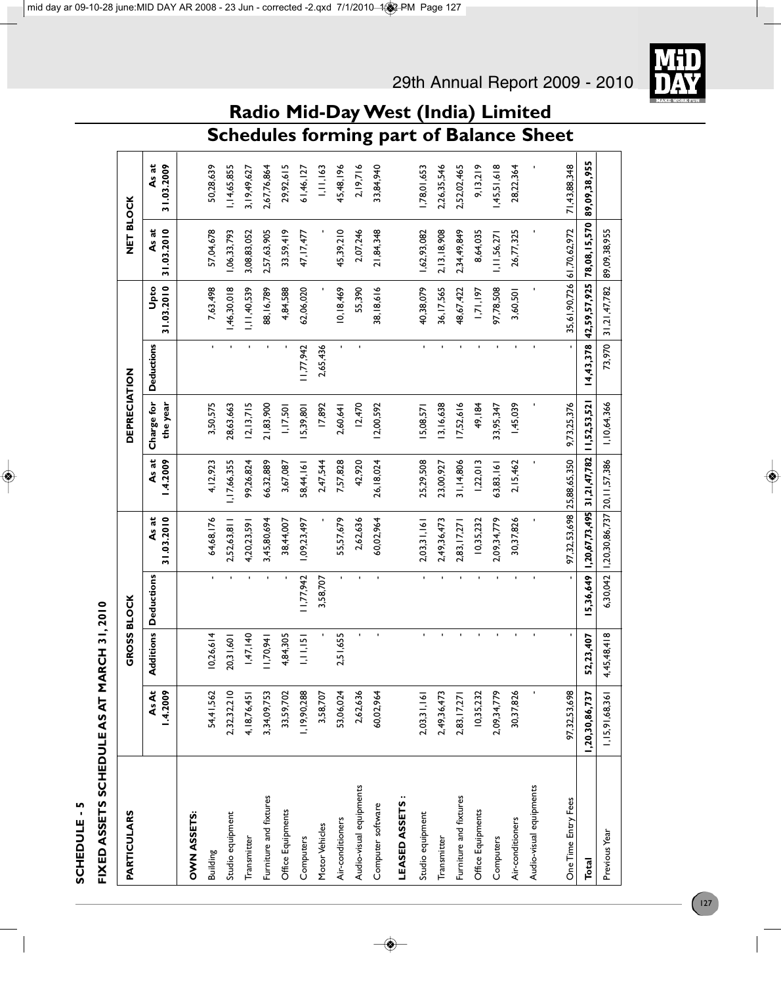# SCHEDULE-5 **SCHEDULE - 5**

# FIXED ASSETS SCHEDULE AS AT MARCH 31, 2010 **FIXED ASSETS SCHEDULE AS AT MARCH 31, 2010**

| PARTICULARS             |                  | <b>GROSS BLOCK</b> |                   |                                           |                  | <b>DEPRECIATION</b>    |                   |                    | NET BLOCK           |                     |
|-------------------------|------------------|--------------------|-------------------|-------------------------------------------|------------------|------------------------|-------------------|--------------------|---------------------|---------------------|
|                         | AsAt<br>1.4.2009 | Iditions<br>ৰ      | <b>Deductions</b> | As at<br>31.03.2010                       | As at<br>.4.2009 | Charge for<br>the year | <b>Deductions</b> | 31.03.2010<br>Upto | 31.03.2010<br>As at | 31.03.2009<br>As at |
| OWN ASSETS:             |                  |                    |                   |                                           |                  |                        |                   |                    |                     |                     |
| Building                | 54,41,562        | 10,26,614          | $\mathbf{r}$      | 64,68,176                                 | 4, 12, 923       | 3,50,575               | $\mathbf{r}$      | 7,63,498           | 57,04,678           | 50,28,639           |
| Studio equipment        | 2,32,32,210      | 20,31,601          | r.                | 2,52,63,81                                | 1,7,66,355       | 28,63,663              |                   | 46,30,018          | ,06,33,793          | 1,14,65,855         |
| Transmitter             | 4, 18, 76, 45    | 1,47,140           |                   | 4,20,23,591                               | 99,26,824        | 2,  3, 7 5             |                   | 1,11,40,539        | 3,08,83,052         | 3,19,49,627         |
| Furniture and fixtures  | 3,34,09,753      | 1,70,941           | $\blacksquare$    | 3,45,80,694                               | 66,32,889        | 21,83,900              | f.                | 88,16,789          | 2,57,63,905         | 2,67,76,864         |
| Office Equipments       | 33,59,702        | 4,84,305           |                   | 38,44,007                                 | 3,67,087         | 1,17,501               |                   | 4,84,588           | 33,59,419           | 29,92,615           |
| Computers               | 1, 19, 90, 288   | 1,11,15            | 11,77,942         | 1,09,23,497                               | 58,44,161        | 15,39,801              | 1, 77, 942        | 62,06,020          | 47, 17, 477         | 61,46,127           |
| Motor Vehicles          | 3,58,707         |                    | 3,58,707          |                                           | 2,47,544         | 17,892                 | 2,65,436          |                    |                     | 1,11,163            |
| Air-conditioners        | 53,06,024        | 2,51,655           | $\mathbf{r}$      | 55,57,679                                 | 7,57,828         | 2,60,641               | $\blacksquare$    | 10,18,469          | 45,39,210           | 45,48,196           |
| Audio-visual equipments | 2,62,636         | $\blacksquare$     | $\mathbf{r}$      | 2,62,636                                  | 42,920           | 12,470                 | $\blacksquare$    | 55,390             | 2,07,246            | 2,19,716            |
| Computer software       | 60,02,964        | $\blacksquare$     | $\blacksquare$    | 60,02,964                                 | 26, 18, 024      | 2,00,592               |                   | 38, 18, 616        | 21,84,348           | 33,84,940           |
| LEASED ASSETS:          |                  |                    |                   |                                           |                  |                        |                   |                    |                     |                     |
| Studio equipment        | 2,03,31,161      | $\blacksquare$     | $\mathbf{r}$      | 2,03,31,161                               | 25,29,508        | 5,08,57                | $\blacksquare$    | 40,38,079          | 1,62,93,082         | 1,78,01,653         |
| Transmitter             | 2,49,36,473      | ĭ.                 | $\blacksquare$    | 2,49,36,473                               | 23,00,927        | 3,16,638               | $\blacksquare$    | 36,17,565          | 2, 13, 18, 908      | 2,26,35,546         |
| Furniture and fixtures  | 2,83, 17, 27     | $\mathbf{r}$       | $\blacksquare$    | 2,83, 17,27                               | 31, 14, 806      | 17,52,616              |                   | 48,67,422          | 2,34,49,849         | 2,52,02,465         |
| Office Equipments       | 10,35,232        | $\mathbf{r}$       |                   | 10,35,232                                 | 1,22,013         | 49,184                 |                   | 1,71,197           | 8,64,035            | 9, 13, 219          |
| Computers               | 2,09,34,779      | $\mathbf{r}$       | $\blacksquare$    | 2,09,34,779                               | 53,83,161        | 33,95,347              |                   | 97,78,508          | 1,11,56,271         | 45,51,618           |
| Air-conditioners        | 30,37,826        | $\blacksquare$     |                   | 30,37,826                                 | 2, 15, 462       | 1,45,039               |                   | 3,60,501           | 26,77,325           | 28,22,364           |
| Audio-visual equipments |                  | $\blacksquare$     |                   |                                           |                  |                        |                   |                    |                     |                     |
| One Time Entry Fees     | 97,32,53,698     | $\blacksquare$     |                   | 97,32,53,698                              | 25,88,65,350     | 9,73,25,376            |                   | 35,61,90,726       | 61,70,62,972        | 71,43,88,348        |
| Total                   | 1,20,30,86,737   | , 23, 407<br>55    | 5,36,649          | 1,20,67,73,495                            | 31,21,47,782     | 11,52,53,52            | 4,43,378          | 42,59,57,925       | 78,08,15,570        | 89,09,38,955        |
| Previous Year           | 1,15,91,68,361   | 4,45,48,418        |                   | 6,30,042   1,20,30,86,737   20, 11,57,386 |                  | 1,10,64,366            | 73,970            | 31,21,47,782       | 89,09,38,955        |                     |

**Radio Mid-Day West (India) Limited**

29th Annual Report 2009 - 2010

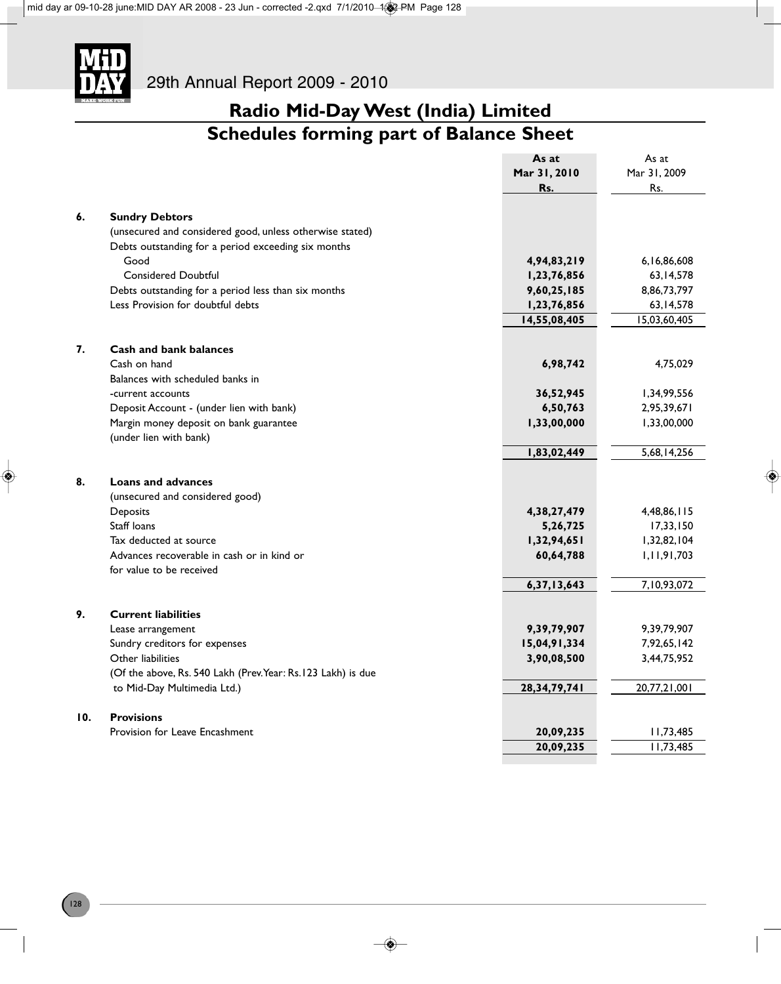

# **Schedules forming part of Balance Sheet**

|     |                                                               | As at          | As at        |
|-----|---------------------------------------------------------------|----------------|--------------|
|     |                                                               | Mar 31, 2010   | Mar 31, 2009 |
|     |                                                               | Rs.            | Rs.          |
|     |                                                               |                |              |
| 6.  | <b>Sundry Debtors</b>                                         |                |              |
|     | (unsecured and considered good, unless otherwise stated)      |                |              |
|     | Debts outstanding for a period exceeding six months           |                |              |
|     | Good                                                          | 4,94,83,219    | 6,16,86,608  |
|     | <b>Considered Doubtful</b>                                    | 1,23,76,856    | 63, 14, 578  |
|     | Debts outstanding for a period less than six months           | 9,60,25,185    | 8,86,73,797  |
|     | Less Provision for doubtful debts                             | 1,23,76,856    | 63, 14, 578  |
|     |                                                               | 14,55,08,405   | 15,03,60,405 |
|     |                                                               |                |              |
| 7.  | <b>Cash and bank balances</b>                                 |                |              |
|     | Cash on hand                                                  | 6,98,742       | 4,75,029     |
|     | Balances with scheduled banks in                              |                |              |
|     | -current accounts                                             | 36,52,945      | 1,34,99,556  |
|     | Deposit Account - (under lien with bank)                      | 6,50,763       | 2,95,39,671  |
|     | Margin money deposit on bank guarantee                        | 1,33,00,000    | 1,33,00,000  |
|     | (under lien with bank)                                        |                |              |
|     |                                                               | 1,83,02,449    | 5,68,14,256  |
|     |                                                               |                |              |
| 8.  | <b>Loans and advances</b>                                     |                |              |
|     | (unsecured and considered good)                               |                |              |
|     | Deposits<br>Staff loans                                       | 4, 38, 27, 479 | 4,48,86,115  |
|     |                                                               | 5,26,725       | 17,33,150    |
|     | Tax deducted at source                                        | 1,32,94,651    | 1,32,82,104  |
|     | Advances recoverable in cash or in kind or                    | 60,64,788      | 1,11,91,703  |
|     | for value to be received                                      |                | 7,10,93,072  |
|     |                                                               | 6,37,13,643    |              |
| 9.  | <b>Current liabilities</b>                                    |                |              |
|     | Lease arrangement                                             | 9,39,79,907    | 9,39,79,907  |
|     | Sundry creditors for expenses                                 | 15,04,91,334   | 7,92,65,142  |
|     | Other liabilities                                             | 3,90,08,500    | 3,44,75,952  |
|     | (Of the above, Rs. 540 Lakh (Prev. Year: Rs. 123 Lakh) is due |                |              |
|     | to Mid-Day Multimedia Ltd.)                                   | 28,34,79,741   | 20,77,21,001 |
|     |                                                               |                |              |
| 10. | <b>Provisions</b>                                             |                |              |
|     | Provision for Leave Encashment                                | 20,09,235      | 11,73,485    |
|     |                                                               | 20,09,235      | 11,73,485    |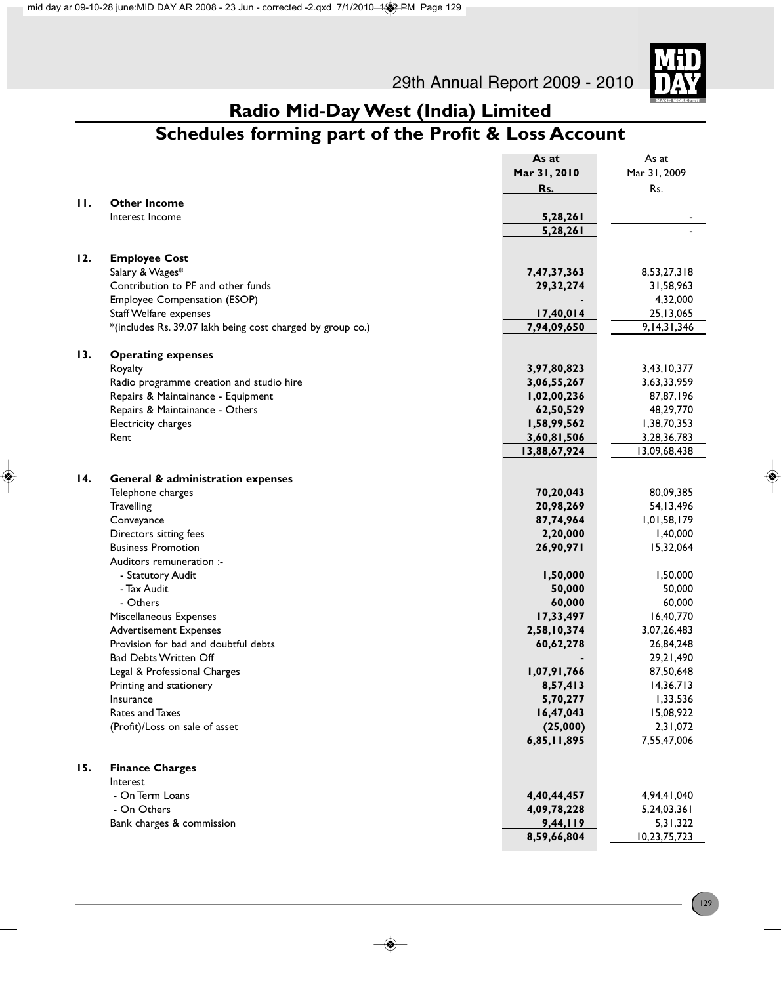

# **Radio Mid-Day West (India) Limited Schedules forming part of the Profit & Loss Account**

|              |                                                            | As at        | As at          |
|--------------|------------------------------------------------------------|--------------|----------------|
|              |                                                            | Mar 31, 2010 | Mar 31, 2009   |
|              |                                                            | Rs.          | Rs.            |
| $\mathbf{H}$ | <b>Other Income</b>                                        |              |                |
|              | Interest Income                                            | 5,28,261     |                |
|              |                                                            | 5,28,261     |                |
|              |                                                            |              |                |
| 12.          | <b>Employee Cost</b>                                       |              |                |
|              | Salary & Wages*                                            | 7,47,37,363  | 8,53,27,318    |
|              | Contribution to PF and other funds                         | 29, 32, 274  | 31,58,963      |
|              | Employee Compensation (ESOP)                               |              | 4,32,000       |
|              | <b>Staff Welfare expenses</b>                              | 17,40,014    | 25, 13, 065    |
|              | *(includes Rs. 39.07 lakh being cost charged by group co.) | 7,94,09,650  | 9, 14, 31, 346 |
|              |                                                            |              |                |
| 13.          | <b>Operating expenses</b>                                  |              |                |
|              | Royalty                                                    | 3,97,80,823  | 3,43,10,377    |
|              | Radio programme creation and studio hire                   | 3,06,55,267  | 3,63,33,959    |
|              | Repairs & Maintainance - Equipment                         | 1,02,00,236  | 87,87,196      |
|              | Repairs & Maintainance - Others                            | 62,50,529    | 48,29,770      |
|              | Electricity charges                                        | 1,58,99,562  | 1,38,70,353    |
|              | Rent                                                       | 3,60,81,506  | 3,28,36,783    |
|              |                                                            | 13,88,67,924 | 13,09,68,438   |
|              |                                                            |              |                |
| 14.          | <b>General &amp; administration expenses</b>               |              |                |
|              | Telephone charges                                          | 70,20,043    | 80,09,385      |
|              | Travelling                                                 | 20,98,269    | 54, 13, 496    |
|              | Conveyance                                                 | 87,74,964    | 1,01,58,179    |
|              | Directors sitting fees                                     | 2,20,000     | 1,40,000       |
|              | <b>Business Promotion</b>                                  | 26,90,971    | 15,32,064      |
|              | Auditors remuneration :-                                   |              |                |
|              | - Statutory Audit                                          | 1,50,000     | 1,50,000       |
|              | - Tax Audit                                                | 50,000       | 50,000         |
|              | - Others                                                   | 60,000       | 60,000         |
|              | Miscellaneous Expenses                                     | 17,33,497    | 16,40,770      |
|              | <b>Advertisement Expenses</b>                              | 2,58,10,374  | 3,07,26,483    |
|              | Provision for bad and doubtful debts                       | 60,62,278    | 26,84,248      |
|              | <b>Bad Debts Written Off</b>                               |              | 29,21,490      |
|              | Legal & Professional Charges                               | 1,07,91,766  | 87,50,648      |
|              | Printing and stationery                                    | 8,57,413     | 14,36,713      |
|              | Insurance                                                  | 5,70,277     | 1,33,536       |
|              | <b>Rates and Taxes</b>                                     | 16,47,043    | 15,08,922      |
|              | (Profit)/Loss on sale of asset                             | (25,000)     | 2,31,072       |
|              |                                                            | 6,85,11,895  | 7,55,47,006    |
|              |                                                            |              |                |
| 15.          | <b>Finance Charges</b>                                     |              |                |
|              | Interest                                                   |              |                |
|              | - On Term Loans                                            | 4,40,44,457  | 4,94,41,040    |
|              | - On Others                                                | 4,09,78,228  | 5,24,03,361    |
|              | Bank charges & commission                                  | 9,44,119     | 5,31,322       |
|              |                                                            | 8,59,66,804  | 10,23,75,723   |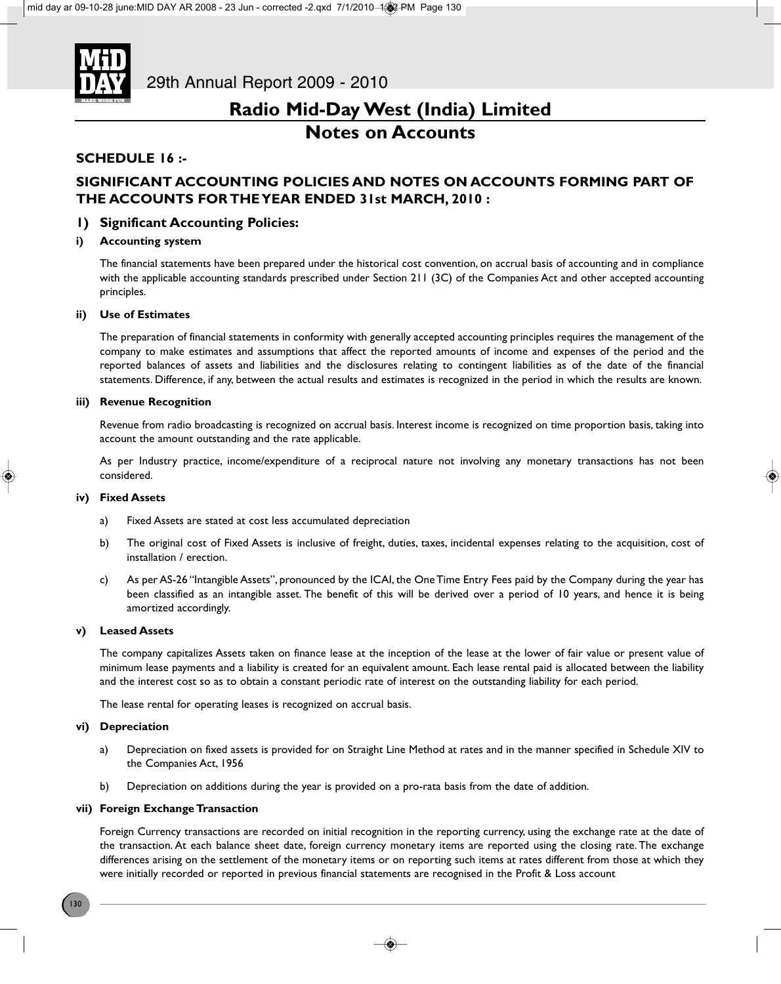

### **Notes on Accounts**

### **SCHEDULE 16 :-**

### **SIGNIFICANT ACCOUNTING POLICIES AND NOTES ON ACCOUNTS FORMING PART OF THE ACCOUNTS FOR THE YEAR ENDED 31st MARCH, 2010 :**

### **1) Significant Accounting Policies:**

### **i) Accounting system**

The financial statements have been prepared under the historical cost convention, on accrual basis of accounting and in compliance with the applicable accounting standards prescribed under Section 211 (3C) of the Companies Act and other accepted accounting principles.

### **ii) Use of Estimates**

The preparation of financial statements in conformity with generally accepted accounting principles requires the management of the company to make estimates and assumptions that affect the reported amounts of income and expenses of the period and the reported balances of assets and liabilities and the disclosures relating to contingent liabilities as of the date of the financial statements. Difference, if any, between the actual results and estimates is recognized in the period in which the results are known.

### **iii) Revenue Recognition**

Revenue from radio broadcasting is recognized on accrual basis. Interest income is recognized on time proportion basis, taking into account the amount outstanding and the rate applicable.

As per Industry practice, income/expenditure of a reciprocal nature not involving any monetary transactions has not been considered.

#### **iv) Fixed Assets**

- a) Fixed Assets are stated at cost less accumulated depreciation
- b) The original cost of Fixed Assets is inclusive of freight, duties, taxes, incidental expenses relating to the acquisition, cost of installation / erection.
- c) As per AS-26 "Intangible Assets", pronounced by the ICAI, the One Time Entry Fees paid by the Company during the year has been classified as an intangible asset. The benefit of this will be derived over a period of 10 years, and hence it is being amortized accordingly.

#### **v) Leased Assets**

The company capitalizes Assets taken on finance lease at the inception of the lease at the lower of fair value or present value of minimum lease payments and a liability is created for an equivalent amount. Each lease rental paid is allocated between the liability and the interest cost so as to obtain a constant periodic rate of interest on the outstanding liability for each period.

The lease rental for operating leases is recognized on accrual basis.

### **vi) Depreciation**

- a) Depreciation on fixed assets is provided for on Straight Line Method at rates and in the manner specified in Schedule XIV to the Companies Act, 1956
- b) Depreciation on additions during the year is provided on a pro-rata basis from the date of addition.

### **vii) Foreign Exchange Transaction**

Foreign Currency transactions are recorded on initial recognition in the reporting currency, using the exchange rate at the date of the transaction. At each balance sheet date, foreign currency monetary items are reported using the closing rate. The exchange differences arising on the settlement of the monetary items or on reporting such items at rates different from those at which they were initially recorded or reported in previous financial statements are recognised in the Profit & Loss account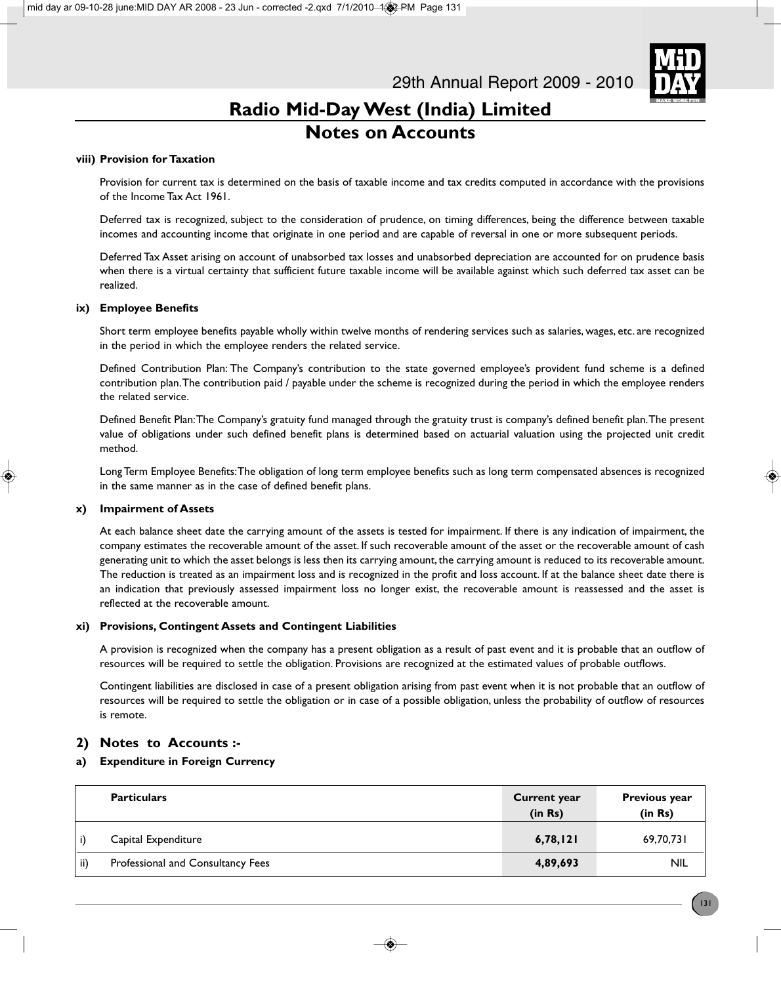

# **Radio Mid-Day West (India) Limited Notes on Accounts**

### **viii) Provision for Taxation**

Provision for current tax is determined on the basis of taxable income and tax credits computed in accordance with the provisions of the Income Tax Act 1961.

Deferred tax is recognized, subject to the consideration of prudence, on timing differences, being the difference between taxable incomes and accounting income that originate in one period and are capable of reversal in one or more subsequent periods.

Deferred Tax Asset arising on account of unabsorbed tax losses and unabsorbed depreciation are accounted for on prudence basis when there is a virtual certainty that sufficient future taxable income will be available against which such deferred tax asset can be realized.

### **ix) Employee Benefits**

Short term employee benefits payable wholly within twelve months of rendering services such as salaries, wages, etc. are recognized in the period in which the employee renders the related service.

Defined Contribution Plan: The Company's contribution to the state governed employee's provident fund scheme is a defined contribution plan. The contribution paid / payable under the scheme is recognized during the period in which the employee renders the related service.

Defined Benefit Plan: The Company's gratuity fund managed through the gratuity trust is company's defined benefit plan. The present value of obligations under such defined benefit plans is determined based on actuarial valuation using the projected unit credit method.

Long Term Employee Benefits: The obligation of long term employee benefits such as long term compensated absences is recognized in the same manner as in the case of defined benefit plans.

### **x) Impairment of Assets**

At each balance sheet date the carrying amount of the assets is tested for impairment. If there is any indication of impairment, the company estimates the recoverable amount of the asset. If such recoverable amount of the asset or the recoverable amount of cash generating unit to which the asset belongs is less then its carrying amount, the carrying amount is reduced to its recoverable amount. The reduction is treated as an impairment loss and is recognized in the profit and loss account. If at the balance sheet date there is an indication that previously assessed impairment loss no longer exist, the recoverable amount is reassessed and the asset is reflected at the recoverable amount.

### **xi) Provisions, Contingent Assets and Contingent Liabilities**

A provision is recognized when the company has a present obligation as a result of past event and it is probable that an outflow of resources will be required to settle the obligation. Provisions are recognized at the estimated values of probable outflows.

Contingent liabilities are disclosed in case of a present obligation arising from past event when it is not probable that an outflow of resources will be required to settle the obligation or in case of a possible obligation, unless the probability of outflow of resources is remote.

### **2) Notes to Accounts :-**

### **a) Expenditure in Foreign Currency**

|     | <b>Particulars</b>                | <b>Current year</b><br>(in Rs) | <b>Previous year</b><br>(in Rs) |
|-----|-----------------------------------|--------------------------------|---------------------------------|
|     | Capital Expenditure               | 6,78,121                       | 69,70,731                       |
| ii) | Professional and Consultancy Fees | 4,89,693                       | <b>NIL</b>                      |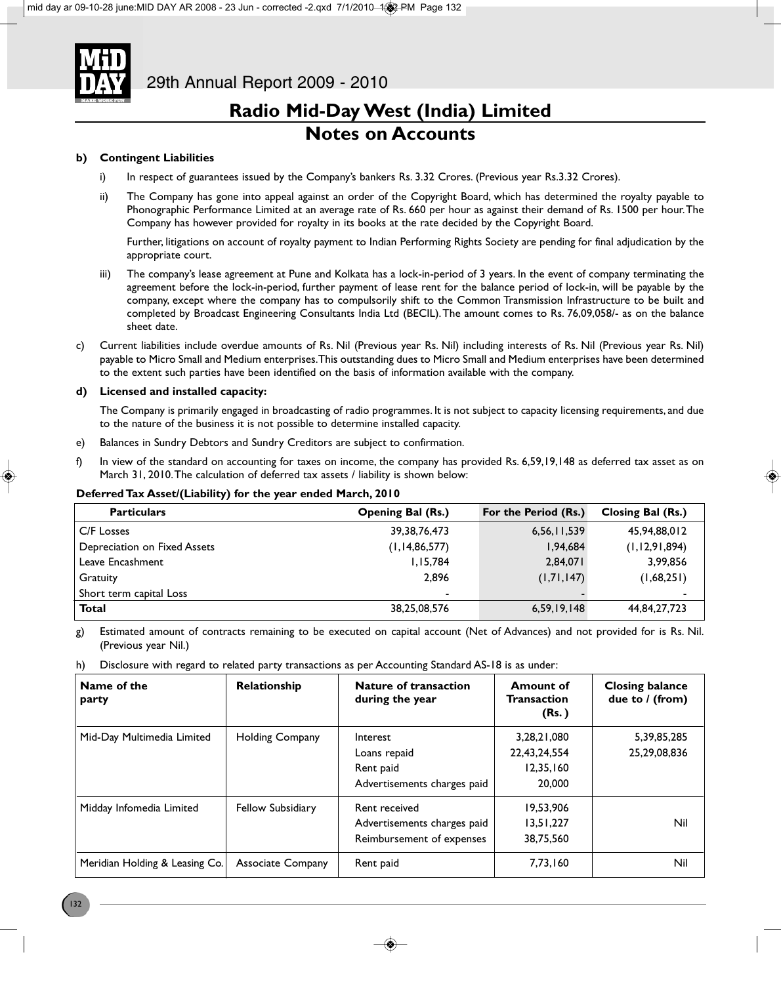

### **Notes on Accounts**

### **b) Contingent Liabilities**

- i) In respect of guarantees issued by the Company's bankers Rs. 3.32 Crores. (Previous year Rs.3.32 Crores).
- ii) The Company has gone into appeal against an order of the Copyright Board, which has determined the royalty payable to Phonographic Performance Limited at an average rate of Rs. 660 per hour as against their demand of Rs. 1500 per hour. The Company has however provided for royalty in its books at the rate decided by the Copyright Board.

Further, litigations on account of royalty payment to Indian Performing Rights Society are pending for final adjudication by the appropriate court.

- iii) The company's lease agreement at Pune and Kolkata has a lock-in-period of 3 years. In the event of company terminating the agreement before the lock-in-period, further payment of lease rent for the balance period of lock-in, will be payable by the company, except where the company has to compulsorily shift to the Common Transmission Infrastructure to be built and completed by Broadcast Engineering Consultants India Ltd (BECIL). The amount comes to Rs. 76,09,058/- as on the balance sheet date.
- c) Current liabilities include overdue amounts of Rs. Nil (Previous year Rs. Nil) including interests of Rs. Nil (Previous year Rs. Nil) payable to Micro Small and Medium enterprises. This outstanding dues to Micro Small and Medium enterprises have been determined to the extent such parties have been identified on the basis of information available with the company.

### **d) Licensed and installed capacity:**

The Company is primarily engaged in broadcasting of radio programmes. It is not subject to capacity licensing requirements, and due to the nature of the business it is not possible to determine installed capacity.

- e) Balances in Sundry Debtors and Sundry Creditors are subject to confirmation.
- f) In view of the standard on accounting for taxes on income, the company has provided Rs. 6,59,19,148 as deferred tax asset as on March 31, 2010. The calculation of deferred tax assets / liability is shown below:

### **Deferred Tax Asset/(Liability) for the year ended March, 2010**

| <b>Particulars</b>           | <b>Opening Bal (Rs.)</b> | For the Period (Rs.) | Closing Bal (Rs.) |
|------------------------------|--------------------------|----------------------|-------------------|
| C/F Losses                   | 39, 38, 76, 473          | 6,56,11,539          | 45,94,88,012      |
| Depreciation on Fixed Assets | (1, 14, 86, 577)         | 1,94,684             | (1, 12, 91, 894)  |
| Leave Encashment             | 1,15,784                 | 2,84,071             | 3,99,856          |
| Gratuity                     | 2.896                    | (1,71,147)           | (1,68,251)        |
| Short term capital Loss      | $\blacksquare$           |                      | ٠                 |
| Total                        | 38,25,08,576             | 6,59,19,148          | 44,84,27,723      |

g) Estimated amount of contracts remaining to be executed on capital account (Net of Advances) and not provided for is Rs. Nil. (Previous year Nil.)

h) Disclosure with regard to related party transactions as per Accounting Standard AS-18 is as under:

| Name of the<br>party           | Relationship           | <b>Nature of transaction</b><br>during the year                           | <b>Amount of</b><br><b>Transaction</b><br>(Rs.)    | <b>Closing balance</b><br>due to / (from) |
|--------------------------------|------------------------|---------------------------------------------------------------------------|----------------------------------------------------|-------------------------------------------|
| Mid-Day Multimedia Limited     | <b>Holding Company</b> | Interest<br>Loans repaid<br>Rent paid<br>Advertisements charges paid      | 3,28,21,080<br>22,43,24,554<br>12,35,160<br>20,000 | 5,39,85,285<br>25,29,08,836               |
| Midday Infomedia Limited       | Fellow Subsidiary      | Rent received<br>Advertisements charges paid<br>Reimbursement of expenses | 19,53,906<br>13,51,227<br>38,75,560                | Nil                                       |
| Meridian Holding & Leasing Co. | Associate Company      | Rent paid                                                                 | 7,73,160                                           | Nil                                       |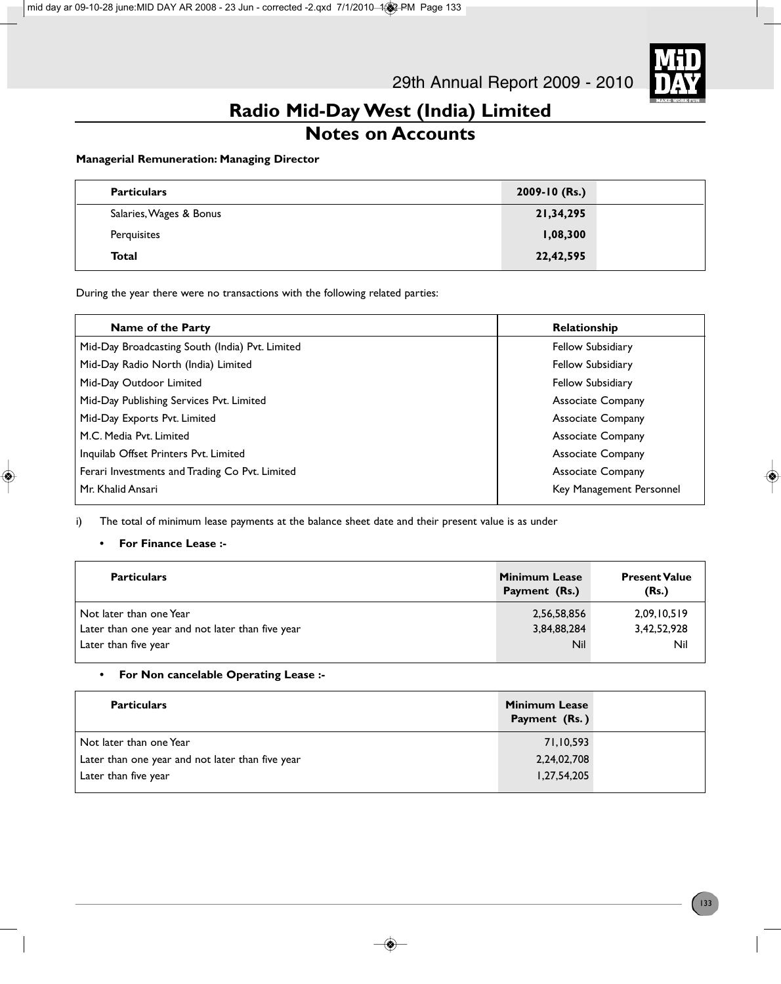

# **Notes on Accounts**

### **Managerial Remuneration: Managing Director**

| <b>Particulars</b>      | 2009-10 (Rs.) |  |
|-------------------------|---------------|--|
| Salaries, Wages & Bonus | 21,34,295     |  |
| Perquisites             | 1,08,300      |  |
| Total                   | 22,42,595     |  |

During the year there were no transactions with the following related parties:

| Name of the Party                               | Relationship             |
|-------------------------------------------------|--------------------------|
| Mid-Day Broadcasting South (India) Pvt. Limited | <b>Fellow Subsidiary</b> |
| Mid-Day Radio North (India) Limited             | <b>Fellow Subsidiary</b> |
| Mid-Day Outdoor Limited                         | <b>Fellow Subsidiary</b> |
| Mid-Day Publishing Services Pvt. Limited        | <b>Associate Company</b> |
| Mid-Day Exports Pvt. Limited                    | <b>Associate Company</b> |
| M.C. Media Pvt. Limited                         | <b>Associate Company</b> |
| Inquilab Offset Printers Pvt. Limited           | <b>Associate Company</b> |
| Ferari Investments and Trading Co Pvt. Limited  | <b>Associate Company</b> |
| Mr. Khalid Ansari                               | Key Management Personnel |

i) The total of minimum lease payments at the balance sheet date and their present value is as under

### **• For Finance Lease :-**

| <b>Particulars</b>                               | <b>Minimum Lease</b><br>Payment (Rs.) | <b>Present Value</b><br>(Rs.) |  |
|--------------------------------------------------|---------------------------------------|-------------------------------|--|
| Not later than one Year                          | 2,56,58,856                           | 2,09,10,519                   |  |
| Later than one year and not later than five year | 3,84,88,284                           | 3,42,52,928                   |  |
| Later than five year                             | Nil                                   | Nil                           |  |

### **• For Non cancelable Operating Lease :-**

| <b>Particulars</b>                               | <b>Minimum Lease</b><br>Payment (Rs.) |  |
|--------------------------------------------------|---------------------------------------|--|
| Not later than one Year                          | 71,10,593                             |  |
| Later than one year and not later than five year | 2,24,02,708                           |  |
| Later than five year                             | 1,27,54,205                           |  |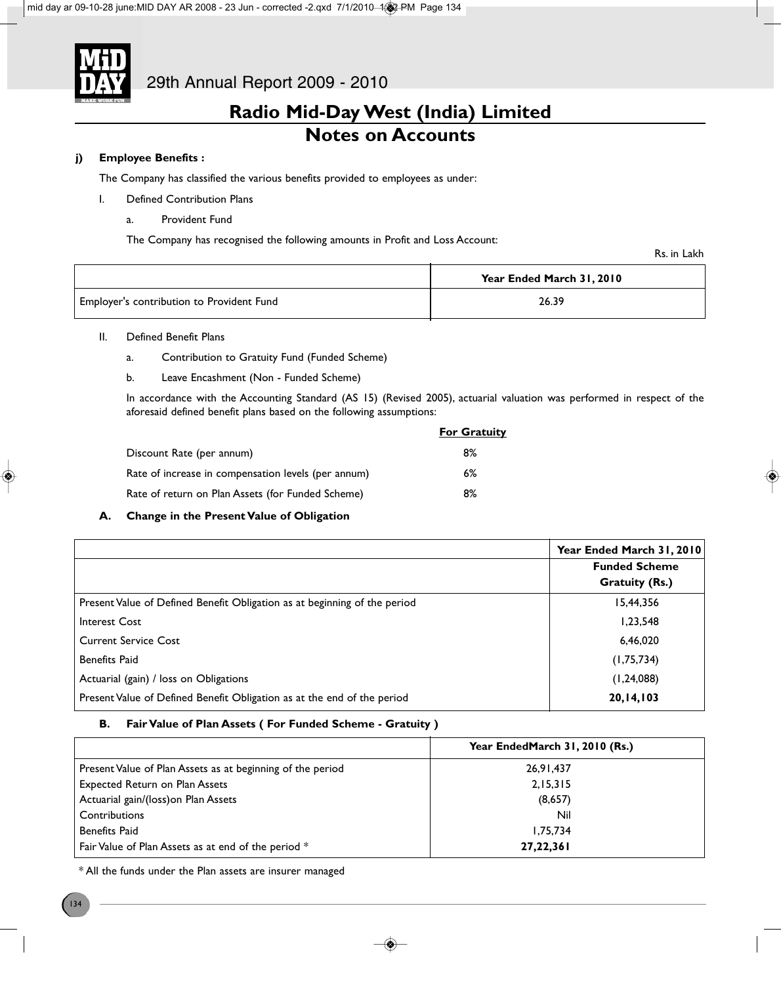

# **Radio Mid-Day West (India) Limited Notes on Accounts**

### **j) Employee Benefits :**

The Company has classified the various benefits provided to employees as under:

- I. Defined Contribution Plans
	- a. Provident Fund

The Company has recognised the following amounts in Profit and Loss Account:

Rs. in Lakh

|                                           | Year Ended March 31, 2010 |  |
|-------------------------------------------|---------------------------|--|
| Employer's contribution to Provident Fund | 26.39                     |  |

- II. Defined Benefit Plans
	- a. Contribution to Gratuity Fund (Funded Scheme)
	- b. Leave Encashment (Non Funded Scheme)

In accordance with the Accounting Standard (AS 15) (Revised 2005), actuarial valuation was performed in respect of the aforesaid defined benefit plans based on the following assumptions:

|                                                     | <b>For Gratuity</b> |
|-----------------------------------------------------|---------------------|
| Discount Rate (per annum)                           | 8%                  |
| Rate of increase in compensation levels (per annum) | 6%                  |
| Rate of return on Plan Assets (for Funded Scheme)   | 8%                  |

### **A. Change in the Present Value of Obligation**

|                                                                           | Year Ended March 31, 2010<br><b>Funded Scheme</b><br><b>Gratuity (Rs.)</b> |
|---------------------------------------------------------------------------|----------------------------------------------------------------------------|
| Present Value of Defined Benefit Obligation as at beginning of the period | 15,44,356                                                                  |
| Interest Cost                                                             | 1,23,548                                                                   |
| <b>Current Service Cost</b>                                               | 6,46,020                                                                   |
| <b>Benefits Paid</b>                                                      | (1,75,734)                                                                 |
| Actuarial (gain) / loss on Obligations                                    | (1, 24, 088)                                                               |
| Present Value of Defined Benefit Obligation as at the end of the period   | 20, 14, 103                                                                |

### **B. Fair Value of Plan Assets ( For Funded Scheme - Gratuity )**

|                                                            | Year EndedMarch 31, 2010 (Rs.) |
|------------------------------------------------------------|--------------------------------|
| Present Value of Plan Assets as at beginning of the period | 26,91,437                      |
| <b>Expected Return on Plan Assets</b>                      | 2,15,315                       |
| Actuarial gain/(loss) on Plan Assets                       | (8,657)                        |
| Contributions                                              | Nil                            |
| <b>Benefits Paid</b>                                       | 1,75,734                       |
| Fair Value of Plan Assets as at end of the period *        | 27, 22, 361                    |

\* All the funds under the Plan assets are insurer managed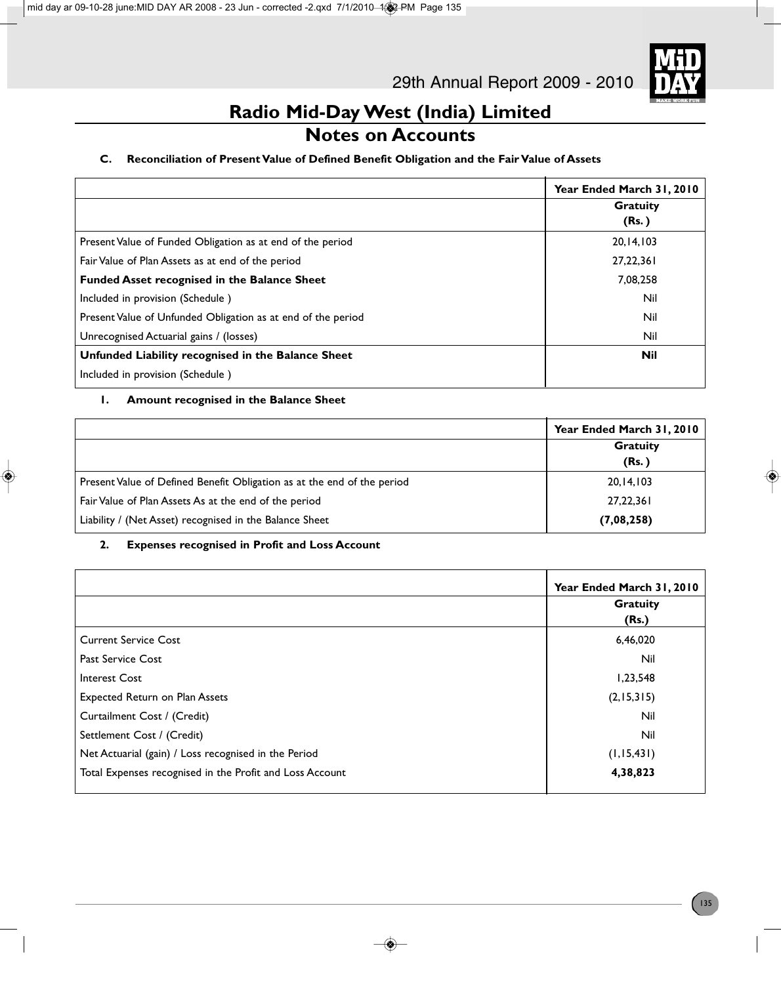

# **Notes on Accounts**

### **C. Reconciliation of Present Value of Defined Benefit Obligation and the Fair Value of Assets**

|                                                              | Year Ended March 31, 2010 |
|--------------------------------------------------------------|---------------------------|
|                                                              | <b>Gratuity</b>           |
|                                                              | (Rs.)                     |
| Present Value of Funded Obligation as at end of the period   | 20, 14, 103               |
| Fair Value of Plan Assets as at end of the period            | 27,22,361                 |
| <b>Funded Asset recognised in the Balance Sheet</b>          | 7,08,258                  |
| Included in provision (Schedule)                             | Nil                       |
| Present Value of Unfunded Obligation as at end of the period | Nil                       |
| Unrecognised Actuarial gains / (losses)                      | Nil                       |
| Unfunded Liability recognised in the Balance Sheet           | Nil                       |
| Included in provision (Schedule)                             |                           |

### **1. Amount recognised in the Balance Sheet**

|                                                                         | Year Ended March 31, 2010 |
|-------------------------------------------------------------------------|---------------------------|
|                                                                         | <b>Gratuity</b>           |
|                                                                         | (Rs.)                     |
| Present Value of Defined Benefit Obligation as at the end of the period | 20, 14, 103               |
| Fair Value of Plan Assets As at the end of the period                   | 27,22,361                 |
| Liability / (Net Asset) recognised in the Balance Sheet                 | (7,08,258)                |

### **2. Expenses recognised in Profit and Loss Account**

|                                                          | Year Ended March 31, 2010<br><b>Gratuity</b> |
|----------------------------------------------------------|----------------------------------------------|
|                                                          | (Rs.)                                        |
| Current Service Cost                                     | 6,46,020                                     |
| Past Service Cost                                        | Nil                                          |
| Interest Cost                                            | 1,23,548                                     |
| <b>Expected Return on Plan Assets</b>                    | (2, 15, 315)                                 |
| Curtailment Cost / (Credit)                              | Nil                                          |
| Settlement Cost / (Credit)                               | Nil                                          |
| Net Actuarial (gain) / Loss recognised in the Period     | (1, 15, 431)                                 |
| Total Expenses recognised in the Profit and Loss Account | 4,38,823                                     |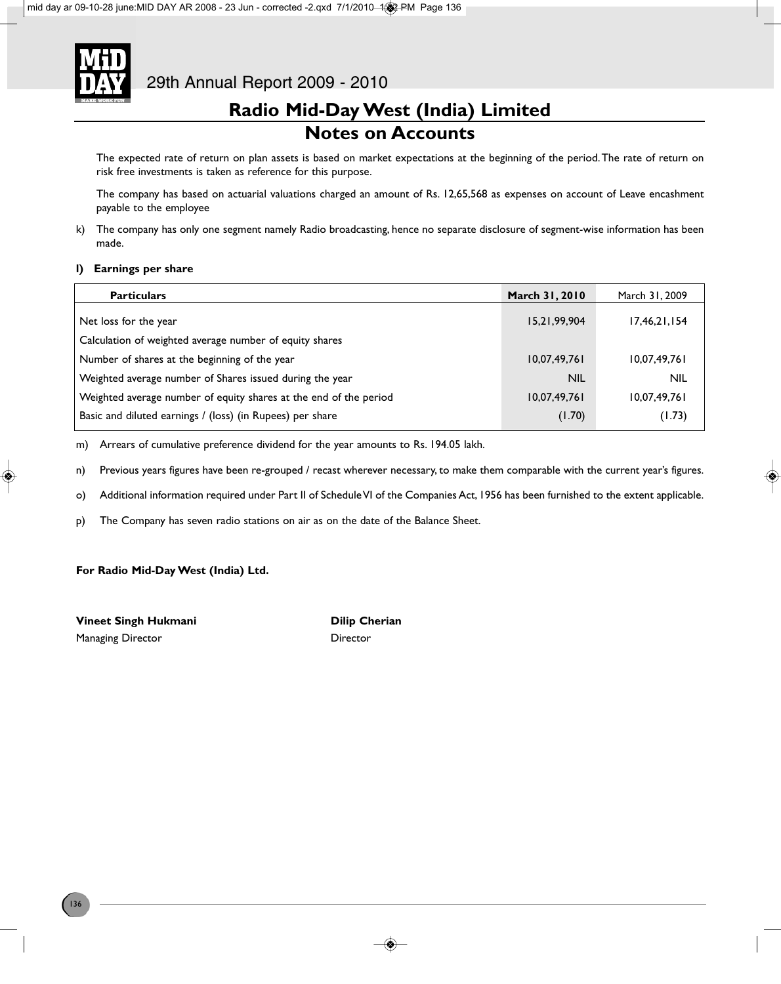

# **Radio Mid-Day West (India) Limited Notes on Accounts**

The expected rate of return on plan assets is based on market expectations at the beginning of the period. The rate of return on risk free investments is taken as reference for this purpose.

The company has based on actuarial valuations charged an amount of Rs. 12,65,568 as expenses on account of Leave encashment payable to the employee

k) The company has only one segment namely Radio broadcasting, hence no separate disclosure of segment-wise information has been made.

### **l) Earnings per share**

| <b>Particulars</b>                                                | March 31, 2010  | March 31, 2009 |
|-------------------------------------------------------------------|-----------------|----------------|
| Net loss for the year                                             | 15, 21, 99, 904 | 17,46,21,154   |
| Calculation of weighted average number of equity shares           |                 |                |
| Number of shares at the beginning of the year                     | 10,07,49,761    | 10,07,49,761   |
| Weighted average number of Shares issued during the year          | <b>NIL</b>      | <b>NIL</b>     |
| Weighted average number of equity shares at the end of the period | 10,07,49,761    | 10,07,49,761   |
| Basic and diluted earnings / (loss) (in Rupees) per share         | (1.70)          | (1.73)         |

m) Arrears of cumulative preference dividend for the year amounts to Rs. 194.05 lakh.

n) Previous years figures have been re-grouped / recast wherever necessary, to make them comparable with the current year's figures.

o) Additional information required under Part II of Schedule VI of the Companies Act, 1956 has been furnished to the extent applicable.

p) The Company has seven radio stations on air as on the date of the Balance Sheet.

### **For Radio Mid-Day West (India) Ltd.**

**Vineet Singh Hukmani Dilip Cherian** Managing Director **Director** Director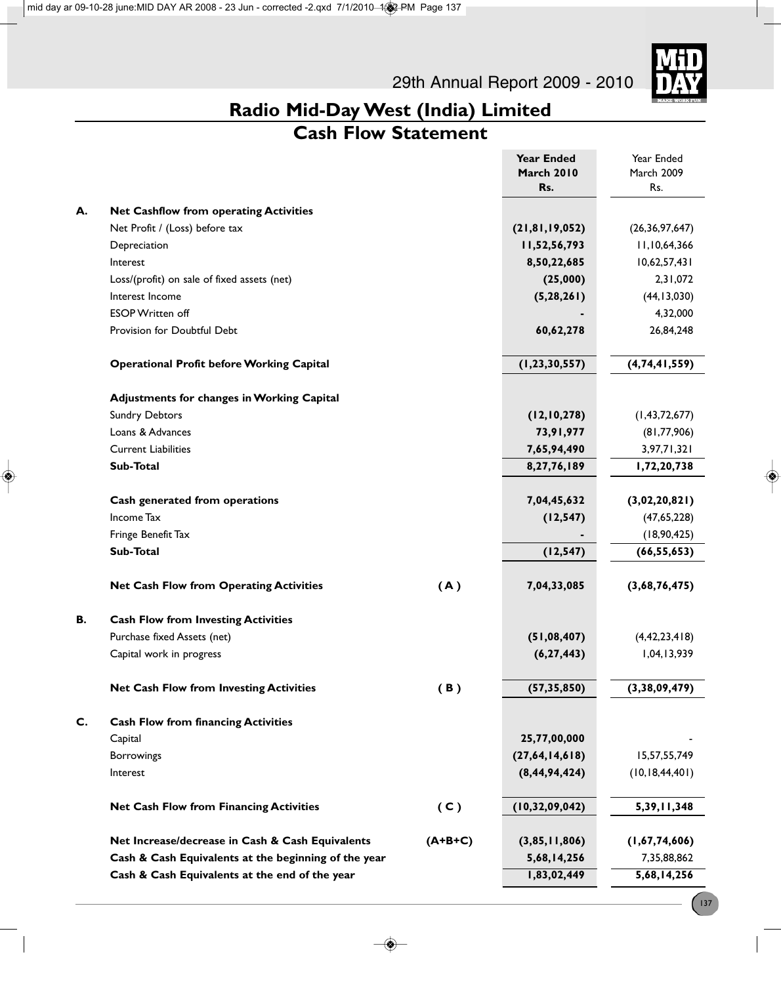29th Annual Report 2009 - 2010



# **Radio Mid-Day West (India) Limited**

# **Cash Flow Statement**

|    |                                                      |           | <b>Year Ended</b><br><b>March 2010</b> | Year Ended<br>March 2009 |
|----|------------------------------------------------------|-----------|----------------------------------------|--------------------------|
|    |                                                      |           | Rs.                                    | Rs.                      |
| А. | <b>Net Cashflow from operating Activities</b>        |           |                                        |                          |
|    | Net Profit / (Loss) before tax                       |           | (21, 81, 19, 052)                      | (26, 36, 97, 647)        |
|    | Depreciation                                         |           | 11,52,56,793                           | 11,10,64,366             |
|    | Interest                                             |           | 8,50,22,685                            | 10,62,57,431             |
|    | Loss/(profit) on sale of fixed assets (net)          |           | (25,000)                               | 2,31,072                 |
|    | Interest Income                                      |           | (5, 28, 261)                           | (44, 13, 030)            |
|    | <b>ESOP Written off</b>                              |           |                                        | 4,32,000                 |
|    | Provision for Doubtful Debt                          |           | 60,62,278                              | 26,84,248                |
|    | <b>Operational Profit before Working Capital</b>     |           | (1, 23, 30, 557)                       | (4, 74, 41, 559)         |
|    | <b>Adjustments for changes in Working Capital</b>    |           |                                        |                          |
|    | <b>Sundry Debtors</b>                                |           | (12, 10, 278)                          | (1, 43, 72, 677)         |
|    | Loans & Advances                                     |           | 73,91,977                              | (81, 77, 906)            |
|    | <b>Current Liabilities</b>                           |           | 7,65,94,490                            | 3,97,71,321              |
|    | Sub-Total                                            |           | 8,27,76,189                            | 1,72,20,738              |
|    | Cash generated from operations                       |           | 7,04,45,632                            | (3,02,20,821)            |
|    | Income Tax                                           |           | (12, 547)                              | (47, 65, 228)            |
|    | Fringe Benefit Tax                                   |           |                                        | (18, 90, 425)            |
|    | Sub-Total                                            |           | (12, 547)                              | (66, 55, 653)            |
|    | <b>Net Cash Flow from Operating Activities</b>       | (A)       | 7,04,33,085                            | (3,68,76,475)            |
| В. | <b>Cash Flow from Investing Activities</b>           |           |                                        |                          |
|    | Purchase fixed Assets (net)                          |           | (51,08,407)                            | (4, 42, 23, 418)         |
|    | Capital work in progress                             |           | (6, 27, 443)                           | 1,04,13,939              |
|    | <b>Net Cash Flow from Investing Activities</b>       | (B)       | (57, 35, 850)                          | (3, 38, 09, 479)         |
| C. | <b>Cash Flow from financing Activities</b>           |           |                                        |                          |
|    | Capital                                              |           | 25,77,00,000                           |                          |
|    | Borrowings                                           |           | (27,64,14,618)                         | 15,57,55,749             |
|    | Interest                                             |           | (8, 44, 94, 424)                       | (10, 18, 44, 401)        |
|    | <b>Net Cash Flow from Financing Activities</b>       | (C)       | (10, 32, 09, 042)                      | 5, 39, 11, 348           |
|    | Net Increase/decrease in Cash & Cash Equivalents     | $(A+B+C)$ | (3,85,11,806)                          | (1,67,74,606)            |
|    | Cash & Cash Equivalents at the beginning of the year |           | 5,68,14,256                            | 7,35,88,862              |
|    | Cash & Cash Equivalents at the end of the year       |           | 1,83,02,449                            | 5,68,14,256              |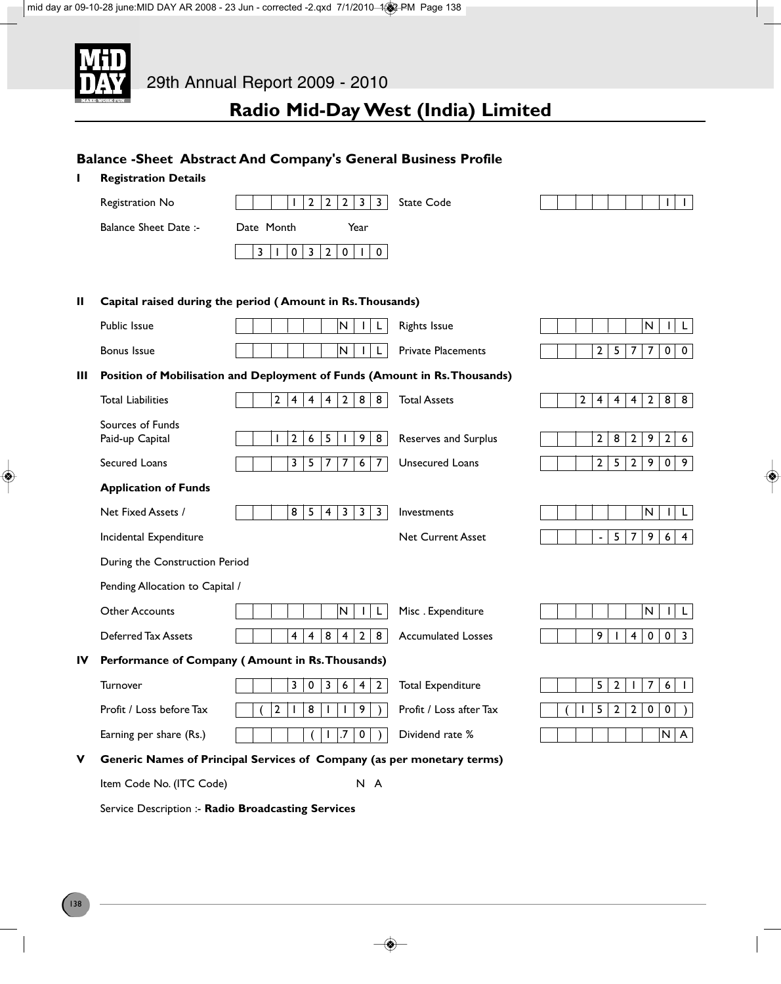

**Balance -Sheet Abstract And Company's General Business Profile**

# **Radio Mid-Day West (India) Limited**

# **I Registration Details** Registration No 1 122233 State Code 1 1 1 1 1 Balance Sheet Date :- Date Month Year  $3|1|0|3|2|0|1|0|$ **II Capital raised during the period ( Amount in Rs. Thousands)** Public Issue | | | | | | | |N | | | L | Rights Issue | | | | | | |N | | |L Bonus Issue N I L Private Placements 257700 **III Position of Mobilisation and Deployment of Funds (Amount in Rs. Thousands)** Total Liabilities 288 24442888 Total Assets 2444288 Sources of Funds Paid-up Capital 124651988 Reserves and Surplus 1282926 Secured Loans 357767 Unsecured Loans 252909 **Application of Funds** Net Fixed Assets / 8 5 4 3 3 3 Investments N I L Incidental Expenditure **Net Current Asset** Asset 1996-1996 During the Construction Period Pending Allocation to Capital / Other Accounts N I L I L I L I N I L I Misc . Expenditure N I L I L I L I N I L L Deferred Tax Assets  $\begin{vmatrix} 4 & 4 & 8 & 4 & 2 & 8 \\ 0 & 0 & 3 & 4 & 2 & 8 \\ 0 & 0 & 0 & 3 & 2 & 8 \end{vmatrix}$ **IV Performance of Company ( Amount in Rs. Thousands)** Turnover 303642 Total Expenditure 1 521761 Profit / Loss before Tax  $\begin{pmatrix} 2 & 1 & 8 & 1 & 1 & 9 \end{pmatrix}$  Profit / Loss after Tax  $\begin{pmatrix} 1 & 5 & 2 & 2 & 0 & 0 \end{pmatrix}$ Earning per share (Rs.) ( 1 .7 0 ) Dividend rate % N A **V Generic Names of Principal Services of Company (as per monetary terms)** Item Code No. (ITC Code) N A Service Description :- **Radio Broadcasting Services**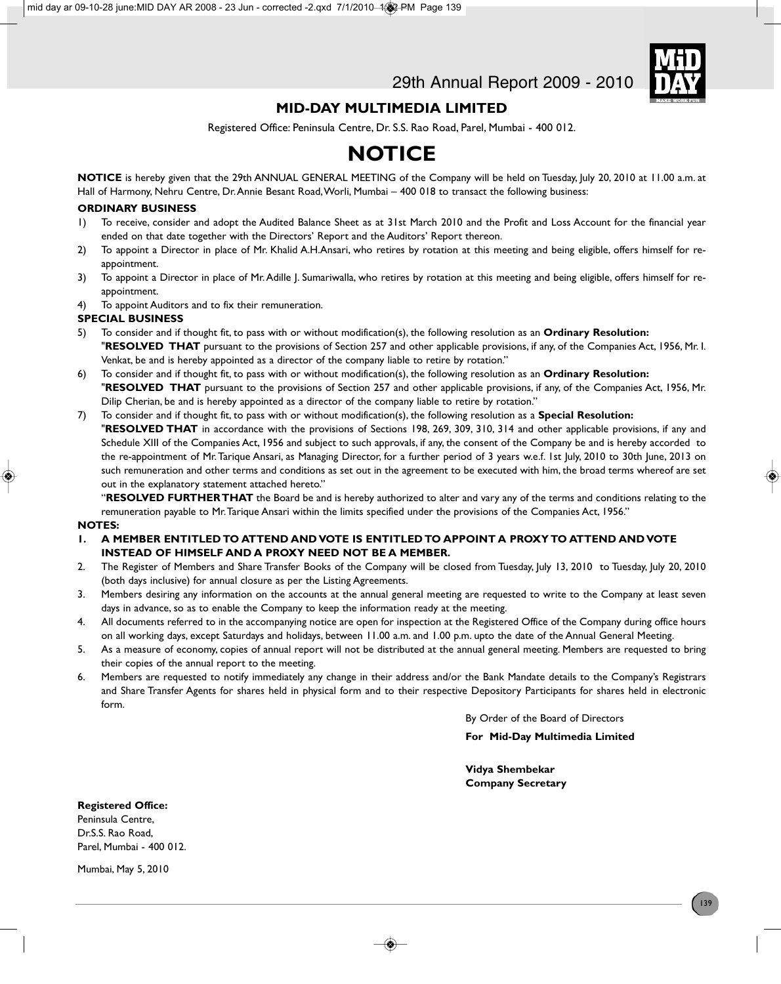

### **MID-DAY MULTIMEDIA LIMITED**

Registered Office: Peninsula Centre, Dr. S.S. Rao Road, Parel, Mumbai - 400 012.

# **NOTICE**

**NOTICE** is hereby given that the 29th ANNUAL GENERAL MEETING of the Company will be held on Tuesday, July 20, 2010 at 11.00 a.m. at Hall of Harmony, Nehru Centre, Dr. Annie Besant Road, Worli, Mumbai – 400 018 to transact the following business:

### **ORDINARY BUSINESS**

- 1) To receive, consider and adopt the Audited Balance Sheet as at 31st March 2010 and the Profit and Loss Account for the financial year ended on that date together with the Directors' Report and the Auditors' Report thereon.
- 2) To appoint a Director in place of Mr. Khalid A.H.Ansari, who retires by rotation at this meeting and being eligible, offers himself for reappointment.
- 3) To appoint a Director in place of Mr. Adille I. Sumariwalla, who retires by rotation at this meeting and being eligible, offers himself for reappointment.
- 4) To appoint Auditors and to fix their remuneration.

### **SPECIAL BUSINESS**

- 5) To consider and if thought fit, to pass with or without modification(s), the following resolution as an **Ordinary Resolution:** "**RESOLVED THAT** pursuant to the provisions of Section 257 and other applicable provisions, if any, of the Companies Act, 1956, Mr. I. Venkat, be and is hereby appointed as a director of the company liable to retire by rotation."
- 6) To consider and if thought fit, to pass with or without modification(s), the following resolution as an **Ordinary Resolution:** "**RESOLVED THAT** pursuant to the provisions of Section 257 and other applicable provisions, if any, of the Companies Act, 1956, Mr. Dilip Cherian, be and is hereby appointed as a director of the company liable to retire by rotation."
- 7) To consider and if thought fit, to pass with or without modification(s), the following resolution as a **Special Resolution:** "**RESOLVED THAT** in accordance with the provisions of Sections 198, 269, 309, 310, 314 and other applicable provisions, if any and Schedule XIII of the Companies Act, 1956 and subject to such approvals, if any, the consent of the Company be and is hereby accorded to the re-appointment of Mr. Tarique Ansari, as Managing Director, for a further period of 3 years w.e.f. 1st July, 2010 to 30th June, 2013 on such remuneration and other terms and conditions as set out in the agreement to be executed with him, the broad terms whereof are set out in the explanatory statement attached hereto."

"**RESOLVED FURTHER THAT** the Board be and is hereby authorized to alter and vary any of the terms and conditions relating to the remuneration payable to Mr. Tarique Ansari within the limits specified under the provisions of the Companies Act, 1956."

#### **NOTES:**

- **1. A MEMBER ENTITLED TO ATTEND AND VOTE IS ENTITLED TO APPOINT A PROXY TO ATTEND AND VOTE INSTEAD OF HIMSELF AND A PROXY NEED NOT BE A MEMBER.**
- 2. The Register of Members and Share Transfer Books of the Company will be closed from Tuesday, July 13, 2010 to Tuesday, July 20, 2010 (both days inclusive) for annual closure as per the Listing Agreements.
- 3. Members desiring any information on the accounts at the annual general meeting are requested to write to the Company at least seven days in advance, so as to enable the Company to keep the information ready at the meeting.
- 4. All documents referred to in the accompanying notice are open for inspection at the Registered Office of the Company during office hours on all working days, except Saturdays and holidays, between 11.00 a.m. and 1.00 p.m. upto the date of the Annual General Meeting.
- 5. As a measure of economy, copies of annual report will not be distributed at the annual general meeting. Members are requested to bring their copies of the annual report to the meeting.
- 6. Members are requested to notify immediately any change in their address and/or the Bank Mandate details to the Company's Registrars and Share Transfer Agents for shares held in physical form and to their respective Depository Participants for shares held in electronic form.

By Order of the Board of Directors

**For Mid-Day Multimedia Limited**

**Vidya Shembekar Company Secretary**

### **Registered Office:**

Peninsula Centre, Dr.S.S. Rao Road, Parel, Mumbai - 400 012.

Mumbai, May 5, 2010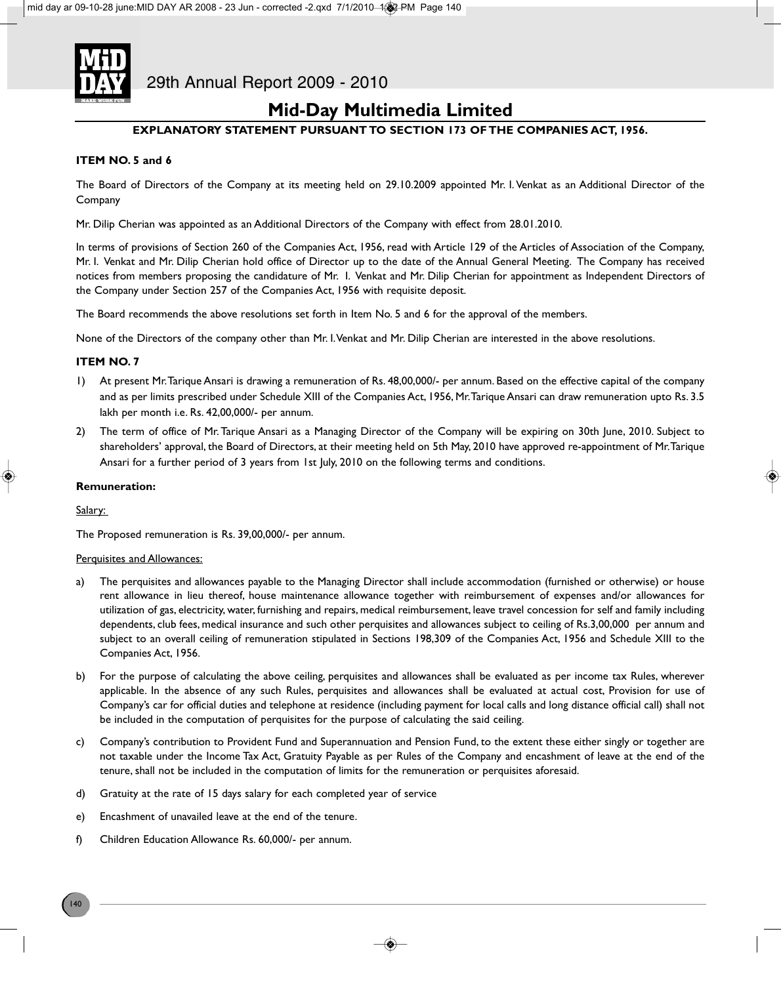

### **Mid-Day Multimedia Limited**

### **EXPLANATORY STATEMENT PURSUANT TO SECTION 173 OF THE COMPANIES ACT, 1956.**

### **ITEM NO. 5 and 6**

The Board of Directors of the Company at its meeting held on 29.10.2009 appointed Mr. I. Venkat as an Additional Director of the Company

Mr. Dilip Cherian was appointed as an Additional Directors of the Company with effect from 28.01.2010.

In terms of provisions of Section 260 of the Companies Act, 1956, read with Article 129 of the Articles of Association of the Company, Mr. I. Venkat and Mr. Dilip Cherian hold office of Director up to the date of the Annual General Meeting. The Company has received notices from members proposing the candidature of Mr. I. Venkat and Mr. Dilip Cherian for appointment as Independent Directors of the Company under Section 257 of the Companies Act, 1956 with requisite deposit.

The Board recommends the above resolutions set forth in Item No. 5 and 6 for the approval of the members.

None of the Directors of the company other than Mr. I. Venkat and Mr. Dilip Cherian are interested in the above resolutions.

### **ITEM NO. 7**

- 1) At present Mr. Tarique Ansari is drawing a remuneration of Rs. 48,00,000/- per annum. Based on the effective capital of the company and as per limits prescribed under Schedule XIII of the Companies Act, 1956, Mr. Tarique Ansari can draw remuneration upto Rs. 3.5 lakh per month i.e. Rs. 42,00,000/- per annum.
- 2) The term of office of Mr. Tarique Ansari as a Managing Director of the Company will be expiring on 30th June, 2010. Subject to shareholders' approval, the Board of Directors, at their meeting held on 5th May, 2010 have approved re-appointment of Mr. Tarique Ansari for a further period of 3 years from 1st July, 2010 on the following terms and conditions.

### **Remuneration:**

Salary:

The Proposed remuneration is Rs. 39,00,000/- per annum.

#### Perquisites and Allowances:

- a) The perquisites and allowances payable to the Managing Director shall include accommodation (furnished or otherwise) or house rent allowance in lieu thereof, house maintenance allowance together with reimbursement of expenses and/or allowances for utilization of gas, electricity, water, furnishing and repairs, medical reimbursement, leave travel concession for self and family including dependents, club fees, medical insurance and such other perquisites and allowances subject to ceiling of Rs.3,00,000 per annum and subject to an overall ceiling of remuneration stipulated in Sections 198,309 of the Companies Act, 1956 and Schedule XIII to the Companies Act, 1956.
- b) For the purpose of calculating the above ceiling, perquisites and allowances shall be evaluated as per income tax Rules, wherever applicable. In the absence of any such Rules, perquisites and allowances shall be evaluated at actual cost, Provision for use of Company's car for official duties and telephone at residence (including payment for local calls and long distance official call) shall not be included in the computation of perquisites for the purpose of calculating the said ceiling.
- c) Company's contribution to Provident Fund and Superannuation and Pension Fund, to the extent these either singly or together are not taxable under the Income Tax Act, Gratuity Payable as per Rules of the Company and encashment of leave at the end of the tenure, shall not be included in the computation of limits for the remuneration or perquisites aforesaid.
- d) Gratuity at the rate of 15 days salary for each completed year of service
- e) Encashment of unavailed leave at the end of the tenure.
- f) Children Education Allowance Rs. 60,000/- per annum.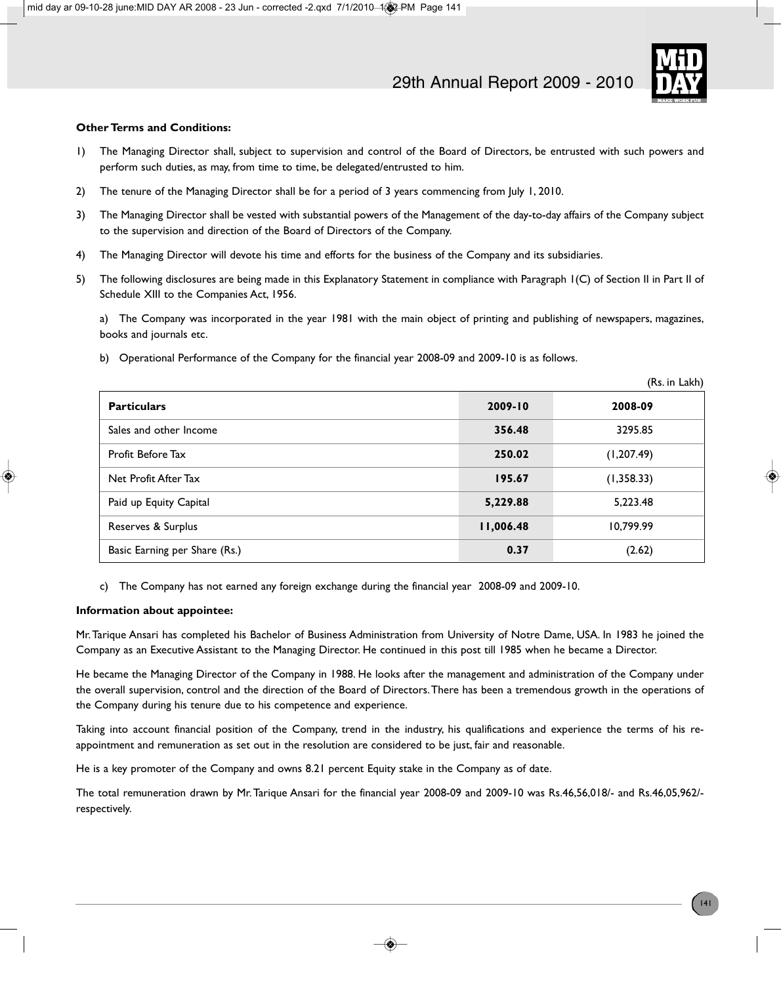

 $(D<sub>1</sub>, D<sub>2</sub>)$ 

### **Other Terms and Conditions:**

- 1) The Managing Director shall, subject to supervision and control of the Board of Directors, be entrusted with such powers and perform such duties, as may, from time to time, be delegated/entrusted to him.
- 2) The tenure of the Managing Director shall be for a period of 3 years commencing from July 1, 2010.
- 3) The Managing Director shall be vested with substantial powers of the Management of the day-to-day affairs of the Company subject to the supervision and direction of the Board of Directors of the Company.
- 4) The Managing Director will devote his time and efforts for the business of the Company and its subsidiaries.
- 5) The following disclosures are being made in this Explanatory Statement in compliance with Paragraph 1(C) of Section II in Part II of Schedule XIII to the Companies Act, 1956.

a) The Company was incorporated in the year 1981 with the main object of printing and publishing of newspapers, magazines, books and journals etc.

b) Operational Performance of the Company for the financial year 2008-09 and 2009-10 is as follows.

|                               |             | (KS. III LAKII) |
|-------------------------------|-------------|-----------------|
| <b>Particulars</b>            | $2009 - 10$ | 2008-09         |
| Sales and other Income        | 356.48      | 3295.85         |
| Profit Before Tax             | 250.02      | (1, 207.49)     |
| Net Profit After Tax          | 195.67      | (1,358.33)      |
| Paid up Equity Capital        | 5,229.88    | 5,223.48        |
| Reserves & Surplus            | 11,006.48   | 10,799.99       |
| Basic Earning per Share (Rs.) | 0.37        | (2.62)          |

c) The Company has not earned any foreign exchange during the financial year 2008-09 and 2009-10.

### **Information about appointee:**

Mr. Tarique Ansari has completed his Bachelor of Business Administration from University of Notre Dame, USA. In 1983 he joined the Company as an Executive Assistant to the Managing Director. He continued in this post till 1985 when he became a Director.

He became the Managing Director of the Company in 1988. He looks after the management and administration of the Company under the overall supervision, control and the direction of the Board of Directors. There has been a tremendous growth in the operations of the Company during his tenure due to his competence and experience.

Taking into account financial position of the Company, trend in the industry, his qualifications and experience the terms of his reappointment and remuneration as set out in the resolution are considered to be just, fair and reasonable.

He is a key promoter of the Company and owns 8.21 percent Equity stake in the Company as of date.

The total remuneration drawn by Mr. Tarique Ansari for the financial year 2008-09 and 2009-10 was Rs.46,56,018/- and Rs.46,05,962/ respectively.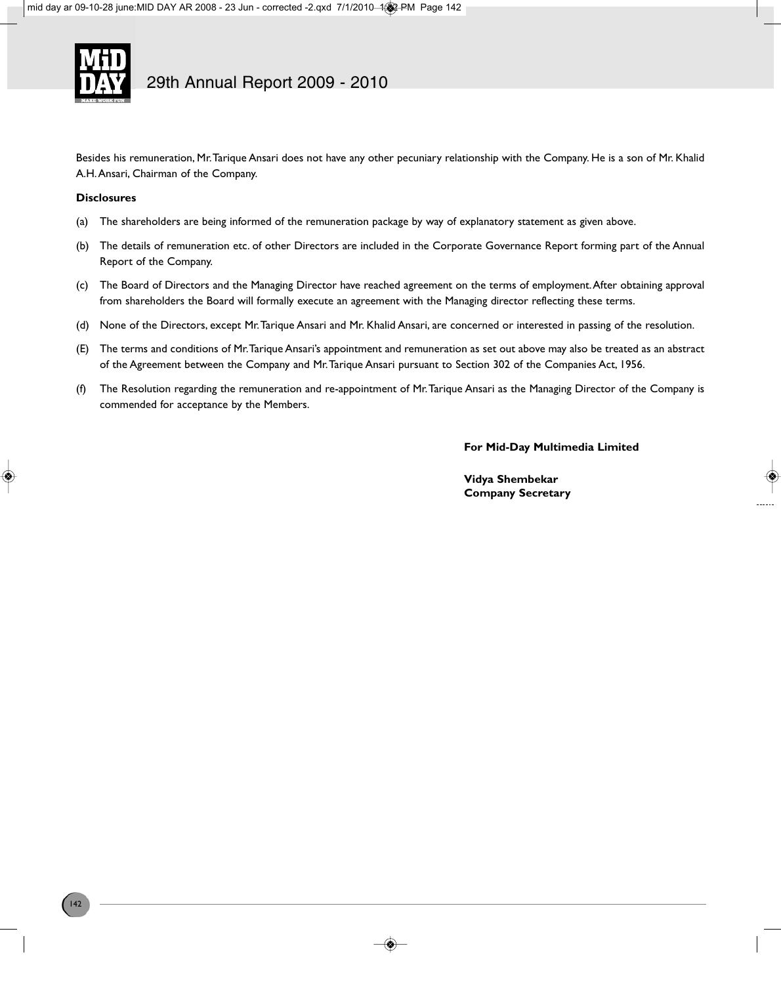

Besides his remuneration, Mr. Tarique Ansari does not have any other pecuniary relationship with the Company. He is a son of Mr. Khalid A.H. Ansari, Chairman of the Company.

### **Disclosures**

- (a) The shareholders are being informed of the remuneration package by way of explanatory statement as given above.
- (b) The details of remuneration etc. of other Directors are included in the Corporate Governance Report forming part of the Annual Report of the Company.
- (c) The Board of Directors and the Managing Director have reached agreement on the terms of employment. After obtaining approval from shareholders the Board will formally execute an agreement with the Managing director reflecting these terms.
- (d) None of the Directors, except Mr. Tarique Ansari and Mr. Khalid Ansari, are concerned or interested in passing of the resolution.
- (E) The terms and conditions of Mr. Tarique Ansari's appointment and remuneration as set out above may also be treated as an abstract of the Agreement between the Company and Mr. Tarique Ansari pursuant to Section 302 of the Companies Act, 1956.
- (f) The Resolution regarding the remuneration and re-appointment of Mr. Tarique Ansari as the Managing Director of the Company is commended for acceptance by the Members.

**For Mid-Day Multimedia Limited**

**Vidya Shembekar Company Secretary**